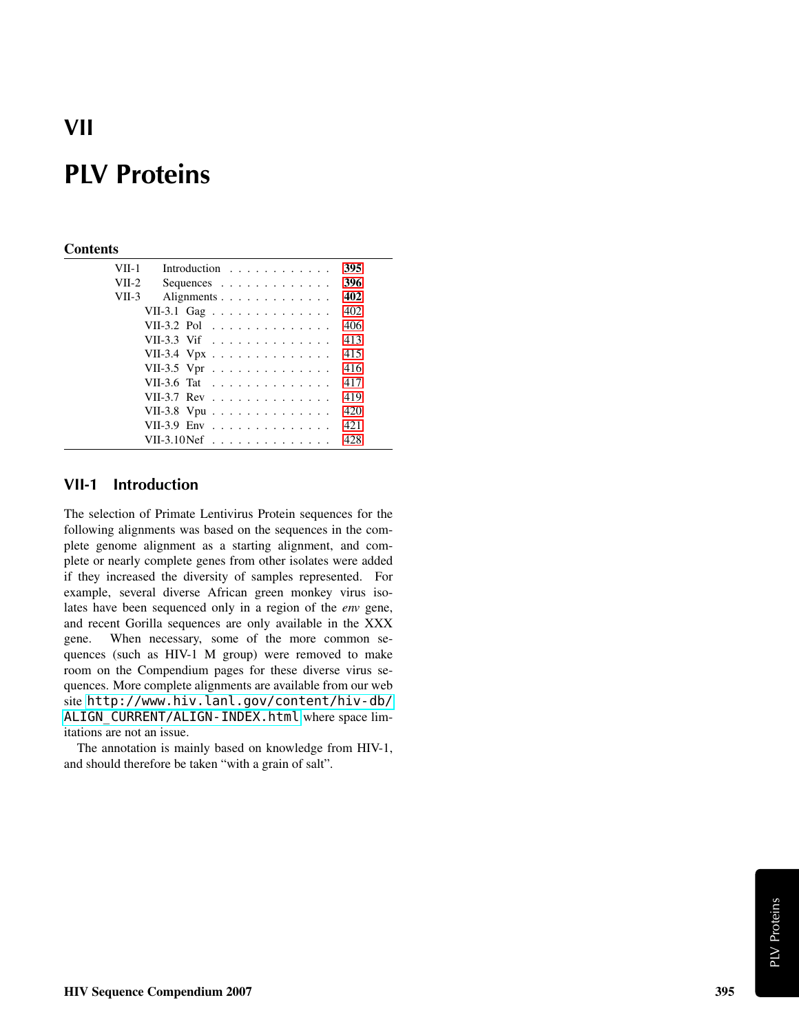# VII

## PLV Proteins

### **Contents**

| VII-1   |                      | Introduction $\ldots$ ,                  |  |  |  |  |  |  |  | 395 |
|---------|----------------------|------------------------------------------|--|--|--|--|--|--|--|-----|
| $VII-2$ |                      | Sequences $\ldots$ , $\ldots$ , $\ldots$ |  |  |  |  |  |  |  | 396 |
| VII-3   |                      | Alignments                               |  |  |  |  |  |  |  | 402 |
|         | VII-3.1 Gag          |                                          |  |  |  |  |  |  |  | 402 |
|         | VII-3.2 Pol          |                                          |  |  |  |  |  |  |  | 406 |
|         | VII-3.3 Vif          |                                          |  |  |  |  |  |  |  | 413 |
|         | VII-3.4 Vpx          |                                          |  |  |  |  |  |  |  | 415 |
|         | VII-3.5 Vpr          |                                          |  |  |  |  |  |  |  | 416 |
|         | VII-3.6 Tat          |                                          |  |  |  |  |  |  |  | 417 |
|         | VII-3.7 Rev          |                                          |  |  |  |  |  |  |  | 419 |
|         | VII-3.8 Vpu          |                                          |  |  |  |  |  |  |  | 420 |
|         | VII-3.9 Env          |                                          |  |  |  |  |  |  |  | 421 |
|         | VII-3.10Nef $\ldots$ |                                          |  |  |  |  |  |  |  | 428 |
|         |                      |                                          |  |  |  |  |  |  |  |     |

### <span id="page-0-0"></span>VII-1 Introduction

The selection of Primate Lentivirus Protein sequences for the following alignments was based on the sequences in the complete genome alignment as a starting alignment, and complete or nearly complete genes from other isolates were added if they increased the diversity of samples represented. For example, several diverse African green monkey virus isolates have been sequenced only in a region of the *env* gene, and recent Gorilla sequences are only available in the XXX gene. When necessary, some of the more common sequences (such as HIV-1 M group) were removed to make room on the Compendium pages for these diverse virus sequences. More complete alignments are available from our web site [http://www.hiv.lanl.gov/content/hiv-db/](http://www.hiv.lanl.gov/content/hiv-db/ALIGN_CURRENT/ALIGN-INDEX.html) [ALIGN\\_CURRENT/ALIGN-INDEX.html](http://www.hiv.lanl.gov/content/hiv-db/ALIGN_CURRENT/ALIGN-INDEX.html) where space limitations are not an issue.

The annotation is mainly based on knowledge from HIV-1, and should therefore be taken "with a grain of salt".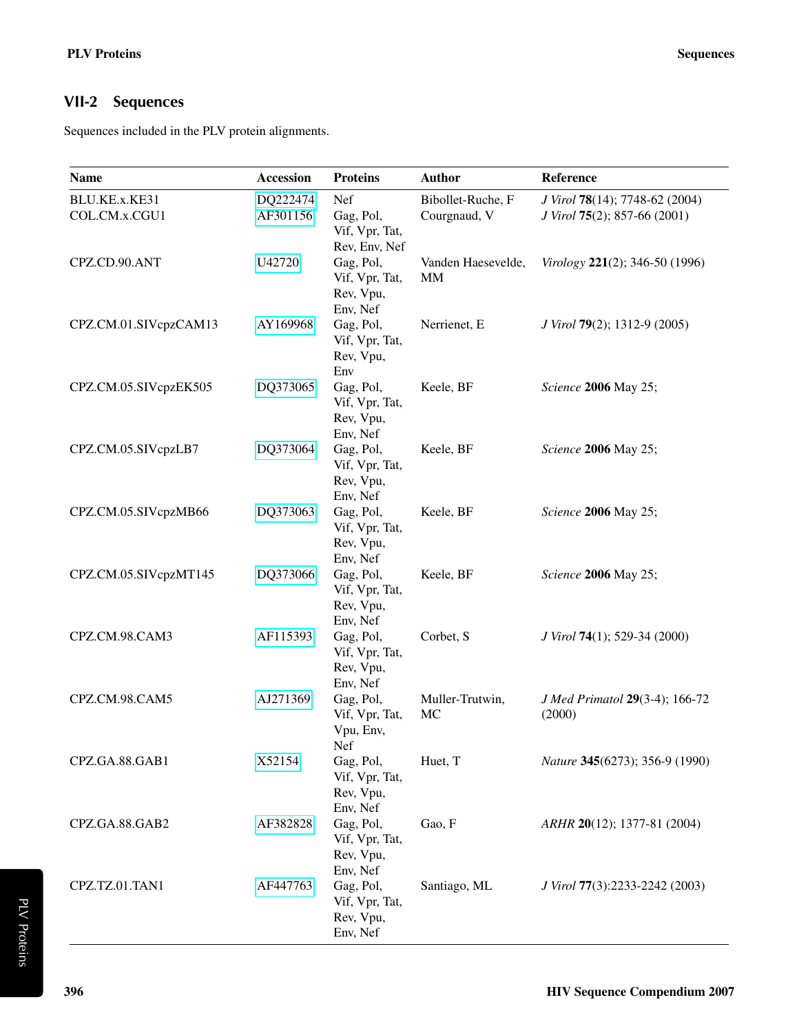### <span id="page-1-0"></span>VII-2 Sequences

Sequences included in the PLV protein alignments.

| <b>Name</b>                    | Accession            | <b>Proteins</b>                                      | <b>Author</b>                     | Reference                                                      |
|--------------------------------|----------------------|------------------------------------------------------|-----------------------------------|----------------------------------------------------------------|
| BLU.KE.x.KE31<br>COL.CM.x.CGU1 | DQ222474<br>AF301156 | Nef<br>Gag, Pol,<br>Vif, Vpr, Tat,<br>Rev, Env, Nef  | Bibollet-Ruche, F<br>Courgnaud, V | J Virol 78(14); 7748-62 (2004)<br>J Virol 75(2); 857-66 (2001) |
| CPZ.CD.90.ANT                  | U42720               | Gag, Pol,<br>Vif, Vpr, Tat,<br>Rev, Vpu,<br>Env, Nef | Vanden Haesevelde,<br>MM          | Virology 221(2); 346-50 (1996)                                 |
| CPZ.CM.01.SIVcpzCAM13          | AY169968             | Gag, Pol,<br>Vif, Vpr, Tat,<br>Rev, Vpu,<br>Env      | Nerrienet, E                      | J Virol 79(2); 1312-9 (2005)                                   |
| CPZ.CM.05.SIVcpzEK505          | DQ373065             | Gag, Pol,<br>Vif, Vpr, Tat,<br>Rev, Vpu,<br>Env, Nef | Keele, BF                         | Science 2006 May 25;                                           |
| CPZ.CM.05.SIVcpzLB7            | DQ373064             | Gag, Pol,<br>Vif, Vpr, Tat,<br>Rev, Vpu,<br>Env, Nef | Keele, BF                         | Science 2006 May 25;                                           |
| CPZ.CM.05.SIVcpzMB66           | DQ373063             | Gag, Pol,<br>Vif, Vpr, Tat,<br>Rev, Vpu,<br>Env, Nef | Keele, BF                         | Science 2006 May 25;                                           |
| CPZ.CM.05.SIVcpzMT145          | DQ373066             | Gag, Pol,<br>Vif, Vpr, Tat,<br>Rev, Vpu,<br>Env, Nef | Keele, BF                         | Science 2006 May 25;                                           |
| CPZ.CM.98.CAM3                 | AF115393             | Gag, Pol,<br>Vif, Vpr, Tat,<br>Rev, Vpu,<br>Env, Nef | Corbet, S                         | J Virol 74(1); 529-34 (2000)                                   |
| CPZ.CM.98.CAM5                 | AJ271369             | Gag, Pol,<br>Vif, Vpr, Tat,<br>Vpu, Env,<br>Nef      | Muller-Trutwin,<br>MC             | J Med Primatol 29(3-4); 166-72<br>(2000)                       |
| CPZ.GA.88.GAB1                 | X52154               | Gag, Pol,<br>Vif, Vpr, Tat,<br>Rev, Vpu,<br>Env, Nef | Huet, T                           | Nature 345(6273); 356-9 (1990)                                 |
| CPZ.GA.88.GAB2                 | AF382828             | Gag, Pol,<br>Vif, Vpr, Tat,<br>Rev, Vpu,<br>Env, Nef | Gao, F                            | ARHR 20(12); 1377-81 (2004)                                    |
| CPZ.TZ.01.TAN1                 | AF447763             | Gag, Pol,<br>Vif, Vpr, Tat,<br>Rev, Vpu,<br>Env, Nef | Santiago, ML                      | J Virol 77(3):2233-2242 (2003)                                 |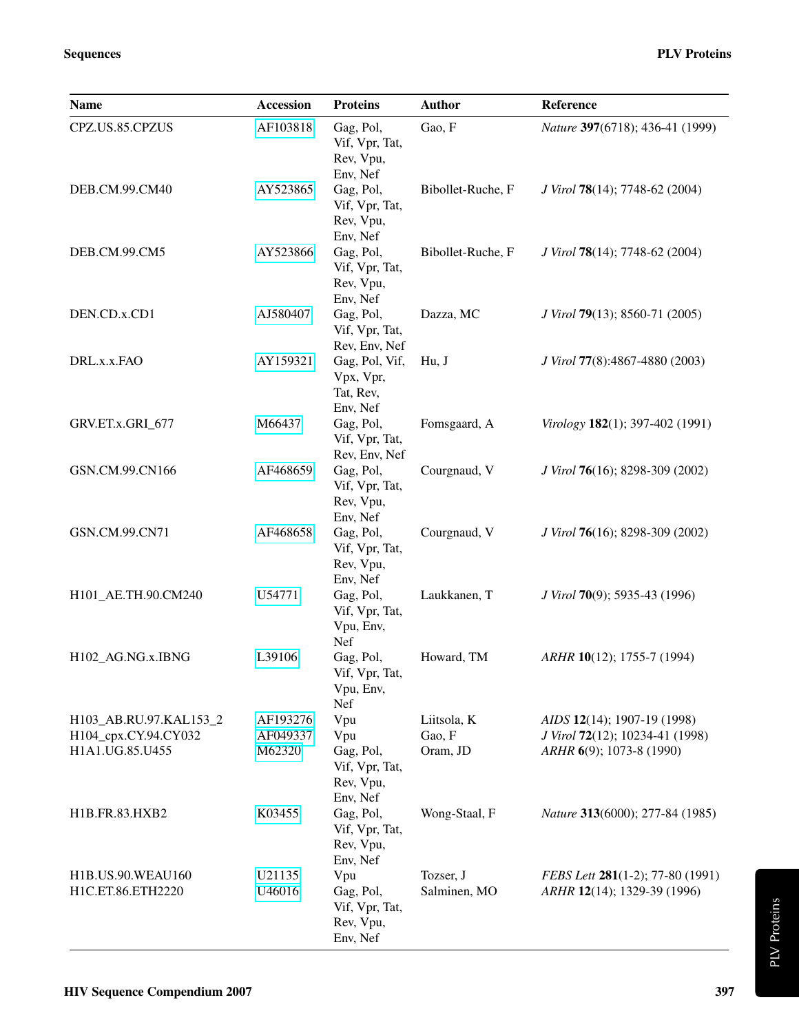| <b>Name</b>                                                       | <b>Accession</b>               | <b>Proteins</b>                                                  | <b>Author</b>                     | Reference                                                                                  |
|-------------------------------------------------------------------|--------------------------------|------------------------------------------------------------------|-----------------------------------|--------------------------------------------------------------------------------------------|
| CPZ.US.85.CPZUS                                                   | AF103818                       | Gag, Pol,<br>Vif, Vpr, Tat,<br>Rev, Vpu,<br>Env, Nef             | Gao, F                            | Nature 397(6718); 436-41 (1999)                                                            |
| DEB.CM.99.CM40                                                    | AY523865                       | Gag, Pol,<br>Vif, Vpr, Tat,<br>Rev, Vpu,                         | Bibollet-Ruche, F                 | J Virol 78(14); 7748-62 (2004)                                                             |
| DEB.CM.99.CM5                                                     | AY523866                       | Env, Nef<br>Gag, Pol,<br>Vif, Vpr, Tat,<br>Rev, Vpu,             | Bibollet-Ruche, F                 | J Virol 78(14); 7748-62 (2004)                                                             |
| DEN.CD.x.CD1                                                      | AJ580407                       | Env, Nef<br>Gag, Pol,<br>Vif, Vpr, Tat,<br>Rev, Env, Nef         | Dazza, MC                         | J Virol 79(13); 8560-71 (2005)                                                             |
| DRL.x.x.FAO                                                       | AY159321                       | Gag, Pol, Vif,<br>Vpx, Vpr,<br>Tat, Rev,<br>Env, Nef             | Hu, J                             | J Virol 77(8):4867-4880 (2003)                                                             |
| GRV.ET.x.GRI_677                                                  | M66437                         | Gag, Pol,<br>Vif, Vpr, Tat,<br>Rev, Env, Nef                     | Fomsgaard, A                      | Virology 182(1); 397-402 (1991)                                                            |
| GSN.CM.99.CN166                                                   | AF468659                       | Gag, Pol,<br>Vif, Vpr, Tat,<br>Rev, Vpu,<br>Env, Nef             | Courgnaud, V                      | J Virol 76(16); 8298-309 (2002)                                                            |
| GSN.CM.99.CN71                                                    | AF468658                       | Gag, Pol,<br>Vif, Vpr, Tat,<br>Rev, Vpu,<br>Env, Nef             | Courgnaud, V                      | J Virol 76(16); 8298-309 (2002)                                                            |
| H101_AE.TH.90.CM240                                               | U54771                         | Gag, Pol,<br>Vif, Vpr, Tat,<br>Vpu, Env,<br>Nef                  | Laukkanen, T                      | J Virol 70(9); 5935-43 (1996)                                                              |
| H102_AG.NG.x.IBNG                                                 | L39106                         | Gag, Pol,<br>Vif, Vpr, Tat,<br>Vpu, Env,<br>Nef                  | Howard, TM                        | ARHR 10(12); 1755-7 (1994)                                                                 |
| H103_AB.RU.97.KAL153_2<br>H104_cpx.CY.94.CY032<br>H1A1.UG.85.U455 | AF193276<br>AF049337<br>M62320 | Vpu<br>Vpu<br>Gag, Pol,<br>Vif, Vpr, Tat,<br>Rev, Vpu,           | Liitsola, K<br>Gao, F<br>Oram, JD | AIDS 12(14); 1907-19 (1998)<br>J Virol 72(12); 10234-41 (1998)<br>ARHR 6(9); 1073-8 (1990) |
| H1B.FR.83.HXB2                                                    | K03455                         | Env, Nef<br>Gag, Pol,<br>Vif, Vpr, Tat,<br>Rev, Vpu,<br>Env, Nef | Wong-Staal, F                     | Nature 313(6000); 277-84 (1985)                                                            |
| H1B.US.90.WEAU160<br>H1C.ET.86.ETH2220                            | U21135<br>U46016               | Vpu<br>Gag, Pol,<br>Vif, Vpr, Tat,<br>Rev, Vpu,<br>Env, Nef      | Tozser, J<br>Salminen, MO         | FEBS Lett 281(1-2); 77-80 (1991)<br>ARHR 12(14); 1329-39 (1996)                            |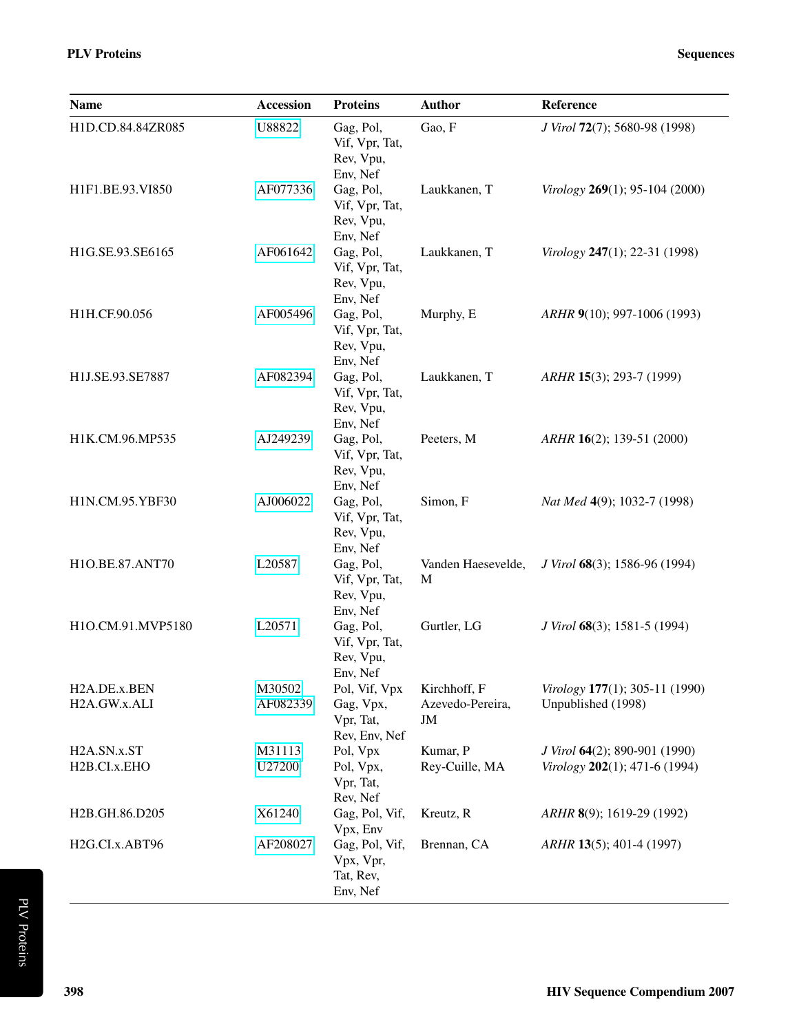| <b>Name</b>                               | <b>Accession</b>   | <b>Proteins</b>                                          | <b>Author</b>                          | Reference                                                         |
|-------------------------------------------|--------------------|----------------------------------------------------------|----------------------------------------|-------------------------------------------------------------------|
| H1D.CD.84.84ZR085                         | U88822             | Gag, Pol,<br>Vif, Vpr, Tat,<br>Rev, Vpu,<br>Env, Nef     | Gao, F                                 | J Virol 72(7); 5680-98 (1998)                                     |
| H1F1.BE.93.VI850                          | AF077336           | Gag, Pol,<br>Vif, Vpr, Tat,<br>Rev, Vpu,<br>Env, Nef     | Laukkanen, T                           | Virology 269(1); 95-104 (2000)                                    |
| H1G.SE.93.SE6165                          | AF061642           | Gag, Pol,<br>Vif, Vpr, Tat,<br>Rev, Vpu,<br>Env, Nef     | Laukkanen, T                           | Virology $247(1)$ ; 22-31 (1998)                                  |
| H1H.CF.90.056                             | AF005496           | Gag, Pol,<br>Vif, Vpr, Tat,<br>Rev, Vpu,<br>Env, Nef     | Murphy, E                              | ARHR 9(10); 997-1006 (1993)                                       |
| H1J.SE.93.SE7887                          | AF082394           | Gag, Pol,<br>Vif, Vpr, Tat,<br>Rev, Vpu,<br>Env, Nef     | Laukkanen, T                           | $ARHR$ 15(3); 293-7 (1999)                                        |
| H1K.CM.96.MP535                           | AJ249239           | Gag, Pol,<br>Vif, Vpr, Tat,<br>Rev, Vpu,<br>Env, Nef     | Peeters, M                             | ARHR 16(2); 139-51 (2000)                                         |
| H1N.CM.95.YBF30                           | AJ006022           | Gag, Pol,<br>Vif, Vpr, Tat,<br>Rev, Vpu,<br>Env, Nef     | Simon, F                               | Nat Med 4(9); 1032-7 (1998)                                       |
| H1O.BE.87.ANT70                           | L20587             | Gag, Pol,<br>Vif, Vpr, Tat,<br>Rev, Vpu,<br>Env, Nef     | Vanden Haesevelde,<br>M                | J Virol 68(3); 1586-96 (1994)                                     |
| H1O.CM.91.MVP5180                         | L20571             | Gag, Pol,<br>Vif, Vpr, Tat,<br>Rev, Vpu,<br>Env, Nef     | Gurtler, LG                            | J Virol 68(3); 1581-5 (1994)                                      |
| H <sub>2</sub> A.DE.x.BEN<br>H2A.GW.x.ALI | M30502<br>AF082339 | Pol, Vif, Vpx<br>Gag, Vpx,<br>Vpr, Tat,<br>Rev, Env, Nef | Kirchhoff, F<br>Azevedo-Pereira,<br>JM | Virology 177(1); 305-11 (1990)<br>Unpublished (1998)              |
| H2A.SN.x.ST<br>H2B.CI.x.EHO               | M31113<br>U27200   | Pol, Vpx<br>Pol, Vpx,<br>Vpr, Tat,<br>Rev, Nef           | Kumar, P<br>Rey-Cuille, MA             | J Virol 64(2); 890-901 (1990)<br>Virology $202(1)$ ; 471-6 (1994) |
| H2B.GH.86.D205                            | X61240             | Gag, Pol, Vif,<br>Vpx, Env                               | Kreutz, R                              | $ARHR$ 8(9); 1619-29 (1992)                                       |
| H2G.CI.x.ABT96                            | AF208027           | Gag, Pol, Vif,<br>Vpx, Vpr,<br>Tat, Rev,<br>Env, Nef     | Brennan, CA                            | ARHR 13(5); 401-4 (1997)                                          |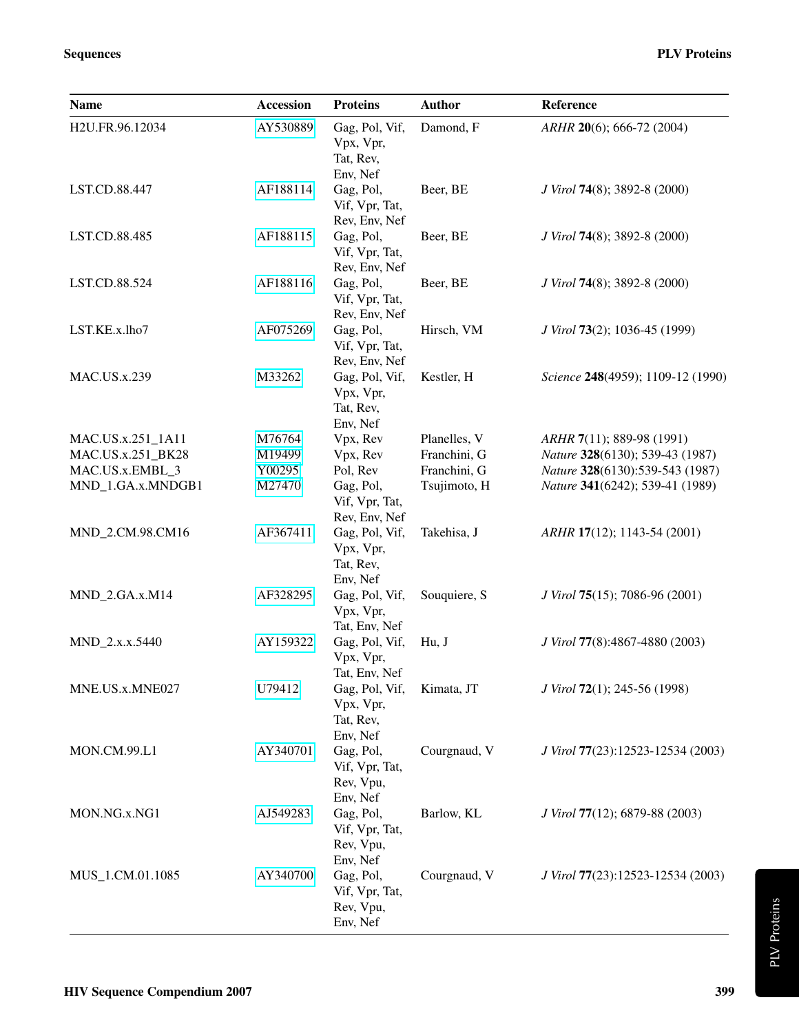| <b>Name</b>         | Accession | <b>Proteins</b>                                      | <b>Author</b> | Reference                         |
|---------------------|-----------|------------------------------------------------------|---------------|-----------------------------------|
| H2U.FR.96.12034     | AY530889  | Gag, Pol, Vif,<br>Vpx, Vpr,<br>Tat, Rev,<br>Env, Nef | Damond, F     | $ARHR$ 20(6); 666-72 (2004)       |
| LST.CD.88.447       | AF188114  | Gag, Pol,<br>Vif, Vpr, Tat,<br>Rev, Env, Nef         | Beer, BE      | J Virol 74(8); 3892-8 (2000)      |
| LST.CD.88.485       | AF188115  | Gag, Pol,<br>Vif, Vpr, Tat,<br>Rev, Env, Nef         | Beer, BE      | J Virol 74(8); 3892-8 (2000)      |
| LST.CD.88.524       | AF188116  | Gag, Pol,<br>Vif, Vpr, Tat,<br>Rev, Env, Nef         | Beer, BE      | J Virol 74(8); 3892-8 (2000)      |
| LST.KE.x.lho7       | AF075269  | Gag, Pol,<br>Vif, Vpr, Tat,<br>Rev, Env, Nef         | Hirsch, VM    | J Virol 73(2); 1036-45 (1999)     |
| <b>MAC.US.x.239</b> | M33262    | Gag, Pol, Vif,<br>Vpx, Vpr,<br>Tat, Rev,<br>Env, Nef | Kestler, H    | Science 248(4959); 1109-12 (1990) |
| MAC.US.x.251_1A11   | M76764    | Vpx, Rev                                             | Planelles, V  | ARHR 7(11); 889-98 (1991)         |
| MAC.US.x.251 BK28   | M19499    | Vpx, Rev                                             | Franchini, G  | Nature 328(6130); 539-43 (1987)   |
| MAC.US.x.EMBL_3     | Y00295    | Pol, Rev                                             | Franchini, G  | Nature 328(6130):539-543 (1987)   |
| MND_1.GA.x.MNDGB1   | M27470    | Gag, Pol,<br>Vif, Vpr, Tat,<br>Rev, Env, Nef         | Tsujimoto, H  | Nature 341(6242); 539-41 (1989)   |
| MND_2.CM.98.CM16    | AF367411  | Gag, Pol, Vif,<br>Vpx, Vpr,<br>Tat, Rev,<br>Env, Nef | Takehisa, J   | ARHR 17(12); 1143-54 (2001)       |
| MND_2.GA.x.M14      | AF328295  | Gag, Pol, Vif,<br>Vpx, Vpr,<br>Tat, Env, Nef         | Souquiere, S  | J Virol 75(15); 7086-96 (2001)    |
| MND_2.x.x.5440      | AY159322  | Gag, Pol, Vif,<br>Vpx, Vpr,<br>Tat, Env. Nef         | Hu, J         | J Virol 77(8):4867-4880 (2003)    |
| MNE.US.x.MNE027     | U79412    | Gag, Pol, Vif,<br>Vpx, Vpr,<br>Tat, Rev,<br>Env, Nef | Kimata, JT    | J Virol 72(1); 245-56 (1998)      |
| MON.CM.99.L1        | AY340701  | Gag, Pol,<br>Vif, Vpr, Tat,<br>Rev, Vpu,<br>Env, Nef | Courgnaud, V  | J Virol 77(23):12523-12534 (2003) |
| MON.NG.x.NG1        | AJ549283  | Gag, Pol,<br>Vif, Vpr, Tat,<br>Rev, Vpu,<br>Env, Nef | Barlow, KL    | J Virol 77(12); 6879-88 (2003)    |
| MUS_1.CM.01.1085    | AY340700  | Gag, Pol,<br>Vif, Vpr, Tat,<br>Rev, Vpu,<br>Env, Nef | Courgnaud, V  | J Virol 77(23):12523-12534 (2003) |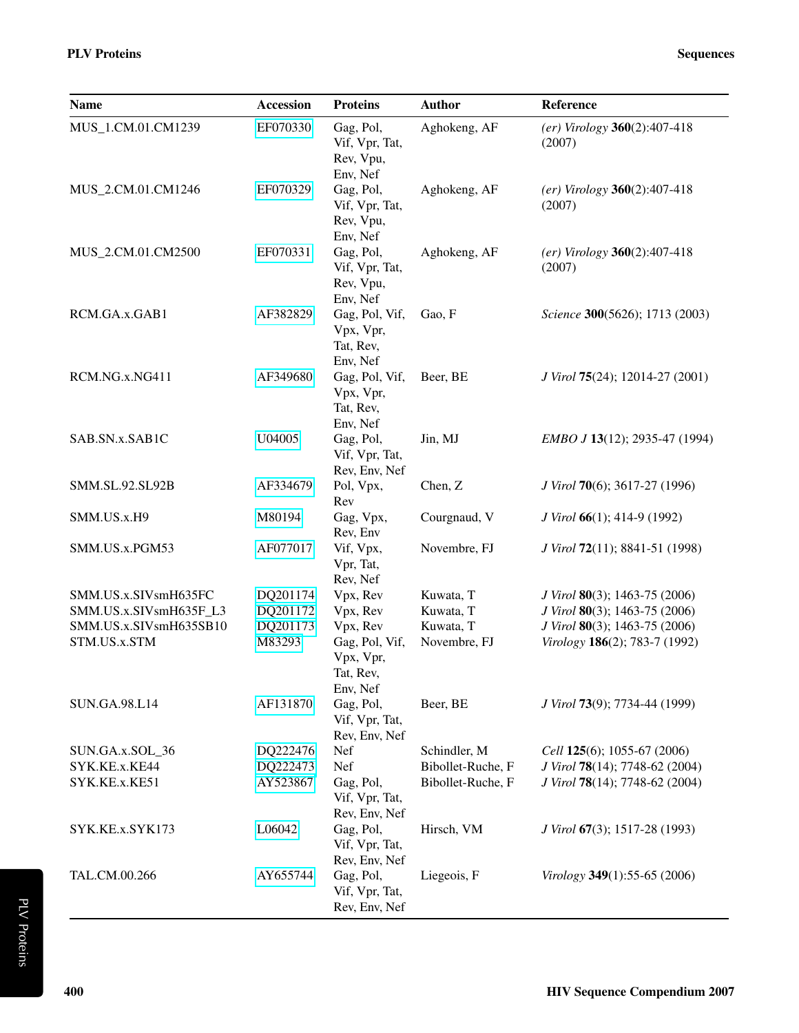| Name                   | <b>Accession</b> | <b>Proteins</b>                                      | <b>Author</b>     | Reference                                |
|------------------------|------------------|------------------------------------------------------|-------------------|------------------------------------------|
| MUS_1.CM.01.CM1239     | EF070330         | Gag, Pol,<br>Vif, Vpr, Tat,<br>Rev, Vpu,<br>Env, Nef | Aghokeng, AF      | $(er)$ Virology 360(2):407-418<br>(2007) |
| MUS_2.CM.01.CM1246     | EF070329         | Gag, Pol,<br>Vif, Vpr, Tat,<br>Rev, Vpu,<br>Env, Nef | Aghokeng, AF      | $(er)$ Virology 360(2):407-418<br>(2007) |
| MUS_2.CM.01.CM2500     | EF070331         | Gag, Pol,<br>Vif, Vpr, Tat,<br>Rev, Vpu,<br>Env, Nef | Aghokeng, AF      | $(er)$ Virology 360(2):407-418<br>(2007) |
| RCM.GA.x.GAB1          | AF382829         | Gag, Pol, Vif,<br>Vpx, Vpr,<br>Tat, Rev,<br>Env, Nef | Gao, F            | Science 300(5626); 1713 (2003)           |
| RCM.NG.x.NG411         | AF349680         | Gag, Pol, Vif,<br>Vpx, Vpr,<br>Tat, Rev,<br>Env, Nef | Beer, BE          | J Virol 75(24); 12014-27 (2001)          |
| SAB.SN.x.SAB1C         | U04005           | Gag, Pol,<br>Vif, Vpr, Tat,<br>Rev, Env, Nef         | Jin, MJ           | EMBO J 13(12); 2935-47 (1994)            |
| SMM.SL.92.SL92B        | AF334679         | Pol, Vpx,<br>Rev                                     | Chen, Z           | J Virol 70(6); 3617-27 (1996)            |
| SMM.US.x.H9            | M80194           | Gag, Vpx,<br>Rev, Env                                | Courgnaud, V      | J Virol 66(1); 414-9 (1992)              |
| SMM.US.x.PGM53         | AF077017         | Vif, Vpx,<br>Vpr, Tat,<br>Rev, Nef                   | Novembre, FJ      | J Virol 72(11); 8841-51 (1998)           |
| SMM.US.x.SIVsmH635FC   | DQ201174         | Vpx, Rev                                             | Kuwata, T         | J Virol 80(3); 1463-75 (2006)            |
| SMM.US.x.SIVsmH635F_L3 | DQ201172         | Vpx, Rev                                             | Kuwata, T         | J Virol 80(3); 1463-75 (2006)            |
| SMM.US.x.SIVsmH635SB10 | DQ201173         | Vpx, Rev                                             | Kuwata, T         | J Virol 80(3); 1463-75 (2006)            |
| STM.US.x.STM           | M83293           | Gag, Pol, Vif,<br>Vpx, Vpr,<br>Tat, Rev,<br>Env, Nef | Novembre, FJ      | Virology 186(2); 783-7 (1992)            |
| SUN.GA.98.L14          | AF131870         | Gag, Pol,<br>Vif, Vpr, Tat,<br>Rev, Env, Nef         | Beer, BE          | J Virol 73(9); 7734-44 (1999)            |
| SUN.GA.x.SOL_36        | DQ222476         | Nef                                                  | Schindler, M      | Cell 125(6); 1055-67 (2006)              |
| SYK.KE.x.KE44          | DQ222473         | Nef                                                  | Bibollet-Ruche, F | J Virol 78(14); 7748-62 (2004)           |
| SYK.KE.x.KE51          | AY523867         | Gag, Pol,<br>Vif, Vpr, Tat,<br>Rev, Env, Nef         | Bibollet-Ruche, F | J Virol 78(14); 7748-62 (2004)           |
| SYK.KE.x.SYK173        | L06042           | Gag, Pol,<br>Vif, Vpr, Tat,<br>Rev, Env, Nef         | Hirsch, VM        | J Virol 67(3); 1517-28 (1993)            |
| TAL.CM.00.266          | AY655744         | Gag, Pol,<br>Vif, Vpr, Tat,<br>Rev, Env, Nef         | Liegeois, F       | Virology $349(1)$ :55-65 (2006)          |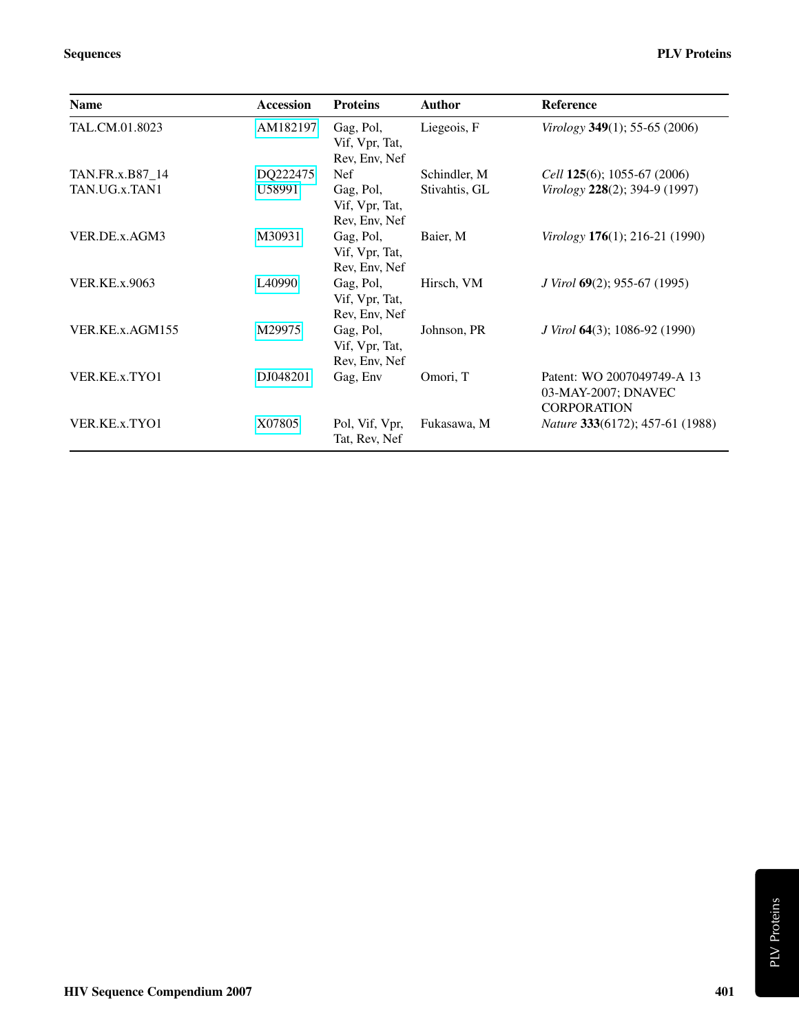| <b>Name</b>          | <b>Accession</b>   | <b>Proteins</b>                              | <b>Author</b> | Reference                                                               |
|----------------------|--------------------|----------------------------------------------|---------------|-------------------------------------------------------------------------|
| TAL.CM.01.8023       | AM182197           | Gag, Pol,<br>Vif, Vpr, Tat,<br>Rev, Env, Nef | Liegeois, F   | Virology 349(1); 55-65 (2006)                                           |
| TAN.FR.x.B87_14      | DQ222475           | Nef                                          | Schindler, M  | Cell $125(6)$ ; 1055-67 (2006)                                          |
| TAN.UG.x.TAN1        | U58991             | Gag, Pol,<br>Vif, Vpr, Tat,<br>Rev, Env, Nef | Stivahtis, GL | Virology 228(2); 394-9 (1997)                                           |
| VER.DE.x.AGM3        | M30931             | Gag, Pol,<br>Vif, Vpr, Tat,<br>Rev, Env, Nef | Baier, M      | Virology $176(1)$ ; 216-21 (1990)                                       |
| <b>VER.KE.x.9063</b> | L <sub>40990</sub> | Gag, Pol,<br>Vif, Vpr, Tat,<br>Rev, Env, Nef | Hirsch, VM    | <i>J Virol</i> $69(2)$ ; 955-67 (1995)                                  |
| VER.KE.x.AGM155      | M29975             | Gag, Pol,<br>Vif, Vpr, Tat,<br>Rev, Env, Nef | Johnson, PR   | <i>J Virol</i> <b>64</b> (3); 1086-92 (1990)                            |
| VER.KE.x.TYO1        | DJ048201           | Gag, Env                                     | Omori, T      | Patent: WO 2007049749-A 13<br>03-MAY-2007; DNAVEC<br><b>CORPORATION</b> |
| VER.KE.x.TYO1        | X07805             | Pol, Vif, Vpr,<br>Tat, Rev, Nef              | Fukasawa, M   | <i>Nature</i> 333(6172); 457-61 (1988)                                  |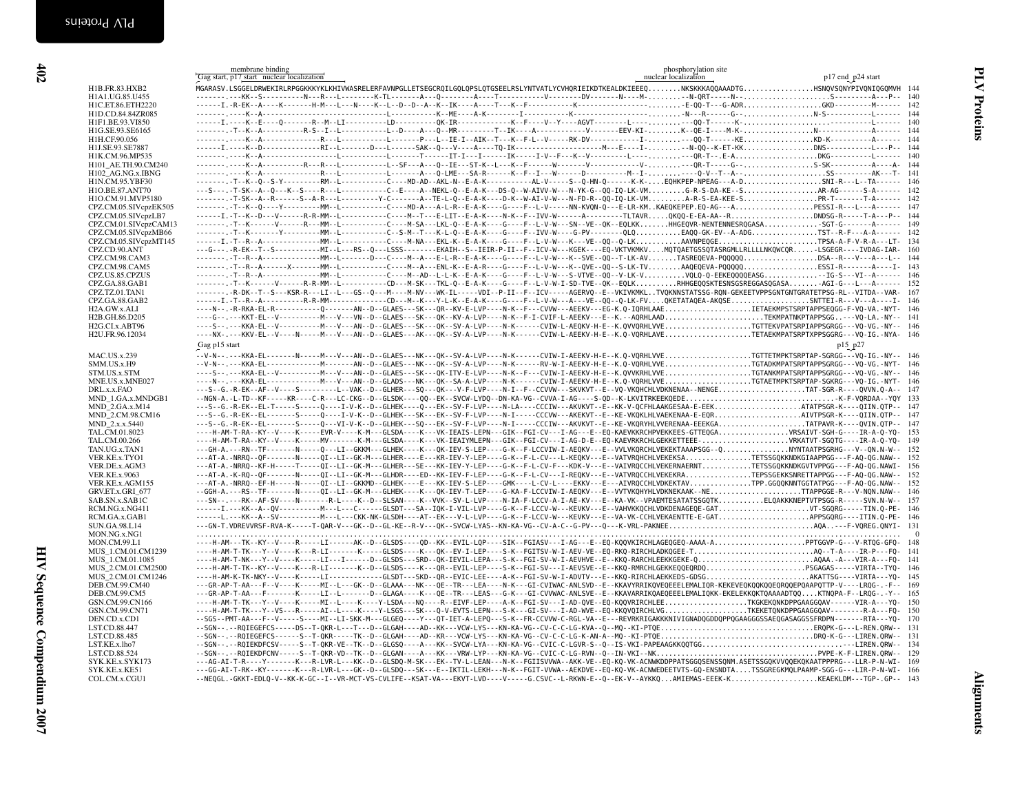<span id="page-7-1"></span><span id="page-7-0"></span>

| H1B.FR.83.HXB2<br>H1A1.UG.85.U455<br>H1C.ET.86.ETH2220<br>H1D.CD.84.84ZR085<br>H1F1.BE.93.VI850<br>H1G.SE.93.SE6165<br>H1H.CF.90.056<br>H1J.SE.93.SE7887<br>H1K.CM.96.MP535<br>H101_AE.TH.90.CM240<br>H102 AG.NG.x.IBNG<br>H1N.CM.95.YBF30 |                                                                                                                                                                                                                                                                                                                                                                                                                                                         | p17 end_p24 start |          |
|--------------------------------------------------------------------------------------------------------------------------------------------------------------------------------------------------------------------------------------------|---------------------------------------------------------------------------------------------------------------------------------------------------------------------------------------------------------------------------------------------------------------------------------------------------------------------------------------------------------------------------------------------------------------------------------------------------------|-------------------|----------|
|                                                                                                                                                                                                                                            |                                                                                                                                                                                                                                                                                                                                                                                                                                                         |                   |          |
|                                                                                                                                                                                                                                            |                                                                                                                                                                                                                                                                                                                                                                                                                                                         |                   |          |
|                                                                                                                                                                                                                                            |                                                                                                                                                                                                                                                                                                                                                                                                                                                         |                   |          |
|                                                                                                                                                                                                                                            |                                                                                                                                                                                                                                                                                                                                                                                                                                                         |                   |          |
|                                                                                                                                                                                                                                            |                                                                                                                                                                                                                                                                                                                                                                                                                                                         |                   |          |
|                                                                                                                                                                                                                                            |                                                                                                                                                                                                                                                                                                                                                                                                                                                         |                   |          |
|                                                                                                                                                                                                                                            |                                                                                                                                                                                                                                                                                                                                                                                                                                                         |                   |          |
|                                                                                                                                                                                                                                            | $\ldots \ldots \ldots \texttt{K-1} \ldots \texttt{R} \ldots \texttt{R} \ldots \texttt{R} \ldots \texttt{R} \ldots \texttt{R} \ldots \texttt{R} \ldots \texttt{R} \ldots \texttt{R} \ldots \texttt{S} \texttt{A} \texttt{K} \ldots \texttt{R} \ldots \texttt{R} \ldots \texttt{R} \ldots \texttt{R} \ldots \texttt{R} \ldots \texttt{R} \ldots \texttt{R} \ldots \texttt{R} \ldots \texttt{R} \ldots \texttt{R} \ldots \texttt{R} \ldots \texttt{R} \ld$ |                   |          |
|                                                                                                                                                                                                                                            |                                                                                                                                                                                                                                                                                                                                                                                                                                                         |                   |          |
|                                                                                                                                                                                                                                            |                                                                                                                                                                                                                                                                                                                                                                                                                                                         |                   |          |
|                                                                                                                                                                                                                                            | ------- .-T--K--Q--S-Y---------RM--L-----------C----MD-AD--AKL-N--E-A-K-----------AL-V----S--Q-HN-Q------K-K-EQHKPEP-NPEAG---A-DSNI-R---L--TA------ 146                                                                                                                                                                                                                                                                                                 |                   |          |
| H1O.BE.87.ANT70                                                                                                                                                                                                                            | ---S---.-T-SK--A--Q---K--S----R---L----------C--E----A--NEKL-Q--E-A-K---DS-Q--W-AIVV-W---N-YK-G--0Q-IQ-LK-VMG-R-S-DA-KE--SAR-AG------S-A------ 142                                                                                                                                                                                                                                                                                                      |                   |          |
| H1O.CM.91.MVP5180                                                                                                                                                                                                                          | ------- .-T-SK--A--R------S--A-R---L---------Y-C-------A--TE-L-Q--E-A-K----D-K--W-AI-V-W---N-FD-R--QQ-IQ-LK-VMA-R-S-EA-KEE-SPR-T--------T-A------ 142                                                                                                                                                                                                                                                                                                   |                   |          |
| CPZ.CM.05.SIVcpzEK505                                                                                                                                                                                                                      | ----------T--K--Q----Y-----------MM--L------------C----MD-A---A-L-R--E-A-K----G----F--L-V-----NN-KVQN-Q---E-LR-KMKAEQKEPEP.EQ-AG---APESSI-R---L---A------- 147                                                                                                                                                                                                                                                                                          |                   |          |
| CPZ.CM.05.SIVcpzLB7                                                                                                                                                                                                                        | ------I.-T--K--D---V------R-R-MM--L----------C----M--T---E-LIT--E-A-K----N-K--F--IVV-W------A-------TLTAVRQKQQ-E-EA-AA--RDNDSG-R-----T-A---P-- 144                                                                                                                                                                                                                                                                                                      |                   |          |
| CPZ.CM.01.SIVcpzCAM13                                                                                                                                                                                                                      | -------.-T--K------V------R---MM--L----------C----M-SA---LKL-Q--E-A-K----G----F--L-V-W---SN--VE--QK--EQLKKHHGEQVR-NENTENNESRQGASASGT-G-------A------ 149                                                                                                                                                                                                                                                                                                |                   |          |
| CPZ.CM.05.SIVcpzMB66                                                                                                                                                                                                                       | ------- .-T--K-------Y----------MM--L-----------C--S-M--T---K-L-Q--E-A-K----G----F--IVV-W----G-PV---------QLQEAQQ-GK-EV--A-ADGTST--R-F---A-A------ 142                                                                                                                                                                                                                                                                                                  |                   |          |
| CPZ.CM.05.SIVcpzMT145                                                                                                                                                                                                                      | ------I.-T--R--A--------------------------C-----F-NA---EKL-K--E-A-K----G----F--L-V-W---K---VE--QQ--Q-LKAAVNPEQGETPSA-A-F-V-R-A---LT- 134                                                                                                                                                                                                                                                                                                                |                   |          |
| CPZ.CD.90.ANT<br>CPZ.CM.98.CAM3                                                                                                                                                                                                            | ---G---.-R-EK--T--S-----------MI--L---RS--Q---LSSS--------EKAIH--S--IEIR-P-II--F--ICV-W---KGEK----EQ-VKTVKMKVMQTQAETGSSQTASRGMLLRLLLLNKQWCQR-LSGEGR----IVDAG-IAR- 160<br>-------.-T--R--A-----------------MM--L-------D---C----M--A---E-L-R--E-L-R--E-A-K----G----F--L-V-W---K--SVE--QQ--T-LK-AVTASREQEVA-PQQQQQDSA--R---V---A---L-- 144                                                                                                                |                   |          |
| CPZ.CM.98.CAM5                                                                                                                                                                                                                             | -------.-T--R--A------X-------MM--L----------C----M--A---ENL-K--E-A-R----G----F--L-V-W---K--QVE--QQ--S-LK-TVAAQEQEVA-PQQQQQSSSI-R-------A---I- 143                                                                                                                                                                                                                                                                                                      |                   |          |
| CPZ.US.85.CPZUS                                                                                                                                                                                                                            |                                                                                                                                                                                                                                                                                                                                                                                                                                                         |                   |          |
| CPZ.GA.88.GAB1                                                                                                                                                                                                                             | -------.-T--K------V------R-R-MM--L-----------CD---M-SK---TKL-Q--E-A-K----G----F--L-V-W-I-SD-TVE--QK--EQLKRHHGEQQSKTESNSGSREGGASQGASAAGI-G---L---A------ 152                                                                                                                                                                                                                                                                                            |                   |          |
| CPZ.TZ.01.TAN1                                                                                                                                                                                                                             | -------.R-DK--T--S---KSR-R---LI--L---GS--Q---M-----M-NV---WK-IL-----VDI--P-II--F--ICV----AGERVQ--E--VKIVKMKLTVQKNNSTATSSG-RQN-GEKEETVPPSGNTGNTGRATETPSG-RL--VITDA--VAR- 167                                                                                                                                                                                                                                                                             |                   |          |
| CPZ.GA.88.GAB2                                                                                                                                                                                                                             | ------I.-T--R--A----------R-R-MM--------------CD---M--K---Y-L-K--E-A-K----G----F--L-V-W---A---VE--QQ--Q-LK-FVQKETATAQEA-AKQSESNTTEI-R---V---A----I- 146                                                                                                                                                                                                                                                                                                 |                   |          |
| H2A.GW.x.ALI                                                                                                                                                                                                                               | ----N--.-R-RKA-EL-R----------Q-------AN--D--GLAES---SK---QR--KV-E-LVP----N-K--F---CVVW---AEEKV---EG-K.Q-IQRHLAAEIETAEKMPSTSRPTAPPSEQGG-F-VQ-VA.-NYT- 146                                                                                                                                                                                                                                                                                                |                   |          |
| H2B.GH.86.D205                                                                                                                                                                                                                             | ----G--.---KKT-EL--V-------------M---V---VN--D--GLAES---SK---QK--KV-A-LVP----N-K--F-I-CVIF-L-AEEKV---E--K.--AQRHLAADTEKMPATNKPTAPPSGG--VQ-LA.-NY-- 141                                                                                                                                                                                                                                                                                                  |                   |          |
| H2G.CI.x.ABT96                                                                                                                                                                                                                             | ----S--.---KKA-EL--V-----------M---V---AN--D--GLAES---SK---QK--SV-A-LVP----N-K------CVIW-L-AEQKV-H-E--K.QVVQRHLVVETGTTEKVPATSRPIAPPSGRGG---VQ-VG.-NY-- 146                                                                                                                                                                                                                                                                                              |                   |          |
| H2U.FR.96.12034                                                                                                                                                                                                                            | ----NX-.---KKV-EL--V----N----M---V---AN--D--GLAES---AK---QK--SV-A-LVP----N-K-----CVIW-L-AEEKV-H-E--K.Q-VQRHLAVETETAEKMPATSRPTXPPSGGRG---VQ-IG.-NYA- 146                                                                                                                                                                                                                                                                                                 |                   |          |
|                                                                                                                                                                                                                                            | Gag p15 start                                                                                                                                                                                                                                                                                                                                                                                                                                           | p15 p27           |          |
| <b>MAC.US.x.239</b>                                                                                                                                                                                                                        | --V-N--.---KKA-EL-------N----N---V---AN--D--GLAES---NK---QK--SV-A-LVP----N-K------CVIW-I-AEEKV-H-E--K.Q-VQRHLVVETGTTETMPKTSRPTAP-SGRGG---VQ-IG.-NY-- 146                                                                                                                                                                                                                                                                                                |                   |          |
| SMM.US.x.H9                                                                                                                                                                                                                                | --V-N--.---KKA-EL--------------M------AN--D--GLAES---NK---QK--SV-A-LVP----N-K------RV-W-I-AEEKV-H-E--K.Q-VQRHLVVETGTADKMPATSRPTAPPSGRGG---VQ-VG.-NYT- 146                                                                                                                                                                                                                                                                                               |                   |          |
| STM.US.x.STM                                                                                                                                                                                                                               | ----S--.---KKA-EL--V-------------M---V---AN--D--GLAES---SK---QK-ITV-E-LVP----N-K--F---CVIW-I-AEEKV-H-E--K.QVVKRHLVVETGTANKMPATSRPTAPPSGRGG---VQ-VG.-NY-- 146                                                                                                                                                                                                                                                                                            |                   |          |
| MNE.US.x.MNE027                                                                                                                                                                                                                            | ----N--.--KKA-EL--------------M---V---AN--D--GLADS---NK---QK--SA-A-LVP----N-K------CVIW-I-AEEKV-H-E--K.Q-VQRHLVVETGTAETMPKTSRPTAP-SGKRG---VQ-IG.-NYT- 146                                                                                                                                                                                                                                                                                               |                   |          |
| DRL.x.x.FAO                                                                                                                                                                                                                                | ---S--G.-R-EK--AF--V----S--------L--VAK--D--GLHER---SQ---QK---V-F-LVP----N-I--F--CCVVW---SKVKVT--E--VQ-VKQHCHLVDKNENAA--NENGETAT-SGR-R----QVVN.Q-A-- 147                                                                                                                                                                                                                                                                                                |                   |          |
| MND 1.GA.x.MNDGB1                                                                                                                                                                                                                          | --NGN-A.-L-TD--KF-----KR----C-R---LC-CKG--D--GLSDK----QQ--EK--SVCW-LYDQ--DN-KA-VG--CVVA-I-AG----S-QD--K-LKVITRKEEKQEDEK-F-VQRDAA--YQY 133                                                                                                                                                                                                                                                                                                               |                   |          |
| MND_2.GA.x.M14                                                                                                                                                                                                                             | ---S--G.-R-EK--EL-T-----S----Q----I-V-K--D--GLHEK----Q---EK--SV-F-LVP----N-LA----CCCIW---AKVKVT--E--KK-V-QCFHLAAKGESAA-E-EEKATATPSGR-K----QIIN.QTP-- 147                                                                                                                                                                                                                                                                                                |                   |          |
| MND_2.CM.98.CM16                                                                                                                                                                                                                           |                                                                                                                                                                                                                                                                                                                                                                                                                                                         |                   |          |
| MND_2.x.x.5440<br>TAL.CM.01.8023                                                                                                                                                                                                           | ---S--G.-R-EK--EL-------S----Q---VI-V-K--D--GLHEK---SQ---EK--SV-F-LVP----N-I-----CCCIW---AKVKVT--E--KE-VKQRYHLVVERENAA-EEEKGATATPAVR-K----QVIN.QTP-- 147                                                                                                                                                                                                                                                                                                |                   |          |
| TAL.CM.00.266                                                                                                                                                                                                                              |                                                                                                                                                                                                                                                                                                                                                                                                                                                         |                   | 149      |
| TAN.UG.x.TAN1                                                                                                                                                                                                                              | ---GH-A.---RN--TF-------N----Q---LI--GKKM---GLHEK----K---QK-IEV-S-LEP----G-K--F-LCCVIW-I-AEQKV---E--VVLVKQRCHLVEKEKTAAAPSGG--QNYNTAATPSGRHG---V--QN.N-W--                                                                                                                                                                                                                                                                                               |                   | 152      |
| VER.KE.x.TYO1                                                                                                                                                                                                                              | ---AT-A.-NRRQ--QF-------N-----QI--LI--GK-M---GLHER----E---KR-IEV-Y-LEP----G-K--F-L-CV---L-KEQKV---E--VATVRQHCHLVEKEKSATETSSGQKKNDKGIAAPPGG---F-AQ-QG.NAW-- 152                                                                                                                                                                                                                                                                                          |                   |          |
| VER.DE.x.AGM3                                                                                                                                                                                                                              | ---AT-A.-NRRQ--KF-H-----T-----QI--LI--GK-M---GLHER---SE---KK-IEV-Y-LEP----G-K--F-L-CV-F---KDK-V---E--VAIVRQCCHLVEKERNAERNTTETSSGQKKNDKGVTVPPGG---F-AQ-QG.NAWI- 156                                                                                                                                                                                                                                                                                      |                   |          |
| <b>VER.KE.x.9063</b>                                                                                                                                                                                                                       | ---AT-A.-K-RO--OF-------N-----QI--LI--GK-M---GLHDR----ED--KK-IEV-F-LEP----G-K--F-L-CV---I-REQKV---E--VATVRQCCHLVEKEKRATEPSSGEKKSNRETTAPPGG---F-AQ-QG.NAW-- 152                                                                                                                                                                                                                                                                                          |                   |          |
| VER.KE.x.AGM155                                                                                                                                                                                                                            | ---AT-A.-NRRQ--EF-H-----N-----QI--LI--GKKMD--GLHEK----E---KK-IEV-S-LEP----GMK----L-CV-L----EKKV---E---AIVRQCCHLVDKEKTAVTPP.GGQQKNNTGGTATPGG---F-AQ-QG.NAW-- 152                                                                                                                                                                                                                                                                                         |                   |          |
| GRV.ET.x.GRI 677                                                                                                                                                                                                                           | --GGH-A.---RS--TF-------N-----QI--LI--GK-M---GLHEK----K---QK-IEV-T-LEP----G-KA-F-LCCVIW-I-AEQKV---E--VVTVKQHYHLVDKNEKAAK--NETTAPPGGE-R---V-NQN.NAW-- 146                                                                                                                                                                                                                                                                                                |                   |          |
| SAB.SN.x.SAB1C                                                                                                                                                                                                                             | ---SN--.---RK--AF-SV----N-------R-L----K--D--SLSAN----K--VVK--SV-L-LVP----N-IA-F-LCCV-A-I-AE-KV---E--KA-VK--VPAEMTESATATSSGQTKELQAKKKNEPTVTPSGG-R-----SVN.N-W-- 157                                                                                                                                                                                                                                                                                     |                   |          |
| RCM.NG.x.NG411                                                                                                                                                                                                                             |                                                                                                                                                                                                                                                                                                                                                                                                                                                         |                   |          |
| RCM.GA.x.GAB1                                                                                                                                                                                                                              | ------L.---KK--A--SV-----------M---L---CKK-NK-GLSDH----AT--EK---V-L-LVP----G-K--F-LCCV-W---KEVKV---E--VA-VK-CCHLVEKAENTTE-E-GATAPPSGQRG----ITIN.Q-PE- 146                                                                                                                                                                                                                                                                                               |                   |          |
| SUN.GA.98.L14                                                                                                                                                                                                                              |                                                                                                                                                                                                                                                                                                                                                                                                                                                         |                   |          |
| MON.NG.x.NG1                                                                                                                                                                                                                               |                                                                                                                                                                                                                                                                                                                                                                                                                                                         |                   | $\Omega$ |
| MON.CM.99.L1                                                                                                                                                                                                                               | ----H-AM---TK--KY--V----R-----LI------AK--D--GLSDS----QD--KK--EVIL-LQP----SIK--FGIASV---I-AG---E--EQ-KQQVKIRCHLAGEQGEQ-AAAA-APPTGGVP-G---V-RTQG-GFQ- 148                                                                                                                                                                                                                                                                                                |                   |          |
| MUS_1.CM.01.CM1239<br>MUS_1.CM.01.1085                                                                                                                                                                                                     |                                                                                                                                                                                                                                                                                                                                                                                                                                                         |                   |          |
| MUS 2.CM.01.CM2500                                                                                                                                                                                                                         | ----H-AM-T-TK--KY--V----K---R-LI-------K--D--GLSDS----K---QR--EVIL-LEP----S-K--FGI-SV---I-AEVSVE--E--KKQ-RMRCHLGEKKEQQEQRDQSPSGAGAS-----VIRTA--TYQ- 146                                                                                                                                                                                                                                                                                                 |                   |          |
| MUS 2.CM.01.CM1246                                                                                                                                                                                                                         | ----H-AM-K-TK-NKY--V----K-----LI------------GLSDT---SKD--QR--EVIC-LEE----A-K--FGI-SV-W-I-ADVTV---E--KKQ-RIRCHLAEKKEDS-GDSGAKATTSG----VIRTA---YQ-                                                                                                                                                                                                                                                                                                        |                   | 145      |
| DEB.CM.99.CM40                                                                                                                                                                                                                             | ---GR-AP-T-AA---F--V----K-----MI--L---GK--D--GLAAA---NK---QE--TR---LEA----N-K---GI-CVIWAC-ANLSVD--E--KKAVYRRIKQVEQEEELEMALIQR-KEKEVEQKQQKQQEQRQQEPQAAPQTTP-V----LRQG-.-F-- 169                                                                                                                                                                                                                                                                          |                   |          |
| DEB.CM.99.CM5                                                                                                                                                                                                                              | ---GR-AP-T-AA---F-------K-----LI--L------D--GLAGA----K---QE--TR---LEAS---G-K---GI-CVVWAC-ANLSVE--E--KKAVARRIKQAEQEEELEMALIQKK-EKELEKKQKTQAAAADTQQKTNQPA-F--LRQG-.-Y-- 165                                                                                                                                                                                                                                                                               |                   |          |
| GSN.CM.99.CN166                                                                                                                                                                                                                            | ----H-AM-T-TK---Y--V----K-----MI--L----K----Y-LSDA---NQ----R--EIVF-LEP----A-K--FGI-SV---I-AD-QVE--EQ-KQQVRIRCHLEETKGKEKQNKDPPGAAGGQAV------VIR-A---YQ- 150                                                                                                                                                                                                                                                                                              |                   |          |
| GSN.CM.99.CN71                                                                                                                                                                                                                             | ----H-AM-T-TK---Y--VS---R-----AI--L----K----Y-LSGS---SK---Q-V-EVTS-LEPN---S-K---GI-SV---I-AD-WVE--EQ-KKQVQIRCHLVGTKEKETQNKDPPGAAGGQAV--------R-A---FQ- 150                                                                                                                                                                                                                                                                                              |                   |          |
| DEN.CD.x.CD1                                                                                                                                                                                                                               | --SGS--PMT-AA---F--V-----S----MI--LI-SKK-M---GLGEQ----Y---QT-IET-A-LEPQ---S-K--FR-CCVVW-C-RGL-VA--E---REVRKRIGAKKKNIVIGNADQGDDQPPQGAAGGGSSAEQGASAGGSSFRDPN--------RTA---YQ-                                                                                                                                                                                                                                                                             |                   | 170      |
| LST.CD.88.447                                                                                                                                                                                                                              |                                                                                                                                                                                                                                                                                                                                                                                                                                                         |                   |          |
| LST.CD.88.485                                                                                                                                                                                                                              | --SGN--.--RQIEGEFCS------S--T-QKR-----TK--D--GLGAH----AD--KR---VCW-LYS---KN-KA-VG--CV-C-C-LG-K-AN-A--MQ--KI-PTQEDRQ-K-G---LIREN.QRW-- 131                                                                                                                                                                                                                                                                                                               |                   |          |
| LST.KE.x.lho7                                                                                                                                                                                                                              |                                                                                                                                                                                                                                                                                                                                                                                                                                                         |                   |          |
| LST.CD.88.524                                                                                                                                                                                                                              | ---AG-AI-T-R----Y------K---R-LVR-L---KK--D--GLSDQ-M-SK---EK--TV-L-LEAN---N-K--FGIISVVWA--AKK-VE--EQ-KQ-VK-ACNWKDDPPATSGGQSENSSQNM.ASETSSGQKVVQQEKQKAATPPPRG---LLR-P-N-WI- 169                                                                                                                                                                                                                                                                           |                   |          |
| SYK.KE.x.SYK173<br>SYK.KE.x.KE51                                                                                                                                                                                                           | ---GG-AI-T-RK--KY-------K---R-LVR-L---GK--D--GLSDQ---SK---E--IKTIL-LEKH---N-K--FGIT-VVWA--AEKDVE--EQ-KQ-VK-ACNWEDEETVTS-GQ-ENSNDTATSSGREGKMQLPAAMP-SGG-G---LIR-P-N-WI- 166                                                                                                                                                                                                                                                                              |                   |          |
| COL.CM.x.CGU1                                                                                                                                                                                                                              | --NEQGL.-GKKT-EDLQ-V--KK-K-GC--I--VR-MCT-VS-CVLIFE--KSAT-VA---EKVT-LVD----V-----G.CSVC--L-RKWN-E--Q--EK-V--AYKKQAMIEMAS-EEEK-KKEAEKLDM---TGP-.GP-- 143                                                                                                                                                                                                                                                                                                  |                   |          |
|                                                                                                                                                                                                                                            |                                                                                                                                                                                                                                                                                                                                                                                                                                                         |                   |          |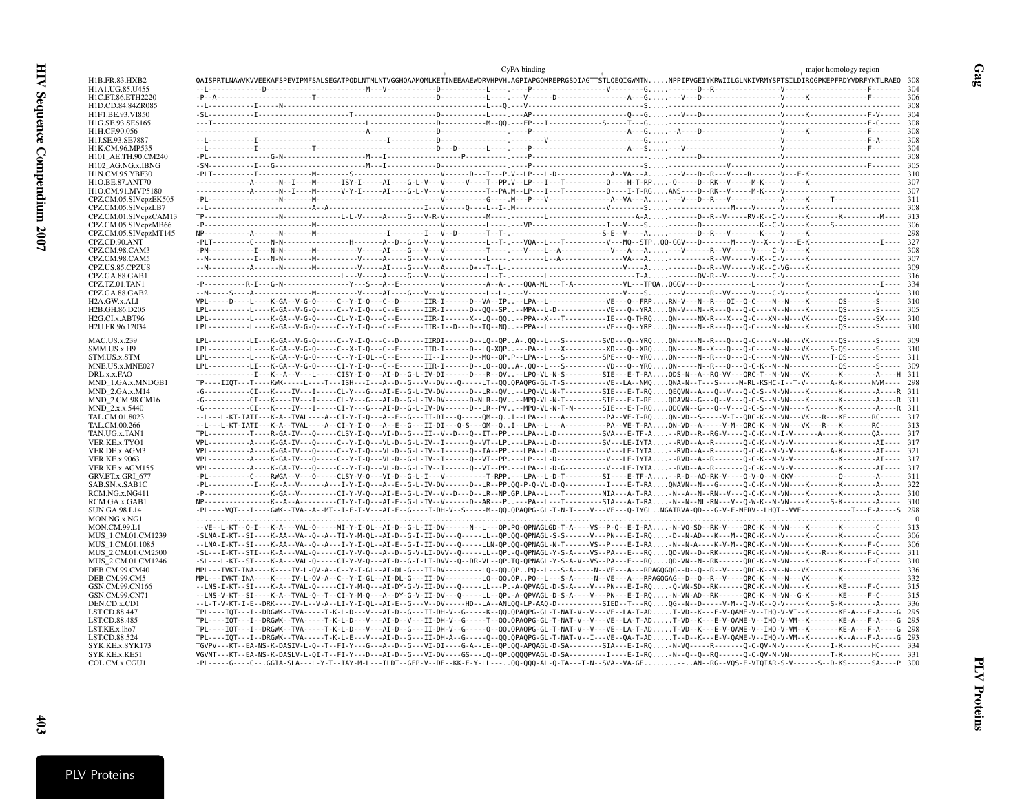|                                       | CyPA binding | major homology region                                                                                                                                                                                                                                                                                                                                         |
|---------------------------------------|--------------|---------------------------------------------------------------------------------------------------------------------------------------------------------------------------------------------------------------------------------------------------------------------------------------------------------------------------------------------------------------|
| H1B.FR.83.HXB2                        |              | QAISPRTLNAWVKVVEEKAFSPEVIPMFSALSEGATPQDLNTMLNTVGGHQAAMQMLKETINEEAAEWDRVHPVH.AGPIAPGQMREPRGSDIAGTTSTLQEQIGWMTNNPPIPVGEIYKRWIILGLNKIVRMYSPTSILDIRQGPKEPFRDYVDRFYKTLRAEQ 308                                                                                                                                                                                     |
| H1A1.UG.85.U455                       |              |                                                                                                                                                                                                                                                                                                                                                               |
| H1C.ET.86.ETH2220                     |              |                                                                                                                                                                                                                                                                                                                                                               |
| H1D.CD.84.84ZR085<br>H1F1.BE.93.VI850 |              |                                                                                                                                                                                                                                                                                                                                                               |
| H1G.SE.93.SE6165                      |              |                                                                                                                                                                                                                                                                                                                                                               |
| H1H.CF.90.056                         |              |                                                                                                                                                                                                                                                                                                                                                               |
| H1J.SE.93.SE7887                      |              |                                                                                                                                                                                                                                                                                                                                                               |
| H1K.CM.96.MP535                       |              |                                                                                                                                                                                                                                                                                                                                                               |
| H101 AE.TH.90.CM240                   |              |                                                                                                                                                                                                                                                                                                                                                               |
| H102_AG.NG.x.IBNG                     |              |                                                                                                                                                                                                                                                                                                                                                               |
| H1N.CM.95.YBF30<br>H1O.BE.87.ANT70    |              |                                                                                                                                                                                                                                                                                                                                                               |
| H1O.CM.91.MVP5180                     |              |                                                                                                                                                                                                                                                                                                                                                               |
| CPZ.CM.05.SIVcpzEK505                 |              |                                                                                                                                                                                                                                                                                                                                                               |
| CPZ.CM.05.SIVcpzLB7                   |              |                                                                                                                                                                                                                                                                                                                                                               |
| CPZ.CM.01.SIVcpzCAM13                 |              |                                                                                                                                                                                                                                                                                                                                                               |
| CPZ.CM.05.SIVcpzMB66                  |              |                                                                                                                                                                                                                                                                                                                                                               |
| CPZ.CM.05.SIVcpzMT145                 |              |                                                                                                                                                                                                                                                                                                                                                               |
| CPZ.CD.90.ANT<br>CPZ.CM.98.CAM3       |              |                                                                                                                                                                                                                                                                                                                                                               |
| CPZ.CM.98.CAM5                        |              |                                                                                                                                                                                                                                                                                                                                                               |
| CPZ.US.85.CPZUS                       |              |                                                                                                                                                                                                                                                                                                                                                               |
| CPZ.GA.88.GAB1                        |              |                                                                                                                                                                                                                                                                                                                                                               |
| CPZ.TZ.01.TAN1                        |              |                                                                                                                                                                                                                                                                                                                                                               |
| CPZ.GA.88.GAB2                        |              |                                                                                                                                                                                                                                                                                                                                                               |
| H2A.GW.x.ALI                          |              | VPL-----D----L----K-GA--V-G-Q-----C--Y-I-Q---C--D------IIR-I-----D--VA--IP--LPA--L----------------VE---Q--FRPRN-V---N--R---QI--Q-C----N--N---K--------QS------S----- 310                                                                                                                                                                                      |
| H2B.GH.86.D205                        |              | LPL-------------K-GA--V-G-Q-----C--Y-I-Q---C--E------IIR-I------D--QQ--SP--MPA--L-D-----------------VE---Q----RAQN-V---N--R---Q---Q-C----N--N----K--------QS------S----- 305                                                                                                                                                                                  |
| H <sub>2G</sub> .CI.x.ABT96           |              | LPL----------L----K-GA--V-G-Q-----CL-Y-I-Q---C--E------IIR-I------X--LQ--QQ--PPA--X---T----------IE---Q-THRQQN-----NX-R---X---Q-C---XN--N---VK-------QS-------SX---- 310                                                                                                                                                                                      |
| H2U.FR.96.12034                       |              | LPL----------L----K-GA--V-G-Q-----C--Y-I-Q---C--E------IIR-I--D---TQ--NQ-PPA--L-------------VE---Q--YRPQN-----N--R---Q-C---N--N----K---------QS------S----- 310                                                                                                                                                                                               |
| <b>MAC.US.x.239</b>                   |              | LPL----------LT---K-GA--V-G-Q-----C--Y-I-Q---C--D------IIRDI------D--LQ--QPA-.QQ--L---S--------SVD---Q--YRQQN-----N--R---Q-C----N--N---VK-------QS-------S----- 309                                                                                                                                                                                           |
| SMM.US.x.H9                           |              | LPL-------------K-GA--V-G-O-----C--X-I-O---C--E-------IIR-I------D--LO-XOP---PA--L---X---------XD---O--XROON-----N--X---O---O-C----N--VK-----S-OS------S----- 310                                                                                                                                                                                             |
| STM.US.x.STM                          |              | LPL----------L----K-GA--V-G-Q-----C--Y-I-QL--C--E------II--I-----D--MQ--QP.P--LPA--L---S--------SPE---Q--YRQQN-----N--R---Q-C----N-VN---VK-----T-QS-------S----- 311                                                                                                                                                                                          |
| MNE.US.x.MNE027                       |              | LPL----------LI---K-GA--V-G-0-----CI-Y-I-0---C--E------IIR-I------D--L0--00A-.00--L---S---------VD---0--YRO0N-----N--R---0---O-C-K--N--N------------------S------ 309<br>-----------------------K--A--V---L-----CISY-I-Q---AI-D--G-L-IV-DI------D---R--QV--LPQ-VL-N-S---------SIE---E-T-RAQDS-N--A--RQ-VV---QRC-T--N-VN---VK--------K-------A----H 311        |
| DRL.x.x.FAO<br>MND_1.GA.x.MNDGB1      |              | TP----IIQT---T----KWK-----L----T---ISH---I---A--D--G---V--DV---Q----LT--Q0.0PAQPG-GL-T-S----------VE--LA--NM0ONA-N--T--S-----M-RL-KSHC-I--T-V------A-K-------NVM---- 298                                                                                                                                                                                      |
| MND 2.GA.x.M14                        |              | -G-----------CI---K----IV---I-----CL-Y---G---AI-E--G-L-IV-DV------D--LR--QV--LPQ-VL-N-T--------SIE---E-T-RQQEQVN--A---Q--V---Q-C-S--N-VN----K--------K----------------R 311                                                                                                                                                                                   |
| MND 2.CM.98.CM16                      |              |                                                                                                                                                                                                                                                                                                                                                               |
| MND 2.x.x.5440                        |              | -G-----------CI---K----IV---I----CI-Y---G---AI-D--G-L-IV-DV------D--LR--PV--MPQ-VL-N-T-N-------SIE---E-T-RQQDQVN--G---Q--V---Q-C-S--N-VN----K-------K-------A-----A----R 311                                                                                                                                                                                  |
| TAL.CM.01.8023                        |              | --L---L-KT-IATI---K-A--TVAL----A--CI-Y-I-Q---A--E--G---II-DI---Q-----OM--QI--LPA--L---A----------PA--VE-T-RQON-VD--S-----V-I--ORC-K--N-VN---VK---R---KE-------RC----- 317                                                                                                                                                                                     |
| TAL.CM.00.266                         |              | --L---L-KT-IATI---K-A--TVAL----A--CI-Y-I-O---A--E--G---II-DI---O-S---OM--OI--LPA--L---A----------PA--VE-T-RAON-VD--A-----V-M--ORC-K--N-VN---VK---R---K--------RC----- 313                                                                                                                                                                                     |
| TAN.UG.x.TAN1                         |              | TPL----------T----R-GA-IV---Q-----CLSY-I-Q---VI-D--G---II--V--D---Q--IT--PP.---LPA--L-D---------SVA---E-TF-A--RVD--R--RG-V----Q-C-K--N-I-V------A----K------QA----- 0317                                                                                                                                                                                      |
| VER.KE.x.TYO1                         |              | VPL----------A----K-GA-IV---O-----C--Y-I-O---VL-D--G-L-IV--I------O--VT--LP.---LPA--L-D--------SV---LE-IYTA-RVD--A--R-------O-C-K--N-V-V-------------------AI---- 317                                                                                                                                                                                         |
| VER.DE.x.AGM3<br><b>VER.KE.x.9063</b> |              | VPL----------A----K-GA-IV---Q-----C--Y-I-Q---VL-D--G-L-IV--I------Q--VT--PP.---LP---L-D----------V---LE-IYTA--RVD--A--R-------Q-C-K--N-V-V-------------------AI---- 317                                                                                                                                                                                       |
| VER.KE.x.AGM155                       |              | VPL----------A----K-GA-IV---O-----C--Y-I-O---VL-D--G-L-IV--I-------O--VT--PP.---LPA--L-D-G---------V---LE-IYTA--RVD--A--R-------D-C-K--N-V-V---------------------AI----- 317                                                                                                                                                                                  |
| GRV.ET.x.GRI 677                      |              |                                                                                                                                                                                                                                                                                                                                                               |
| SAB.SN.x.SAB1C                        |              |                                                                                                                                                                                                                                                                                                                                                               |
| RCM.NG.x.NG411                        |              | -P---------------K-GA--V--------CI-Y-V-O---AI-E--G-L-IV--V--D---D--LR--NP.GP.LPA--L---T---------NIA---A-T-RA-N--A--N--RN--V---D-C-K--N-VN----K-------K--------A----- 310                                                                                                                                                                                      |
| RCM.GA.x.GAB1                         |              | NP--------------K--A--A--------CI-Y-I-Q---AI-E--G-L-IV--V------D--AR---P---PA--L---T--------SIA---A-T-RA-N--NL-RN---V--Q-W-K--N-VN----K-----S-K--------A----- 310                                                                                                                                                                                             |
| SUN.GA.98.L14                         |              | -PL----VOT---I----GWK--TVA--A--MT--I-E-I-V---AI-E--G----I-DH-V--S-----M--00.0PA0PG-GL-T-N-T----VE---0-IYGLNGATRVA-0D---G-V-E-MERV--LHOT--VVE-------------T---F-A----S 298                                                                                                                                                                                     |
| MON.NG.x.NG1<br>MON.CM.99.L1          |              | --VE--L-KT--Q-I---K-A---VAL-Q------MI-Y-I-QL--AI-D--G-L-II-DV------N--L---QP.PQ-QPNAGLGD-T-A----VS--P-Q--E-I-RA-N-VQ-SD--RK-V----QRC-K--N-VN----K-------K-------C----- 313                                                                                                                                                                                    |
| MUS 1.CM.01.CM1239                    |              | -SLNA-I-KT--SI----K-AA--VA--Q--A--TI-Y-M-QL--AI-D--G-I-II-DV---Q-----LL--QP.QQ-QPNAGL-S-S------V---PN---E-I-RQ-D--N-AD---K---M--QRC-K--N-V-----K-------K-------C----- 306                                                                                                                                                                                     |
| MUS 1.CM.01.1085                      |              | --LNA-I-KT--SI----K-AA--VA--Q--A---I-Y-I-QL--AI-E--G-I-II-DV---Q-----LLN-QP.QQ-QPNAGL-N-T-----VS--P----E-I-RA-N--N-A----K-V-M--QRC-K--N-VN----K------K------F-C----- 306                                                                                                                                                                                      |
| MUS 2.CM.01.CM2500                    |              | -SL---I-KT--STI---K-A---VAL-Q-----CI-Y-V-Q---A--D--G-V-LI-DVV--Q-----LL--QP.-Q-QPNAGL-Y-S-A----VS--PA---E---RQQD-VN--D--RK-----QRC-K--N-VN----K---R---K------F-C----- 311                                                                                                                                                                                     |
| MUS 2.CM.01.CM1246                    |              | -SL---L-KT--ST----K-A---VAL-O-----CI-Y-V-O---AI-D--G-I-LI-DVV--O--DR-VL--OP.TO-OPNAGL-Y-S-A-V--VS--PA---E---ROOD-VN--N--RK------ORC-K--N-VN----K-------K------F-C----- 310                                                                                                                                                                                    |
| DEB.CM.99.CM40                        |              | MPL---IVKT-INA----K----IV-L-QV-A--C--Y-I-GL--AI-DL-G---II-DV---------LQ--QQ.QPPQ--L---S-A-----N--VE---A---RPAGQGQG--D--Q--R--V----QRC-K--N--N---VK-------K------------- 336                                                                                                                                                                                   |
| DEB.CM.99.CM5                         |              | MPL---IVKT-INA----K----IV-L-QV-A--C--Y-I-GL--AI-DL-G---II-DV--------LQ--QQ.QPPQ--L---S-A----N--VE---A---RPAGQGAG--D--Q--R--V----QRC-K--N--N---VK-------K-------------- 332                                                                                                                                                                                    |
| GSN.CM.99.CN166                       |              | --LNS-I-KT--SI----K-A--TVAL-Q-----CI-Y-M-Q---AI-DY-G-V-II-DV---Q-----LL---P.-A-QPVAGL-D-S-A----V---PN---E-I-RQ-Q-VN-SD--RK------QRC-K--N-VN----K------KE-----F-C----- 315                                                                                                                                                                                     |
| GSN.CM.99.CN71                        |              | --LNS-V-KT--SI----K-A--TVAL-Q--T--CI-Y-M-Q---A--DY-G-V-II-DV---Q-----LL--QP.-A-QPVAGL-D-S-A----V---PN---E-I-RQ-N-VN-AD--RK------ORC-K--N-VN--G-K---------KE-----F-C----- 315                                                                                                                                                                                  |
| DEN.CD.x.CD1                          |              | --L-T-V-KT-I-E--DRK----IV-L--V-A--LI-Y-I-QL--AI-E--G---V--DV-----HD--LA--ANLQQ-LP-AAQ-D----------SIED--T---RQQG--N--D-----V-M--O-V-K--O-V-K--O-V-----K-----S-K--------A----- 336<br>TPL----IOT---I--DRGWK--TVA-----T-K-L-D---V---AI-D--G---II-DH-V--G-----K--OO.OPAOPG-GL-T-NAT-V--V---VE--LA-T-ADT-VD--K---E-V-OAME-V--IHO-V-VI--K--------KE-A---F-A---G 295 |
| LST.CD.88.447<br>LST.CD.88.485        |              | TPL----IQT---I--DRGWK--TVA-----T-K-L-D---V---AI-D--V---II-DH-V--G-----T--QQ.QPAQPG-GL-T-NAT-V--V---VE--LA-T-ADT-VD--K---E-V-QAME-V--IHQ-V-VM--K--------KE-A---F-A----G 295                                                                                                                                                                                    |
| LST.KE.x.lho7                         |              | TPL----IOT---I--DRGWK--TVA-----T-K-L-D---V---AI-D--G---II-DH-V--G-----0--00.0PA0PG-GL-T-NAT-V--V---VE--LA-T-ADT-VD--K---E-V-0AME-V--IHO-V-VM--K--------KE-A---F-A----G 298                                                                                                                                                                                    |
| LST.CD.88.524                         |              | TPL----IQT---I--DRGWK--TVA-----T-K-L-E---V---AI-D--G---II-DH-A--G-----Q--QQ.QPAQPG-GL-T-NAT-V--I---VE--QA-T-ADT--D--K--E-V-QAME-V--IHQ-V-VM--K-------K--A---F-A---G 293                                                                                                                                                                                       |
| SYK.KE.x.SYK173                       |              | TGVPV---KT--EA-NS-K-DASIV-L-Q--T--FI-Y---G---A--D--G---VI-DI----G-A--LE--QP.QQ-APQAGL-D-SA--------SIA---E-I-RQ-N-VQ-----R-------Q-C-QV-N-V-----K-----I-K------HC----- 334                                                                                                                                                                                     |
| SYK.KE.x.KE51                         |              | VGVNT---KT--EA-NS-K-DASLV-L-OI-T--FI-Y---D---AI-D--G---VI-DV----GS---LO--OP.0000PVAGL-D-SA---------I---E-I-RO-N--O--O--RO------O-C-OV-N-VN-----------T-K-------HC----- 331                                                                                                                                                                                    |
| COL.CM.x.CGU1                         |              | -PL-----G----C--.GGIA-SLA---L-Y-T--IAY-M-L---ILDT--GFP-V--DE--KK-E-Y-LL---QQ-QQQ-AL-Q-TA---T-N--SVA--VA-GE--AN--RG--VQS-E-VIQIAR-S-V------S--D-KS------SA----P 300                                                                                                                                                                                            |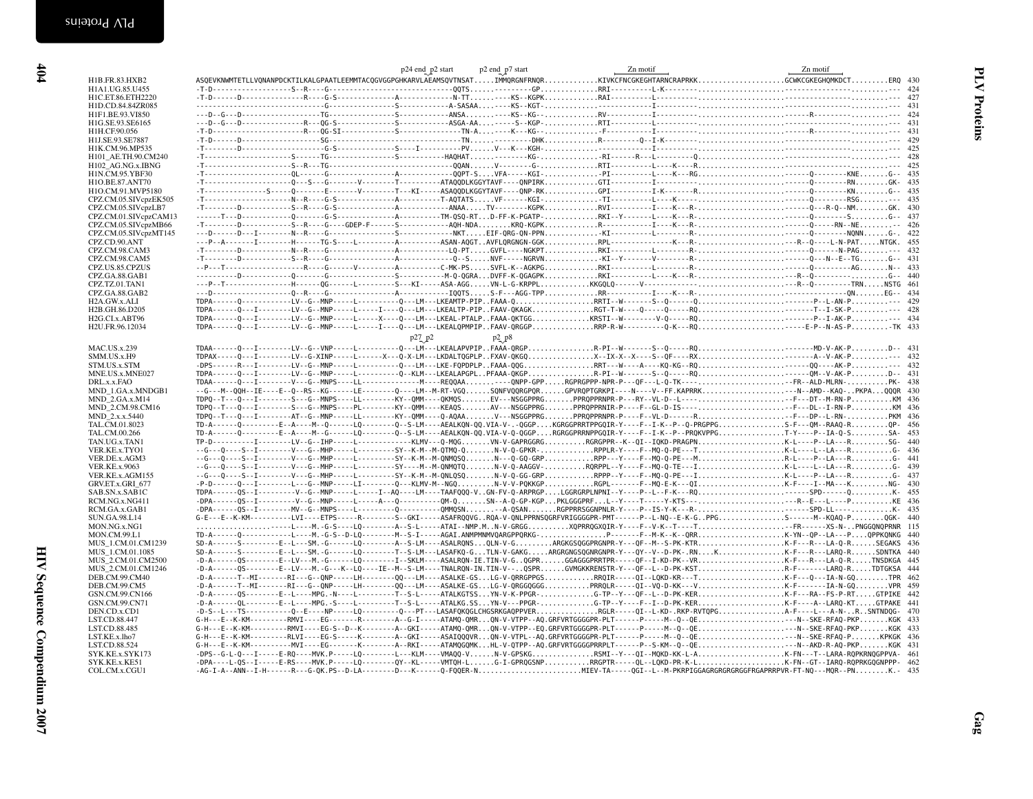| Zn motif | Zn motif                                        |
|----------|-------------------------------------------------|
|          | KIVKCFNCGKEGHTARNCRAPRKKGCWKCGKEGHOMKDCTERO 430 |
|          |                                                 |
|          |                                                 |
|          |                                                 |
|          |                                                 |
|          |                                                 |
|          |                                                 |
|          |                                                 |
|          |                                                 |
|          |                                                 |
|          |                                                 |
|          | -PI----------L----K---RG------Q--------KNEG--   |
|          |                                                 |
|          |                                                 |
|          |                                                 |
|          |                                                 |
|          |                                                 |
|          |                                                 |
|          |                                                 |
|          |                                                 |
|          |                                                 |
|          |                                                 |
|          |                                                 |
|          |                                                 |
|          |                                                 |
|          |                                                 |
|          |                                                 |
|          |                                                 |

|                                          |                                                                                                                                                                                                                                                                                              | p24 end p2 start<br>p2 end_p7 start | Zn motif | Zn motif |  |
|------------------------------------------|----------------------------------------------------------------------------------------------------------------------------------------------------------------------------------------------------------------------------------------------------------------------------------------------|-------------------------------------|----------|----------|--|
| H1B.FR.83.HXB2                           | ASQEVKNWMTETLLVQNANPDCKTILKALGPAATLEEMMTACQGVGGPGHKARVLAEAMSQVTNSATIMMQRGNFRNQRKIVKCFNCGKEGHTARNCRAPRKKCCWKCGKEGHQMKDCTERQ 430                                                                                                                                                               |                                     |          |          |  |
| H1A1.UG.85.U455                          |                                                                                                                                                                                                                                                                                              |                                     |          |          |  |
| H1C.ET.86.ETH2220                        |                                                                                                                                                                                                                                                                                              |                                     |          |          |  |
| H1D.CD.84.84ZR085<br>H1F1.BE.93.VI850    |                                                                                                                                                                                                                                                                                              |                                     |          |          |  |
| H1G.SE.93.SE6165                         |                                                                                                                                                                                                                                                                                              |                                     |          |          |  |
| H1H.CF.90.056                            |                                                                                                                                                                                                                                                                                              |                                     |          |          |  |
| H1J.SE.93.SE7887                         |                                                                                                                                                                                                                                                                                              |                                     |          |          |  |
| H1K.CM.96.MP535                          |                                                                                                                                                                                                                                                                                              |                                     |          |          |  |
| H101_AE.TH.90.CM240                      |                                                                                                                                                                                                                                                                                              |                                     |          |          |  |
| H102_AG.NG.x.IBNG                        |                                                                                                                                                                                                                                                                                              |                                     |          |          |  |
| H1N.CM.95.YBF30                          |                                                                                                                                                                                                                                                                                              |                                     |          |          |  |
| H1O.BE.87.ANT70                          |                                                                                                                                                                                                                                                                                              |                                     |          |          |  |
| H1O.CM.91.MVP5180                        |                                                                                                                                                                                                                                                                                              |                                     |          |          |  |
| CPZ.CM.05.SIVcpzEK505                    |                                                                                                                                                                                                                                                                                              |                                     |          |          |  |
| CPZ.CM.05.SIVcpzLB7                      |                                                                                                                                                                                                                                                                                              |                                     |          |          |  |
| CPZ.CM.01.SIVcpzCAM13                    |                                                                                                                                                                                                                                                                                              |                                     |          |          |  |
| CPZ.CM.05.SIVcpzMB66                     |                                                                                                                                                                                                                                                                                              |                                     |          |          |  |
| CPZ.CM.05.SIVcpzMT145                    |                                                                                                                                                                                                                                                                                              |                                     |          |          |  |
| CPZ.CD.90.ANT<br>CPZ.CM.98.CAM3          |                                                                                                                                                                                                                                                                                              |                                     |          |          |  |
| CPZ.CM.98.CAM5                           |                                                                                                                                                                                                                                                                                              |                                     |          |          |  |
| CPZ.US.85.CPZUS                          |                                                                                                                                                                                                                                                                                              |                                     |          |          |  |
| CPZ.GA.88.GAB1                           |                                                                                                                                                                                                                                                                                              |                                     |          |          |  |
| CPZ.TZ.01.TAN1                           |                                                                                                                                                                                                                                                                                              |                                     |          |          |  |
| CPZ.GA.88.GAB2                           |                                                                                                                                                                                                                                                                                              |                                     |          |          |  |
| H2A.GW.x.ALI                             |                                                                                                                                                                                                                                                                                              |                                     |          |          |  |
| H2B.GH.86.D205                           |                                                                                                                                                                                                                                                                                              |                                     |          |          |  |
| H2G.CI.x.ABT96                           |                                                                                                                                                                                                                                                                                              |                                     |          |          |  |
| H2U.FR.96.12034                          |                                                                                                                                                                                                                                                                                              |                                     |          |          |  |
|                                          |                                                                                                                                                                                                                                                                                              | p27 p2<br>$p_2^2$ $p_8$             |          |          |  |
| <b>MAC.US.x.239</b>                      |                                                                                                                                                                                                                                                                                              |                                     |          |          |  |
| SMM.US.x.H9                              |                                                                                                                                                                                                                                                                                              |                                     |          |          |  |
| STM.US.x.STM                             | -DPS------R---I--------LV--G--MNP-----L------------Q---LM---LKE-FQPDPLPFAAA-QQGRRT---W----AV---AC--KQQQ----AK-P--- 432                                                                                                                                                                       |                                     |          |          |  |
| MNE.US.x.MNE027                          |                                                                                                                                                                                                                                                                                              |                                     |          |          |  |
| DRL.x.x.FAO                              | TDAA------Q---I--------V---G--MNPS----LL------------------REQQAA-----ONPP-GPPRGPRGPPP-NPR-P---QF---L-Q-TK----FR--ALD-MLRN-PK- 438                                                                                                                                                            |                                     |          |          |  |
| MND_1.GA.x.MNDGB1                        | --G---M--QQH--IE----E--Q--RS--KG------LE--------Q----LM--M-RT-VGQSQNFVQQRGPQRGPVRQPTGRKPI----N----V--FF.KAPRRK--N--AMD--KAQ-PKPAQQQR 430                                                                                                                                                     |                                     |          |          |  |
| MND 2.GA.x.M14                           |                                                                                                                                                                                                                                                                                              |                                     |          |          |  |
| MND 2.CM.98.CM16                         |                                                                                                                                                                                                                                                                                              |                                     |          |          |  |
| MND_2.x.x.5440                           | TDPQ--T---Q---I--------AT--G--MNP-----LL--------KY--QMM----Q-AQAAV---NSGGPPRGPRQPPRNPR-P----F--VL-D------RFF---DP--L-RN-PKM 436                                                                                                                                                              |                                     |          |          |  |
| TAL.CM.01.8023                           | TD-A------Q---------E--A----M--Q-------LQ-------Q--S-LM----AEALKQN-QQ.VIA-V-.-QGGPKGRGGPRRTPPGQIR-Y----F--I-K--P--Q-PRGPPGS-F---QM--RAAQ-RQP- 456                                                                                                                                            |                                     |          |          |  |
| TAL.CM.00.266<br>TAN.UG.x.TAN1           | TD-A------Q---------E--A----M--G------LQ-------Q--S-LM----AEALKQN-QQ.VIA-V-Q-QGGPRGRGGPRRNPPGQIR-Y----F--I-K--P--PRQKVPPGT-Y----P--IA-Q-SSA- 453<br>TP-D-----------I--------LV--G--IHP-----L------------KLMV---Q-MQGVN-V-GAPRGGRGRGRGPPR--K--QI--IQKD-PRAGPNK-L----P--LA---RSG- 440          |                                     |          |          |  |
| VER.KE.x.TYO1                            | --G---Q----S--I---------V---G--MHP-----L---------SY--K-M--M-QTMQ-QN-V-Q-GPKR-RPPLR-Y----F--MQ-Q-PE---TK-L----L--LA---RG- 436                                                                                                                                                                 |                                     |          |          |  |
| VER.DE.x.AGM3                            | --G---Q----S--I--------V---G--MHP-----L---------SY--K-M--M-QNMQSQN---Q-GQ-GRPRPP---Y----F--MQ-Q-PE---MR-L----P--LA---R-G- 441                                                                                                                                                                |                                     |          |          |  |
| VER.KE.x.9063                            | --G---Q----S--I--------V---G--MHP-----L---------SY-----M--M-QNMQTQN-V-Q-AAGGV-RQRPPL--Y----F--MQ-Q-TE---IK-L---L-L-L-LA---R6- 439                                                                                                                                                            |                                     |          |          |  |
| VER.KE.x.AGM155                          |                                                                                                                                                                                                                                                                                              |                                     |          |          |  |
| GRV.ET.x.GRI 677                         | -P-D------Q---I--------L--G--MNP-----LI--------Q---KLMV-M--NGQN-V-V-PQKKGPRGPL------F--MQ-E-K---QIK.F----I--MA---KNG- 430                                                                                                                                                                    |                                     |          |          |  |
| SAB.SN.x.SAB1C                           |                                                                                                                                                                                                                                                                                              |                                     |          |          |  |
| RCM.NG.x.NG411                           |                                                                                                                                                                                                                                                                                              |                                     |          |          |  |
| RCM.GA.x.GAB1                            |                                                                                                                                                                                                                                                                                              |                                     |          |          |  |
| SUN.GA.98.L14                            | G-E---E--K-KM----------LVI----ETPS-----R-------S--GKI-----ASAFRQQVGRQA-V-QNLPPRNSQGRFVRIGGGGPR-PMT------P--L-NQ--E-K-GPPGS------M--KQAQ-PQGK- 440                                                                                                                                            |                                     |          |          |  |
| MON.NG.x.NG1                             | ----L----M.-G-S----LQ--------A--S-L-----ATAI--NMP.MN-V-GRGGXQPRRQGXQIR-Y----F--V-K--T----TFR------XS-N-PNGGQNQPRNR 115                                                                                                                                                                       |                                     |          |          |  |
| MON.CM.99.L1                             | TD-A------Q------------L----M.-G-S--D-LQ--------M--S-I-----AGAI.ANMPMNMVQARGPPQRKG-P------F--M-K--K--QRRK-YN--QP--LA---PQPPKQNKG 440                                                                                                                                                         |                                     |          |          |  |
| MUS 1.CM.01.CM1239                       | SD-A------S---------E--L---SM.-G------LQ-------A--S-LM----ASALRQNSQLN-V-GARGKGSQGGPRGNPR-Y---QF--M--S-PK-KTRK-F---R---LA-Q-RSEGAKS 436                                                                                                                                                       |                                     |          |          |  |
| MUS 1.CM.01.1085                         | SD-A------S---------E--L---SM.-G------LQ--------T--S-LM---LASAFKQ-GTLN-V-GAKGARGRGNGSQGNRGNPR-Y---QY--V--D-PK-.RNKK-F---R---LARQ-RSDNTKA 440                                                                                                                                                 |                                     |          |          |  |
| MUS 2.CM.01.CM2500<br>MUS 2.CM.01.CM1246 | -D-A------QS--------E--LV---M.-G------LQ--------I--SKLM----ASALRQN-IE.TIN-V-GQGPRGGAGGGPRRTPR-----QF--I-KD-PK--VRK-F---R---LA-Q-RTNSDKGA 445<br>-D-A------QS--------E--LV---M.-G---K--LQ----IE--M--S-LM----TNALRQN-IN.TIN-V--QSPRGVMGKKRENSTR-Y---QF--L--D-PK-KSTR-F-------LARQ-RTDTGKSA 444 |                                     |          |          |  |
| DEB.CM.99.CM40                           | -D-A-------T--MI--------RI---G--QNP-----LH---------QQ---LM----ASALKE-GSLG-V-QRRGPPGSRRQIR-----QKD-KR---TK-F---Q---IA-N-GQTPR 462                                                                                                                                                             |                                     |          |          |  |
| DEB.CM.99.CM5                            | -D-A------T--MI-------RI---G--QNP-----LH--------QQ---LM----ASALKE-GSLG-V-QRGGQGGGPRRQLR-----QI--VQ-D-KK---VK-F-------IA-N-GQVPR 459                                                                                                                                                          |                                     |          |          |  |
| GSN.CM.99.CN166                          | -D-A------QS--------E--L----MPG.-N----L---------T--S-L-----ATALKGTSSYN-V-K-PPGR-G-TP--Y---QF--L--D-PK-KERK-F---RA--FS-P-RTGTPIKE 442                                                                                                                                                         |                                     |          |          |  |
| GSN.CM.99.CN71                           | -D-A------QL--------E--L----MPG.-S----L---------T--S-L-----ATALKG.SSYN-V---PPGR-G-TP--Y----F--I--D-PK-KERK-F----A--LARQ-KTGTPAKE 441                                                                                                                                                         |                                     |          |          |  |
| DEN.CD.x.CD1                             | -D-S--L---TS-----------Q--E----NP-----LQ---------Q---PT---LASAFQKQGLCHGSRKGAQPPVERRGLR----QI--L-KD-.RKP-RVTQPGA-F----L---A-N-R.SNTNDQG- 470                                                                                                                                                  |                                     |          |          |  |
| LST.CD.88.447                            | G-H---E--K-KM----------RMVI----EG-------R-------A--G-I-----ATAMQ-QMRQN-V-VTPP--AQ.GRFVRTGGGGPR-PLT------P----M--QC--QENGK 433                                                                                                                                                                |                                     |          |          |  |
| LST.CD.88.485                            | G-H---E--K-KM---------RMVI----EG-S--D--K-------A--GKI-----ATAMQ-QMRQN-V-VTPP--EQ.GRFVRTGGGGPR-PLT------P----M--Q--QE-N--SKE-RFAQ-PKPKGK 433                                                                                                                                                  |                                     |          |          |  |
| LST.KE.x.lho7                            | G-H---E--K-KM---------RLVI----EG-S-----K-------A--GKI-----ASAIQQQVRQN-V-VTPL--AQ.GRFVRTGGGGPR-PLT------P----M--Q--QE-N--SKE-RFAQ-PKPKGK 436                                                                                                                                                  |                                     |          |          |  |
| LST.CD.88.524                            | G-H---E--K-KM-----------MVI----EG-------K-------A--RKI-----ATAMOGOMKHL-V-QTPP--AQ.GRFVRTGGGGPRRPLT------P--S-KM--Q--QE---N--AKD-R-AQ-PKPKGK 431                                                                                                                                              |                                     |          |          |  |
| SYK.KE.x.SYK173                          | -DPS--G-L-Q---I-----E-RQ----MVK.P-----LQ--------L---KLM----VMAQQ-VN-V-GPSKGRSMI--Y---QI--MQKD-KK-L-AK-FN---T--LARA-RQPKRNQGPPVA- 461                                                                                                                                                         |                                     |          |          |  |
| SYK.KE.x.KE51                            | -DPA----L-QS--I-----E-RS----MVK.P-----LQ--------QY--KL-----VMTQH-LG-I-GPRQGSNPRRGPTR-----QL--LQKD-PR-K-LK-FN--GT--IARQ-RQPRKGQGNPPP- 462                                                                                                                                                     |                                     |          |          |  |
| COL.CM.x.CGU1                            |                                                                                                                                                                                                                                                                                              |                                     |          |          |  |
|                                          |                                                                                                                                                                                                                                                                                              |                                     |          |          |  |
|                                          |                                                                                                                                                                                                                                                                                              |                                     |          |          |  |
|                                          |                                                                                                                                                                                                                                                                                              |                                     |          |          |  |
|                                          |                                                                                                                                                                                                                                                                                              |                                     |          |          |  |
|                                          |                                                                                                                                                                                                                                                                                              |                                     |          |          |  |
|                                          |                                                                                                                                                                                                                                                                                              |                                     |          |          |  |
|                                          |                                                                                                                                                                                                                                                                                              |                                     |          |          |  |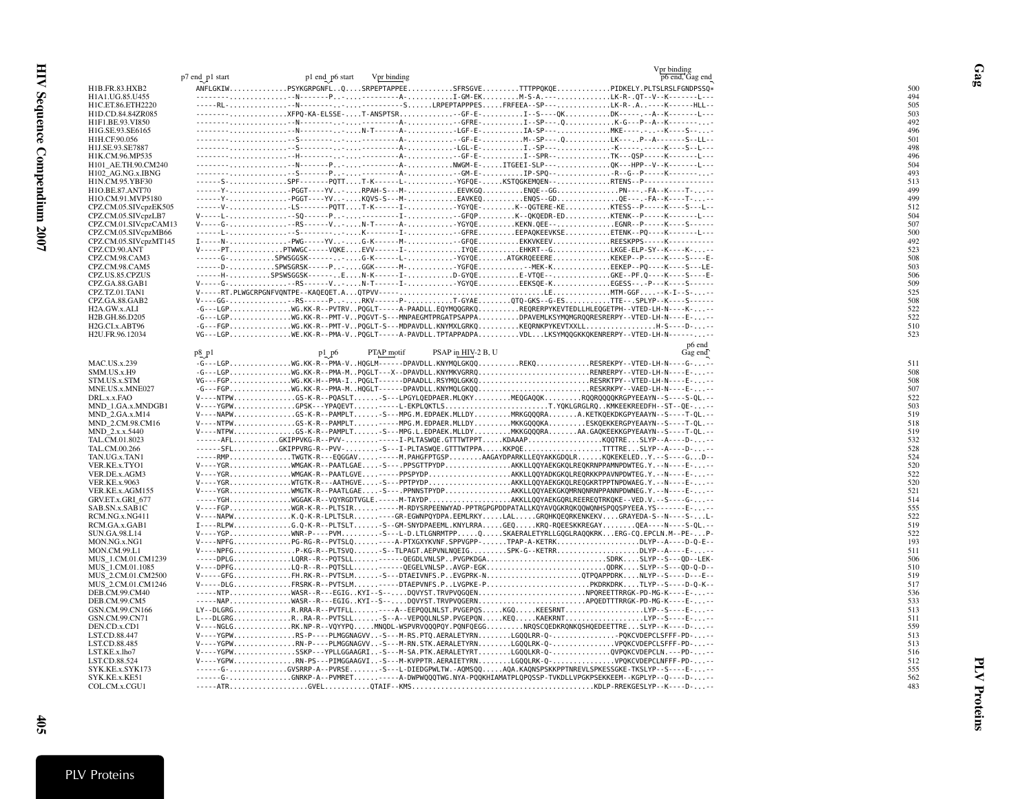|                                               |                 |                 |             |                    | Vpr binding                                                                                                                                                                         |            |
|-----------------------------------------------|-----------------|-----------------|-------------|--------------------|-------------------------------------------------------------------------------------------------------------------------------------------------------------------------------------|------------|
|                                               | p7 end p1 start | p1 end p6 start | Vpr binding |                    | p6 end, Gag end                                                                                                                                                                     |            |
| H1B.FR.83.HXB2<br>H1A1.UG.85.U455             |                 |                 |             |                    | ANFLGKIWPSYKGRPGNFLQSRPEPTAPPEESFRSGVETTTPPQKQEPIDKELY.PLTSLRSLFGNDPSSQ*                                                                                                            | 500<br>494 |
| H1C.ET.86.ETH2220                             |                 |                 |             |                    |                                                                                                                                                                                     | 505        |
| H1D.CD.84.84ZR085                             |                 |                 |             |                    | --------XFPQ-KA-ELSSE-T-ANSPTSR-GF-E-I--S----QKDK------.-A--K------L---                                                                                                             | 503        |
| H1F1.BE.93.VI850                              |                 |                 |             |                    |                                                                                                                                                                                     | 492        |
| H1G.SE.93.SE6165                              |                 |                 |             |                    | --------,-N--------N-T------A-LGF-E-IA-SP---MKE----,--K----S--                                                                                                                      | 496        |
| H1H.CF.90.056                                 |                 |                 |             |                    |                                                                                                                                                                                     | 501        |
| H1J.SE.93.SE7887                              |                 |                 |             |                    |                                                                                                                                                                                     | 498        |
| H1K.CM.96.MP535                               |                 |                 |             |                    |                                                                                                                                                                                     | 496<br>504 |
| H101_AE.TH.90.CM240<br>H102 AG.NG.x.IBNG      |                 |                 |             |                    |                                                                                                                                                                                     | 493        |
| H1N.CM.95.YBF30                               |                 |                 |             |                    | ------S-SPF-------PQTTT-K------L-YGFQE-KSTQGKEMQEN--RTENS--P----------------                                                                                                        | 513        |
| H1O.BE.87.ANT70                               |                 |                 |             |                    | ------Y-PGGT----YV-RPAH-S---M-EEVKGQENQE--GGPN-----FA--K----T---                                                                                                                    | 499        |
| H1O.CM.91.MVP5180                             |                 |                 |             |                    | ------Y-PGGT----YV-KQVS-S---M-EAVKEQENOS--GDQE---.-FA--K----T--                                                                                                                     | 499        |
| CPZ.CM.05.SIVcpzEK505                         |                 |                 |             |                    | ------V-LS-------PQTTT-K------I-YGYQE-K--QGTERE-KEKTESS--P-----K----S---L--                                                                                                         | 512        |
| CPZ.CM.05.SIVcpzLB7                           |                 |                 |             |                    |                                                                                                                                                                                     | 504        |
| CPZ.CM.01.SIVcpzCAM13                         |                 |                 |             |                    | V-----G-RS------V-N-T------A-YGYQEKEKN.QEE--EGNR--P-----K----S------<br>------L--S--------K-------I---GFREEEPAQKEEVKSEETENK--PQ----K-------L-                                       | 507<br>500 |
| CPZ.CM.05.SIVcpzMB66<br>CPZ.CM.05.SIVcpzMT145 |                 |                 |             |                    | I-----N-PWG-----YV-G-K------M---GFQEEKKVKEEVREESKPPS-----K-----------                                                                                                               | 492        |
| CPZ.CD.90.ANT                                 |                 |                 |             |                    |                                                                                                                                                                                     | 523        |
| CPZ.CM.98.CAM3                                |                 |                 |             |                    | ------G-SPWSGGSK-------G-K------L-YGYQEATGKRQEEEREKEKEP--P-----K----S----E-                                                                                                         | 508        |
| CPZ.CM.98.CAM5                                |                 |                 |             |                    | ------D-SPWSGRSK-----P-GGK------M-YGFQE-MEK-KEEKEP--PQ----K----S---LE-                                                                                                              | 503        |
| CPZ.US.85.CPZUS                               |                 |                 |             |                    | ------H-SPSWSGGSK------EN-K------I-D-GYQEE-VTQE--GKE--PF.Q----K----S----E-                                                                                                          | 506        |
| CPZ.GA.88.GAB1                                |                 |                 |             |                    | V-----G--RS------VN-T------I-YGYQEEEKSQE-KEGESS--.-P---K----S------                                                                                                                 | 509        |
| CPZ.TZ.01.TAN1                                |                 |                 |             |                    |                                                                                                                                                                                     | 525        |
| CPZ.GA.88.GAB2<br>H2A.GW.x.ALI                |                 |                 |             |                    | V----GG--RS------PRKV------PT-GYAEQTQ-GKS--G-ESTTE--.SPLYP--K----S------<br>-G---LGPWG.KK-R--PVTRVPQGLT-----A-PAADLL.EQYMQQGRKQREQRERPYKEVTEDLLHLEQGETPH--VTED-LH-N----K---         | 508<br>522 |
| H2B.GH.86.D205                                |                 |                 |             |                    | -G---LGPWG.KK-R--PMT-VPQGVT-S---MNPAEGMTPRGATPSAPPADPAVEMLKSYMQMGRQQRESRERPY--VTED-LH-N----E--                                                                                      | 522        |
| H2G.CI.x.ABT96                                |                 |                 |             |                    | -G---FGPWG.KK-R--PMT-VPQGLT-S---MDPAVDLL.KNYMXLGRKQKEQRNKPYKEVTXXLLH-S----D--                                                                                                       | 510        |
| H2U.FR.96.12034                               |                 |                 |             |                    | VG---LGPWE.KK-R--PMA-VPQGLT-----A-PAVDLL.TPTAPPADPAVDLLKSYMQQGKKQKENRERPY--VTED-LH-N-------                                                                                         | 523        |
|                                               |                 |                 |             |                    | p6 end                                                                                                                                                                              |            |
|                                               | p8 p1           | p1 p6           | PTAP motif  | PSAP in HIV-2 B, U | Gag end                                                                                                                                                                             |            |
| <b>MAC.US.x.239</b>                           |                 |                 |             |                    | -G---LGPWG.KK-R--PMA-VHQGLM------DPAVDLL.KNYMQLGKQQREKQRESREKPY--VTED-LH-N----G---                                                                                                  | 511        |
| SMM.US.x.H9                                   |                 |                 |             |                    | -G---LGPWG.KK-R--PMA-MPQGLT---X--DPAVDLL.KNYMKVGRRQRENRERPY--VTED-LH-N----E---                                                                                                      | 508        |
| STM.US.x.STM                                  |                 |                 |             |                    | VG---FGPWG.KK-H--PMA-IPQGLT------DPAADLL.RSYMQLGKKQRESRKTPY--VTED-LH-N----E--                                                                                                       | 508<br>507 |
| MNE.US.x.MNE027<br>DRL.x.x.FAO                |                 |                 |             |                    | -G---FGPWG.KK-R--PMA-MHQGLT------DPAVDLL.KNYMQLGKQQRESKRKPY--VAED-LH-N----E---<br>V----NTPWGS-K-R--PQASLT-S---LPGYLQEDPAER.MLQKYMEQGAQQKRQQRQQQQKRGPYEEAYN--S----S-QL.--            | 522        |
| MND_1.GA.x.MNDGB1                             |                 |                 |             |                    | V----YGPWGPSK---YPAQEVT-----L-EKPLQKTLST.YQKLGRGLRQKMKEEKREEDFH--ST--QE---                                                                                                          | 503        |
| MND_2.GA.x.M14                                |                 |                 |             |                    | V----NAPWGS-K-R--PAMPLTS---MPG.M.EDPAEK.MLLDYMRKGQQQRAA.KETKQEKDKGPYEAAYN--S----T-QL.--                                                                                             | 519        |
| MND_2.CM.98.CM16                              |                 |                 |             |                    | V----NTPWGS-K-R--PAMPLT-----MPG.M.EDPAER.MLLDYMKKGQQQKAESKQEKKERGPYEAAYN--S----T-QL.--                                                                                              | 518        |
| MND_2.x.x.5440                                |                 |                 |             |                    | V----NTPWGS-K-R--PAMPLTS---MPG.L.EDPAEK.MLLDYMKKGQQQRAAA.GAQKEEKKGPYEAAYN--S----T-QL.--                                                                                             | 519        |
| TAL.CM.01.8023                                |                 |                 |             |                    | ------AFLGKIPPVKG-R--PVV------I-PLTASWQE.GTTTWTPPTKDAAAPKQQTRESLYP--A----D--                                                                                                        | 532        |
| TAL.CM.00.266<br>TAN.UG.x.TAN1                |                 |                 |             |                    | ------SFLGKIPPVRG-R--PVV-S---I-PLTASWQE.GTTTWTPPAKKPQETTTTRESLYP--A----D--<br>-----RMPTWGTK-R---EQGGAV-----M.PAHGFPTGSPAAGAYDPARKLLEQYAKKGDQLRKQKEKELEDY.--S----GD--                | 528<br>524 |
| VER.KE.x.TYO1                                 |                 |                 |             |                    | V----YGRWMGAK-R--PAATLGAE-S---.PPSGTTPYDPAKKLLQQYAEKGKQLREQKRNPPAMNPDWTEG.Y.--N----E---                                                                                             | 520        |
| VER.DE.x.AGM3                                 |                 |                 |             |                    | V----YGRWMGAK-R--PAATLGVE-----PPSPYDPAKKLLQQYADKGKQLREQRKKPPAVNPDWTEG.Y.--N----E---                                                                                                 | 522        |
| <b>VER.KE.x.9063</b>                          |                 |                 |             |                    | V----YGRWTGTK-R---AATHGVE-S---PPTPYDPAKKLLQQYAEKGKQLREQGKRTPPTNPDWAEG.Y.--N----E---                                                                                                 | 520        |
| VER.KE.x.AGM155                               |                 |                 |             |                    | V----YGRWMGTK-R--PAATLGAES---.PPNNSTPYDPAKKLLQQYAEKGKQMRNQNRNPPANNPDWNEG.Y.--N----E--                                                                                               | 521        |
| GRV.ET.x.GRI 677                              |                 |                 |             |                    | -----YGHWGGAK-R--VQYRGDTVGLE.-----M-TAYDPAKKLLQQYAEKGQRLREEREQTRKQKE--VED.V.--S----G---                                                                                             | 514        |
| SAB.SN.x.SAB1C                                |                 |                 |             |                    | V----FGPWGR-K-R--PLTSIR----M-RDYSRPEENWYAD-PPTRGPGPDDPATALLKQYAVQGKRQKQQWQNHSPQQSPYEEA.YS-------E--                                                                                 | 555<br>522 |
| RCM.NG.x.NG411<br>RCM.GA.x.GAB1               |                 |                 |             |                    | V----NAPWK.Q-K-R-LPLTSLR----GR-EGWNPQYDPA.EEMLRKYLALGRQHKQEQRKENKEKVGRAYEDA-S--N----S-L-<br>I----RLPWG.Q-K-R--PLTSLT-S--GM-SNYDPAEEML.KNYLRRAGEQKRQ-RQEESKKREGAYQEA----N----S-QL.-- | 519        |
| <b>SUN.GA.98.L14</b>                          |                 |                 |             |                    | V----YGPWNR-P----PVMS---L-D.LTLGNRMTPPQSKAERALETYRLLGQGLRAQQKRKERG-CQ.EPCLN.M--PE-P-                                                                                                | 522        |
| MON.NG.x.NG1                                  |                 |                 |             |                    | V----NPFGPG-RG-R--PVTSLQ----A-PTXGXYKVNF.SPPVGPP-TPAP-A-KETRKDLYP--A----D-Q-E--                                                                                                     | 193        |
| <b>MON.CM.99.L1</b>                           |                 |                 |             |                    | V----NPFGP-KG-R--PLTSVQS--TLPAGT.AEPVNLNQEIGSPK-G--KETRRDLYP--A----E--                                                                                                              | 511        |
| MUS 1.CM.01.CM1239                            |                 |                 |             |                    | -----DPLGLQRR--R--PQTSLL-----QEGDLVNLSPPVGPKDGASDRKSLYP--S---QD--LEK-                                                                                                               | 506        |
| MUS 1.CM.01.1085                              |                 |                 |             |                    | V----DPFGLQ-R--R--PQTSLL------QEGELVNLSPAVGP-EGKQDRKSLYP--S---QD-Q-D--                                                                                                              | 510        |
| MUS 2.CM.01.CM2500<br>MUS 2.CM.01.CM1246      |                 |                 |             |                    | V-----GFGFH.RK-R--PVTSLM-S---DTAEIVNFS.PEVGPRK-NQTPQAPPDRKNLYP--S----D---E--<br>V-----DLGFRSRK-R--PVTSLM----DTAEPVNFS.PLVGPKE-PPKDRKDRKTLYP--S----D-Q-K--                           | 519<br>517 |
| DEB.CM.99.CM40                                |                 |                 |             |                    | -----NTPWASR--R---EGIGKYI--S--DQVYST.TRVPVQGQENNPQREETTRRGK-PD-MG-K----E---                                                                                                         | 536        |
| DEB.CM.99.CM5                                 |                 |                 |             |                    | -----NAPWASR--R---EGIGKYI--S--DQVYST.TRVPVQGERNAPQEDTTTRRGK-PD-MG-K----E--                                                                                                          | 533        |
| GSN.CM.99.CN166                               |                 |                 |             |                    | LY--DLGRGR.RRA-R--PVTFLL----A--EEPQQLNLST.PVGEPQSKGQKEESRNTLYP--S----E--                                                                                                            | 513        |
| GSN.CM.99.CN71                                |                 |                 |             |                    | L---DLGRGRRA-R--PVTSLL-S--A--VEPQQLNLSP.PVGEPQNKEQKAEKRNTLYP--S----E---                                                                                                             | 511        |
| DEN.CD.x.CD1                                  |                 |                 |             |                    | V----NGLGRK.NP-R--VQYYPQMNQDL-WSPVRVQQQPQY.PQNFQEGGNRQSCQEDKRQNKQSHQEDEETTRESLYP--K----D--                                                                                          | 559        |
| LST.CD.88.447                                 |                 |                 |             |                    | V----YGPWRS-P----PLMGGNAGVV-S---M-RS.PTQ.AERALETYRNLGQQLRR-Q-PQKCVDEPCLSFFF-PD--                                                                                                    | 513        |
| LST.CD.88.485<br>LST.KE.x.lho7                |                 |                 |             |                    | V----YGPWRN-P----PLMGGNAGVV-S---M-RN.STK.AERALETYRNLGQQLRK-Q-VPQKCVDEPCLSFFF-PD--<br>V----YGPWSSKP---YPLLGGAAGRI-S---M-SA.PTK.AERALETYRTLGQQLKR-Q-QVPQKCVDEPCLN.---PD---            | 513<br>516 |
| LST.CD.88.524                                 |                 |                 |             |                    | V----YGPWRN-PS---PIMGGAAGVI-S---M-KVPPTR.AERAIETYRNLGQQLRK-Q-VPQKCVDEPCLNFFF-PD--                                                                                                   | 512        |
| SYK.KE.x.SYK173                               |                 |                 |             |                    | ------G-GVSRRP-A--PVRSES---L-DIEDGPWLTW.-AQMSQQAQA.KAQNSPSKKPPTNREVLSPKESSGKE-TKSLYP--S----E---                                                                                     | 555        |
| SYK.KE.x.KE51                                 |                 |                 |             |                    | ------G-GNRKP-A--PVMRET-----A-DWPWQQQTWG.NYA-PQQKHIAMATPLQPQSSP-TVKDLLVPGKPSEKKEEM--KGPLYP--Q----D---                                                                               | 562        |
| COL.CM.x.CGU1                                 |                 |                 |             |                    |                                                                                                                                                                                     | 483        |

Gag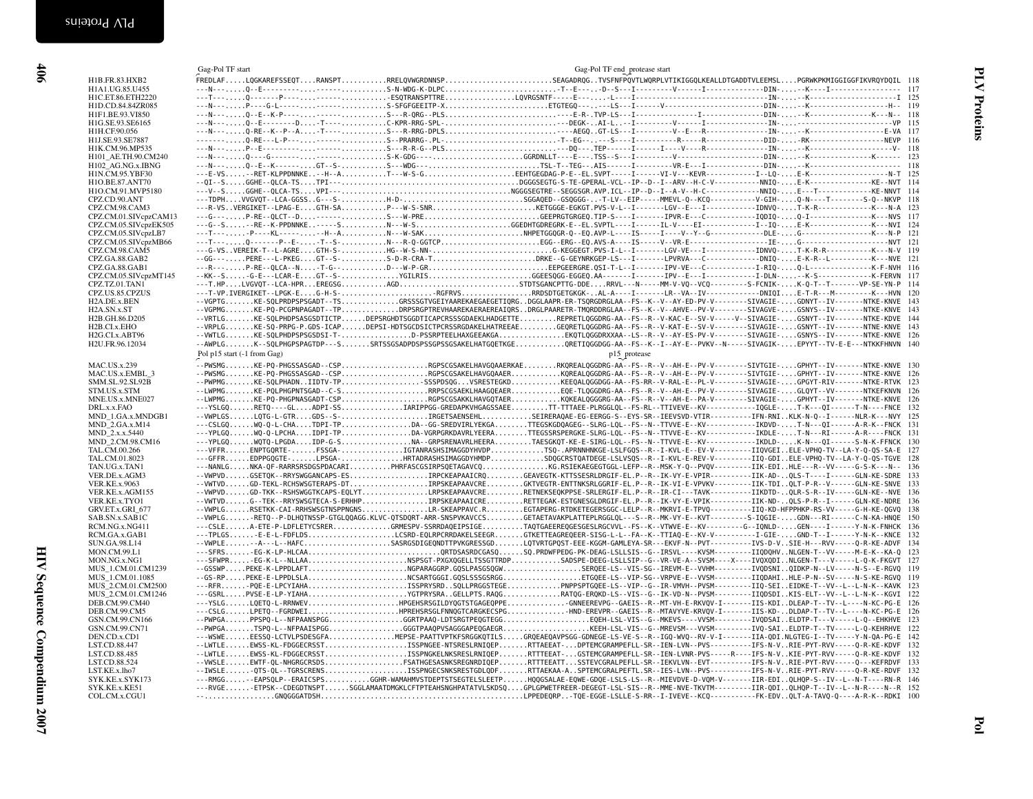<span id="page-11-0"></span>HIV Sequence Compendium 2007 HIV Sequence Compendium 2007

| H1B.FR.83.HXB2                               | Gag-Pol TF start<br>FREDLAFLQGKAREFSSEQTRANSPTRRELQVWGRDNNSPSEAGADRQGTVSFNFPQVTLWQRPLVTIKIGGQLKEALLDTGADDTVLEEMSLPGRWKPKMIGGIGGFIKVRQYDQIL 118                                                                                                                                                                                                                                                        | Gag-Pol TF end_protease start |  |  |
|----------------------------------------------|-------------------------------------------------------------------------------------------------------------------------------------------------------------------------------------------------------------------------------------------------------------------------------------------------------------------------------------------------------------------------------------------------------|-------------------------------|--|--|
| H1A1.UG.85.U455                              |                                                                                                                                                                                                                                                                                                                                                                                                       |                               |  |  |
| H1C.ET.86.ETH2220                            |                                                                                                                                                                                                                                                                                                                                                                                                       |                               |  |  |
| H1D.CD.84.84ZR085                            |                                                                                                                                                                                                                                                                                                                                                                                                       |                               |  |  |
| H1F1.BE.93.VI850                             |                                                                                                                                                                                                                                                                                                                                                                                                       |                               |  |  |
| H1G.SE.93.SE6165                             |                                                                                                                                                                                                                                                                                                                                                                                                       |                               |  |  |
| H1H.CF.90.056<br>H1J.SE.93.SE7887            |                                                                                                                                                                                                                                                                                                                                                                                                       |                               |  |  |
| H1K.CM.96.MP535                              | $P = \frac{P}{P} = \frac{P}{P} = \frac{P}{P} = \frac{P}{P} = \frac{P}{P} = \frac{P}{P} = \frac{P}{P} = \frac{P}{P} = \frac{P}{P} = \frac{P}{P} = \frac{P}{P} = \frac{P}{P} = \frac{P}{P} = \frac{P}{P} = \frac{P}{P} = \frac{P}{P} = \frac{P}{P} = \frac{P}{P} = \frac{P}{P} = \frac{P}{P} = \frac{P}{P} = \frac{P}{P} = \frac{P}{P} = \frac{P}{P} = \frac{P}{P} = \frac{P}{P} = \frac{P}{P} = \frac$ |                               |  |  |
| H101 AE.TH.90.CM240                          |                                                                                                                                                                                                                                                                                                                                                                                                       |                               |  |  |
| H102_AG.NG.x.IBNG                            | ---N---Q--E--K------GT--S-S---WDG---TSL-T--TEG--.AIS-----I-----------VR-E--I-------------DIN--K---------------------- 118                                                                                                                                                                                                                                                                             |                               |  |  |
| H1N.CM.95.YBF30                              | ---E-VS--RET-KLPPDNNKE--H--AT---W-S-GEEHTGEGDAG-P-E--EL.SVPT-----I------VI-V---KEVR-------------------[--LQ-E-K--------------------N-T 125                                                                                                                                                                                                                                                            |                               |  |  |
| H1O.BE.87.ANT70                              |                                                                                                                                                                                                                                                                                                                                                                                                       |                               |  |  |
| H1O.CM.91.MVP5180                            |                                                                                                                                                                                                                                                                                                                                                                                                       |                               |  |  |
| CPZ.CD.90.ANT                                |                                                                                                                                                                                                                                                                                                                                                                                                       |                               |  |  |
| CPZ.CM.98.CAM3<br>CPZ.CM.01.SIVcpzCAM13      |                                                                                                                                                                                                                                                                                                                                                                                                       |                               |  |  |
| CPZ.CM.05.SIVcpzEK505                        |                                                                                                                                                                                                                                                                                                                                                                                                       |                               |  |  |
| CPZ.CM.05.SIVcpzLB7                          |                                                                                                                                                                                                                                                                                                                                                                                                       |                               |  |  |
| CPZ.CM.05.SIVcpzMB66                         |                                                                                                                                                                                                                                                                                                                                                                                                       |                               |  |  |
| CPZ.CM.98.CAM5                               |                                                                                                                                                                                                                                                                                                                                                                                                       |                               |  |  |
| CPZ.GA.88.GAB2                               | --GG---PERE---L-PKEGGT--S-S-D-R-CRA-TDRKE--G-GEYNRKGEP-LS---I-------LPVRVA---C---------------DNIQ-E-K-R--L------------K---NVE 121                                                                                                                                                                                                                                                                     |                               |  |  |
| CPZ.GA.88.GAB1                               | ---R---P-RE--QLCA--N-T-G--D---W-P-GREEPGEERGRE.QSI-T-L--I---------PV-VE---C--------------I-RIQ-Q-L---------------K-F-NVH 116                                                                                                                                                                                                                                                                          |                               |  |  |
| CPZ.CM.05.SIVcpzMT145                        |                                                                                                                                                                                                                                                                                                                                                                                                       |                               |  |  |
| CPZ.TZ.01.TAN1                               | ---T-VP.IVERGIKET--LPGK-EG-H-S-RGFRVSRRDSDTGETGKGK-AL-A----I------LR--VA--IV----------DNIQIE-T-R---M---------K---HVN 120                                                                                                                                                                                                                                                                              |                               |  |  |
| CPZ.US.85.CPZUS<br>H <sub>2</sub> A.DE.x.BEN | --VGPTGKE-SQLPRDPSPSGADT--TSGRSSSGTVGEIYAAREKAEGAEGETIQRGDGGLAAPR-ER-TSQRGDRGLAA--FS--K--V--AY-ED-PV-V--------SIVAGIE-GDNYT--IV-------NTKE-KNVE 143                                                                                                                                                                                                                                                   |                               |  |  |
| H <sub>2</sub> A.SN.x.ST                     | --VGPMGKE-PQ-PCGPNPAGADT--TPDRPSRGPTREVHAAREKAERAEREAIQRSDRGLPAARETR-TMQRDDRGLAA--FS--K--V--AHVE--PV-V-------SIVAGVE-GSNYS--IV-------NTKE-KNVE 143                                                                                                                                                                                                                                                    |                               |  |  |
| H2B.GH.86.D205                               | --VRTLGKE-SQLPHDPSASGSDTICTPDEPSRGHDTSGGDTICAPCRSSSGDAEKLHADGETTEREPRETLQGGDRG-AA--FS--R--V-KAC-E--SV-V-----V--SIVAGIE-GSNYT--IV-------NTKE-KDVE 144                                                                                                                                                                                                                                                  |                               |  |  |
| H2B.CI.x.EHO                                 | --VRPLGKE-SQ-PRPG-P.GDS-ICAPDEPSI-HDTSGCDSICTPCRSSRGDAKELHATREEAEGEQRETLQGGDRG-AA--FS--R--V-KAT-E--SV-V-------SIVAGIE-GSNYT--IV-------NTNE-KNVE 143                                                                                                                                                                                                                                                   |                               |  |  |
| H2G.CI.x.ABT96                               | --WWTLGKE-SQLPHDPSPSGSDSI-T-D-PSSRPTEELHAXGEEAKGAEKQTLQGGDRXXAA--LS--R--V--AY-ES-PV-V--------SIVAGIE-GSNYS--IV-------NTKE-KNVE 126                                                                                                                                                                                                                                                                    |                               |  |  |
| H2U.FR.96.12034                              | --AWPLGK--SQLPHGPSPAGTDP---SSRTSSGSADPDSPSSGPSSGSAKELHATGQETKGEQRETIQGGDGG-AA--FS--K--I--AY-E--PVKV--N-----SIVAGIK-EPYYT--TV-E-E---NTKKFHNVN 140                                                                                                                                                                                                                                                      |                               |  |  |
|                                              | Pol p15 start (-1 from Gag)                                                                                                                                                                                                                                                                                                                                                                           | p15 protease                  |  |  |
| MAC.US.x.239                                 | .<br>--PWSMGKE-PQ-PHGSSASGAD--CSPRGPSCGSAKELHAVGQAAERKAERKQREALQGGDRG-AA--FS--R--V--AH-E--PV-V--------SIVTGIE-GPHYT--IV-------NTKE-KNVE 130                                                                                                                                                                                                                                                           |                               |  |  |
| MAC.US.x.EMBL 3                              | --PWSMGKE-PQ-PHGSSASGAD--CSPRGPSCGSAKELHAVGQAAERKQREALQGGDRG-AA--FS--R--V--AH-E--PV-V-------SIVTGIE-GPHYT--IV-------NTKE-KNVE 126                                                                                                                                                                                                                                                                     |                               |  |  |
| SMM.SL.92.SL92B                              | --PWPMGKE-SQLPHADNIIDTV-TPSSSPDSQGVSRESTEGKDKEEQALQGGDGG-AA--FS-RR--V-RAL-E--PL-V-------SIVAGIE-GPGYT-RIV-------NTKE-RTVK 123                                                                                                                                                                                                                                                                         |                               |  |  |
| STM.US.x.STM                                 | --LWPMGKE-PQLPHGPNTSGAD--C-SRRPSCGSAEKLHAAGQEAEREQE-TLQGGDRG-AA--FS--R--V--AH-E--PV-V-------SIVAGIE-GLQYT--VV-------NTKEFKNVN 126                                                                                                                                                                                                                                                                     |                               |  |  |
| MNE.US.x.MNE027                              | --LWPMGKE-PQ-PHGPNASGADT-CSPRGPSCGSAKKLHAVGQTAERKQKEALQGGGRG-AA--FS--R--V--AH-E--PA-V-------SIVAGIE-GPHYT--IV-------NTKE-KNVE 126                                                                                                                                                                                                                                                                     |                               |  |  |
| DRL.x.x.FAO                                  | ---YSLGQRETQ----GLADPI-SSIARIPPGG-GREDAPKVHGAGSSAEETT-TTTAEE-PLRGGLQL--FS-RL--TTIVEVE--KV-------------IQGLE-T-K---QI------T-N----FNCE 132                                                                                                                                                                                                                                                             |                               |  |  |
| MND 1.GA.x.MNDGB1<br><b>MND 2.GA.x.M14</b>   | --WPLGSLQTG-L-GTRGDS--S-IRGETSAENSEHLSEIRERAQAE-EG-EERGG-S--EYS-SR--IEEVSVD-VTIR----------IFN-RNIKLK-N-Q--I------NLR-K---NVY 125<br>---CSLGQWQ-Q-L-CHATDPI-TPDA--GG-SREDVIRLYEKGATTEGSKGDQAGEG--SLRG-LQL--FS--N--TTVVE-E--KV--------------IKDVD-T-N---QI------A-R-K--FNCK 131                                                                                                                         |                               |  |  |
| MND 2.x.x.5440                               | ---YPLGQWQ-Q-LPCHAIDPI-TPDA-VGRPGRKDAVRLYEERATTEGSSRSPERGKE-SLRG-LQL--FS--N--TTVVE-E--KV--------------IKDLE-T-N---RI-----A-R----FNCK 131                                                                                                                                                                                                                                                              |                               |  |  |
| MND 2.CM.98.CM16                             |                                                                                                                                                                                                                                                                                                                                                                                                       |                               |  |  |
| TAL.CM.00.266                                | ---VFFRENPTGQRTE-FSSGA-IGTANRASHSIMAGGDYHVDPTSQ-.APRNNHNKGE-LSLFGQS--R--I-KVL-E--EV-V----------IIQVGEIELE-VPHQ-TV--LA-Y-Q-QS-SA-E 127                                                                                                                                                                                                                                                                 |                               |  |  |
| TAL.CM.01.8023                               | ---GFFREDPPGQGTE-LPSGA-HRTADRASHSIMAGGDYHMDPSDQGCRSTQATDEGE-LSLVSQS--R--I-KVL-E-REV-V----------IIQ-GDIELE-VPHQ-TV--LA-Y-Q-QS-TGVE 128                                                                                                                                                                                                                                                                 |                               |  |  |
| TAN.UG.x.TAN1                                | ---NANLGNKA-QF-RARRSRSDGSPDACARIPHRFASCGSIRPSQETAGAVCQKG.RSIEKAEGEGTGGL-LEFP--R--MSK-Y-Q--PVQV--------IIK-EDIHLE---R--VV-----G-S-K---N-- 136                                                                                                                                                                                                                                                          |                               |  |  |
| VER.DE.x.AGM3                                | --VWPVDGSETQK--RRYSWGGANCAPS-ESIRPCKEAPAAICRQGEAVEGTK-KTTSSESRLDRGIF-EL.P--R--IK-VY-E-VPIR----------IIK-AD-QLS-T----I-----GLN-KE-SDRE 133                                                                                                                                                                                                                                                             |                               |  |  |
| <b>VER.KE.x.9063</b>                         | --WWTVDGD-TEKL-RCHSWSGTERAPS-DTIRPSKEAPAAVCREGKTVEGTR-ENTTNKSRLGGRIF-EL.P--R--IK-VI-E-VPVKV---------IIK-TDIQLT-P-R--V------GLN-KE-SNVE 133                                                                                                                                                                                                                                                            |                               |  |  |
| VER.KE.x.AGM155                              | -- VWPVDGD-TKK--RSHSWGGTKCAPS-EQLYTLRPSKEAPAAVCRERETNEKSEQKPPSE-SRLERGIF-EL.P--R--IR-CI---TAVK-----------IIKDTD-QLR-S-R--IV-----GLN-KE--NVE 136<br>--WTVDG--TEK--RRYSWSGTECA-S-ERHHPIRPSKEAPAAICRERETTEGAK-ESTGNESGLDRGIF-EL.P--R--IK-VY-E-VPIK----------IIK-ND-QLS-P-R--I-----GLN-KE-NDRE 136                                                                                                        |                               |  |  |
| VER.KE.x.TYO1<br>GRV.ET.x.GRI 677            | --VWPLGRSETKK-CAI-RRHSWSGTNSPPNGNSLR-SKEAPPAVC.REGTAPERG-RTDKETEGERSGGC-LELP--R--MKRVI-E-TPVQ----------IIQ-KD-HFPPHKP-RS-VV-----G-H-KE-QGVQ 138                                                                                                                                                                                                                                                       |                               |  |  |
| SAB.SN.x.SAB1C                               | -- WPLG-RETQ--P-DLHQTNSSP-GTGLQQAGG.KLVC-QTSDQRT-ARR-SNSPVKAVCCSGETAETAVAKPLATTEPLRGGLQL---S--R--MK-VY-E--KVT---------S-IQGIE-GDN---RI------C-N-KA-HNQE 150                                                                                                                                                                                                                                           |                               |  |  |
| RCM.NG.x.NG411                               | ---CSLEA-ETE-P-LDFLETYCSRERGRMESPV-SSRRDAQEIPSIGETAQTGAEEREQGESGESLRGCVVL--FS--K--VTWVE-E--KV--------G--IQNLD-GEN----I-----Y-N-K-FNHCK 136                                                                                                                                                                                                                                                            |                               |  |  |
| RCM.GA.x.GAB1                                | ---TPLGS-E-E-L-FDFLDSLCSRD-EQLRPCRRDAKELSEEGRGTKETTEAGREQEER-SISG-L-L--FA--K--TTIAQ-E--KV-V------------I-GIE-GND-T--I------Y-N-K--KNCE 132                                                                                                                                                                                                                                                            |                               |  |  |
| SUN.GA.98.L14                                | --VWPLE-A---L--HAFCSASRGSDIGEQNDTTPVKGRESSGDLQTVRTGPQST-EEE-KGGM-GAMLEYA-SR---EKVF-N--PVT----------IVS-D-VSIE-H---RVV-----Q-R-KE-ADVF 134                                                                                                                                                                                                                                                             |                               |  |  |
| <b>MON.CM.99.L1</b>                          | ---SFRS-EG-K-LP-HLCAAQRTDSASRDCGASQSQ.PRDWFPEDG-PK-DEAG-LSLLSIS--G--IRSVL----KVSM--------IIQDQHVNLGEN-T--VV-----M-E-K--KA-Q 123                                                                                                                                                                                                                                                                       |                               |  |  |
| MON.NG.x.NG1                                 | ---SFWPR-EG-K-L--NLLAANSPSGT-PXGXQGELLTSSGTTRDPSADSPE-DEEG-LSLLSIP--G--VR-VE-A--SVSM----X----IVQXQDINLGEN-T---V-----L-Q-K-FKGVT 127                                                                                                                                                                                                                                                                   |                               |  |  |
| MUS 1.CM.01.CM1239                           | --GSSWPPEKE-K-LPPDLAFTNGPARAGGRP.GQSLPASGSQGWSERQEE-LS--VIS-SG--IREVM-E--VVHM---------IVQDSNIQIDKP-N--LV-----N-S--E-RGVQ 119                                                                                                                                                                                                                                                                          |                               |  |  |
| MUS_1.CM.01.1085                             | ---RFRPQE-E-LPCYIAHAISSPRYSRDSQLLPRGGSTEGEPNPPSPTGQEE-LS--VIP--G--IR-VMVH--PVSM----------IIQ-SEIEIDKE-T--VV--L--L-N-K--KAVK 123                                                                                                                                                                                                                                                                       |                               |  |  |
| MUS_2.CM.01.CM2500<br>MUS 2.CM.01.CM1246     | ---GSRLPVSE-E-LP-YIAHAYGTPRYSRAGELLPTS.RAQGRATQG-ERQKD-LS--VIS--G--IK-VD-N--PVSM----------IIQDSDIKIS-ELT--VV--L--L-N-K--KGVI 122                                                                                                                                                                                                                                                                      |                               |  |  |
| DEB.CM.99.CM40                               | ---YSLGLQETQ-L-RRNWEVHPGEHSRSGILDYQGTSTGAGEQPPEGNNEEREVPG--GAEIS--R--MT-VH-E-RKVQV-I-------IIS-KDIDLEAP-T--TV--L----N-KC-PG-E 126                                                                                                                                                                                                                                                                     |                               |  |  |
| DEB.CM.99.CM5                                | ---CSLGLPETQ--FGRDWEIPREHSRSGLFNNQGTCARGKECSPGHND-EREVPR--GAEIS--R--MTAVYVE-KRVQV-I-------IIS-KD-DLDAP-T--TV--L----N-KC-PG-E 126                                                                                                                                                                                                                                                                      |                               |  |  |
| GSN.CM.99.CN166                              |                                                                                                                                                                                                                                                                                                                                                                                                       |                               |  |  |
| GSN.CM.99.CN71                               | --PWPGATSPQ-L--NFPAAISPGGGGGTPAAQPVSAGGGAPEQGAEGRKEEH-LSL-VIS--G--MREVSM----VVSM---------IVQ-SAIELDTP-T--TV-----L-Q-KEHRHVE 122                                                                                                                                                                                                                                                                       |                               |  |  |
| DEN.CD.x.CD1                                 | ---WSWEEESSQ-LCTVLPSDESGFAMEPSE-PAATTVPTKFSRGGKQTILSGRQEAEQAVPSGG-GDNEGE-LS-VE-S--R--IGQ-WVQ--RV-V-I-------IIA-QDI.NLGTEG-I--TV-----Y-N-QA-PG-E 142                                                                                                                                                                                                                                                   |                               |  |  |
| LST.CD.88.447                                | --LWTLEEWSS-KL-FDGGECRSSTSSPNGEE-NTSRESLRNIOEPRTTAEEAT-DPTEMCGRAMPEFLL-SR--IEN-LVN--PVS-----------IFS-N-VRIE-PYT-RVV-----0-R-KE-KDVF 132                                                                                                                                                                                                                                                              |                               |  |  |
| LST.CD.88.485                                | --LWTLEEWSS-KL-FDGGECRSSTSSPNGKELNKSRESLRNIQEPRTTTEEAT-GSTEMCGRAMPEFLL-SR--IEN-LVNR-PVS-----R----IFS-N-VKIE-PYT-RVV-----Q-R-KE-KDVF 132                                                                                                                                                                                                                                                               |                               |  |  |
| LST.CD.88.524                                | --VWSLEEWTF-QL-NHGRGCRSDSFSATHGESASNKSREGNRDIQEPRTTTEEATTSSTEVCGRALPEFLL-SR--IEKVLVN--EVT----------IFS-N-VRIE-PYT-RVV-----Q---KEFRDVF 133                                                                                                                                                                                                                                                             |                               |  |  |
| LST.KE.x.lho7                                | --IWSLEQTS-QL--TGRSCRENSISSPNGECSNKSRESTGDLQDFRTTAEKAA-ASPTEMCGRALPEFTL.SR--IES-LVN--PVS----------IFS-N-VRIE-PYT-RVV-----Q-R-KE-RDVF 132<br>---RMGG--EAPSQLP--ERAICSPSGGHR-WAMAHMVSTDEPTSTSEGTELSLEETPHQQGSALAE-EQWE-GDQE-LSLS-LS--R--MIEVDVE-D-VQM-V-------IIR-EDIQLHQP-S--IV--L--N-T----RN-R 146                                                                                                    |                               |  |  |
| SYK.KE.x.SYK173<br>SYK.KE.x.KE51             | ---RVGE-ETPSK--CDEGDTNSPTSGGLAMAATDMGKLCFTPTEAHSNGHPATATVLSKDSQGPLGPWETFREER-DEGEGT-LSL-SIS--R--MME-NVE-TKVTM---------IIR-QDIQLHQP-T--IV--L--N-R----N--R 152                                                                                                                                                                                                                                          |                               |  |  |
|                                              |                                                                                                                                                                                                                                                                                                                                                                                                       |                               |  |  |
| COL.CM.x.CGU1                                |                                                                                                                                                                                                                                                                                                                                                                                                       |                               |  |  |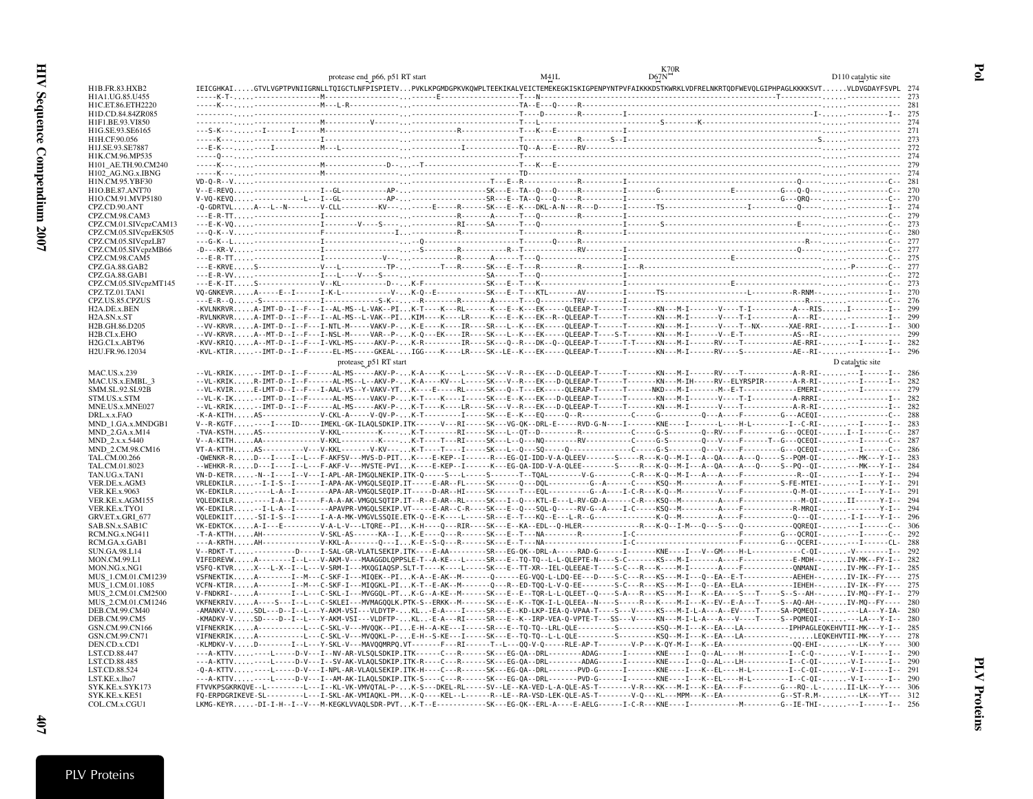|                                          | protease end p66, p51 RT start | M41L | K70R<br>D67N                                                                                                                                                                                                                                                                                                                                  | D110 catalytic site |
|------------------------------------------|--------------------------------|------|-----------------------------------------------------------------------------------------------------------------------------------------------------------------------------------------------------------------------------------------------------------------------------------------------------------------------------------------------|---------------------|
| H1B.FR.83.HXB2                           |                                |      | IEICGHKAIGTVLVGPTPVNIIGRNLLTQIGCTLNFPISPIETVPVKLKPGMDGPKVKQWPLTEEKIKALVEICTEMEKEGKISKIGPENPYNTPVFAIKKKDSTKWRKLVDFRELNKRTQDFWEVQLGIPHPAGLKKKKSVTVLDVGDAYFSVPL_274                                                                                                                                                                              |                     |
| H1A1.UG.85.U455                          |                                |      |                                                                                                                                                                                                                                                                                                                                               |                     |
| H1C.ET.86.ETH2220                        |                                |      |                                                                                                                                                                                                                                                                                                                                               |                     |
| H1D.CD.84.84ZR085<br>H1F1.BE.93.VI850    |                                |      |                                                                                                                                                                                                                                                                                                                                               |                     |
| H1G.SE.93.SE6165                         |                                |      |                                                                                                                                                                                                                                                                                                                                               |                     |
| H1H.CF.90.056                            |                                |      |                                                                                                                                                                                                                                                                                                                                               |                     |
| H1J.SE.93.SE7887                         |                                |      |                                                                                                                                                                                                                                                                                                                                               |                     |
| H1K.CM.96.MP535                          |                                |      |                                                                                                                                                                                                                                                                                                                                               |                     |
| H101_AE.TH.90.CM240<br>H102_AG.NG.x.IBNG |                                |      |                                                                                                                                                                                                                                                                                                                                               |                     |
| H1N.CM.95.YBF30                          |                                |      |                                                                                                                                                                                                                                                                                                                                               |                     |
| H1O.BE.87.ANT70                          |                                |      |                                                                                                                                                                                                                                                                                                                                               |                     |
| H1O.CM.91.MVP5180                        |                                |      |                                                                                                                                                                                                                                                                                                                                               |                     |
| CPZ.CD.90.ANT                            |                                |      |                                                                                                                                                                                                                                                                                                                                               |                     |
| CPZ.CM.98.CAM3<br>CPZ.CM.01.SIVcpzCAM13  |                                |      |                                                                                                                                                                                                                                                                                                                                               |                     |
| CPZ.CM.05.SIVcpzEK505                    |                                |      |                                                                                                                                                                                                                                                                                                                                               |                     |
| CPZ.CM.05.SIVcpzLB7                      |                                |      |                                                                                                                                                                                                                                                                                                                                               |                     |
| CPZ.CM.05.SIVcpzMB66                     |                                |      |                                                                                                                                                                                                                                                                                                                                               |                     |
| CPZ.CM.98.CAM5<br>CPZ.GA.88.GAB2         |                                |      |                                                                                                                                                                                                                                                                                                                                               |                     |
| CPZ.GA.88.GAB1                           |                                |      |                                                                                                                                                                                                                                                                                                                                               |                     |
| CPZ.CM.05.SIVcpzMT145                    |                                |      |                                                                                                                                                                                                                                                                                                                                               |                     |
| CPZ.TZ.01.TAN1                           |                                |      |                                                                                                                                                                                                                                                                                                                                               |                     |
| CPZ.US.85.CPZUS                          |                                |      | -KVLNKRVRA-IMT-D--I--F---I--AL-MS--L-VAK--PIK-T----K---RL------K---E--K---EK----QLEEAP-T------T-------KN---M-I------V----T-I-------------A---RISI------------1-- 299                                                                                                                                                                          |                     |
| H2A.DE.x.BEN<br>H2A.SN.x.ST              |                                |      | -RVLNKRVRA-IMT-D--I--F---I--AL-MS--L-VAK--PIKIM----K----LR-----K---E--K---EK--R--QLEEAP-T------T------KN---M-I-----V----T-I----------A---RI-------------I-- 299                                                                                                                                                                               |                     |
| H2B.GH.86.D205                           |                                |      | --VV-KRVRA-IMT-D--I--F---I-NTL-M-----VAKV-P-K-E----K----IR----SR---L--K---EK-----QLEEAP-T------T----KN---M-I-----V----T--NX-------XAE-RRI--I---------I-- 300                                                                                                                                                                                  |                     |
| H2B.CI.x.EHO                             |                                |      | --VV-KRVRA--MT-D--I--F---I-NSL-M------VAR--P-K-Q---EK----IR----SK---L--K---EK-----QLEEAP-T----S-T--------KN---M-I-------V--E-T-------------AS--RI-------------- 299                                                                                                                                                                           |                     |
| H <sub>2G.CL</sub> x.ABT96               |                                |      |                                                                                                                                                                                                                                                                                                                                               |                     |
| H2U.FR.96.12034                          |                                |      | -KVL-KTIR--IMT-D--I--F------EL-MS-----GKEAL-IGG----K----LR----SK--LE--K---EK-----QLEEAP-T------T-------KN---M-I------RV----S---------------AE--RI---------------I-- 296                                                                                                                                                                       |                     |
|                                          | protease p51 RT start          |      |                                                                                                                                                                                                                                                                                                                                               | D catalytic site    |
| <b>MAC.US.x.239</b><br>MAC.US.x.EMBL_3   |                                |      | --VL-KRIK--IMT-D--I--F------AL-MS-----AKV-P-K-A----K----L-----SK---V--R---EK---D-QLEEAP-T------T--------KN----M-I-----RV----T-------------A-R-RI----I-------12- 286<br>--VL-KRIKR-IMT-D--I--F------AL-MS--L--AKV-P-K-A----KV---L----SK---V--R---EK---D-OLEEAP-T------T-------KN---M-IH-----RV--ELYRSPIR-------A-R-RI----I------I-- 282        |                     |
| SMM.SL.92.SL92B                          |                                |      | --VL-KVIRE-LMT-D--I--F---I-AAL-VS--Y-VAKV-YTK----E-----RL-----SK---Q--T---EK-----QLERAP-T------T------NKD---M-I------------F--E-T------------EMERI----I--------- 279                                                                                                                                                                          |                     |
| STM.US.x.STM                             |                                |      |                                                                                                                                                                                                                                                                                                                                               |                     |
| MNE.US.x.MNE027                          |                                |      |                                                                                                                                                                                                                                                                                                                                               |                     |
| DRL.x.x.FAO<br>MND_1.GA.x.MNDGB1         |                                |      |                                                                                                                                                                                                                                                                                                                                               |                     |
| MND_2.GA.x.M14                           |                                |      | -TVA-KSTHAS---------------V-KKL---------K----K-T--------RI-----SK---L--QT--D--------R---------C----C----G-S--------Q--RV----F----------G---QCEQI-I--I------C-- 287                                                                                                                                                                            |                     |
| MND_2.x.x.5440                           |                                |      | V--A-KITHAA---------------V-KKL---------K-----K-T----T---RI-----SK---L--Q---NQ--------RV---------C---C----G-S------Q---V----F------T--G---QCEQI----I------C-- 287                                                                                                                                                                             |                     |
| MND 2.CM.98.CM16                         |                                |      | VT-A-KTTHAS----------V--V-KKL-------V-KV----K-T----T----I-----SK---L--Q---SQ-----Q-----------C----C---C----Q----Q---V----F--------G---QCEQI----I------C-- 286                                                                                                                                                                                 |                     |
| TAL.CM.00.266                            |                                |      | -QWENKR-RD---I----I--L---F-AKFSV---MVS-D-PITK----E-KEP--I------R---EG-QI-IDD-V-A-QLEEV------S-----R---K-Q--M-I--A--QA----A--Q-----S---PQM-QI----MK---Y-I-- 283<br>--WEHKR-RD---I----I---E--F-AKF-V---MVSTE-PVIK----E-KEP--I------K---EG-QA-IDD-V-A-QLEE--------S-----R---{Q-----A---QA----A--Q-----S--PQ--QI-----MK---Y-I-- 284               |                     |
| TAL.CM.01.8023<br>TAN.UG.x.TAN1          |                                |      | VN-D-KETR-N--I----I--V---I-APL-AR-IMGQLNEKIP.ITK-Q-----S---L-----S------T--TQAL--------V-G--------C-R---K-Q--M-I---A---A---A---F-------------R--QI----I----Y-I-- 294                                                                                                                                                                          |                     |
| VER.DE.x.AGM3                            |                                |      | VRLEDKILR-I-I-S--I------I-APA-AK-VMGQLSEQIP.IT-----E-AR--FL-----SK------Q---DQL---------G--A-----C-----KSQ--M---------A----F-------S-FE-MTEI---I----Y-I-- 291                                                                                                                                                                                 |                     |
| <b>VER.KE.x.9063</b>                     |                                |      | VK-EDKILR----L-A--I--------APA-AR-VMGQLSEQIP.IT-----D-AR--HI-----SK------T---EQL---------G--A----I-C-R---K-Q--M-------------V---F----------Q-M-QI----I----Y-I-- 291                                                                                                                                                                           |                     |
| VER.KE.x.AGM155                          |                                |      | VQLEDKILR----I-A--I------F-A-AF-VMGQLSQTIP.IT--R--E-AR--RL-----SK---I--Q---KTL-E---L-RV-GD-A------C-R---KSQ--M---------A----F-----------------M-QI-II------Y-I-- 294<br>VK-EDKILR-I-L-A--I--------APAVPR-VMGQLSEKIP.VT----E-AR--C-R----SK---E--Q---SQL-Q-----RV-G--A----I-C-----KSQ--M---------A---F----------------R-MRQI---------Y-I-- 294  |                     |
| VER.KE.x.TYO1<br>GRV.ET.x.GRI_677        |                                |      |                                                                                                                                                                                                                                                                                                                                               |                     |
| SAB.SN.x.SAB1C                           |                                |      |                                                                                                                                                                                                                                                                                                                                               |                     |
| RCM.NG.x.NG411                           |                                |      |                                                                                                                                                                                                                                                                                                                                               |                     |
| RCM.GA.x.GAB1                            |                                |      |                                                                                                                                                                                                                                                                                                                                               |                     |
| SUN.GA.98.L14<br>MON.CM.99.L1            |                                |      | V--RDKT-T----------D-----I-SAL-GR-VLATLSEKIP.ITK----E-AA---------SR---EG-QK--DRL-A-----RAD-G------I------KNE----I---V--GM----H-L------------C-QI-V---------I-- 292<br>VIFEDREVWA--------I--L---V-AKM-V---MAAGGDLOPPSLE-T--A-KE---L-----SR---E--TO-TO--L-L-OLEPTE-N---S-C-------KS---M-I------A----F------F---------E-MDH--IV-MK--FY-I-- 282   |                     |
| MON.NG.x.NG1                             |                                |      | VSFQ-KTVRX---L-X--I--L---V-SRM-I---MXQGIAQSP.SLT-T----K----L-----SK---E--TT-XR--IEL-QLEEAE-T----S-C---R---K----M-I------A----F------------------QNMANI-IV-MK--FY-I-- 285                                                                                                                                                                      |                     |
| MUS_1.CM.01.CM1239                       |                                |      | VSFNEKTIKA--------I--M---C-SKF-I---MIQEK--PIK-A--E-AK--M-------Q------EG-VQQ-L-LDQ-EE---D----S-C---R---KS---M-I---Q--EA--E-T---------------AEHEH--IV-IK--FY---- 275                                                                                                                                                                           |                     |
| MUS_1.CM.01.1085                         |                                |      | VCFN-KTIRA---------I--M---C-SKF-I---MIQGKL-PIK-T--E-AK--M-------Q---R--ED-TQQ-L-V-Q-EE--------S-C---R---KS---M-I---Q--EA--ELA--------------IEHEH--IV-IK--FY---- 275                                                                                                                                                                           |                     |
| MUS_2.CM.01.CM2500<br>MUS_2.CM.01.CM1246 |                                |      | V-FNDKRI-A---------I--L---C-SKL-I---MVGGQL-PTK-G--A-KE--M------SK---E--TQR-L-L-QLEET--Q----S-A---R---KS---M-I---K--EA---S--S--T-----S--S--AH--IV-MQ--FY-I-- 275<br>VKFNEKRIVA----S---I--L---C-SKLEI---MVMAGQQLK.PTK-S--ERKK--M------SK---E--K--TQK-I-L-QLEEA--N---S-----K----K----M-I---K--EV--E-A---T-----S--AQ-AH--IV-MQ--FY---- 280        |                     |
| DEB.CM.99.CM40                           |                                |      | -AMANKV-VSDL---D--I--L---Y-AKM-VSI---VLDYTP-KL-E-A----I-----SR---E--KD-LKP-IEA-Q-VPAA-T----S---V-----KS---M-I-L-A---A--EV----T-----SA-PQMEQI---LA---Y-IA- 280                                                                                                                                                                                 |                     |
| DEB.CM.99.CM5                            |                                |      | -KMADKV-VSD----D--I--L---Y-AKM-VSI---VLDFTP-KL-E-A---RI-----SR---E--K--IRP-VEA-Q-VPTE-T---SS---V----KN---M-I-L-A---A---V----T----S--PQMEQI----LA---Y-I-- 280                                                                                                                                                                                  |                     |
| GSN.CM.99.CN166                          |                                |      | VIFNEKRIKA----------L---C-SKL-V---MVQQK--PIE-H--A-KE---I-----SR---E--TQ-TQ--LRL-QLE--------S--------------KSQ--M-I---K--EA---LA------------IPHPAGLEQKEHVTII-MK---Y-I-- 285                                                                                                                                                                    |                     |
| GSN.CM.99.CN71                           |                                |      | VIFNEKRIKA----------L---C-SKL-V---MVQQKL-P-E-H--S-KE---I-----SK---E--TQ-TQ--L-L-QLE---------S-----------------KSQ--M-I---K--EA---LA------------LEQKEHVTII-MK---Y---- 278                                                                                                                                                                      |                     |
| DEN.CD.x.CD1<br>LST.CD.88.447            |                                |      | -KLMDKV-VD--------I--L---Y-SKL-V---MAVQQMRPQ.VT-------F---RI------T--L---QQ-V-Q-----RLE-AP-T--------V-P---K-QY-M-I---K--EA-----------------QQ-EHI----LK---Y---- 300<br>---A-KTTV---L-----D-V---I--NV-AR-VLSQLSDKIP.ITK------C---R------SK---EG-QA--DRL--------ADAG------I-----KNE----I---Q--AL----H-------------I--C-Q---V-I-------I-- 290    |                     |
| LST.CD.88.485                            |                                |      |                                                                                                                                                                                                                                                                                                                                               |                     |
| LST.CD.88.524                            |                                |      |                                                                                                                                                                                                                                                                                                                                               |                     |
| LST.KE.x.lho7                            |                                |      | ---A-KTTV----L----D-V---I--AM-AK-ILAQLSDKIP.ITK-S----C---R------SK---EG-QA--DRL-------PVD-G------I--------KNE----I--K-EL----H-L----------I--C-QI--V-I-------I-- 290                                                                                                                                                                           |                     |
| SYK.KE.x.SYK173<br>SYK.KE.x.KE51         |                                |      | FTVVKPSGKRKQVE--L--------L---I--KL-VK-VMVQTAL-P-K-S---DKEL-RL-----SV--LE--KA-VED-L-A-QLE-AS-T--------V-R---KK---M-I---K--EA---F---------G---RQ-.L-II-LK---Y---- 306<br>FQ-ERPDGRIKEVE-SL--------L--I-SKL-AK-VMIAQKL-PMK-Q----KEL--L------R--LE--RA-VSD-LEK-QLE-AS-T-------V-Q---KL---MPM---K--EA------------------G--ST-R.M----LK---YT--- 312 |                     |
| COL.CM.x.CGU1                            |                                |      | LKMG-KEYR-DI-I-H--I--V---M-KEGKLVVAQLSDR-PVTK-T--E-----------SK---EG-QK--ERL-A----E-AELG------I-C-R---KNE----I---------------------------G--IE-THI----I-------1-- 256                                                                                                                                                                         |                     |
|                                          |                                |      |                                                                                                                                                                                                                                                                                                                                               |                     |

Pol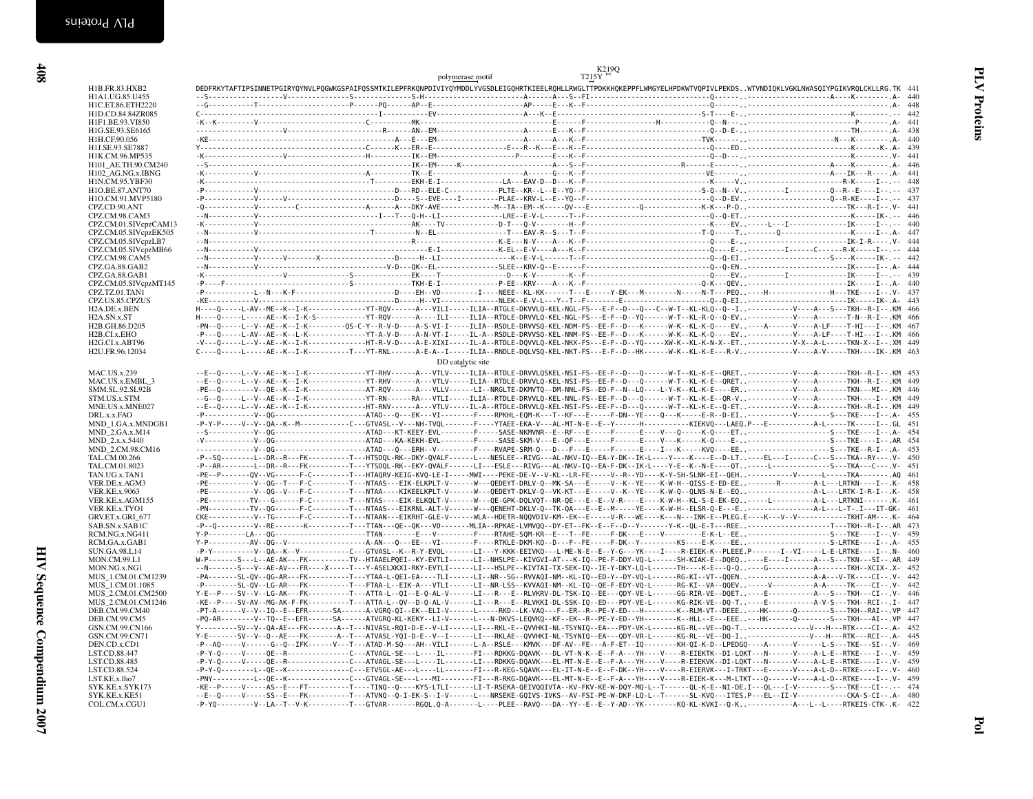|                                             | $K2L9Q$<br>T2L5Y<br>polymerase motif                                                                                                                                                                                                                                                                                                                                |
|---------------------------------------------|---------------------------------------------------------------------------------------------------------------------------------------------------------------------------------------------------------------------------------------------------------------------------------------------------------------------------------------------------------------------|
| H1B.FR.83.HXB2                              | DEDFRKYTAFTIPSINNETPGIRYQYNVLPQGWKGSPAIFQSSMTKILEPFRKQNPDIVIYQYMDDLYVGSDLEIGQHRTKIEELRQHLLRWGLTTPDKKHQKEPPFLWMGYELHPDKWTVQPIVLPEKDSWTVNDIQKLVGKLNWASQIYPGIKVRQLCKLLRG.TK 441                                                                                                                                                                                        |
| H1A1.UG.85.U455<br>H1C.ET.86.ETH2220        |                                                                                                                                                                                                                                                                                                                                                                     |
| H1D.CD.84.84ZR085                           |                                                                                                                                                                                                                                                                                                                                                                     |
| H1F1.BE.93.VI850                            |                                                                                                                                                                                                                                                                                                                                                                     |
| H1G.SE.93.SE6165                            |                                                                                                                                                                                                                                                                                                                                                                     |
| H1H.CF.90.056                               |                                                                                                                                                                                                                                                                                                                                                                     |
| H1J.SE.93.SE7887                            |                                                                                                                                                                                                                                                                                                                                                                     |
| H1K.CM.96.MP535                             |                                                                                                                                                                                                                                                                                                                                                                     |
| H101 AE.TH.90.CM240<br>H102 AG.NG.x.IBNG    |                                                                                                                                                                                                                                                                                                                                                                     |
| H1N.CM.95.YBF30                             |                                                                                                                                                                                                                                                                                                                                                                     |
| H1O.BE.87.ANT70                             |                                                                                                                                                                                                                                                                                                                                                                     |
| H1O.CM.91.MVP5180                           |                                                                                                                                                                                                                                                                                                                                                                     |
| CPZ.CD.90.ANT                               |                                                                                                                                                                                                                                                                                                                                                                     |
| CPZ.CM.98.CAM3                              |                                                                                                                                                                                                                                                                                                                                                                     |
| CPZ.CM.01.SIVcpzCAM13                       |                                                                                                                                                                                                                                                                                                                                                                     |
| CPZ.CM.05.SIVcpzEK505                       |                                                                                                                                                                                                                                                                                                                                                                     |
| CPZ.CM.05.SIVcpzLB7<br>CPZ.CM.05.SIVcpzMB66 |                                                                                                                                                                                                                                                                                                                                                                     |
| CPZ.CM.98.CAM5                              |                                                                                                                                                                                                                                                                                                                                                                     |
| CPZ.GA.88.GAB2                              |                                                                                                                                                                                                                                                                                                                                                                     |
| CPZ.GA.88.GAB1                              |                                                                                                                                                                                                                                                                                                                                                                     |
| CPZ.CM.05.SIVcpzMT145                       |                                                                                                                                                                                                                                                                                                                                                                     |
| CPZ.TZ.01.TAN1                              |                                                                                                                                                                                                                                                                                                                                                                     |
| CPZ.US.85.CPZUS                             |                                                                                                                                                                                                                                                                                                                                                                     |
| H2A.DE.x.BEN                                | H----Q-----L-AV--ME--K--I-K------------YT-RQV------A---VILI-----ILIA--RTGLE-DKVVLQ-KEL-NGL-FS---E-F--D---Q---C--W-T--KL-KLQ--Q--I--------------V----A---S---TKH--R-I--.KM 466                                                                                                                                                                                       |
| H <sub>2</sub> A.SN.x.ST<br>H2B.GH.86.D205  | H----Q-----L-----AE--K--I-K-S-----------YT-RQV------A----ILI-----ILIA--RTDLE-DRVVLQ-KEL-NGL-FS---E-F--D--YQ-----W-T--KL-R-Q--Q-EV---------------------T-N--R-I--.KM 466<br>-PN--0-----L--V--AE--K--I-K---------0S-C-Y--R-V-D----A-S-VI-I-----ILIA--RSDLE-DRVVSQ-KEL-NDM-FS--EE-F--D---K------V-K--KL-K-Q----EV---A-----V----A-LF----T-HI---I--.KM 467               |
| H2B.CI.x.EHO                                | -P---Q-----L-AV--AE--K--L-K------------YT-A-V-D----A-N-VT-I-----IL-A--RSDLE-DRVVSQ-KEL-NNM-FS--EE-F--D---K------W-K--KL-K-Q----EV--------------V----A-LF----T-HI---I--.KM 466                                                                                                                                                                                       |
| H2G.CI.x.ABT96                              | -V---Q-----L--V--AE--K--I-K--------------HT-R-V-D----A-E-XIXI-----IL-A--RTDLE-DQVVLQ-KEL-NKX-FS---E-F--D--YQ-----XW-K--KL-K-N-X--ET---------------V-X--A-L------TKN-X--I--.XM 449                                                                                                                                                                                   |
| H2U.FR.96.12034                             | C----Q-----L-----AE--K--I-K---------T---YT-RNL------A-E-A--I-----ILIA--RNDLE-DQLVSQ-KEL-NKT-FS---E-F--D--HK------W-K--KL-K-E---R-V,--------------V----A-V-----TKH----IK-.KM 463                                                                                                                                                                                     |
|                                             | DD catalytic site                                                                                                                                                                                                                                                                                                                                                   |
| <b>MAC.US.x.239</b>                         |                                                                                                                                                                                                                                                                                                                                                                     |
| MAC.US.x.EMBL 3                             | --E--Q-----L--V--AE--K--I-K-------------YT-RHV------A---VTLV-----ILIA--RTDLE-DRVVLQ-KEL-NSI-FS--EE-F--D---Q------W-T--KL-K-E--QRET-------------V----A------TKH--R-I--.KM 449                                                                                                                                                                                        |
| SMM.SL.92.SL92B                             | -PE--Q---------V--QE--K--I-K-------------AT-RQV------A---VLLV------LI--NRGLTE-DKMVTQ--DM-NNL-FS--ED-F--N--LQ----L-Y-K--KL-K-E----ER---------------V---A-------TKN---MI--.KM 446                                                                                                                                                                                     |
| STM.US.x.STM                                | --G--Q-----L--V--AE--K--I-K------------YT-RN------RA---VTLI-----ILIA--RTDLE-DRVVLQ-KEL-NNL-FS--EE-F--D---Q------W-T--KL-K-E--QR-V------------V----A------TKH----I--.KM 449                                                                                                                                                                                          |
| MNE.US.x.MNE027                             | --E--Q-----L--V--AE--K--I-K-------------HT-RNV------A---VTLV-----IL-A--RTDLE-DRVVLQ-KEL-NSI-FS--EE-F--D---Q------W-T--KL-K-E--Q-ET--------------------TKH--R-I--.KM 449                                                                                                                                                                                             |
| DRL.x.x.FAO                                 | -P------------V--0G-------------------ATAD---O---EK---VI--------F---RPKHL-EOM-K---T--KF---E----F-DN--YE----O---K----E-R--D-EI---------------V-----------S---TKE----I--.A- 455                                                                                                                                                                                       |
| MND 1.GA.x.MNDGB1                           | -P-Y-P-----V--QA--K--M-----------C--GTVASL--V---NH-TVQL-------F----YTAEE-EKA-V---AL-MT-N-E--E--Y-----H--------KIEKVQ---LAEQ.P---E----------------A-L------TK-----I--.GL 451                                                                                                                                                                                         |
| MND 2.GA.x.M14                              |                                                                                                                                                                                                                                                                                                                                                                     |
| MND_2.x.x.5440<br>MND_2.CM.98.CM16          |                                                                                                                                                                                                                                                                                                                                                                     |
| TAL.CM.00.266                               | -P--SQ--------L--DR--R---FK---------T---HTSDQL-RK--DKY-QVALF-----L---NESLEE--RIVG---AL-NKV-IQ--EA-Y-DK--IK-L----Y---Y----K----EL---I-----C---S---TKA--RY--- V- 450                                                                                                                                                                                                  |
| TAL.CM.01.8023                              | -P--AR--------L--DR--R---FK---------T---YTSDQL-RK--EKY-QVALF------LI---ESLE---RIVG---AL-NKV-IQ--EA-F-DK--IK-L----Y-E--K--N-E----QT----L--------------S---TKA---C---.V- 451                                                                                                                                                                                          |
| TAN.UG.x.TAN1                               | -PE--P-------QV--VG------F-C--------T---HTAQRV-KEIG-KVQ-LE-I-----MWI----PEKE-DE-V--V-KL--LR-FE-----V-R--YD----K-Y-SH-SLNK-EI--QEH----------------V------LFAA------- AQ 461                                                                                                                                                                                          |
| VER.DE.x.AGM3                               | -PE------------V--QG--T---F-C---------T---NTAAS---EIK-ELKPLT-V------W---QEDEYT-DRLV-Q--MK-SA---E--------K--YE----K-W-H--QISS-E-ED-EE----------R-------A-L---LRTKN----I--.K- 458                                                                                                                                                                                     |
| <b>VER.KE.x.9063</b>                        | -PE------------V--OG--V---F-C---------T---NTAA----KIKEELKPLT-V------W---OEDEYT-DKLV-O--VK-KT---E-----V--K--YE----K-W-O--OLNS-N-E--EO--------------------A-L---LRTK-I-R-I--.K- 458                                                                                                                                                                                   |
| VER.KE.x.AGM155                             | -PE----------TV---G------F-C--------T---NTAS----EIK-ELKQLT-V------W---QE-GPK-DQLVQT--NR-QE---E--E--V-R---E----K-W-H--KL-S-E-EK-EQ----L------------------------- K- 461                                                                                                                                                                                              |
| VER.KE.x.TYO1                               | -PN----------TV--QG------F-C--------T---NTAAS---EIKRNL-ALT-V------W---QENEHT-DKLV-Q--TK-QA---E--E--M-----YE----K-W-H--ELSR-Q-E---E-----------------------A-L---L-T-.I---IT-GK- 461                                                                                                                                                                                  |
| GRV.ET.x.GRI 677<br>SAB.SN.x.SAB1C          | CKE-----------V--TG------F-C---------T---NTAAN---EIKRHT-GLE-V------WLA--HDETR-NQQVDIV-KM--EK--E-----VR----WR----K---N---INK-E--PLEG.E----K---V--V---------------TKHT-AM---.K- 464<br>-P--Q---------V--RE-------K---------T---TTAN---QE--QK---VD--------MLIA--RPKAE-LVMVQQ--DY-ET--FK--E--F-D--Y--------Y-K--QL-E-T---REE----------------------T---TKH--R-I--.AR 473 |
| RCM.NG.x.NG411                              | Y-P---------LA---0G--------------------TTAN--------E---V---------F---RTAHE-SOM-KR--E---T--FE-----F-DK---E----V-------E-K-L--EE,.----------------------S---TKE----I--.V- 459                                                                                                                                                                                         |
| RCM.GA.x.GAB1                               |                                                                                                                                                                                                                                                                                                                                                                     |
| SUN.GA.98.L14                               | -P-Y-----------V-QA--K--V-----------C--GTVASL--K--R-Y-EVQL-------LI---Y-KKK-EEIVKQ---L-ME-N-E--E--Y-G---YK----I--E-EEIEK-K--PLEEE.P--------I--VI----L-E-LRTKE----I--.N- 460                                                                                                                                                                                         |
| <b>MON.CM.99.L1</b>                         | W-P-------S---L--AE-AK---FK----------TV--HTAAELPQEI--KY-EVTLI------LI--NHSLPE--KIVGVI-AT---K-IQ--PE-F-DDY-VQ-L------SH-KIAK-E--DQEQ----E----I------A---S---TKN---SI--.AR 449                                                                                                                                                                                        |
| MON.NG.x.NG1                                | --N-------S---V--AE-AV---FR----X-----T---Y-ASELXKXI-RKY-EVTLI------LI---HSLPE--KIVTAI-TX-SEK-IQ--IE-Y-DKY-LQ-L-----TH----K-E---Q-Q---G----------------TKH--XCIX-.X- 452                                                                                                                                                                                             |
| MUS 1.CM.01.CM1239                          | -PA-------SL-QV--QG-AR---FK----------T---YTAA-L-QEI-EA----TLI------LI--NR--SG--RVVAQI-NM--KL-IQ--ED-Y--DY-VQ-L------RG-KI--VT--QQEN------------------A-A---V-TK----CI--.V- 442                                                                                                                                                                                      |
| MUS 1.CM.01.1085                            | -P--------SL-OV--LG-AR---FK----------T---FTAA-L--EIK-A---VTLI-------LI--NR-LSS--KVVAOI-NM--KL-IO--OE-F-EDY-VO-L------RG-KI--VA--0OEV-----V-------------A-A-----TK----CI--.V- 442                                                                                                                                                                                    |
| MUS 2.CM.01.CM2500                          | Y-E--P----SV--V--LG-AK---FK---------T---ATTA-L--QI--E-Q-AL-V------LI---R---E--RLVKRV-DL-TSK-IQ--EE---QDY-VE-L------GG-RIR-VE--DQET----E---------------A--S---TKH---CI--.V- 446                                                                                                                                                                                      |
| MUS_2.CM.01.CM1246<br>DEB.CM.99.CM40        | -KE--P----SV-AV--MG-AK-F-FK---------T---ATTA-L--QV--D-Q-AL-V------LI---R---E--RLVKKI-DL-SSK-IQ--ED---PDY-VE-L------KG-RIK-VE--DQ-T----E--------------A-V-S---TKH--RCI--.I- 447<br>-PT-A------V--V--IQ--E--EFR------SA------A-VGRQ-QI--EK--ELI-V------L-----RKD--LK-VAQ---F--ER--R--PE-Y-ED---H-------K--RLM-VT--DEEE---HK------Q--------S---TKH--RAI--.VP 447       |
| DEB.CM.99.CM5                               | -PQ-AR--------V--TQ--E--EFR------SA------ATVGRQ-KL-KEKY--LI-V------L---N-DKVS-LEQVKQ--KF--EK--R--PE-Y-ED--YH------K--HLL--E---EEE---HK------Q--------S---TKH---AI--.VP 447                                                                                                                                                                                          |
| GSN.CM.99.CN166                             | Y--------SV--V--QA-AE---FK-------A--T---NIVASL-RQI-D-E--V-LI------LI---RKL-E--QVVHKI-NL-TSYNIQ--EA---PDY-VK-L------KG-RL--VE--DQ-T--------------------V---H---RTK----CI--.A- 452                                                                                                                                                                                    |
| GSN.CM.99.CN71                              | Y-E-------SV--V--Q--AE---FK-------A--T---ATVASL-YQI-D-E--V--I------LI---RKLAE--QVVHKI-NL-TSYNIQ--EA---QDY-VR-L------KG-RL--DQ-I-----------------V---H---RTK---RCI--.A- 445                                                                                                                                                                                          |
| DEN.CD.x.CD1                                | -P--AQ-----V-----G--Q--IFK------V---T---ATAD-M-SQ---AH--VILI------L-A--RSLE---KMVK---DF-AV--FE---A-F-ET--IQ--------KH-QI-K-D--LPEDGQ----A------V-----L-S---TKE---SI--.V- 469                                                                                                                                                                                        |
| <b>LST.CD.88.447</b>                        | -P-Y-O-----V-----OE--R-------------C---ATVAGL-SE---L----IL------FI---RDKKG-DOAVK---DL-VT-N-K--E--F-A---YH----V----R-EIEKTK--DI-LOKT---N------V----A-L-E--RTKE----I--.V- 459                                                                                                                                                                                         |
| LST.CD.88.485                               | -P-Y-Q-----V----QE--R------------C---ATVAGL-SE---L----IL-------LT---RDKKG-DQAVK---EL-MT-N-E--E--F-A---YH----V----V---E-EEKVK--DI-LQKT---N-----V----A-L-E--RTKE----I--.V- 459                                                                                                                                                                                        |
| LST.CD.88.524                               | -P-Y-Q--------L--QE--K-------------C---ETVSGL-AE---L----LL-------FI---R-KEG-SQAVK---EL-IT-N-E--E--F-DK--YH----V----R-EIERVK---I-TRKT---E-----V----A-L-D--RTKE----I--.V- 460                                                                                                                                                                                         |
| LST.KE.x.lho7                               | -PNY----------L--QE--K--------------C---GTVAGL-SE---L---MI--------FI---R-RKG-DQAVK---EL-MT-N-E--E--F-A---YH----V-------V----R-EIEK-K---M-LTKT---Q------V----A-L-D--RTKE----I--.V- 459                                                                                                                                                                               |
|                                             | -KE--P-----V-----AS--E---FT----------T---TINQ--Q----KYS-LTLI------LI-T-RSEKA-QEIVQQIVTA--KV-FKV-KE-W-DQY-MQ-L--T------QL-K-E--NI-DE.I---QL---I-V-------S---TKE---CI--.-- 474                                                                                                                                                                                        |
| SYK.KE.x.SYK173                             |                                                                                                                                                                                                                                                                                                                                                                     |
| SYK.KE.x.KE51<br>COL.CM.x.CGU1              | --E--Q-----V-----SS--E---FK---------T---ATVNQ--Q-I-EK-S--I-V-----L---NRSEKE-GQIVS-IVKS--AV-FSI-PE-W-DKF-LQ-L--T-----SL-KVQ---ITES.P---EL--II-V-------------CKA-S-CI--.A- 480<br>-P-YQ---------V--LA--T--V-K---------T---GTVAR-------RGQL.Q-A-------L----PLEE--RAVQ---DA--YY--E--E--Y-AD--YK--------KQ-KL-KVKI--Q-K------------A---L--L----RTKEIS-CTK-.K- 422        |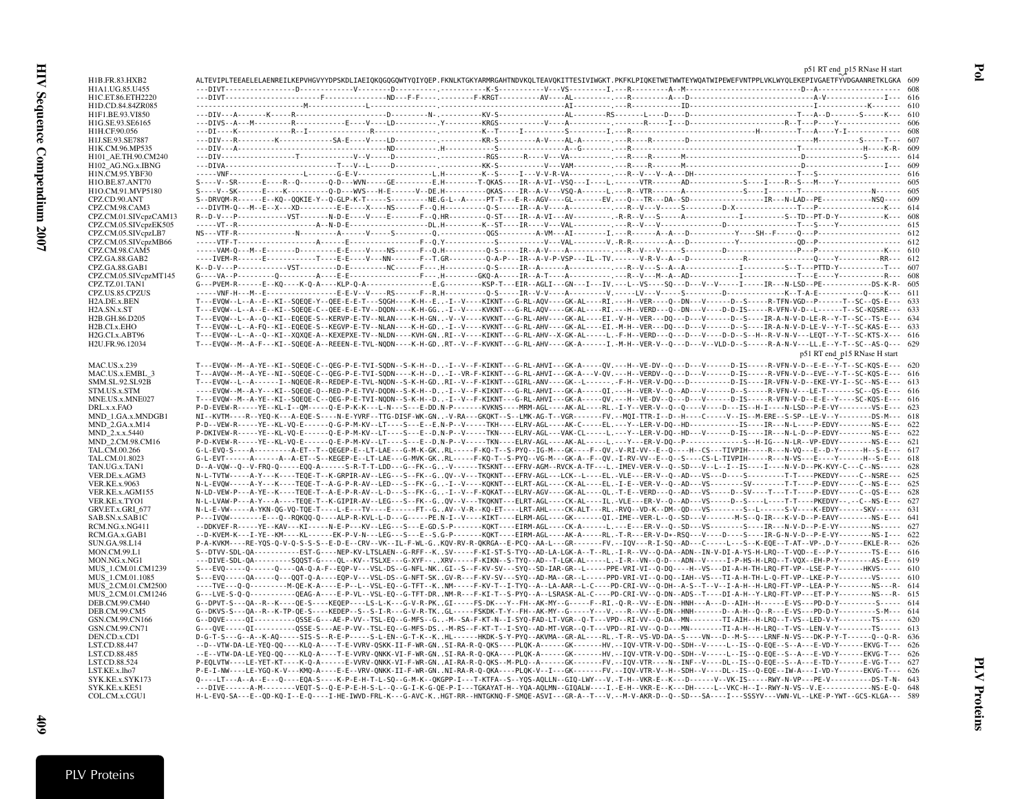| H1B.FR.83.HXB2                               |  |  |  |  | ALTEVIPLTEEAELELAENREILKEPVHGVYYDPSKDLIAEIQKQGQGQWTYQIYQEP.FKNLKTGKYARMRGAHTNDVKQLTEAVQKITTESIVIWGKT.PKFKLPIQKETWETWWTEYWQATWIPEWEFVNTPPLVKLWYQLEKEPIVGAETFYVDGAANRETKLGKA 609                                                                                                                                                                                    |                              |  |
|----------------------------------------------|--|--|--|--|-------------------------------------------------------------------------------------------------------------------------------------------------------------------------------------------------------------------------------------------------------------------------------------------------------------------------------------------------------------------|------------------------------|--|
| H1A1.UG.85.U455<br>H1C.ET.86.ETH2220         |  |  |  |  |                                                                                                                                                                                                                                                                                                                                                                   |                              |  |
| H1D.CD.84.84ZR085                            |  |  |  |  |                                                                                                                                                                                                                                                                                                                                                                   |                              |  |
| H1F1.BE.93.VI850                             |  |  |  |  |                                                                                                                                                                                                                                                                                                                                                                   |                              |  |
| H1G.SE.93.SE6165                             |  |  |  |  |                                                                                                                                                                                                                                                                                                                                                                   |                              |  |
| H1H.CF.90.056                                |  |  |  |  |                                                                                                                                                                                                                                                                                                                                                                   |                              |  |
| H1J.SE.93.SE7887                             |  |  |  |  |                                                                                                                                                                                                                                                                                                                                                                   |                              |  |
| H1K.CM.96.MP535                              |  |  |  |  |                                                                                                                                                                                                                                                                                                                                                                   |                              |  |
| H101_AE.TH.90.CM240                          |  |  |  |  |                                                                                                                                                                                                                                                                                                                                                                   |                              |  |
| H102_AG.NG.x.IBNG<br>H1N.CM.95.YBF30         |  |  |  |  |                                                                                                                                                                                                                                                                                                                                                                   |                              |  |
| H1O.BE.87.ANT70                              |  |  |  |  |                                                                                                                                                                                                                                                                                                                                                                   |                              |  |
| H1O.CM.91.MVP5180                            |  |  |  |  |                                                                                                                                                                                                                                                                                                                                                                   |                              |  |
| CPZ.CD.90.ANT                                |  |  |  |  |                                                                                                                                                                                                                                                                                                                                                                   |                              |  |
| CPZ.CM.98.CAM3                               |  |  |  |  |                                                                                                                                                                                                                                                                                                                                                                   |                              |  |
| CPZ.CM.01.SIVcpzCAM13                        |  |  |  |  |                                                                                                                                                                                                                                                                                                                                                                   |                              |  |
| CPZ.CM.05.SIVcpzEK505<br>CPZ.CM.05.SIVcpzLB7 |  |  |  |  |                                                                                                                                                                                                                                                                                                                                                                   |                              |  |
| CPZ.CM.05.SIVcpzMB66                         |  |  |  |  |                                                                                                                                                                                                                                                                                                                                                                   |                              |  |
| CPZ.CM.98.CAM5                               |  |  |  |  |                                                                                                                                                                                                                                                                                                                                                                   |                              |  |
| CPZ.GA.88.GAB2                               |  |  |  |  |                                                                                                                                                                                                                                                                                                                                                                   |                              |  |
| CPZ.GA.88.GAB1                               |  |  |  |  |                                                                                                                                                                                                                                                                                                                                                                   |                              |  |
| CPZ.CM.05.SIVcpzMT145                        |  |  |  |  |                                                                                                                                                                                                                                                                                                                                                                   |                              |  |
| CPZ.TZ.01.TAN1                               |  |  |  |  | G---PVEM-R------E--KQ----K-Q-A----KLP-Q-A-------------E.G---------KSP-T---EIR--AGLI---GN---I---IV.---L--VS----SQ----D---V--V-----IR----IR---N-LSD--PE-------------DS-K-R- 603                                                                                                                                                                                     |                              |  |
| CPZ.US.85.CPZUS<br>H2A.DE.x.BEN              |  |  |  |  | T---EVOW--L--A--E--KI--SOEOE-Y--OEE-E-E-T---SOGH----K-H--E-I--V----KIKNT---G-RL-AOV----GK-AL----RI.---H--VER---O--DN---V-----D--S-----R-TFN-VGD--P------T--SC--OS-E--- 633                                                                                                                                                                                        |                              |  |
| H2A.SN.x.ST                                  |  |  |  |  | T---EVOW--L--A--E--KI--SOEQE-C--QEE-E-E-TV--DODN----K-H-GG-I--V----KVKNT---G-RL-AQV----GK-AL----RI.---H--VERD---Q--DN---V----D-IS-----R-VFN-V-D--L------T--SC-KQSRE--- 633                                                                                                                                                                                        |                              |  |
| H2B.GH.86.D205                               |  |  |  |  | T---EVQW--L--A--Q--KI--EQEQE-S--KERVP-E-TV--NLAN----K-H-GN-V--V----KVKNT---G-RL-AHV----GK-AL----EI.-V-H--VER---D0---D---V-----D--S----IR-A-N-V-D-LE-R--Y-T--SC--TS-E--- 634                                                                                                                                                                                       |                              |  |
| H2B.CI.x.EHO                                 |  |  |  |  | T---EVOW--L--A-FO--KI--EOEOE-S--KEGVP-E-TV--NLAN----K-H-GD-I--V----KVKNT---G-RL-AHV----GK-AL----EI.-M-H--VER---DO---D---V-----D--S----IR-A-N-V-D-LE-V--Y-T--SC-KAS-E--- 633                                                                                                                                                                                       |                              |  |
| H2G.CI.x.ABT96                               |  |  |  |  | T---EVOW--L--A--O--KI--XOXOE-A--KEXEPXE-TV--NLDN----KVH-GNRI--V----KIKNT---G-RL-AHV--X-GK-AL-----L.-F-H--VERD---O---D---V----D-D--S--H--R-V-N-V---LEQT--Y-T--SC-KTS-X--- 616                                                                                                                                                                                      |                              |  |
| H2U.FR.96.12034                              |  |  |  |  | T---EVOW--M--A-F---KI--SOEOE-A--REEEN-E-TVL-NODN----K-H-GDRT--V--F-KVKNT---G-RL-AHV----GK-A------I.-M-H--VER-V--Q---D---V--VLD-D--S-----R-A-N-V---LL.E--Y-T--SC--AS-Q--- 629                                                                                                                                                                                      |                              |  |
|                                              |  |  |  |  |                                                                                                                                                                                                                                                                                                                                                                   | p51 RT end p15 RNase H start |  |
| MAC.US.x.239                                 |  |  |  |  | T---EVOW--M--A-YE--KI--SOEOE-C--OEG-P-E-TVI-SODN--S-K-H--D-I--V--F-KIKNT---G-RL-AHVI---GK-A-----QV.---H--VE-DV--Q---D---V-----D-IS----R-VFN-V-D--E-E--Y-T--SC-KQS-E--- 620                                                                                                                                                                                        |                              |  |
| MAC.US.x.EMBL 3                              |  |  |  |  | T---AVOW--M--A-YE--NI--SOEOE-C--OEG-P-E-TVI-SODN----K-H--D-I--VR-F-KIKNT---G-RL-AHVI---GK-A---V-OV.---H--VERDV--Q---D---V------D-IS-----R-VFN-V-D--EVE--Y-T--SC-KQS-E--- 616<br>T---EVOW--L--A------I--NOEOE-R--REDEP-E-TVL-NODN--S-K-H-GDRI--V--F-KIKNT---GIRL-ANV----GK--L-----F-H--VER-V-DO---D-----------D-IS----IR-VFN-V-D--EKE-VY-I--SC--NS-E--- 613        |                              |  |
| SMM.SL.92.SL92B<br>STM.US.x.STM              |  |  |  |  | ----EVOW--M--A-Y---KI--SOEOE-O--RED-P-E-TVV-DODN--S-K-H--D-I--V--F-KIKNT---G-RL-AHVI---GK-A-----OI.---H--VER-V--O--AD---V------D--S------P--S-----R-VFN-V---LE-T-------SC--OS-E--- 616                                                                                                                                                                            |                              |  |
| MNE.US.x.MNE027                              |  |  |  |  | T---EVOW--M--A-YE--KI--SOEOE-C--OEG-P-E-TVI-NODN--S-K-H--D-I--V--F-KIKNT---G-RL-AHVI---GK-A-----QV.---H--VE-DV--Q---D---V-----D-IS----R-VFN-V-D--E-E--Y----SC-KQS-E--- 616                                                                                                                                                                                        |                              |  |
| DRL.x.x.FAO                                  |  |  |  |  | P-D-EVEW-R-----YE--KL-I--OM-----O-E-P-K-K---L-N---S---E-DD.N-P-------KVKNS----MRM-AGL----AK-AL----RL.-I-Y--VER-V--0--Q----V---D---IS--H-I---N-LSD--P-E-VY---------VS-E--- 623                                                                                                                                                                                     |                              |  |
| MND 1.GA.x.MNDGB1                            |  |  |  |  | NI--KVTM----R--YEQ-K---A-EQE-S----N-E-YVRF--TTG-DISF-WK-GN-V-RA---GKQKT--S--LMK-AG-T--VGR------FV.--MQI-TTR-I--D--H----C-----V--IS--M-ERE--S-SP--LE-V--Y--------DS-M--- 618                                                                                                                                                                                       |                              |  |
| MND_2.GA.x.M14                               |  |  |  |  |                                                                                                                                                                                                                                                                                                                                                                   |                              |  |
| MND 2.x.x.5440                               |  |  |  |  | P-DKIVEW-R-----YE--KL-VQ-E------Q-E-P-M-KV--LT----S---E--D.N-P--V-----TKN----ELRV-AGL---VAK-CL-----L.---Y--LER-V-DQ--HD---V------D-IS----IR---N-L-D--P-EDVY--------NS-E--- 622                                                                                                                                                                                    |                              |  |
| MND 2.CM.98.CM16<br>TAL.CM.00.266            |  |  |  |  | P-D-KVEW-R-----YE--KL-VQ-E------Q-E-P-M-KV--LT----S---E--D.N-P--V-----TKN----ELRV-AGL----AK-AL-----L.---Y---ER-V-DQ--P---------------S--H-IG---N-LR--VP-EDVY--------NS-E--- 621<br>G-L-EVQ-S----A---------A-ET--T--QEGEP-E--LT-LAE---G-M-K-GKRL-----F-KQ-T--S-PYQ--IG-M---GK----F--QV.-V-RI-VV--E--Q----H--CS---TIVPIH-----R---N-VQ---E--D-Y------H--S-E--- 617   |                              |  |
| TAL.CM.01.8023                               |  |  |  |  | G-L-EVT------A------A--A-ET--S--KEGEP-E--LT-LAE---G-MVK-GKRL-----F-KQ-T--S-PYQ--VG-M---GK-A--F--QV.-I-RV-VV--E--Q-S---CS-L-TIVPIH-----R---N-VS---E---Y------H--S-E--- 618                                                                                                                                                                                         |                              |  |
| TAN.UG.x.TAN1                                |  |  |  |  | D--A-VQW--Q--V-FRQ-Q-----EQQ-A------S-R-T-T-LDD---G--FK--G-V------TKSKNT---EFRV-AGM--RVCK-A-TF---L.-IMEV-VER-V--Q--SD---V--L--I--IS----I----N-V-D--PK-KVY-C---C--NS----- 628                                                                                                                                                                                      |                              |  |
| VER.DE.x.AGM3                                |  |  |  |  | N-L-TVTW-----A-Y---K----TEQE-T--K-GRPIR-AV--LEG---S--FK--GQV--V---TKQKNT---EFRV-AGL---LCK--L----EL.-VLE---ER-V--Q--AD---VS---D---S-------T-T----PKEDVY-----C--NSRE--- 625                                                                                                                                                                                         |                              |  |
| VER.KE.x.9063                                |  |  |  |  | N-L-EVOW-----A-Y---K----TEOE-T--A-G-P-R-AV--LED---S--FK--G-I--V----KOKNT---ELRT-AGL----CK-AL----EL.-I-E--VER-V--Q--AD---VS------SV---------T-T----P-EDVY-----C--NS-E--- 625                                                                                                                                                                                       |                              |  |
| VER.KE.x.AGM155                              |  |  |  |  | N-LD-VEW-P---A-YE--K----TEQE-T--A-E-P-R-AV--L-D---S--FK--G-I--V--F-KQKAT---ELRV-AGV----GK-AL----QL.-T-E--VERD---Q--AD---VS----D--SV----T---T-T----P-EDVY-----C--QS-E--- 628                                                                                                                                                                                       |                              |  |
| VER.KE.x.TYO1<br>GRV.ET.x.GRI_677            |  |  |  |  | N-L-LVAW-P---A-Y---A----TEOE-T--K-GIPIR-AV--LEG---S--FK--GOV--V---TKOKNT---ELRT-AGL----CK-AL----IL.-VLE---ER-V--O--AD---VS-----D--S----L----T-T----PKEDVY--.--C--NS-E--- 627<br>N-L-E-VW-----A-YKN-QG-VQ-TQE-T----L-E---TV----E-----FT--GAV--V-R--KQ-ET----LRT-AHL----CK-ALT---RL.-RVQ--VD-K--DM--QD---VS------S--L------S-V----K-EDVY------SKV------ 631         |                              |  |
| SAB.SN.x.SAB1C                               |  |  |  |  | P---IVOW-------E---Q--ROKOQ-Q----ALP-R-KVL-L-D---G-----PE.N-I--V----KIKT----ELRM-AGL----GK-------QI.-IME--VER-L--Q--SD---V------M-S--Q-IR---K-V-D--P-EAVY---------NS-E--- 641                                                                                                                                                                                     |                              |  |
| RCM.NG.x.NG411                               |  |  |  |  | --DDKVEF-R-----YE--KAV---KI-----N-E-P---KV--LEG---S---E-GD.S-P-------KOKT----EIRM-AGL----CK-A------L.---E---ER-V--0--SD---VS-------S----IR---N-V-D--P-E-VY--------NS----- 027                                                                                                                                                                                     |                              |  |
| RCM.GA.x.GAB1                                |  |  |  |  | --D-KVEM-K---I-YE--KM----KL------EK-P-V-N---LEG---S---E--S.G-P-------KQKT----EERM-AGL----AK-A-----RL.-T-R---ER-V-D-*-RSQ---V----D----S----IR-G-N-V-D--P-E-VY---------NS-I--- 622                                                                                                                                                                                  |                              |  |
| SUN.GA.98.L14                                |  |  |  |  | P-A-KVKM----RE-YQS-Q-V-Q-S-S-S--E-D-E--CRV--VK--IL-F-WL-GKQV-RV-R-QKRGA--E-PCQ--AA-L---GR------FV.--IQV---R-I-SQ--AD---C-----L---S--K-EQE--T-AT--VP-.D-Y------EKLE-R--- 626                                                                                                                                                                                       |                              |  |
| MON.CM.99.L1                                 |  |  |  |  | S--DTVV-SDL-QA-----------EST-G----NEP-KV-LTSLAEN--G-RFF--KSV-----F-KI-ST-S-TYQ--AD-LA-LGK-A--T--RL.-I-R--VV--Q-DA--ADN--IN-V-DI-A-YS-H-LRQ--T-VQD--E--P-Y---------TS-E--- 616<br>---DIVE-SDL-QA---------SQQST-G----QL--KV--TSLXE---G-XYF--XRV-----F-KIKN--S-TYQ--AD--T-LGK-AL-----L.-I-R--VN--Q-D---ADN--V-----I-P-HS-H-LRQ--T-VQX--EH-P-Y----------AS-E--- 619   |                              |  |
| MON.NG.x.NG1<br>MUS_1.CM.01.CM1239           |  |  |  |  | S---EVQ-----Q-----Q----QA-Q-A-F--EQP-V---VSL-DS--G-NFL-NKGI--S--F-KV-SV--SDQ-IAR-GR--L-----PPE-VRI-VI--Q-DQ----H--VS---DI-A-H-TH-LRQ-FT-VP--LSE-P-Y------HKVS----- 610                                                                                                                                                                                            |                              |  |
| MUS 1.CM.01.1085                             |  |  |  |  | S ---EVQ -----QA ----Q---QOT-Q-A ----EQP-V---VSL-DS--G-NFT-SKGV-R---F-KV-SV---SYQ--AD-MA--GR--L-----PPD-VRI-VI--Q-DQ--IAH--VS---TI-A-H-TH-L-Q-FT-VP--LKE-P-Y---------VS----- 610                                                                                                                                                                                  |                              |  |
| MUS 2.CM.01.CM2500                           |  |  |  |  | ----TVE---Q-Q----------M-QE-K-A----E-P--L--VSL-EQ--G-TFT--KNM-----F-KV-T--I-TYQ--A--LA-AAR--L-C----PD-CRI-VV--Q-DH--A-S--T--V--I-A-H--H-LRQ-FT-VP--LEA-P-Y---------NS---R- 614                                                                                                                                                                                    |                              |  |
| MUS 2.CM.01.CM1246                           |  |  |  |  | G---LVE-S-0-0-----------OEAG-A----E-P-VL--VSL-EO--G-TFT-DRNM-R---F-KI-T--S-PYO--A--LSRASK-AL-C----PD-CRI-VV--0-DN--ADS--T----DI-A-H--Y-LRO-FT-VP---ET-P-Y---------NS---R- 615                                                                                                                                                                                     |                              |  |
| DEB.CM.99.CM40                               |  |  |  |  | G--DPVT-S---QA--R--K----OE-S----KEOEP----LS-L-K---G-V-R-PKGI-----FS-DK---Y--FH--AK-MY--G-----F--RI.-0-R--VV--E-DN--HNH---A---D--AIH--H------E-VS---PD-D-Y----------S----- 614                                                                                                                                                                                     |                              |  |
| DEB.CM.99.CM5                                |  |  |  |  | G--DKVS-S---OA--R--K-TP-OE-S----KEDEP--S--S-I-R---G-V-R-TKGL-----FSKDK-T-Y--FH--AK-MY--G-----Y.---R--VV--E-DN--HNH-------D--A-H--O--R---E-VS---PD-D-Y---------S-M--- 614<br>G--DQVE-----QI----------QSSE-G---AE-P-VV--TSL-EQ--G-MFS--G-M--SA-F-KT-N--I-SYQ-FAD-LT-VGR--Q-T---VPD--RI-VV--Q-DA--MN--------TI-AIH--H-LRO--T-VS--LED-V-Y--------TS----- 620          |                              |  |
| GSN.CM.99.CN166<br>GSN.CM.99.CN71            |  |  |  |  | G---QVE-----QI----------QSSE-S---AE-P-VV--TSL-EQ--G-MFS-DS-M-RS--F-KT-T--I-SYQ--AD-MT-VGR--Q-T---VPD--RI-VV--Q-D---MN--------TI-A-H--H-LRQ--T-VS--LEN-V-Y--------TS----- 613                                                                                                                                                                                      |                              |  |
| DEN.CD.x.CD1                                 |  |  |  |  | D-G-T-S---G--A--K-AQ-----SIS-S--R-E-P-----S-L-EN--G-T-K--KHL------HKDK-S-Y-PYQ--AKVMA--GR-AL----RL.-T-R--VS-VD-DA--S----VN--D--M-S----LRNF-N-VS---DK-P-Y-T------Q--Q-R- 636                                                                                                                                                                                       |                              |  |
| LST.CD.88.447                                |  |  |  |  | --D--VTW-DA-LE-YEQ-QQ----KLQ-A----T-E-VVRV-QSKK-II-F-WR-GNSI-RA-R-Q-QKS----PLQK-A------GK-------HV.--IQV-VTR-V-DQ--SDH--V-----L--IS--Q-EQE--S--A---E-VD-Y------EKVG-T--- 626                                                                                                                                                                                      |                              |  |
| LST.CD.88.485                                |  |  |  |  | --E--VTW-DA-LE-YEQ-QQ----KLQ-A----T-E-VVRV-QNKK-VI-F-WR-GNSI-RA-R-Q-QKA-----PLQK-A------GK-------HV.--IQV-VTR-V-DQ--SDH--V-----L--IS--Q-EQE--S--A---E-VD-Y------EKVG-T--- 626                                                                                                                                                                                     |                              |  |
| LST.CD.88.524                                |  |  |  |  | P-EQLVTW----LE-YET-KT----K-Q-A------E-VVRV-QNKK-VI-F-WR-GNAI-RA-R-Q-QKS--M-PLQ--A------GK-------FV.--IQV-VTR----N--INF--V---DL--IS--Q-EQE--S--A---E-TD-Y------E-VG-T--- 627                                                                                                                                                                                       |                              |  |
| LST.KE.x.lho7                                |  |  |  |  | P-E-I-NW----LE-YGQ-K-V---KMQ-A----E-E--VRV-QNKK-II-F-WR-GNNI-RA-R-Q-QKA----PLQK-V--I---GK------FV.--IQV-VTR-V--H--SDH--V----DL--IS--Q-EQE--IW-A---I-VD-Y------EKVG-T--- 626                                                                                                                                                                                       |                              |  |
| SYK.KE.x.SYK173<br>SYK.KE.x.KE51             |  |  |  |  | Q----LT---A--A--E---Q----EQA-S----K-P-E-H-T-L-SQ--G-M-K--QKGPP-I---T-KTFA--S--YQS-AQLLN--GIQ-LWY---V.-T-H--VKR-E--K---D------V--VK-IS-----RWY-N-VP---PE-V----------DS-T-N- 643<br>---DIVE------A-M--------VEQT-S--Q-E-P-E-H-S-L--Q--G-I-K-G-QE-P-I---TGKAYAT-H--YQA-AQLMN--GIQALW----I.-E-H--VKR-E--K---DH-----L--VKC-H--I--RWY-N-VS--V.E-------------NS-E-Q- 648 |                              |  |
| COL.CM.x.CGU1                                |  |  |  |  | H-L-EVQ-SA---E--QD-KQ-I--E-Q----I-HE-IWVD-FRL-K---G-AVC-KHGT-RR--HNTGKNQ-F-SMQE-ASVI---GR-A--T---V.--M-V-AKR-D--Q--SD---SA----I---SSSYV---VWN-VL--LKE-P-YWT--GCS-KLGA--- 589                                                                                                                                                                                      |                              |  |
|                                              |  |  |  |  |                                                                                                                                                                                                                                                                                                                                                                   |                              |  |

Pol

p51 RT end <sup>p</sup><sup>15</sup> RNase <sup>H</sup> start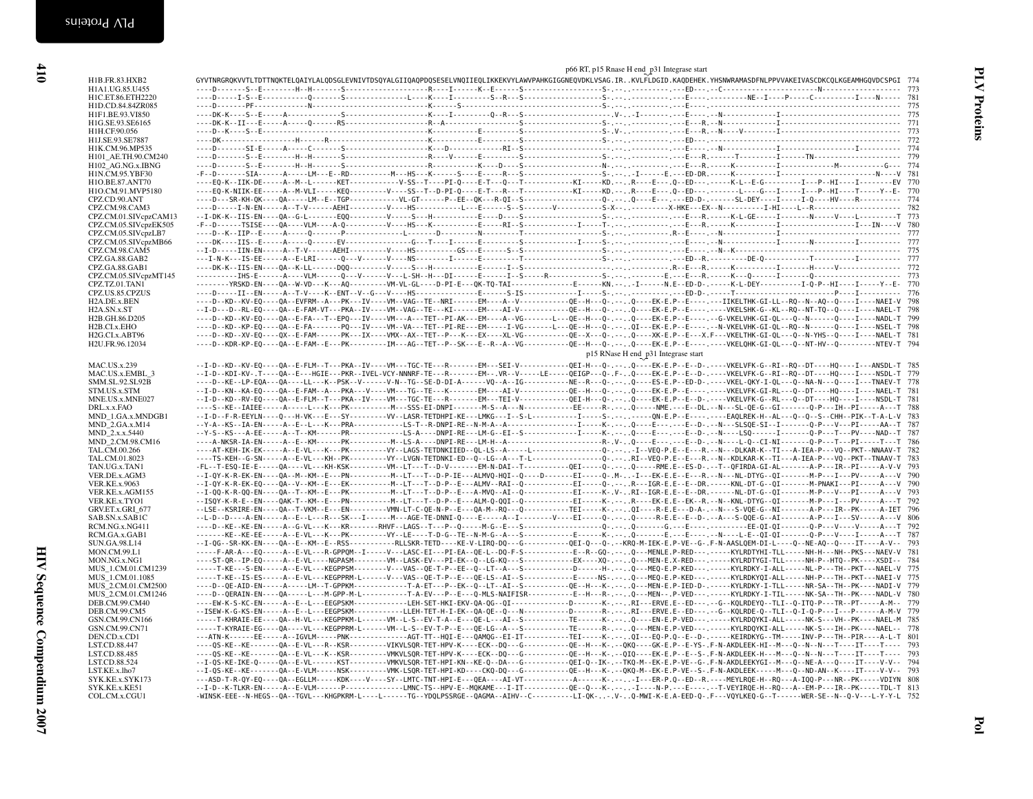| <b>KEIVASCDKCQLKGEAMHGQVDCSPGI</b>                 | 774 |
|----------------------------------------------------|-----|
|                                                    | 773 |
|                                                    | 781 |
|                                                    | 775 |
|                                                    | 775 |
|                                                    | 771 |
|                                                    | 773 |
|                                                    | 772 |
|                                                    | 774 |
|                                                    | 779 |
|                                                    | 774 |
|                                                    | 781 |
| I P HI I EV                                        | 770 |
| TPHTT-YF.                                          | 770 |
| . - I - Q - - - - HV - - - - R - - - - - - - - - - | 774 |
|                                                    | 782 |
| . - N - - - V - - L - - - - - - - - - T            | 773 |
| . I IN - - V                                       | 780 |
|                                                    |     |

| H1A1.UG.85.U455                                                                                                                                                                                              |  |                                                                                                                                                                                                                                                                                                                                                             |  |
|--------------------------------------------------------------------------------------------------------------------------------------------------------------------------------------------------------------|--|-------------------------------------------------------------------------------------------------------------------------------------------------------------------------------------------------------------------------------------------------------------------------------------------------------------------------------------------------------------|--|
| H1C.ET.86.ETH2220                                                                                                                                                                                            |  |                                                                                                                                                                                                                                                                                                                                                             |  |
| H1D.CD.84.84ZR085                                                                                                                                                                                            |  |                                                                                                                                                                                                                                                                                                                                                             |  |
| H1F1.BE.93.VI850<br>H1G.SE.93.SE6165                                                                                                                                                                         |  |                                                                                                                                                                                                                                                                                                                                                             |  |
| H1H.CF.90.056                                                                                                                                                                                                |  |                                                                                                                                                                                                                                                                                                                                                             |  |
| H1J.SE.93.SE7887                                                                                                                                                                                             |  |                                                                                                                                                                                                                                                                                                                                                             |  |
| H1K.CM.96.MP535                                                                                                                                                                                              |  |                                                                                                                                                                                                                                                                                                                                                             |  |
| H101_AE.TH.90.CM240                                                                                                                                                                                          |  |                                                                                                                                                                                                                                                                                                                                                             |  |
| H102_AG.NG.x.IBNG                                                                                                                                                                                            |  |                                                                                                                                                                                                                                                                                                                                                             |  |
| H1N.CM.95.YBF30                                                                                                                                                                                              |  |                                                                                                                                                                                                                                                                                                                                                             |  |
| H1O.BE.87.ANT70                                                                                                                                                                                              |  | ----EQ-K--IIK-DE-----A--M--L------KET-------------V-SS--T----PI-Q----E-T---Q---T----------KI-----KD.--R----E---.Q--ED---,------K-L--E-G--------------EJ---P--HI----I-------EV 770                                                                                                                                                                           |  |
| H1O.CM.91.MVP5180                                                                                                                                                                                            |  | ----EQ-K-NIIK-EE-----A--M-VLI-----KEQ----------V---SS--T--D-PI-Q----E-T---R---T---------KI----KL---- (0--E----Q--E---Q--ED--- .------L----G---I----F----I---P--HI----T-----Y--E- 770                                                                                                                                                                        |  |
| CPZ.CD.90.ANT                                                                                                                                                                                                |  |                                                                                                                                                                                                                                                                                                                                                             |  |
| CPZ.CM.98.CAM3                                                                                                                                                                                               |  |                                                                                                                                                                                                                                                                                                                                                             |  |
| CPZ.CM.01.SIVcpzCAM13                                                                                                                                                                                        |  |                                                                                                                                                                                                                                                                                                                                                             |  |
| CPZ.CM.05.SIVcpzEK505                                                                                                                                                                                        |  |                                                                                                                                                                                                                                                                                                                                                             |  |
| CPZ.CM.05.SIVcpzLB7                                                                                                                                                                                          |  |                                                                                                                                                                                                                                                                                                                                                             |  |
| CPZ.CM.05.SIVcpzMB66                                                                                                                                                                                         |  |                                                                                                                                                                                                                                                                                                                                                             |  |
| CPZ.CM.98.CAM5                                                                                                                                                                                               |  |                                                                                                                                                                                                                                                                                                                                                             |  |
| CPZ.GA.88.GAB2                                                                                                                                                                                               |  |                                                                                                                                                                                                                                                                                                                                                             |  |
| CPZ.GA.88.GAB1<br>CPZ.CM.05.SIVcpzMT145                                                                                                                                                                      |  |                                                                                                                                                                                                                                                                                                                                                             |  |
| CPZ.TZ.01.TAN1                                                                                                                                                                                               |  |                                                                                                                                                                                                                                                                                                                                                             |  |
| CPZ.US.85.CPZUS                                                                                                                                                                                              |  |                                                                                                                                                                                                                                                                                                                                                             |  |
| H2A.DE.x.BEN                                                                                                                                                                                                 |  | ----D--KD--KV-EQ----QA--EVFRM--A---PK---IV----VM--VAG--TE--NRI------EM----A--V------------QE--H---Q-.-. .Q---EK-E.P--E--------IKEELTHK-GI-LL--RQ--N--AQ--Q----I----NAEI-V 798                                                                                                                                                                               |  |
| H2A.SN.x.ST                                                                                                                                                                                                  |  | --I-D---D--RL-EQ----QA--E-FAM-VT---PKA--IV----VM--VAG--TE---KI------EM----AI-V-----------QE--H---Q----Q----EK-E.P--E---.-----VKELSHK-G--KL--RQ--NT-TQ--Q----I----NAEL-T 798                                                                                                                                                                                 |  |
| H2B.GH.86.D205                                                                                                                                                                                               |  | ----D--KD--KV-EQ----QA--E-FA---T--EPQ---IV----VM---A---TET--PI-AK---EM----A--VG-----------QE--H---Q-.--Q----EK-E.P--E-------G-VKELVHK-GI-QL---Q---N-----Q----I----NADL-T 799                                                                                                                                                                                |  |
| H2B.CI.x.EHO                                                                                                                                                                                                 |  | ----D--KD--KP-EQ----QA--E-FA-------PQ---IV----VM--VA---TET--PI-RE---EM-----I-VG-------L---QE--H---Q-.--.QI---EK-E.P--E----.-N-VKELVHK-GI-QL--RQ--N------Q----I----NSEL-T 798                                                                                                                                                                                |  |
| H2G.CI.x.ABT96                                                                                                                                                                                               |  | ----D--KD--XV-EQ----QX--E-FAM------PK---IX----VMX--AX--TET--P---K---EX----XL-VG----------QE--X--Q-.---XK-E.P--E---X.F---VKELTHK-GI-QL---Q----Q----I----NAEL-T 781                                                                                                                                                                                           |  |
| H2U.FR.96.12034                                                                                                                                                                                              |  |                                                                                                                                                                                                                                                                                                                                                             |  |
|                                                                                                                                                                                                              |  | p15 RNase H end p31 Integrase start                                                                                                                                                                                                                                                                                                                         |  |
|                                                                                                                                                                                                              |  | --I-D--KD--KV-EQ----QA--E-FLM--T---PKA--IV----VM---TGC-TE---R-------EM---SEI-V-----------OEI-H---Q-.--. .Q----EK-E.P--E--D-.----VKELVFK-G--RI--RQ--DT----HQ---I---ANSDL-T 785                                                                                                                                                                               |  |
| <b>MAC.US.x.239</b>                                                                                                                                                                                          |  | --I-D--KDI-KV-.T----QA--E---HGIE---PKR--IVEL-VCY-NNNRF-TE---R-------EM--.VR--V-----LE-----QEIGP---Q-.F-Q----EK-E.P--E--D-.-----VKELVFK-G--RI--RQ--DT----HQ----I----NSDL-T 779                                                                                                                                                                               |  |
| MAC.US.x.EMBL 3                                                                                                                                                                                              |  |                                                                                                                                                                                                                                                                                                                                                             |  |
| SMM.SL.92.SL92B                                                                                                                                                                                              |  |                                                                                                                                                                                                                                                                                                                                                             |  |
| STM.US.x.STM<br>MNE.US.x.MNE027                                                                                                                                                                              |  | --I-D--KN--KA-EQ----QA--E-FAM--A---PKA---V----VM---TG--TE---K-------EM----AI-V------------QE--H---Q-----EK-E.P--E--------VKELVFK-GI-RL---Q--DT----HQ----I----NAEL-T 781                                                                                                                                                                                     |  |
| DRL.x.x.FAO                                                                                                                                                                                                  |  | --I-D--KD--RV-EQ----QA--E-FLM--T---PKA--IV----VM---TGC-TE---R------EM---TEI-V-----------QEI-H---Q-.--.CP----EK-E.P--E--D-.----VKELVFK-G--RL---Q--DT----HQ----I----NSDL-T 781<br>----S--KE--IAIEE-----A-----L---K---PK----------M---SSS-EI-DNPI-------M-S--A---N----------EE-----R-.--,Q-----NME.---E--DL.--N---SL-QE-G--GI-------Q-P---IH--PI-----A---T 788 |  |
|                                                                                                                                                                                                              |  |                                                                                                                                                                                                                                                                                                                                                             |  |
| MND_1.GA.x.MNDGB1<br>MND_2.GA.x.M14                                                                                                                                                                          |  | --Y-A--KS--IA-EN-----A--E--L---K---PRA----------LS-T--R-DNPI-RE--N-M-A--A---------------I-----K-.--,Q----E--D-.--N---SLSQE-SI--I------Q-P---V---PI-----AA--T 787                                                                                                                                                                                            |  |
| MND_2.x.x.5440                                                                                                                                                                                               |  | $-$ -Y-S--KS---A-EE-----A--T--KM------PR------------LS-A----DNPI-RE---LM-G--EI--S------------I-----K-.--0---E--D-.---P----N----LSQ------I------Q-P---T---PV----NAD--T 787                                                                                                                                                                                   |  |
| MND_2.CM.98.CM16                                                                                                                                                                                             |  | ----A-NKSR-IA-EN-----A--E--KM------PK----------M--LS-A----DNPI-RE---LM-H--A------------------R-.V-Q---E---.---E--D-D---N---L-Q--CI-NI-------Q-P---T---PI-----T---T 786                                                                                                                                                                                      |  |
| TAL.CM.00.266                                                                                                                                                                                                |  | ----AT-KEH-IK-EK-----A--E-VL---K---PK---------VY--LAGS-TETDNKIIED--OL-LS--A-----L----------------O-.--.-I--VD-P.E--E---R.--N---DLKAR-K--TI---A-IEA-P---VO--PKT--NNAAV-T 782                                                                                                                                                                                 |  |
| TAL.CM.01.8023                                                                                                                                                                                               |  | ----TS-KEH--G-SN-----A--E-VL---KH--PK---------VY--LVGN-TETDNKI-ED--Q--LG--A---T-L---------------Q-.--RI--VEQ-P.E--E---R.--N--KDLKAR-K--TI---A-IEA-P---VQ--PKT--TNAAV-T 783                                                                                                                                                                                  |  |
| TAN.UG.x.TAN1                                                                                                                                                                                                |  | -FL--T-ESQ-IE-E-----QA----VL---KH-KSK---------VM--LT---T--D-V-------ÈM-N-DAI--T------------QEI-----Q.-----QP----RME.E--ES-D-.--T--QFIRDA-GI-AL--------A-P---IR--PI-----A-V-V 793                                                                                                                                                                            |  |
| VER.DE.x.AGM3                                                                                                                                                                                                |  | --I-QY-K-R-EK-EN----QA--M--KM--E---PN----------M--LT---T--D-P-IE---ALMVQ-HQI--Q----D------EI----Q-.M--I--EK-E.E--E---R.--N---NL-DTYG--QI---------M-P---I---PV-----A---V 790                                                                                                                                                                                 |  |
| <b>VER.KE.x.9063</b>                                                                                                                                                                                         |  | --I-QY-K-R-EK-EQ----QA--V--KM--E---EK----------M--LT---T--D-P--E---ALMV--RAI--Q------------EI-----Q-.--. R---IGR-E.E--E--DR.------NNL-DT-G--QI-------M-PNAKI---PI-----A---V 790                                                                                                                                                                             |  |
| VER.KE.x.AGM155                                                                                                                                                                                              |  | --I-QQ-K-R-QQ-EN----QA--T--KM--E---PK----------M--LT---T--D-P--E---A-MVQ--AI--Q------------EI-----K-.V-RI--IGR-E.E--E--DR.------NL-DT-G--QI--------M-P---V---PI-----A---V 793                                                                                                                                                                               |  |
| VER.KE.x.TYO1                                                                                                                                                                                                |  | --ISQY-K-R-E--EN----QAK-T--KM--E---PN----------M--LT---T--D-P--E---ALM-Q-QQI--Q------------EI----K-.--R----EK-E.E--EK--R.--N--KML-DTYG--QI---------M-P---I---PV-----A---T 792                                                                                                                                                                               |  |
| GRV.ET.x.GRI_677                                                                                                                                                                                             |  | --LSE--KSRIRE-EN----QA--T-VKM--E---EN---------VMN-LT-C-QE-N-P--E---QA-M--RQ---Q----------TEI----K-.--.,QI----R-E.E---D-A-.--N---S-VQE-G--NI--------A-P---IR--PK-----A-IET 796                                                                                                                                                                               |  |
| SAB.SN.x.SAB1C                                                                                                                                                                                               |  | --L-D--D----A-EN-----A--E--L---R---SK---I------M---AGE-TE-DNNI-Q----E-----A--I--------V----EI----Q-.----R-E.E--E--D-.--A---S-QQE-G--AI--------A-P---I---SV-----A---V 806                                                                                                                                                                                    |  |
| RCM.NG.x.NG411                                                                                                                                                                                               |  | ----D--KE--KE-EN-----A--G-VL---K----KR-------RHVF--LAGS--T---P--Q-----M-G--E--S---------------Q-----Q-----G.---E--Q--------EE-QI-QI-------Q-P---V----V-----A---T 792                                                                                                                                                                                        |  |
| RCM.GA.x.GAB1                                                                                                                                                                                                |  | -------KE--KE-EE-----A--E-VL---K---PK----------VY--LE----T-D-G--TE--N-M-G--A--S----------E-----K----,Q-------E-----F-------R----------L----Q-P---V----I-----A---T 787                                                                                                                                                                                       |  |
| <b>SUN.GA.98.L14</b>                                                                                                                                                                                         |  | --I-QG--SR-KK-EN----QA--E--KM--E--RSS-----------RLLSKR-TETD----KE-V-LIRQ-DQ---G------------QEI-Q---G-.-KRQ-M-IEK-E.P-VE--G-.F-N-AASLQEM-DI-L----Q--NE-AQ--Q----IT----A-V-- 793                                                                                                                                                                              |  |
| MON.CM.99.L1                                                                                                                                                                                                 |  | ----F-AR-A---EQ-----A--E-VL---R-GPPQM--I-----V---LASC-EI---PI-EA--QE-L--DQ-F-S-----------E--R--GQ-.--Q---MENLE.P-RED---.----KYLRDTYHI-TLL-----NH-H---NH--PKS---NAEV-V 781                                                                                                                                                                                   |  |
| MON.NG.x.NG1                                                                                                                                                                                                 |  | ----ST-QR--IP-EQ-----A--E-VL----NGPASM--------VM--LASK-EV---PI-EK--Q--LG-KQ---S----------EX----XQ-.--. Q----MEN-E.X-RED---.-----KYLRDTYGI-TLL-----NH-P--HTQ--PK----XSDI-- 784                                                                                                                                                                               |  |
|                                                                                                                                                                                                              |  |                                                                                                                                                                                                                                                                                                                                                             |  |
|                                                                                                                                                                                                              |  |                                                                                                                                                                                                                                                                                                                                                             |  |
|                                                                                                                                                                                                              |  |                                                                                                                                                                                                                                                                                                                                                             |  |
|                                                                                                                                                                                                              |  |                                                                                                                                                                                                                                                                                                                                                             |  |
|                                                                                                                                                                                                              |  | ----D--QERAIN-EN----QA-----L---M-GPP-M-L-----------T-A-EV---P--E---Q-MLS-NAIFISR----------E--H---R-.---,Q---MEN--,P-VED---.----KYLRDKY-I-TIL------NK-SA--TH--PK----NADL-V 780                                                                                                                                                                               |  |
|                                                                                                                                                                                                              |  | ----EW-K-S-KC-EN-----A--E--L---EEGPSKM------------LEH-SET-HKI-EKV-QA-QG--QI-----------------D-------K-.--RI---ERVE.E--ED---.--G--KQLRDEYQ--TLI--Q-ITQ-P---TR--PT-----A-M-- 779                                                                                                                                                                              |  |
|                                                                                                                                                                                                              |  | --ISEW-K-G-KS-EN-----A--E--L---EEGPSKM------------LLEH-TET-H-I-EK--QA-QE--Q---N-------------------P-------R----ERVE.E--EDP--------------------QLRDE-Q--TLI--Q-I-Q-P---I---P------A-M-V 779                                                                                                                                                                  |  |
|                                                                                                                                                                                                              |  |                                                                                                                                                                                                                                                                                                                                                             |  |
|                                                                                                                                                                                                              |  |                                                                                                                                                                                                                                                                                                                                                             |  |
|                                                                                                                                                                                                              |  | ---ATN-K------EE-----A--IGVLM-----PNK--------------AGT-TT--HOI-E---QAMQG--EI-IT----------TEI----K-.--. .QI---EQ-P.Q--E--D. .----KEIRDKYG--TM----INV-P---TH--PIR----A-L-T 801                                                                                                                                                                                |  |
|                                                                                                                                                                                                              |  | ----QS-KE--KE-------QA--E-VL---R--KSR---------VIKVLSQR-TET-HPV-K----ECK--DQ---G-----------QE--H---K-.--OK-E-P--E-YS-.F-N-AKDLEEK-HI--M---Q--N--N---T----IT----T---- 793                                                                                                                                                                                     |  |
| MUS 1.CM.01.CM1239<br>MUS_1.CM.01.1085<br>MUS_2.CM.01.CM2500<br>MUS 2.CM.01.CM1246<br>DEB.CM.99.CM40<br>DEB.CM.99.CM5<br>GSN.CM.99.CN166<br>GSN.CM.99.CN71<br>DEN.CD.x.CD1<br>LST.CD.88.447<br>LST.CD.88.485 |  | ----QS-KE---KE-------QA--E-VL---K--KSR---------VMKVLSQR-TET-HPV-K----ECK--DQ---G-----------QE--H---K-.--QIQ----EK-E.P--E-S-.F-N-AKDLEEK-H---M---Q--N--N---T----IT----T---- 793                                                                                                                                                                              |  |
| LST.CD.88.524                                                                                                                                                                                                |  | --I-QS-KE-IKE-Q-----QA--E-VL------KST---------VMKVLSQR-TET-HPI-KN--KE-Q--DA---G-----------QEI-Q--IK-.--TKQ-M--EK-E.P-VE-G-E-R-KAKDLEEKYGI--M---Q--NE-A---Q----IT----V-V-- 794                                                                                                                                                                               |  |
| LST.KE.x.lho7                                                                                                                                                                                                |  | --I-QS-KE--KE-------QA--E-VLM-----NSK---------VMK-LSQR-TET-HPI-KD----CKQ-DQ---G--------------QE--H---K-.--QKQ-M--EK-E.P-VE--S-. F-N-AKDLEEK-----M---Q--ND-AN--K----IT----V-V-- 793                                                                                                                                                                          |  |
| SYK.KE.x.SYK173                                                                                                                                                                                              |  | ---ASD-T-R-QY-EQ----QA--EGLLM-----KDK----V----SY--LMTC-TNT-HPI-E---QEA----AI-VT--------------A-----K-.---I---ER-P.Q--ED--R.----MEYLRQE-H--RQ---A-IQQ-P---NR--PK-----VDIYN 808                                                                                                                                                                               |  |
| SYK.KE.x.KE51<br>COL.CM.x.CGU1                                                                                                                                                                               |  | --I-D--K-TLKR-EN-----A--E-VLM------P------------LMNC-TS--HPV-E--MQKAME---I-IT------------QE--Q---K-.--.I-P---R-P.---E----F-VEYIRQE-H--RQ---A--EM-P---IR--PK-----TDL-T 813<br>-WINSK-EEE--N-HEGS--QA--TGVL---KHGPKRM-L----L-----TG--YDQLPSSRGE--QAGMA--AIHV--C---------LI-QK--.V-Q-MWI-K-E.A-EED-Q-.F---VQYLKEQ-G--T-------WER-SE--N--Q-V---L-Y-Y-L 752      |  |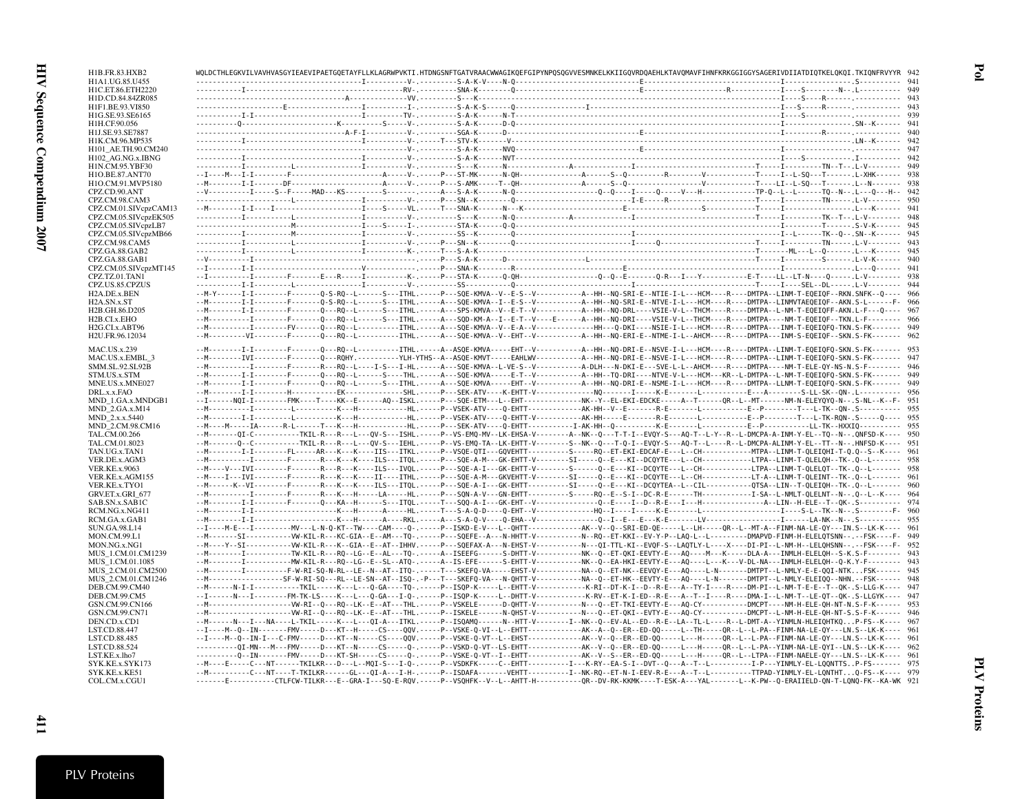| H1B.FR.83.HXB2                               |  | WOLDCTHLEGKVILVAVHVASGYIEAEVIPAETGOETAYFLLKLAGRWPVKTI.HTDNGSNFTGATVRAACWWAGIKOEFGIPYNPOSOGVVESMNKELKKIIGOVRDOAEHLKTAVOMAVFIHNFKRKGGIGGYSAGERIVDIIATDIOTKELOKOI.TKIONFRVYYR 942                                                                                                                                                                                   |  |
|----------------------------------------------|--|------------------------------------------------------------------------------------------------------------------------------------------------------------------------------------------------------------------------------------------------------------------------------------------------------------------------------------------------------------------|--|
| H1A1.UG.85.U455<br>H1C.ET.86.ETH2220         |  |                                                                                                                                                                                                                                                                                                                                                                  |  |
| H1D.CD.84.84ZR085                            |  |                                                                                                                                                                                                                                                                                                                                                                  |  |
| H1F1.BE.93.VI850                             |  |                                                                                                                                                                                                                                                                                                                                                                  |  |
| H1G.SE.93.SE6165                             |  |                                                                                                                                                                                                                                                                                                                                                                  |  |
| H1H.CF.90.056<br>H1J.SE.93.SE7887            |  |                                                                                                                                                                                                                                                                                                                                                                  |  |
| H1K.CM.96.MP535                              |  |                                                                                                                                                                                                                                                                                                                                                                  |  |
| H101 AE.TH.90.CM240                          |  |                                                                                                                                                                                                                                                                                                                                                                  |  |
| H102 AG.NG.x.IBNG                            |  |                                                                                                                                                                                                                                                                                                                                                                  |  |
| H1N.CM.95.YBF30                              |  |                                                                                                                                                                                                                                                                                                                                                                  |  |
| H1O.BE.87.ANT70                              |  |                                                                                                                                                                                                                                                                                                                                                                  |  |
| H1O.CM.91.MVP5180<br>CPZ.CD.90.ANT           |  |                                                                                                                                                                                                                                                                                                                                                                  |  |
| CPZ.CM.98.CAM3                               |  |                                                                                                                                                                                                                                                                                                                                                                  |  |
| CPZ.CM.01.SIVcpzCAM13                        |  |                                                                                                                                                                                                                                                                                                                                                                  |  |
| CPZ.CM.05.SIVcpzEK505                        |  |                                                                                                                                                                                                                                                                                                                                                                  |  |
| CPZ.CM.05.SIVcpzLB7                          |  |                                                                                                                                                                                                                                                                                                                                                                  |  |
| CPZ.CM.05.SIVcpzMB66<br>CPZ.CM.98.CAM5       |  |                                                                                                                                                                                                                                                                                                                                                                  |  |
| CPZ.GA.88.GAB2                               |  |                                                                                                                                                                                                                                                                                                                                                                  |  |
| CPZ.GA.88.GAB1                               |  |                                                                                                                                                                                                                                                                                                                                                                  |  |
| CPZ.CM.05.SIVcpzMT145                        |  |                                                                                                                                                                                                                                                                                                                                                                  |  |
| CPZ.TZ.01.TAN1                               |  |                                                                                                                                                                                                                                                                                                                                                                  |  |
| CPZ.US.85.CPZUS<br>H <sub>2</sub> A.DE.x.BEN |  | --M-Y------I-I--------F------Q-S-RQ--L-----S---ITHL.-----P---SQE-KMVA--V--E-S--V------------A--HH--NQ-SRI-E--NTIE-I-L---HCM----R----DMTPA--LINM-T-EQEIQF--RKN.SNFK--Q---- 966                                                                                                                                                                                    |  |
| H <sub>2</sub> A.SN.x.ST                     |  | --M---------I-I---------F-------Q-S-RQ--L-----S---ITHL.-----A---SQE-KMVA--I--E-S--V----------A--HH--NQ-SRI-E--NTVE-I-L---HCM----R----DMTPA--LINMVTAEQEIQF--AKN.S-L------F- 966                                                                                                                                                                                   |  |
| H <sub>2</sub> B.GH.86.D <sub>205</sub>      |  | --M------------F--------F-------Q---RQ--L------S---ITHL.-----A---SPS-KMVA--V--E-T--V----------A--HH--NQ-DRL----VSIE-V-L--THCM---R----DMTPA--L-MM-T-EQEIQFF-AKN.L-F---Q---- 967                                                                                                                                                                                   |  |
| H <sub>2</sub> B.CI.x.EHO                    |  | --M--------------F---------O---RO--L------S---ITHL.-----A---SOD-KM-A--I--E-T--V----E------A--HH--NO-DRI----VSIE-V-L--THCM----R----DMTPA----NM-T-EDEIOF--TKN.L-F-------- 966                                                                                                                                                                                      |  |
| H <sub>2G</sub> .CI.x.ABT96                  |  |                                                                                                                                                                                                                                                                                                                                                                  |  |
| H2U.FR.96.12034                              |  | --M----------VI--------F-------O---RO--L---------ITHL.----A---SOE-KMVA--V--EHT--V---------A--HH--NO-ERI-E--NTME-I-L--AHCM----R----DMTPA---INM-S-EOEIOF--SKN.S-FK------- 962                                                                                                                                                                                      |  |
| <b>MAC.US.x.239</b>                          |  |                                                                                                                                                                                                                                                                                                                                                                  |  |
| MAC.US.x.EMBL 3                              |  | --M-------------F-------F------Q---ROHY.----------YLH-YTHS--A--ASQE-KMVT-----EAHLWV------------A--HH--NQ-DRI-E--NSVE-I-L---HCM----R----DMTPA--LINM-T-EQEIQFQ-SKN.S-FK------- 947                                                                                                                                                                                 |  |
| SMM.SL.92.SL92B                              |  | --M--------------F-------R---R0--L----I-S---I-HL.-----A---SQE-KMVA--L-VE-S--V--------------A-DLH---N-DKI-E---SVE-L-L--AHCM----R----DMTPA----NM-T-ELE-QY-NS-N.S-F-------- 946<br>--M------------F--------F-------Q---RQ--L------S----THL.-----A---SQE-KMVA-----E-T--V-----------A--HH--TQ-DRI----NTVE-V-L---HTM---KR--L-DMTPA--L-NM-T-EQEIQFQ-SKN.S-FK------- 949 |  |
| STM.US.x.STM<br>MNE.US.x.MNE027              |  | --M---------I-I--------F------Q---RQ--L-----S---ITHL.-----A---SQE-KMVA-----EHT--V-----------A--HH--NQ-DRI-E--NSME-I-L---HCM----R---DMTPA--LLNM-T-EQEIQFQ-SKN.S-FK------- 949                                                                                                                                                                                     |  |
| DRL.x.x.FAO                                  |  |                                                                                                                                                                                                                                                                                                                                                                  |  |
| MND 1.GA.x.MNDGB1                            |  |                                                                                                                                                                                                                                                                                                                                                                  |  |
| MND 2.GA.x.M14                               |  |                                                                                                                                                                                                                                                                                                                                                                  |  |
| MND 2.x.x.5440<br>MND 2.CM.98.CM16           |  |                                                                                                                                                                                                                                                                                                                                                                  |  |
| TAL.CM.00.266                                |  | --M-------DI-C-----------TKIL-R---R---L---OV-S---ISHL.-----P--VS-EMO-MV--LK-EHSA-V--------A--NK--O---T-T-I--EVOY-S---AO-T--L-Y--R--L-DMCPA-A-INM-Y-EL--TO--N--.ONFSD-K---- 950                                                                                                                                                                                   |  |
| TAL.CM.01.8023                               |  | --M-------Q--C-----------TKIL-R---R---L---QV-S---IEHL.-----P--VS-EMQ-TA--LK-EHTT-V-------S--NK--Q--T-Q-I--EVQY-S---AQ-T--L----R--L-DMCPA-ALINM-Y-EL--TT--N--.HNFSD-K---- 951                                                                                                                                                                                     |  |
| TAN.UG.x.TAN1                                |  |                                                                                                                                                                                                                                                                                                                                                                  |  |
| VER.DE.x.AGM3                                |  |                                                                                                                                                                                                                                                                                                                                                                  |  |
| <b>VER.KE.x.9063</b>                         |  | --M----V---IVI--------F-------R---R---K----ILS---IVQL.-----P---SQE-A-I---GK-EHTT-V--------S-----Q--E---KI--DCQYTE---L--CH-----------LTPA--LIMM-T-QLELQT--TK-.Q--L------- 958<br>--M----I---IVI--------F-------R---K---K---II----ITHL.-----P---SQE-A-M---GKVEHTT-V--------SI----Q--E---KI--DCQYTE---L--CH-----------LT-A--LIMM-T-QLEINT--TK-.Q--L------- 961      |  |
| VER.KE.x.AGM155<br>VER.KE.x.TYO1             |  | --M------K--VI--------F-------R---K---KL----LLS---ITQL.-----P---SQE-A-I---GK-EHTT---------SI----Q-E---KI--DCQYTEA--L--CIL--------------QTSA--LIN--T-QLEIQH--TK-.Q--L------- 960                                                                                                                                                                                  |  |
| GRV.ET.x.GRI_677                             |  | --M-----------I---------F-------R---K---H-----LA-----HL.-----P---SQN-A-V---GN-EHTT---------S----RQ--E--S-I--DC-R-E-----TH-----------I-SA--L-NMLT-QLELNT--N--.Q--L--K---- 964                                                                                                                                                                                     |  |
| SAB.SN.x.SAB1C                               |  | --M---------I-I---------F-------Q---KA--H------S---ITQL.-----T---SQQ-A-I---GK-EHT--V------------Q--E---I--D--R-E---I---H---------------A--LIN--H-ELE--T--QK-.S----------- 974                                                                                                                                                                                    |  |
| RCM.NG.x.NG411                               |  |                                                                                                                                                                                                                                                                                                                                                                  |  |
| RCM.GA.x.GAB1<br>SUN.GA.98.L14               |  | --I----M-E---I----------MV---L-N-Q-KT--TW----CAM----Q-.-----P--ISKD-E-V---L--QHTT------------AK--V--Q--SRI-ED-QE-----L--LH-----QR--L--MT-A--FINM-NA-LE-QY---IN.S--LK-K---- 961                                                                                                                                                                                   |  |
| MON.CM.99.L1                                 |  | --M-------SI------------VW-KIL-R---KC-GIA--E--AM---TQ-.-----P---SQEFE--A---N-HHTT-V----------N--RQ--ET-KKI--EV-Y-P--LAQ-L--L----------DMAPVD-FINM-H-ELELQTSNN--.--FSK----F- 949                                                                                                                                                                                  |  |
| MON.NG.x.NG1                                 |  | --M----Y--SI------------VW-KIL-R---K--GIA--E--AT--IHHV.-----P---SQEFAX-A---N-EHST-V---------N---QI-TTL-KI--EVQF-S--LAQTLY-L----X----DI-PI--L-NM-H--LELQHSNN--.--FSK----F- 952                                                                                                                                                                                    |  |
| MUS 1.CM.01.CM1239                           |  | --M-----------T----------TW-KIL-R---RQ--LG--E--AL---TQ-.-----A--ISEEFG------S-DHTT-V------------NK--Q--ET-QKI-EEVTY-E---AQ----M---K-----DLA-A---IMMLH-ELELQH--S-K.S-F-------- 943                                                                                                                                                                                |  |
| MUS 1.CM.01.1085                             |  |                                                                                                                                                                                                                                                                                                                                                                  |  |
| MUS 2.CM.01.CM2500<br>MUS 2.CM.01.CM1246     |  | --M-------------F--------F-W-RI-SO-N-RL--LE--N--AT--ITO-,-----T---SKEFO-VA-----EHST-V----------NA--O--ET-NK--EEVOY-E---AO----L-N-------DMTPT--L-NMLY-E-E-00I-NTKFSK------ 945<br>--M------------------SF-W-RI-SQ---RL--LE-SN--AT--ISQ-.-P---T---SKEFQ-VA---N-QHTT-V----------NA--Q--ET-HK--EEVTY-E---AQ----L-N--------DMTPT--L-NMLY-ELEIQQ--NHN.--FSK------ 948  |  |
| DEB.CM.99.CM40                               |  | --M------N-I-I------------TKIL-----K---L---Q-GA----TQ-.-----P--ISQP-K-----L--EHTT-V-------------K-RI--DT-K-I--D--R-E---A--TY-I----R----DM-PI--L-NM-T-E-E--T--QK-.S-LLG-K---- 947                                                                                                                                                                                 |  |
| DEB.CM.99.CM5                                |  | --I------N---I--------FM-TK-LS----K---L---O-GA---I-O-.-----P--ISOP-K-----L--DHTT-V------------K-RV--ET-K-I-ED--R-E--A--T--I-----R----PMA-I--L-NM-T--LE-OT--OK-.S-LLGYK---- 947                                                                                                                                                                                   |  |
| GSN.CM.99.CN166                              |  |                                                                                                                                                                                                                                                                                                                                                                  |  |
| GSN.CM.99.CN71                               |  |                                                                                                                                                                                                                                                                                                                                                                  |  |
| DEN.CD.x.CD1                                 |  | --M------N---I---NA----L-TKIL-----K---L---QI-A---ITKL.-----P--ISQAMQ------N--HTT-V--------I--NK--Q--EV-AL--ED--R-E--LA--TL-L----R--L-DMT-A--YINMLN-HLEIQHTKQP-FS--K---- 967<br>--I----M--Q--IN-------FMV-----D---KT--H-----CS----QQV.-----P--VSKE-Q-VI--L--EHTT-------------AK--A--Q--ER--ED-QQ-----L-TH-----QR--L--L-PA--FIMM-NA-LE-QY---LN.S--LK-K---- 961     |  |
| LST.CD.88.447<br>LST.CD.88.485               |  | --I----M--Q--IN-I---C-FMV-----D---KT--N-----CS----QQV.-----P--VSKE-Q-VT--L--EHST-----------AK--V--Q--ER--ED-QQ-----L---H-----QR--L--L-PA--FIMM-NA-LE-QY---LN.S--LK-K---- 961                                                                                                                                                                                     |  |
| LST.CD.88.524                                |  | ---------QI-MN---M---FMV-----D---KT--N-----CS-----Q-.----P--VSKD-Q-VT--LS-EHTT-----------AK--V--Q--ER--ED-QQ-----L---H----QR--L--L-PA--YIMM-NA-LE-QYI--LN.S--LK-K---- 962                                                                                                                                                                                        |  |
| LST.KE.x.lho7                                |  | ---------0--IN-------FMV-----D---KT-SH-----CS-----Q-.-----P--VSKE-Q-VT--I--EHTT------------AK--V--S--ER--ED-QQ-----L----H----QR--L--LTPA--FINM-NAELE-QY---LN.S--LK-K---- 961                                                                                                                                                                                     |  |
| SYK.KE.x.SYK173                              |  | --M----E-----C---NT------TKILKR---D---L--MQI-S---I-Q-.-----P--VSDKFK-----C--EHTT----------I---K-RY--EA-S-I--DVT--Q---A--T--L-----------I-P---YIMMLY-EL-LQQNTTSP-FS------- 975                                                                                                                                                                                    |  |
| SYK.KE.x.KE51                                |  | --M----------C---NT----T-TKILKR------GL---QI-A---I-H-.------P--ISDAFA-------VEHTT----------I--NK-RQ--ET-N-I-EEV-R-E---A--T--L----------TTPAD-YINMLY-EL-LQNTHTQ-FS--K---- 979                                                                                                                                                                                     |  |
| COL.CM.x.CGU1                                |  | -------E-----------CTLFCW-TILKR---E--GRA-I---SQ-E-RQV.-----P--VSQHFK--V--L--AHTT-H-----------QR--DV-RK-KKMK----T-ESK-A---YAL-------L--K-PW--Q-ERAIIELD-QN-T-LQNQ-FK--KA-WK 921                                                                                                                                                                                   |  |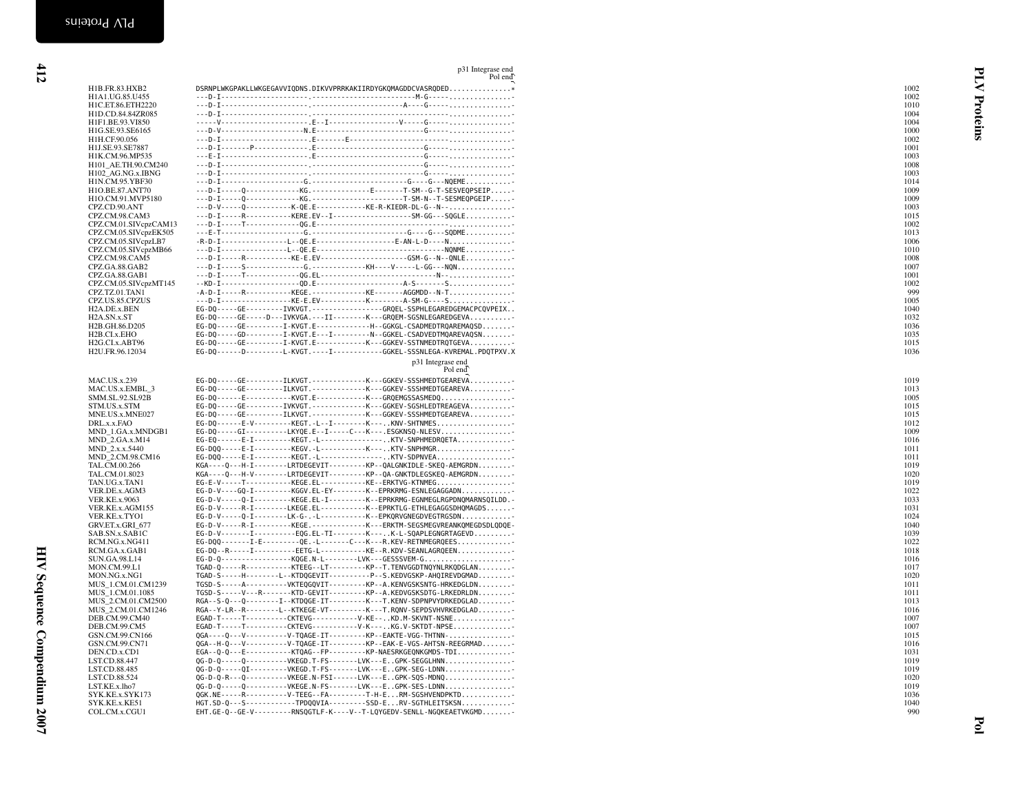|                                                | p31 Integrase end<br>Pol end                                                                                                                            |              | 日 |
|------------------------------------------------|---------------------------------------------------------------------------------------------------------------------------------------------------------|--------------|---|
| H1B.FR.83.HXB2                                 | DSRNPLWKGPAKLLWKGEGAVVIQDNS.DIKVVPRRKAKIIRDYGKQMAGDDCVASRQDED*                                                                                          | 1002         |   |
| H1A1.UG.85.U455<br>H1C.ET.86.ETH2220           |                                                                                                                                                         | 1002<br>1010 |   |
| H1D.CD.84.84ZR085                              |                                                                                                                                                         | 1004         |   |
| H1F1.BE.93.VI850                               |                                                                                                                                                         | 1004         |   |
| H1G.SE.93.SE6165                               |                                                                                                                                                         | 1000         |   |
| H1H.CF.90.056<br>H1J.SE.93.SE7887              |                                                                                                                                                         | 1002<br>1001 |   |
| H1K.CM.96.MP535                                |                                                                                                                                                         | 1003         |   |
| H101_AE.TH.90.CM240                            |                                                                                                                                                         | 1008         |   |
| H102_AG.NG.x.IBNG                              |                                                                                                                                                         | 1003         |   |
| H1N.CM.95.YBF30<br>H1O.BE.87.ANT70             | ---D-I-----Q-------------KG.--------------E-------T-SM--G-T-SESVEQPSEIP-                                                                                | 1014<br>1009 |   |
| H1O.CM.91.MVP5180                              |                                                                                                                                                         | 1009         |   |
| CPZ.CD.90.ANT                                  | ---D-V-----Q-----------K-QE.E------------KE-R-KIEDR-DL-G--N--                                                                                           | 1003         |   |
| CPZ.CM.98.CAM3                                 | ---D-I-----R-----------KERE.EV--I-------------------SM-GG---SQGLE                                                                                       | 1015         |   |
| CPZ.CM.01.SIVcpzCAM13<br>CPZ.CM.05.SIVcpzEK505 |                                                                                                                                                         | 1002<br>1013 |   |
| CPZ.CM.05.SIVcpzLB7                            |                                                                                                                                                         | 1006         |   |
| CPZ.CM.05.SIVcpzMB66                           |                                                                                                                                                         | 1010         |   |
| CPZ.CM.98.CAM5                                 |                                                                                                                                                         | 1008         |   |
| CPZ.GA.88.GAB2<br>CPZ.GA.88.GAB1               |                                                                                                                                                         | 1007<br>1001 |   |
| CPZ.CM.05.SIVcpzMT145                          |                                                                                                                                                         | 1002         |   |
| CPZ.TZ.01.TAN1                                 | $-A-D-I$ ------R-----------KEGE.-------------KE-------AGGMDD--N-T                                                                                       | 999          |   |
| CPZ.US.85.CPZUS<br>H2A.DE.x.BEN                | ---D-I----------------KE-E.EV------------K--------A-SM-G----S.<br>EG-DQ-----GE---------IVKVGT.----------------GRQEL-SSPHLEGAREDGEMACPCQVPEIX            | 1005<br>1040 |   |
| H2A.SN.x.ST                                    | EG-DQ-----GE-----D---IVKVGA.---II--------K---GRQEM-SGSNLEGAREDGEVA                                                                                      | 1032         |   |
| H2B.GH.86.D205                                 | EG-DQ-----GE---------I-KVGT.E-------------H--GGKGL-CSADMEDTRQAREMAQSD                                                                                   | 1036         |   |
| H2B.CI.x.EHO                                   | EG-DQ-----GD---------I-KVGT.E---I---------N--GGKEL-CSADVEDTMQAREVAQSN                                                                                   | 1035         |   |
| H2G.CI.x.ABT96<br>H2U.FR.96.12034              | EG-DQ-----GE---------I-KVGT.E------------K---GGKEV-SSTNMEDTRQTGEVA<br>EG-DQ------D--------L-KVGT.----I------------GGKEL-SSSNLEGA-KVREMAL.PDQTPXV.X      | 1015<br>1036 |   |
|                                                | p31 Integrase end                                                                                                                                       |              |   |
|                                                | Pol end                                                                                                                                                 |              |   |
| <b>MAC.US.x.239</b>                            | EG-DQ-----GE---------ILKVGT.-------------K---GGKEV-SSSHMEDTGEAREVA                                                                                      | 1019         |   |
| MAC.US.x.EMBL 3<br>SMM.SL.92.SL92B             | EG-DQ-----GE---------ILKVGT.-------------K---GGKEV-SSSHMEDTGEAREVA<br>EG-DQ------E-----------KVGT.E------------K---GRQEMGSSASMEDQ                       | 1013<br>1005 |   |
| STM.US.x.STM                                   | EG-DQ-----GE---------IVKVGT.-------------K---GGKEV-SGSHLEDTREAGEVA                                                                                      | 1015         |   |
| MNE.US.x.MNE027                                | EG-DQ-----GE---------ILKVGT.--------------K---GGKEV-SSSHMEDTGEAREVA                                                                                     | 1015         |   |
| DRL.x.x.FAO                                    | EG-DQ------E-V---------KEGT.-L--I--------K---KNV-SHTNMES                                                                                                | 1012         |   |
| MND_1.GA.x.MNDGB1<br>MND_2.GA.x.M14            | EG-DQ-----GI----------LKYQE.E--I-----C---K---.ESGKNSQ-NLESV<br>EG-EQ------E-I---------KEGT.-L----------------KTV-SNPHMEDRQETA                           | 1009<br>1016 |   |
| MND 2.x.x.5440                                 | EG-DQQ-----E-I---------KEGV.-L-----------K---KTV-SNPHMGR                                                                                                | 1011         |   |
| MND 2.CM.98.CM16                               | EG-D00-----E-I---------KEGT.-L----------------KTV-SDPNVEA                                                                                               | 1011         |   |
| TAL.CM.00.266<br>TAL.CM.01.8023                | KGA----Q---H-I--------LRTDEGEVIT---------KP--QALGNKIDLE-SKEQ-AEMGRDN<br>KGA----Q---H-V--------LRTDEGEVIT---------KP--QA-GNKTDLEGSKEQ-AEMGRDN            | 1019<br>1020 |   |
| TAN.UG.x.TAN1                                  | EG-E-V-----T-----------KEGE.EL----------KE--ERKTVG-KTNMEG                                                                                               | 1019         |   |
| VER.DE.x.AGM3                                  | EG-D-V----GQ-I---------KGGV.EL-EY--------K--EPRKRMG-ESNLEGAGGADN                                                                                        | 1022         |   |
| <b>VER.KE.x.9063</b>                           | EG-D-V-----Q-I---------KEGE.EL-I---------K--EPRKRMG-EGNMEGLRGPDNQMARNSQILDD.-<br>EG-D-V-----R-I--------LKEGE.EL-----------K--EPRKTLG-ETHLEGAGGSDHQMAGDS | 1033<br>1031 |   |
| VER.KE.x.AGM155<br>VER.KE.x.TYO1               | EG-D-V-----Q-I--------LK-G-.-L-----------K--EPKQRVGNEGDVEGTRGSDN                                                                                        | 1024         |   |
| GRV.ET.x.GRI_677                               | EG-D-V-----R-I---------KEGE.-------------K---ERKTM-SEGSMEGVREANKQMEGDSDLQDQE-                                                                           | 1040         |   |
| SAB.SN.x.SAB1C                                 | EG-D-V-------I----------EQG.EL-TI--------K---K-L-SQAPLEGNGRTAGEVD                                                                                       | 1039         |   |
| RCM.NG.x.NG411<br>RCM.GA.x.GAB1                | EG-DQQ-------I-E--------QE.-L------C---K---R.KEV-RETNMEGRQEES<br>EG-DQ--R-----I----------EETG-L----------KE--R.KDV-SEANLAGRQEEN                         | 1022<br>1018 |   |
| SUN.GA.98.L14                                  | EG-D-Q-----------------KQGE.N-L--------LVK---GESSSVEM-G                                                                                                 | 1016         |   |
| MON.CM.99.L1                                   | TGAD-Q-----R-----------KTEEG--LT---------KP--T.TENVGGDTNQYNLRKQDGLAN                                                                                    | 1017         |   |
| MON.NG.x.NG1<br>MUS_1.CM.01.CM1239             | TGAD-S-----H--------L--KTDQGEVIT----------P--S.KEDVGSKP-AHQIREVDGMAD<br>TGSD-S-----A----------VKTEQGQVIT---------KP--A.KENVGSKSNTG-HRKEDGLDN            | 1020<br>1011 |   |
| MUS_1.CM.01.1085                               | TGSD-S-----V---R-------KTD-GEVIT---------KP--A.KEDVGSKSDTG-LRKEDRLDN                                                                                    | 1011         |   |
| MUS 2.CM.01.CM2500                             | RGA--S-0---0--------I--KTDOGE-IT----------K---T.KENV-SDPNPVYDRKEDGLAD                                                                                   | 1013         |   |
| MUS_2.CM.01.CM1246                             | RGA--Y-LR--R--------L--KTKEGE-VT---------K---T.RQNV-SEPDSVHVRKEDGLAD                                                                                    | 1016         |   |
| DEB.CM.99.CM40<br>DEB.CM.99.CM5                | EGAD-T-----T---------CKTEVG-----------V-KE--KD.M-SKVNT-NSNE<br>EGAD-T-----T----------CKTEVG------------V-K---KG.V-SKTDT-NPSE                            | 1007<br>1007 |   |
| GSN.CM.99.CN166                                | 0GA----0---V----------V-TQAGE-IT---------KP--EAKTE-VGG-THTNN-                                                                                           | 1015         |   |
| GSN.CM.99.CN71                                 | QGA--H-Q---V----------V-TQAGE-IT---------KP--EAK-E-VGS-AHTSN-REEGRMAD                                                                                   | 1016         |   |
| DEN.CD.x.CD1                                   | EGA--Q-Q---E-----------KTQAG--FP---------KP-NAESRKGEQNKGMDS-TDI<br>QG-D-Q-----Q----------VKEGD.T-FS-------LVK---EGPK-SEGGLHNN                           | 1031         |   |
| LST.CD.88.447<br>LST.CD.88.485                 | 0G-D-0-----0I---------VKEGD.T-FS-------LVK---EGPK-SEG-LDNN                                                                                              | 1019<br>1019 |   |
| LST.CD.88.524                                  | QG-D-Q-R---Q----------VKEGE.N-FSI------LVK---EGPK-SQS-MDNQ                                                                                              | 1020         |   |
| LST.KE.x.lho7                                  | 0G-D-0-----0----------VKEGE.N-FS-------LVK---EGPK-SES-LDNN                                                                                              | 1019         |   |
| SYK.KE.x.SYK173<br>SYK.KE.x.KE51               | 0GK.NE-----R---------V-TEEG--FA---------T-H-ERM-SGSHVENDPKTD<br>HGT.SD-Q---S------------TPDQQVIA---------SSD-ERV-SGTHLEITSKSN                           | 1036<br>1040 |   |
| COL.CM.x.CGU1                                  | EHT.GE-Q--GE-V---------RNSQGTLF-K----V--T-LQYGEDV-SENLL-NGQKEAETVKGMD                                                                                   | 990          |   |
|                                                |                                                                                                                                                         |              |   |
|                                                |                                                                                                                                                         |              |   |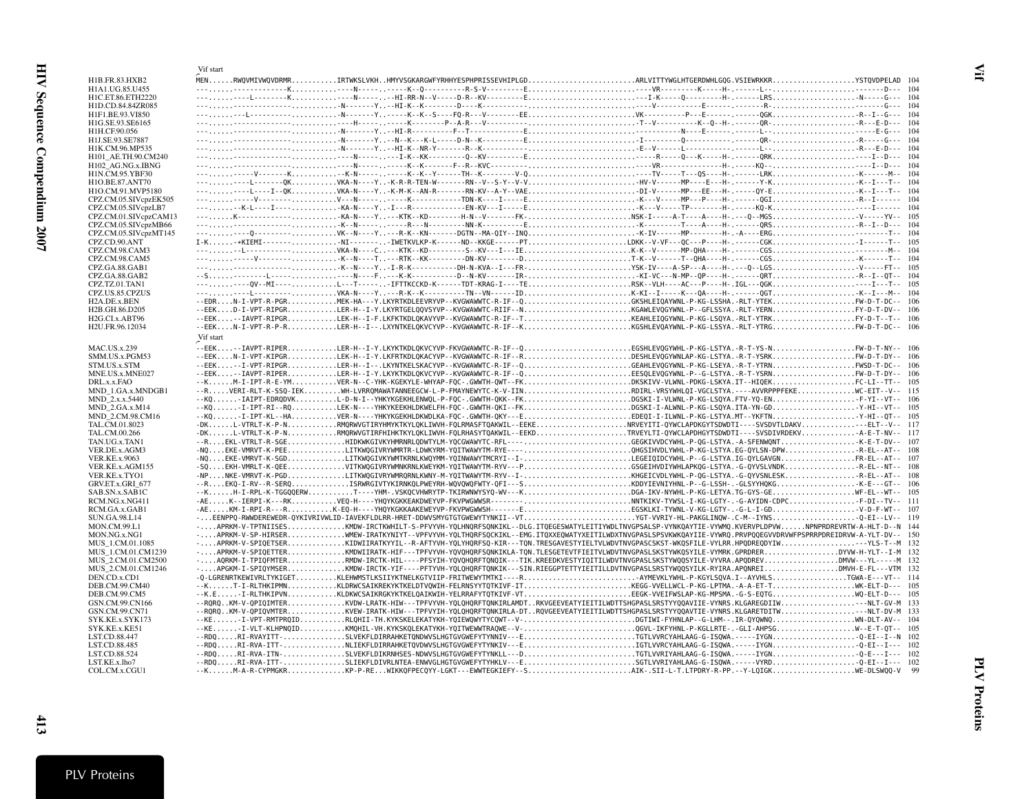<span id="page-18-0"></span>

|                                            | Vif start |  |  |                                                                                                                                                                                                                                            |  |  |  |
|--------------------------------------------|-----------|--|--|--------------------------------------------------------------------------------------------------------------------------------------------------------------------------------------------------------------------------------------------|--|--|--|
| H1B.FR.83.HXB2                             |           |  |  | MENRWQVMIVWQVDRMRIRTWKSLVKHHMYVSGKARGWFYRHHYESPHPRISSEVHIPLGDARLVITTYWGLHTGERDWHLGQG.VSIEWRKKRYSTQVDPELAD 104                                                                                                                              |  |  |  |
| H1A1.UG.85.U455                            |           |  |  |                                                                                                                                                                                                                                            |  |  |  |
| H1C.ET.86.ETH2220                          |           |  |  |                                                                                                                                                                                                                                            |  |  |  |
| H1D.CD.84.84ZR085<br>H1F1.BE.93.VI850      |           |  |  |                                                                                                                                                                                                                                            |  |  |  |
| H1G.SE.93.SE6165                           |           |  |  |                                                                                                                                                                                                                                            |  |  |  |
| H1H.CF.90.056                              |           |  |  |                                                                                                                                                                                                                                            |  |  |  |
| H1J.SE.93.SE7887                           |           |  |  |                                                                                                                                                                                                                                            |  |  |  |
| H1K.CM.96.MP535                            |           |  |  |                                                                                                                                                                                                                                            |  |  |  |
| H101_AE.TH.90.CM240                        |           |  |  |                                                                                                                                                                                                                                            |  |  |  |
| H102 AG.NG.x.IBNG                          |           |  |  |                                                                                                                                                                                                                                            |  |  |  |
| H1N.CM.95.YBF30                            |           |  |  |                                                                                                                                                                                                                                            |  |  |  |
| H1O.BE.87.ANT70                            |           |  |  | ------L-------0KVKA-N----Y-K-R-R-TEN-W-------RN--V--S-Y--V-VHV-V-------MP----E---H-.------Y-KK--I---T-- 104<br>-------L---I--QKVKA-N----Y-K-M-K--AN-R-------RN-KV--A-Y--VAE-DI-V------PP---EE---H-. -----QY-EK--I---T-- 104                |  |  |  |
| H1O.CM.91.MVP5180<br>CPZ.CM.05.SIVcpzEK505 |           |  |  |                                                                                                                                                                                                                                            |  |  |  |
| CPZ.CM.05.SIVcpzLB7                        |           |  |  |                                                                                                                                                                                                                                            |  |  |  |
| CPZ.CM.01.SIVcpzCAM13                      |           |  |  |                                                                                                                                                                                                                                            |  |  |  |
| CPZ.CM.05.SIVcpzMB66                       |           |  |  |                                                                                                                                                                                                                                            |  |  |  |
| CPZ.CM.05.SIVcpzMT145                      |           |  |  | ------Q--------VK--N----Y--R-K--KN------DGTN--MA-QIY--INQK-IV-------MP--------H-.-A----ĒRGT-- 104                                                                                                                                          |  |  |  |
| CPZ.CD.90.ANT                              |           |  |  | I-K-*KIEMI-------,NI-------,-IWETKVLKP-K------ND--KKGE------PTLDKK--V-VF---QC---P----H-.------CGKI-I------T-- 105                                                                                                                          |  |  |  |
| CPZ.CM.98.CAM3                             |           |  |  |                                                                                                                                                                                                                                            |  |  |  |
| CPZ.CM.98.CAM5                             |           |  |  |                                                                                                                                                                                                                                            |  |  |  |
| CPZ.GA.88.GAB1                             |           |  |  |                                                                                                                                                                                                                                            |  |  |  |
| CPZ.GA.88.GAB2<br>CPZ.TZ.01.TAN1           |           |  |  |                                                                                                                                                                                                                                            |  |  |  |
| CPZ.US.85.CPZUS                            |           |  |  |                                                                                                                                                                                                                                            |  |  |  |
| H2A.DE.x.BEN                               |           |  |  |                                                                                                                                                                                                                                            |  |  |  |
| H2B.GH.86.D205                             |           |  |  |                                                                                                                                                                                                                                            |  |  |  |
| H2G.CI.x.ABT96                             |           |  |  |                                                                                                                                                                                                                                            |  |  |  |
| H2U.FR.96.12034                            |           |  |  |                                                                                                                                                                                                                                            |  |  |  |
|                                            | Vif start |  |  |                                                                                                                                                                                                                                            |  |  |  |
| MAC.US.x.239                               |           |  |  |                                                                                                                                                                                                                                            |  |  |  |
| SMM.US.x.PGM53                             |           |  |  | --EEKN-I-VPT-KIPGRLEK-H--I-Y.LKFRTKDLQKACYVP--KVGWAWWTC-R-IF--RDESHLEVQGYWNLAP-KG-LSTYA.-R-T-YSRKFW-D-T-DY-- 106                                                                                                                           |  |  |  |
| STM.US.x.STM                               |           |  |  |                                                                                                                                                                                                                                            |  |  |  |
| MNE.US.x.MNE027                            |           |  |  |                                                                                                                                                                                                                                            |  |  |  |
| DRL.x.x.FAO                                |           |  |  | --KM-I-IPT-R-E-YMVER-N--C-YHK-KGEKYLE-WHYAP-FOC-.GWWTH-OWT--FKDKSKIVV-VLWNL-PDKG-LSKYA.IT--HIOEKFC-LI--TT-- 105                                                                                                                            |  |  |  |
| MND 1.GA.x.MNDGB1                          |           |  |  | --RVERI-RLT-K-SSO-IEKWH-LVRROMAWATANNEEGCW-L-P-FMAYNEWYTC-K-V-IINRDIRL-VRSYWHLOI-VGCLSTYA.----AVVRPPPFEKEWC-EIT--V-- 115<br>--KQIAIPT-EDRQDVKL-D-N-I--YHKYKGEKHLENWQL-P-FQC-.GWWTH-QKK--FKDGSKI-I-VLWNL-P-KG-LSQYA.FTV-YQ-ENF-YI--VT-- 106 |  |  |  |
| MND_2.x.x.5440<br>MND 2.GA.x.M14           |           |  |  |                                                                                                                                                                                                                                            |  |  |  |
| MND_2.CM.98.CM16                           |           |  |  |                                                                                                                                                                                                                                            |  |  |  |
| TAL.CM.01.8023                             |           |  |  | -DKL-VTRLT-K-P-NRMQRWVGTIRYHMYKTKYLQKLIWVH-FQLRMASFTQAKWIL--EEKERWEYITI-QYWCLAPDKGYTSDWDTI----SVSDVTLDAKV--ELT--V-- 117                                                                                                                    |  |  |  |
| TAL.CM.00.266                              |           |  |  | -DKL-VTRLT-K-P-NRMQRWVGTIRFHIHKTKYLQKLIWVH-FQLRHASYTQAKWIL--EEKDTRVEYLTI-QYWCLAPDHGYTSDWDTI----SVSDIVRDEKVA-E-T-NV-- 117                                                                                                                   |  |  |  |
| TAN.UG.x.TAN1                              |           |  |  |                                                                                                                                                                                                                                            |  |  |  |
| VER.DE.x.AGM3                              |           |  |  |                                                                                                                                                                                                                                            |  |  |  |
| <b>VER.KE.x.9063</b>                       |           |  |  | -NQEKE-VMRVT-K-SGDLITKWQGIVKYWMTKRNLKWQYMM-YQINWAWYTMCRYI--I-LEGEIQIDCYWHL-P--G-LSTYA.IG-QYLGAVGNFR-EL--AT-- 107                                                                                                                           |  |  |  |
| VER.KE.x.AGM155<br>VER.KE.x.TYO1           |           |  |  | -SQEKH-VMRLT-K-QEEVITKWQGIVRYWMNKRNLKWEYKM-YQITWAWYTM-RYV---PSSGEIHVDIYWHLAPKQG-LSTYA.-G-QYVSLVNDKR-EL--NT-- 108<br>-NPNKE-VMRVT-K-PGDLITKWQGIVRYWMRQRNLKWNY-M-YQITWAWYTM-RYV--I-KHGEICVDLYWHL-P-QG-LSTYA.-G-QYVSNLESKR-EL--AT-- 108       |  |  |  |
| GRV.ET.x.GRI 677                           |           |  |  |                                                                                                                                                                                                                                            |  |  |  |
| SAB.SN.x.SAB1C                             |           |  |  | --KH-I-RPL-K-TGGQQERWT----YHM-.VSKQCVHWRYTP-TKIRWNWYSYQ-WV---KDGA-IKV-NYWHL-P-KG-LETYA.TG-GYS-GEWF-EL--WT-- 105                                                                                                                            |  |  |  |
| RCM.NG.x.NG411                             |           |  |  |                                                                                                                                                                                                                                            |  |  |  |
| RCM.GA.x.GAB1                              |           |  |  |                                                                                                                                                                                                                                            |  |  |  |
| SUN.GA.98.L14                              |           |  |  | -EENPPQ-RWWDEREWEDR-QYKIVRIVWLID-IAVEKFLDLRR-HRET-DDWVSMYGTGTGWEWYTYNKII--VTYGT-VVRIY-HL-PAKGLINQW-.C-M--IYNSQ-EI--LV-- 119                                                                                                                |  |  |  |
| MON.CM.99.L1                               |           |  |  | -APRKM-V-TPTNIISESKMDW-IRCTKWHILT-S-PFVYVH-YQLHNQRFSQNKIKL--DLG.ITQEGESWATYLEITIYWDLTNVGPSALSP-VYNKQAYTIE-VYWMQ.KVERVPLDPVWNPNPRDREVRTW-A-HLT-D--N 144                                                                                     |  |  |  |
| MON.NG.x.NG1                               |           |  |  | -APRKM-V-SP-HIRSERWMEW-IRATKYNIYT--VPFVYVH-YQLTHQRFSQCKIKL--EMG.ITQXXEQWATYXEITILWDXTNVGPASLSPSVKWKQAYIIE-VYWRQ.PRVPQQEGVVDRVWFPSPRRPDREIDRVW-A-YLT-DV-- 150                                                                               |  |  |  |
| MUS 1.CM.01.1085<br>MUS 1.CM.01.CM1239     |           |  |  | -APRKM-V-SPIQETTERKMDWIIRATK-HIF---TPFVYVH-YQVQHQRFSQNKIKLA-TQN.TLESGETEVTFIEITVLWDVTNVGPASLSKSTYWKQSYILE-VYMRK.GPRDRERDYVW-H-YLT--I-M 132                                                                                                 |  |  |  |
| MUS 2.CM.01.CM2500                         |           |  |  | -AQRKM-I-TPIQFMTERRMDW-IRCTK-HIL----PFSYIH-YQVQHQRFTQNQIK---TIK.KREEDKVESTYIQITILWDVTNVGPASLSKSTYWQQSYILE-VYVRA.APQDREVDMVW---YL-----M 132                                                                                                 |  |  |  |
| MUS 2.CM.01.CM1246                         |           |  |  | APGKM-I-SPIOYMSERKMDW-IRCTK-YIF----PFTYVH-YOLOHORFTONKIK---SIN.RIEGGPTETTYIEITILLDVTNVGPASLSRSTYWOOSYILK-RYIRA.APONREIDMVH-E-FL---VTM 132                                                                                                  |  |  |  |
| DEN.CD.x.CD1                               |           |  |  |                                                                                                                                                                                                                                            |  |  |  |
| DEB.CM.99.CM40                             |           |  |  |                                                                                                                                                                                                                                            |  |  |  |
| DEB.CM.99.CM5                              |           |  |  |                                                                                                                                                                                                                                            |  |  |  |
| GSN.CM.99.CN166                            |           |  |  |                                                                                                                                                                                                                                            |  |  |  |
| GSN.CM.99.CN71<br>SYK.KE.x.SYK173          |           |  |  | --RORQKM-V-QPIQVMTERKVEW-IRATK-HIW---TPFVYIH-YQLQHQRFTQNKIRLA-DTRQVGEEVEATYIEITILWDTTSHGPASLSRSTYYQQAVTIE-VYNRS.KLGARETDITWLT-DV-M 133                                                                                                     |  |  |  |
| SYK.KE.x.KE51                              |           |  |  |                                                                                                                                                                                                                                            |  |  |  |
| LST.CD.88.447                              |           |  |  |                                                                                                                                                                                                                                            |  |  |  |
| LST.CD.88.485                              |           |  |  |                                                                                                                                                                                                                                            |  |  |  |
| LST.CD.88.524                              |           |  |  | --RDQRI-RVA-ITN-SLVEKFLDIKRNHSES-NDWVSLHGTGVGWEFYTYNKLL---DTGTLVVRIYAHLAAG-G-ISQWA.-----IYGNQ-E---I--- 102                                                                                                                                 |  |  |  |
| LST.KE.x.lho7                              |           |  |  |                                                                                                                                                                                                                                            |  |  |  |
| COL.CM.x.CGU1                              |           |  |  |                                                                                                                                                                                                                                            |  |  |  |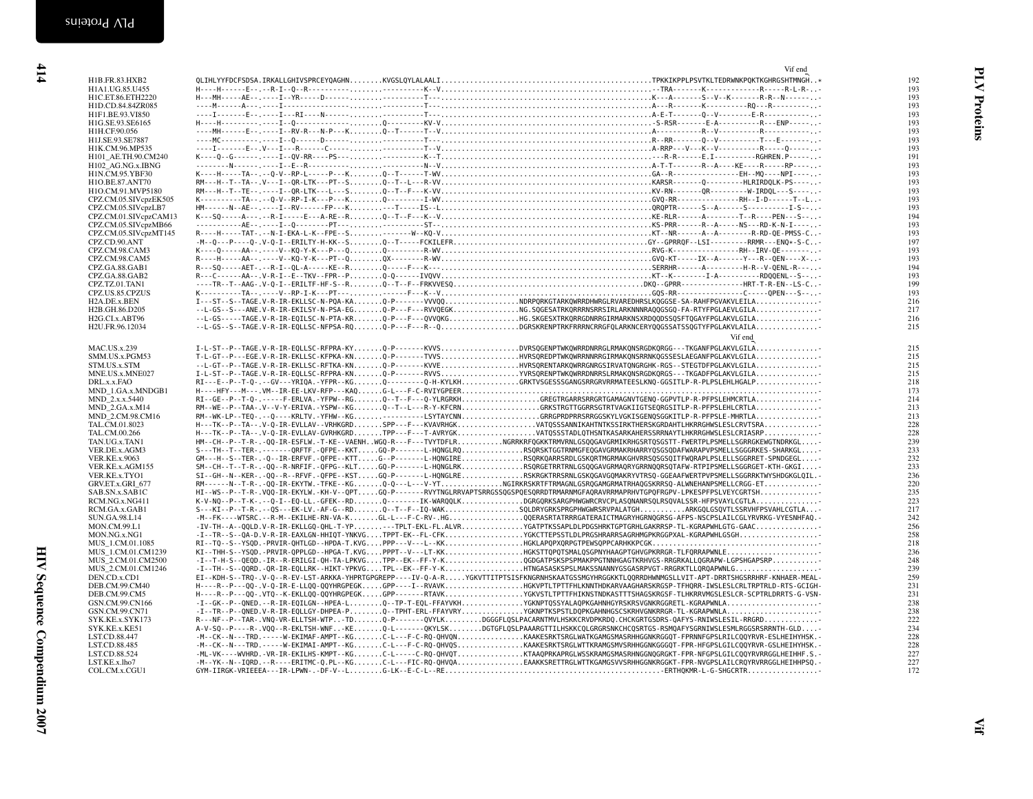|                           | Vif end                                                                                                                                            |     |
|---------------------------|----------------------------------------------------------------------------------------------------------------------------------------------------|-----|
| H1B.FR.83.HXB2            |                                                                                                                                                    | 192 |
| H1A1.UG.85.U455           |                                                                                                                                                    | 193 |
| H1C.ET.86.ETH2220         |                                                                                                                                                    | 193 |
| H1D.CD.84.84ZR085         |                                                                                                                                                    | 193 |
| H1F1.BE.93.VI850          |                                                                                                                                                    | 193 |
| H1G.SE.93.SE6165          |                                                                                                                                                    |     |
|                           |                                                                                                                                                    | 193 |
| H1H.CF.90.056             |                                                                                                                                                    | 193 |
| H1J.SE.93.SE7887          |                                                                                                                                                    | 193 |
| H1K.CM.96.MP535           |                                                                                                                                                    | 193 |
| H101_AE.TH.90.CM240       |                                                                                                                                                    | 191 |
| H102 AG.NG.x.IBNG         |                                                                                                                                                    | 193 |
| H1N.CM.95.YBF30           |                                                                                                                                                    | 193 |
| H1O.BE.87.ANT70           |                                                                                                                                                    | 193 |
| H1O.CM.91.MVP5180         |                                                                                                                                                    | 193 |
| CPZ.CM.05.SIVcpzEK505     |                                                                                                                                                    | 193 |
| CPZ.CM.05.SIVcpzLB7       |                                                                                                                                                    | 193 |
| CPZ.CM.01.SIVcpzCAM13     |                                                                                                                                                    | 194 |
| CPZ.CM.05.SIVcpzMB66      |                                                                                                                                                    | 193 |
|                           |                                                                                                                                                    |     |
| CPZ.CM.05.SIVcpzMT145     |                                                                                                                                                    | 193 |
| CPZ.CD.90.ANT             |                                                                                                                                                    | 197 |
| CPZ.CM.98.CAM3            |                                                                                                                                                    | 193 |
| CPZ.CM.98.CAM5            |                                                                                                                                                    | 193 |
| CPZ.GA.88.GAB1            |                                                                                                                                                    | 194 |
| CPZ.GA.88.GAB2            |                                                                                                                                                    | 193 |
| CPZ.TZ.01.TAN1            |                                                                                                                                                    | 199 |
| CPZ.US.85.CPZUS           |                                                                                                                                                    | 193 |
| H <sub>2</sub> A.DE.x.BEN | I---ST--S--TAGE.V-R-IR-EKLLSC-N-PQA-KAQ-P-------VVVQQNDRPQRKGTARKQWRRDHWRGLRVAREDHRSLKQGGSE-SA-RAHFPGVAKVLEILA                                     | 216 |
| H2B.GH.86.D205            | --L-GS--S---ANE.V-R-IR-EKILSY-N-PSA-EGQ-P---F---RVVQEGKNG.SQGESATRKQRRRNSRRSIRLARKNNNRAQQGSGQ-FA-RTYFPGLAEVLGILA                                   | 217 |
| H2G.CI.x.ABT96            |                                                                                                                                                    | 216 |
|                           |                                                                                                                                                    |     |
| H2U.FR.96.12034           | $-.$ L-GS--S--TAGE.V-R-IR-EQLLSC-NFPSA-RQQ-P---F---R--QDGRSKRENPTRKFRRRNCRRGFQLARKNCERYQQGSSATSSQGTYFPGLAKVLAILA                                   | 215 |
|                           | Vif end                                                                                                                                            |     |
| <b>MAC.US.x.239</b>       | I-L-ST--P--TAGE.V-R-IR-EQLLSC-RFPRA-KYQ-P------KVVSDVRSQGENPTWKQWRRDNRRGLRMAKQNSRGDKQRGG---TKGANFPGLAKVLGILA                                       | 215 |
| SMM.US.x.PGM53            | T-L-GT--P---EGE.V-R-IR-EKLLSC-KFPKA-KNQ-P------TVVSHVRSQREDPTWKQWRRNNRRGIRMAKQNSRRNKQGSSESLAEGANFPGLAKVLGILA                                       | 215 |
| STM.US.x.STM              | --L-GT--P--TAGE.V-R-IR-EKLLSC-RFTKA-KNQ-P-------KVVEHVRSQRENTARKQWRRGNRGSIRVATQNGRGHK-RGS--STEGTDFPGLAKVLGILA                                      | 215 |
| MNE.US.x.MNE027           | I-L-ST--P--TAGE.V-R-IR-EQLLSC-RFPRA-KNQ-P-------RVVSYVRSQRENPTWKQWRRDNRRSLRMAKQNSRGDKQRGS---TKGADFPGLAKVLGILA                                      | 215 |
|                           |                                                                                                                                                    |     |
| DRL.x.x.FAO               | RI---E--P--T-Q-.--GV---YRIQA.-YFPR--KGQ--------Q-H-KYLKHGRKTVSGESSSGANGSRRGRVRRMATEESLKNQ-GGSITLP-R-PLPSLEHLHGALP                                  | 218 |
| MND 1.GA.x.MNDGB1         |                                                                                                                                                    | 173 |
| MND 2.x.x.5440            | RI--GE--P--T-Q-.-----F-ERLVA.-YFPW--RGQ--T--F---Q-YLRGRKHGREGTRGARRSRRGRTGAMAGNVTGENQ-GGPVTLP-R-PFPSLEHMCRTLA                                      | 214 |
| MND 2.GA.x.M14            | RM--WE--P--TAA-.V--V-Y-ERIVA.-YSPW--KG0--T--L---R-Y-KFCRNGRKSTRGTTGGRRSGTRTVAGKIIGTSEORGSITLP-R-PFPSLEHLCRTLA                                      | 213 |
| MND_2.CM.98.CM16          | RM--WK-LP--TEQ-.--Q----KRLTV.-YFHW--KG---------LSYTAYCNNGRRGPRDPRRSRRGGSKYLVGKISGENQSGGKITLP-R-PFPSLE-MHRTLA                                       | 213 |
| TAL.CM.01.8023            | H---TK--P--TA--.V-Q-IR-EVLLAV--VRHKGRDSPP---F---KVAVRHGKVATQSSSANNIKAHTNTKSSIRKTHERSKGRDAHTLHKRRGHWSLESLCRVTSRA                                    | 228 |
| TAL.CM.00.266             | H---TK--P--TA--.V-Q-IR-EVLLAV-GVRHKGRDTPP---F---T-AVRYGKVATQSSSTADLQTHSNTKASARKAHERSSRRNAYTLHKRRGHWSLESLCRIASRP                                    | 228 |
| TAN.UG.x.TAN1             | HM--CH--P--T-R-.-QQ-IR-ESFLW.-T-KE--VAENHWGQ-R---F---TVYTDFLRNGRRKRFQGKKTRMVRNLGSQQGAVGRMIKRHGSRTQSGSTT-FWERTPLPSMELLSGRRGKEWGTNDRKGL              | 239 |
| VER.DE.x.AGM3             | S---TH--T--TER-,------ORFTF,-OFPE--KKTGO-P-------L-HONGLRORSORSKTGGTRNMGFEOGAVGRMAKRHARRYOSGSODAFWARAPVPSMELLSGGGRKES-SHARKGL                      | 233 |
| <b>VER.KE.x.9063</b>      | GM---H--S--TER-.-Q--IR-ERFVF.-QFPE--KTTG--P------L-HQNGIRERSQRKQARRSRDLGSKQRTMGRMAKGHVRRSQSGSQITFWQRAPLPSLELLSGGRRET-SPNDGEGL                      | 232 |
| VER.KE.x.AGM155           | SM--CH--T--T-R-.-QQ--R-NRFIF.-QFPG--KLTGQ-P------L-HQNGLRKRSQRGETRRTRNLGSQQGAVGRMAQRYGRRNQQRSQTAFW-RTPIPSMELLSGGRGET-KTH-GKGI                      | 233 |
|                           | SI--GH--N--KER-.-QQ--R--RFVF.-QFPE--KSTGQ-P-------L-HQNGLRERSKRGKTRRSRNLGSKQGAVGQMAKRYVTRSQ-GGEAAFWERTPVPSMELLSGGRRKTWYSHDGKGLQIL.-                |     |
| VER.KE.x.TYO1             |                                                                                                                                                    | 236 |
| GRV.ET.x.GRI 677          | RM------N--T-R-.-QQ-IR-EKYTW.-TFKE--KGQ-Q---L---V-YTNGIRKRSKRTFTRMAGNLGSRQGAMGRMATRHAQGSKRRSQ-ALWNEHANPSMELLCRGG-ET                                | 220 |
| SAB.SN.x.SAB1C            | HI--WS--P--T-R-.VOO-IR-EKYLW.-KH-V--OPTGO-P------RVYTNGLRRVAPTSRRGSSOGSPOESORRDTRMARNMGFAORAVRRMAPRHVTGPOFRGPV-LPKESPFPSLVEYCGRTSH                 | 235 |
| RCM.NG.x.NG411            | K-V-NQ--P--T-K-.--Q-I--EQ-LL.-GFEK--RDQ--------IK-WARQQLKDGRGQRKSARGPHWGWRCRVCPLASQNANRSQLRSQVALSSR-HFPSVAYLCGTLA                                  | 223 |
| RCM.GA.x.GAB1             | S---KI--P--T-R-.--QS---EK-LV.-AF-G--RDQ--T--F--IQ-WAKSQLDRYGRKSPRGPHWGWRSRVPALATGHARKGQLGSQVTLSSRVHFPSVAHLCGTLA-                                   | 217 |
| SUN.GA.98.L14             | -M--FK----WTSRC.--R-M--EKILHE-RN-VA-KGL-L---F-C-RV-.HGQQERASRTATRRRGATERAICTMAGRYHGRNQGRSG-AFPS-NSCPSLAILCGLYRVRKG-VYESNHFAQ.-                     | 242 |
| MON.CM.99.L1              | -IV-TH--A--QQLD.V-R-IR-EKLLGQ-QHL-T-YP---TPLT-EKL-FL.ALVRYGATPTKSSAPLDLPDGSHRKTGPTGRHLGAKRRSP-TL-KGRAPWHLGTG-GAAC                                  | 256 |
| MON.NG.x.NG1              | -I--TR--S--QA-D.V-R-IR-EAXLGN-HHIQT-YNKVGTPPT-EK--FL-CFKYGKCTTEPSSTLDLPRGSHRARRSAGRHMGPKRGGPXAL-KGRAPWHLGSGH                                       | 258 |
| MUS 1.CM.01.1085          |                                                                                                                                                    | 218 |
| MUS 1.CM.01.CM1239        | KI--THH-S--YSQD.-PRVIR-QPPLGD--HPGA-T.KVGPPPT--V---LT-KKGKSTTQPQTSMALQSGPNYHAAGPTGHVGPKRRGR-TLFQRRAPWNLE                                           | 236 |
| MUS 2.CM.01.CM2500        | -I--T-H-S--QEQD.-IR--R-ERILGI-QH-TA-LPKVGTPP--EK--FF-Y-KQGDGATPSKSPSPMAKPPGTNNHGAGTKRHVGS-RRGRKALLQGRAPW-LGPSHGAPSRP                               | 248 |
|                           | -I--TH--S--QQRD.-QR-IR-EQLLRK--HIKT-YPKVGTPL--EK--FF-Y-KHTNGASASKSPSLMAKSSNANNYGSGASRPVGT-RRGRKTLLQRQAPWNLG                                        | 239 |
| MUS 2.CM.01.CM1246        |                                                                                                                                                    |     |
| DEN.CD.x.CD1              | EI--KDH-S--TRQ-.V-Q--R-EV-LST-ARKKA-YHPRTGPGREPP----IV-Q-A-RYGKVTTITPTSISFKNGRNHSKAATGSSMGYHRGGKKTLQQRRDHWNMGSLLVIT-APT-DRRTSHGSRRHRF-KNHAER-MEAL- | 259 |
| DEB.CM.99.CM40            | H----R--P---OO-.V-O-IR-E-LLOO-OOYHRGPEGKGPP----I--RVAVKHGKVPTLTPTTFHLKNNTHDKARVAAGHARSKRGSP-TFHORR-IWSLESLCRLTRPTRLD-RTS-GCIGH-                    | 231 |
| DEB.CM.99.CM5             | H----R--P---QQ-.VTQ--K-EKLLQQ-QQYHRGPEGKGPP-------RTAVKYGKVSTLTPTTFHIKNSTNDKASTTTSHAGSKRGSF-TLHKRRVMGSLESLCR-SCPTRLDRRTS-G-VSN-                    | 231 |
| GSN.CM.99.CN166           | -I--GK--P--QNED.--R-IR-EQILGN--HPEA-LQ--TP-T-EQL-FFAYVKHYGKNPTQSSYALAQPKGAHNHGYRSKRSVGNKRGGRETL-KGRAPWNLA                                          | 238 |
| GSN.CM.99.CN71            | -I--TR--P--QNED.V-R-IR-EQLLGY-DHPEA-PQ--TPHT-ERL-FFAYVRYYGKNPTKSPSTLDQPKGAHNHGSCSKRHVGNKRRGR-TL-KGRAPWNLA                                          | 238 |
| SYK.KE.x.SYK173           | R---NF--P--TAR-.VNQ-VR-ELLTSH-WTP-TD0-P------QVYLKDGGGFLQSLPACARNTMVLHSKKCRVDPKRDQ.CHCKGRTGSDRS-QAFYS-RNIWSLESIL-RRGRD                             | 222 |
| SYK.KE.x.KE51             | A-V-SQ--P----R-.VQQ--R-EKLTSH-WNF-KEQ-L------QKYLSKDGTGFLQSLPAAARGTTILHSKKCQLGRGRSNKCHCQSRTGS-RSMQAFYSGRNIWSLESMLRGGSRSRRNTH-GLD-                  | 234 |
| LST.CD.88.447             | -M--CK--N---TRD.-----W-EKIMAF-AMPT--KGC-L---F-C-RQ-QHVQNKAAKESRKTSRGLWATKGAMGSMASRHHGGNKRGGQT-FPRNNFGPSLRILCQQYRVR-ESLHEIHYHSK.-                   | 228 |
| LST.CD.88.485             | -M--CK--N---TRD.-----W-EKIMAI-AMPT--KGC-L---F-C-RQ-QHVQSKAAKESRKTSRGLWTTKRAMGSMVSRHHGGNKGGGQT-FPR-HFGPSLGILCQQYRVR-GSLHEIHYHSK.-                   | 228 |
| LST.CD.88.524             | -ML-VK----WVHRD.-VR-IR-EKILHS-KMPT--KGC-L----C-RQ-QHVQTKTAAQPRKAPRGLWSSKRAMGSMASRHNGGNQGRGKT-FPR-NFGPSLGILCQQYRVRRGGLHEIHHF.S.-                    | 227 |
| LST.KE.x.lho7             | -M--YK--N--IQRD.--R----ERITMC-Q.PL--KGC-L---FIC-RQ-QHVQAEAAKKSRETTRGLWTTKGAMGSVVSRHHGGNKRGGKT-FPR-NVGPSLAILCROYRVRRGGLHEIHHPSQ.-                   | 227 |
|                           |                                                                                                                                                    |     |
| COL.CM.x.CGU1             |                                                                                                                                                    | 172 |
|                           |                                                                                                                                                    |     |
|                           |                                                                                                                                                    |     |
|                           |                                                                                                                                                    |     |
|                           |                                                                                                                                                    |     |
|                           |                                                                                                                                                    |     |
|                           |                                                                                                                                                    |     |
|                           |                                                                                                                                                    |     |
|                           |                                                                                                                                                    |     |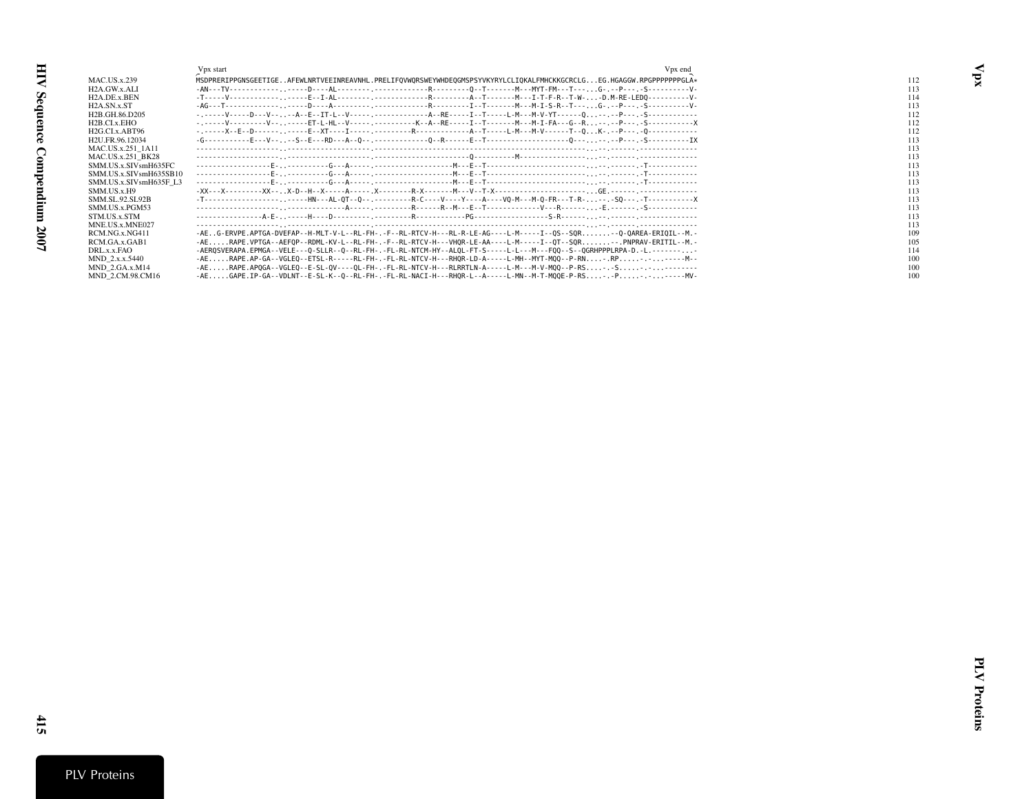<span id="page-20-0"></span>

|                                         | Vpx start<br>V <sub>px</sub> end                                                                                                  |     |
|-----------------------------------------|-----------------------------------------------------------------------------------------------------------------------------------|-----|
| <b>MAC.US.x.239</b>                     | MSDPRERIPPGNSGEETIGEAFEWLNRTVEEINREAVNHL.PRELIFOVWORSWEYWHDEOGMSPSYVKYRYLCLIOKALFMHCKKGCRCLGEG.HGAGGW.RPGPPPPPPGLA*               | 112 |
| H <sub>2</sub> A.GW.x.ALI               |                                                                                                                                   | 113 |
| H <sub>2</sub> A.DE.x.BEN               |                                                                                                                                   | 114 |
| H <sub>2</sub> A.SN.x.ST                |                                                                                                                                   | 113 |
| H <sub>2</sub> B.GH.86.D <sub>205</sub> | -------V----D---V----A--E--IT-L--V-----. -------------A--RE-----I--T---------M---M----M-V-YT------0----P---.-S--------------      | 112 |
| H <sub>2</sub> B.CI.x.EHO               | -----V---------V-----ET-L-HL--V-------------K--A--RE-----I--T--------M---M-I-FA---G--R--.-P---.-S-------------X                   | 112 |
| H2G.CLx.ABT96                           |                                                                                                                                   | 112 |
| H2U.FR.96.12034                         |                                                                                                                                   | 113 |
| MAC.US.x.251 1A11                       |                                                                                                                                   | 113 |
| MAC.US.x.251 BK28                       |                                                                                                                                   | 113 |
| SMM.US.x.SIVsmH635FC                    |                                                                                                                                   | 113 |
| SMM.US.x.SIVsmH635SB10                  |                                                                                                                                   | 113 |
| SMM.US.x.SIVsmH635F L3                  |                                                                                                                                   | 113 |
| SMM.US.x.H9                             |                                                                                                                                   | 113 |
| SMM.SL.92.SL92B                         | -T------------------, .-----HN---AL-0T--0-- .---------R-C----Y----Y----A----VO-M---M-0-FR---T-R- -- . -SO--- . -T---------------X | 113 |
| SMM.US.x.PGM53                          |                                                                                                                                   | 113 |
| STM.US.x.STM                            |                                                                                                                                   | 113 |
| MNE.US.x.MNE027                         |                                                                                                                                   | 113 |
| RCM.NG.x.NG411                          | -AEG-ERVPE.APTGA-DVEFAP--H-MLT-V-L--RL-FH-.-F--RL-RTCV-H---RL-R-LE-AG----L-M-----I--OS--SOR--O-OAREA-ERIOIL--M.-                  | 109 |
| RCM.GA.x.GAB1                           | -AERAPE.VPTGA--AEFOP--RDML-KV-L--RL-FH-.-F--RL-RTCV-H---VHOR-LE-AA----L-M-----I--OT--SOR--.PNPRAV-ERITIL--M.-                     | 105 |
| DRL.x.x.FAO                             | -AERQSVERAPA.EPMGA--VELE---Q-SLLR--Q--RL-FH-.-FL-RL-NTCM-HY--ALQL-FT-S-----L-L---M---FQQ--S--QGRHPPPLRPA-D.-L.--------            | 114 |
| MND 2.x.x.5440                          | -AERAPE.AP-GA--VGLEO--ETSL-R-----RL-FH-.-FL-RL-NTCV-H---RHOR-LD-A-----L-MH--MYT-MOO--P-RN-.RP-.-----M-                            | 100 |
| $MND$ 2.GA.x. $M14$                     | -AERAPE.APOGA--VGLEO--E-SL-OV----OL-FH-.-FL-RL-NTCV-H---RLRRTLN-A-----L-M---M-V-MOO--P-RS-.-S-.-------                            | 100 |
| MND 2.CM.98.CM16                        | -AEGAPE.IP-GA--VDLNT--E-SL-K--Q--RL-FH-.-FL-RL-NACI-H---RHQR-L--A-----L-MN--M-T-MQQE-P-RS-.-P-.--.----MV-                         | 100 |

Vpx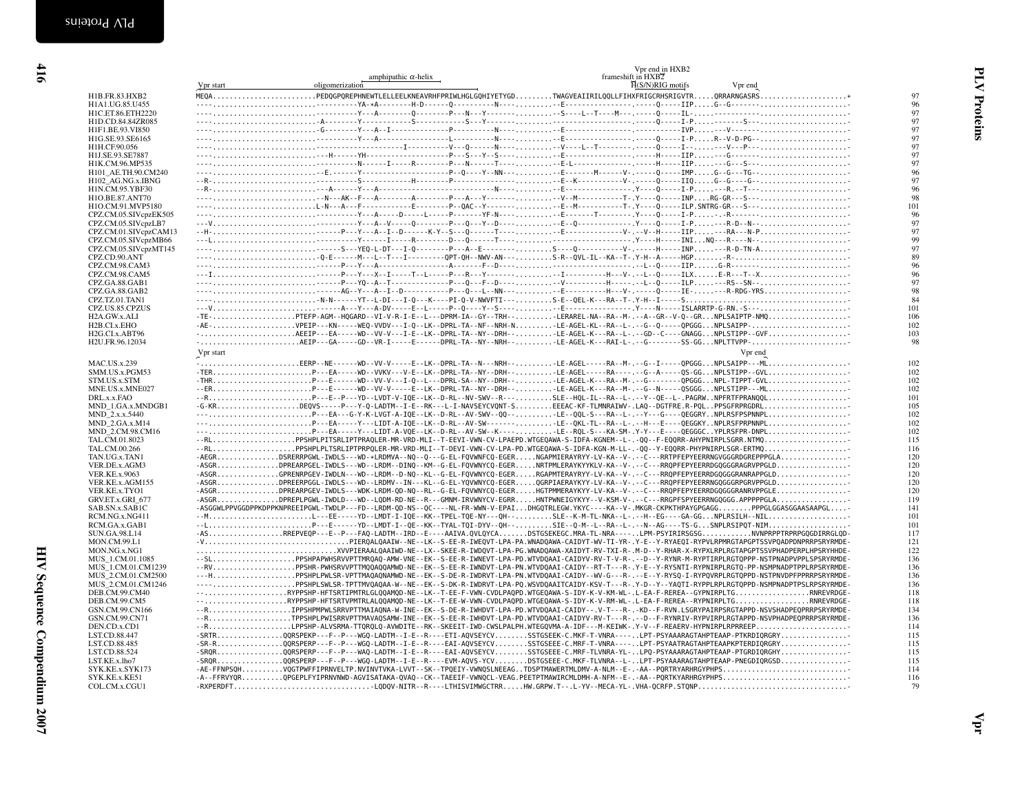<span id="page-21-0"></span>

|                                    | Vpr start | amphipathic $\alpha$ -helix<br>oligomerization | frameshift in HXB2<br>H(S/N)RIG motifs<br>Vpr end                                                                                                                                                             |            |
|------------------------------------|-----------|------------------------------------------------|---------------------------------------------------------------------------------------------------------------------------------------------------------------------------------------------------------------|------------|
| H1B.FR.83.HXB2                     |           |                                                |                                                                                                                                                                                                               | 97         |
| H1A1.UG.85.U455                    |           |                                                |                                                                                                                                                                                                               | 96         |
| H1C.ET.86.ETH2220                  |           |                                                |                                                                                                                                                                                                               | 97         |
| H1D.CD.84.84ZR085                  |           |                                                |                                                                                                                                                                                                               | 97         |
| H1F1.BE.93.VI850                   |           |                                                |                                                                                                                                                                                                               | 97         |
| H1G.SE.93.SE6165                   |           |                                                |                                                                                                                                                                                                               | 97         |
| H1H.CF.90.056                      |           |                                                |                                                                                                                                                                                                               | 97         |
| H1J.SE.93.SE7887                   |           |                                                |                                                                                                                                                                                                               | 97         |
| H1K.CM.96.MP535                    |           |                                                |                                                                                                                                                                                                               | 97         |
| H101 AE.TH.90.CM240                |           |                                                |                                                                                                                                                                                                               | 96         |
| H102 AG.NG.x.IBNG                  |           |                                                |                                                                                                                                                                                                               | 97         |
| H1N.CM.95.YBF30                    |           |                                                |                                                                                                                                                                                                               | 96         |
| H1O.BE.87.ANT70                    |           |                                                |                                                                                                                                                                                                               | 98         |
| H1O.CM.91.MVP5180                  |           |                                                | ----L-N---A---F------------E--------P--QAC--Y-------,-E--M------------T-.Y----Q-----ILP.SNTRG-GR---S---                                                                                                       | 101        |
| CPZ.CM.05.SIVcpzEK505              |           |                                                |                                                                                                                                                                                                               | 96         |
| CPZ.CM.05.SIVcpzLB7                |           |                                                |                                                                                                                                                                                                               | 97<br>97   |
| CPZ.CM.01.SIVcpzCAM13              |           |                                                |                                                                                                                                                                                                               | 99         |
| CPZ.CM.05.SIVcpzMB66               |           |                                                |                                                                                                                                                                                                               | 97         |
| CPZ.CM.05.SIVcpzMT145              |           |                                                | -----------------------------Q-E------M---L--T---I--------QPT-QH--NWV-AN-----------S-R--QVL-IL--KA--T-.Y-H--A-----HGPR-                                                                                       | 89         |
| CPZ.CD.90.ANT<br>CPZ.CM.98.CAM3    |           |                                                |                                                                                                                                                                                                               | 96         |
| CPZ.CM.98.CAM5                     |           |                                                |                                                                                                                                                                                                               | 96         |
| CPZ.GA.88.GAB1                     |           |                                                |                                                                                                                                                                                                               | 97         |
| CPZ.GA.88.GAB2                     |           |                                                | ----AG--Y---A--I--D-----------P---Q---L--NN----E---------H---V-.-----Q-----EE----R-RDG-YRS                                                                                                                    | 98         |
| CPZ.TZ.01.TAN1                     |           |                                                |                                                                                                                                                                                                               | 84         |
| CPZ.US.85.CPZUS                    |           |                                                |                                                                                                                                                                                                               | 101        |
| H <sub>2</sub> A.GW.x.ALI          |           |                                                | -TE-PTEFP-AGM--HQGARD--VI-V-R-I-E--L---DPRM-IA--GY--TRH--LERAREL-NA--RA--M-.--A--GR--V-Q--GRNPLSAIPTP-NMQ                                                                                                     | 106        |
| H <sub>2</sub> B.CI.x.EHO          |           |                                                | -AE-VPEIP---KN-----WEQ-VVDV---I-Q--LK--DPRL-TA--NF--NRH-NLE-AGEL-KL--RA--L-.--G--Q-----QPGGGNPLSAIPP-                                                                                                         | 102        |
| H2G.CLx.ABT96                      |           |                                                | -AEEIP---EA-----WD--VV-V---I-E--LK--DPRL-TA--NY--DRH--LE-AGEL-K---RA--L-.--GD--C----GNAGGNPLSTIPP--GVF                                                                                                        | 103        |
| H2U.FR.96.12034                    |           |                                                | -AEIP---GA-----GD--VR-I-----E------DPRL-TA--NY--NRH--LE-AGEL-K---RAI-L-.--G--------SS-GGNPLTTVPP-                                                                                                             | 98         |
|                                    | Vpr start |                                                | Vpr end                                                                                                                                                                                                       |            |
|                                    |           |                                                |                                                                                                                                                                                                               |            |
| <b>MAC.US.x.239</b>                |           |                                                | -EERP--NE------WD--VV-V-----E--LK--DPRL-TA--N---NRH--LE-AGEL-----RA--M-.--G--I-----OPGGGNPLSAIPP---ML                                                                                                         | 102        |
| SMM.US.x.PGM53                     |           |                                                | -TERP---EA-----WD--VVKV---V-E--LK--DPRL-TA--NY--DRH--LE-AGEL-----RA----.-G--A-----QS-GGNPLSTIPP--GVL                                                                                                          | 102        |
| STM.US.x.STM                       |           |                                                | -THRP---E------WD--VV-V---I-Q--L---DPRL-SA--NY--DRH--LE-AGEL-K---RA--M-.--G-------------QPGGGNPL-TIPPT-GVL                                                                                                    | 102        |
| MNE.US.x.MNE027                    |           |                                                | --ERP---E------WD--VV-V-----E--LK--DPRL-TA--NY--DRH--LE-AGEL-K---RA--M-.--G--N-----QSGGGNPLSTIPP---ML                                                                                                         | 102        |
| DRL.x.x.FAO                        |           |                                                | --RP---E--P---YD--LVDT-V-IQE--LK--D-RL--NV-SWV--R---SLE--HQL-IL--RA--L-.--Y--QE--L-.PAGRWNPFRTFPRANQQL                                                                                                        | 101        |
| MND 1.GA.x.MNDGB1                  |           |                                                | -G-KRDEQVS-----P---Y-Q-LADTM--I-E--RK---L-I-NAVSEYCVQNT-SEEEAC-KF-TLMNRAIWV-.LAQ--DGTFRE.R-PQLPPSGFRPRGDRL                                                                                                    | 105        |
| MND_2.x.x.5440                     |           |                                                | ---P---EA---G-Y-K-LVGT-A-IQE--LK--D-RL--AV-SWV--QQ--LE--QQL-S---RA--L-.-Y---G----QEGGRYNPLRSFPSPNNPL                                                                                                          | 102        |
| MND_2.GA.x.M14<br>MND 2.CM.98.CM16 |           |                                                | ---P---EA-----Y---LIDT-A-IQE--LK--D-RL--AV-SW-------LE--QKL-TL--RA--L--H---E----QEGGKYNPLRSFPRPNNPL<br>---P---EA-----Y---LIDT-A-VQE--LK--D-RL--AV-SW--K-----LE--RQL-S---KA-SM-.Y-Y---E----QEGGGCYPLRSFPR-DNPL | 102<br>102 |
| TAL.CM.01.8023                     |           |                                                | --RLPPSHPLPITSRLIPTPRAOLER-MR-VRD-MLI--T-EEVI-VWN-CV-LPAEPD.WTGEOAWA-S-IDFA-KGNEM--L-.-00--F-EOORR-AHYPNIRPLSGRR.NTMO                                                                                         | 115        |
| TAL.CM.00.266                      |           |                                                | --RLPPSHPLPLTSRLIPTPRPQLER-MR-VRD-MLI--T-DEVI-VWN-CV-LPA-PD.WTGEQAWA-S-IDFA-KGN-M-LL-.-QQ--Y-EQQRR-PHYPNIRPLSGR-ERTMQ                                                                                         | 116        |
| TAN.UG.x.TAN1                      |           |                                                | -AEGRDSRERRPGWL-IWDLS---WD-*LRDMVA--NQ--Q---G-EL-FQVWNFCQ-EGERNGAPMIERAYRYY-LV-KA--V-.--C---RRTPFEPYEERRNGVGGGRDGREPPPGLA                                                                                     | 120        |
| VER.DE.x.AGM3                      |           |                                                | -ASGRDPREARPGEL-IWDLS---WD--LRDM--DINQ--KM--G-EL-FQVWNYCQ-EGERNRTPMLERAYKYYKLV-KA--V-.--C---RRQPFEPYEERRDGQGGGRAGRVPPGLD                                                                                      | 120        |
| <b>VER.KE.x.9063</b>               |           |                                                | -ASGRGPRENRPGEV-IWDLN---WD--LRDM--D-NQ--KL--G-EL-FQVWNYCQ-EGERRGAPMTERAYRYY-LV-KA--V-.--C---RRQPFEPYEERRDGQGGGRANRAPPGLD                                                                                      | 120        |
| VER.KE.x.AGM155                    |           |                                                | -ASGRDPREERPGGL-IWDLS---WD--LRDMV--IN---KL--G-EL-YQVWNYCQ-EGERQGRPIAERAYKYY-LV-KA--V-.--C---RRQPFEPYEERRNGQGGGRPGRVPPGLD                                                                                      | 120        |
| VER.KE.x.TYO1                      |           |                                                | -ASGRDPREARPGEV-IWDLS---WDK-LRDM-QD-NQ--RL--G-EL-FQVWNYCQ-EGERHGTPMMERAYKYY-LV-KA--V-.--C---RRQPFEPYEERRDGQGGGRANRVPPGLE                                                                                      | 120        |
| GRV.ET.x.GRI_677                   |           |                                                | -ASGRDPREPLPGWL-IWDLD---WD--LQDM-RD-NE--R---GMMM-IRVWNYCV-EGRRHNTPWNEIGYKYY--V-KSM-V-.--C---RRGPFSPYEERRNGQGGG.APPPPPGLA                                                                                      | 119        |
| SAB.SN.x.SAB1C                     |           |                                                | -ASGGWLPPVGGDPPKDPPKNPREEIPGWL-TWDLP---FD--LRDM-QD-NS--QC----NL-FR-WWN-V-EPAIDHGQTRLEGW.YKYC----KA--V-.MKGR-CKPKTHPAYGPGAGGPPPGLGGASGGAASAAPGL                                                                | 141        |
| RCM.NG.x.NG411                     |           |                                                | --ML---EE-----YD--LMDT-I-IQE--KK--TPEL-TQE-NY---QH--SLE--K-M-TL-NKA--L-.--H--EG----GA-GGNPLRSILH--NIL                                                                                                         | 101        |
| RCM.GA.x.GAB1                      |           |                                                | --LP---E------YD--LMDT-I--QE--KK--TYAL-TQI-DYV--QH--SIE--Q-M--L--RA--L-.--N--AG----TS-GSNPLRSIPQT-NIM                                                                                                         | 101        |
| <b>SUN.GA.98.L14</b>               |           |                                                | -ASRREPVEQP---E--P---FAQ-LADTM--IRD--E----AAIVA.QVLQYCADSTGSEKEGC.MRA-TL-NRA----LPM-PSYIRIRSGSGNVNPRPPTRPRPGQGDIRRGLQD-                                                                                       | 117        |
| MON.CM.99.L1                       |           |                                                | -VPIERQALQAAIW--NE--LK--S-EE-R-IWEQVT-LPA-PA.WNADQAWA-CAIDYT-WV-TI-YR-.Y-E--Y-RYAEQI-RYPVLRPMRGTAPGPTSSVPQADPDNPRRPSRYRMDE-                                                                                   | 121        |
| MON.NG.x.NG1                       |           |                                                |                                                                                                                                                                                                               | 122        |
| MUS 1.CM.01.1085                   |           |                                                | --SLPPSHPAPWHSRVVPTTMROAO-AMW-VNE--EK--S-EE-R-IWNEVT-LPA-PD.WTVDOAAI-CAIDYV-RV-T-V-R-.--D--Y-RYNR-M-RYPTIRPLRGTOPPP-NSTPNADPVPPLSPSRYRMDE-                                                                    | 136        |
| MUS 1.CM.01.CM1239                 |           |                                                | --RVPPSHR-PWHSRVVPTTMQQAQQAMWD-NE--EK--S-EE-R-IWNDVT-LPA-PN.WTVDQAAI-CAIDY--RT-T---R-.Y-E--Y-RYSNTI-RYPNIRPLRGTQ-PP-NSMPNADPTPPLRPSRYRMDE-                                                                    | 136        |
| MUS 2.CM.01.CM2500                 |           |                                                | ---HPPSHPLPWLSR-VPTTMAQAQNAMWD-NE--EK--S-DE-R-IWDRVT-LPA-PN.WTVDQAAI-CAIDY--WV-G---R-.--E--Y-RYSQ-I-RYPQVRPLRGTQPPD-NSTPNVDPFPPRRPSRYRMDE-                                                                    | 136        |
| MUS 2.CM.01.CM1246                 |           |                                                | ----PPSHPLSWLSR-TPTTMVQAQAA-W--NE--EK--S-DK-R-IWDRVT-LPA-PQ.WSVDQAAITCAIDY-KSV-T---R-.Y-D--Y--YAQTI-RYPPLRPLRGTQPPD-NSMPNADPTPSLRPSRYRMDE-                                                                    | 136        |
| DEB.CM.99.CM40                     |           |                                                | --RYPPSHP-HFTSRTIPMTRLGLQQAMQD-NE--LK--T-EE-F-VWN-CVDLPAQPD.WTGEQAWA-S-IDY-K-V-KM-WL-.L-EA-F-REREA--GYPNIRPLTGRNREVRDGE-                                                                                      | 118        |
| DEB.CM.99.CM5                      |           |                                                | --RYPPSHP-HFTSRTVPMTRLALOOAMOD-NE--LK--T-EE-W-VWN-CVDLPAOPD.WTGEOAWA-S-IDY-K-V-RM-WL-.L-EA-F-REREA--RYPNIRPLTGRNREVRDGE-                                                                                      | 118        |
| GSN.CM.99.CN166                    |           |                                                | --RPPSHPMPWLSRRVPTTMAIAONA-W-INE--EK--S-DE-R-IWHDVT-LPA-PD.WTVDOAAI-CAIDY--.V-T---R-.-KD--F-RVN.LSGRYPAIRPSRGTAPPD-NSVSHADPEOPRRPSRYRMDE-                                                                     | 134        |
| GSN.CM.99.CN71                     |           |                                                | --RTPPSHPLPWISRRVPTTMAVAQSAMW-INE--EK--S-EE-R-IWHDVT-LPA-PD.WTVDQAAI-CAIDYV-RV-T---R-.--D--F-RYNRIV-RYPVIRPLRGTAPPD-NSVPHADPEQPRRPSRYRMDE-                                                                    | 136        |
| DEN.CD.x.CD1                       |           |                                                | --RLPPSHP-ALVSRMA-TTQRQLQ-AVWDITE--RK--SKEEIT-IWD-CWSLPALPH.WTEGQVMA-A-IDF---M-KEIWK-.Y-V--F-REAERV-HYPNIRPLRPRREEP                                                                                           | 114        |
| LST.CD.88.447                      |           |                                                | -SRTRQQRSPEKP---F--P---WGQ-LADTM--I-E--R----ETI-AQVSEYCVSSTGSEEK-C.MKF-T-VNRA----LPT-PSYAAARAGTAHPTEAAP-PTKRDIQRGRY                                                                                           | 115        |
| LST.CD.88.485                      |           |                                                | -SR-RQQRSPERP---F--P---WGQ-LADTM--I-E--R----EAI-AQVSEYCVSSTGSEEE-C.MRF-T-VNRA----LPT-PSYAATRAGTAHPTEAAPKPTERDIQRGRY                                                                                           | 115        |
| LST.CD.88.524                      |           |                                                | -SRQRQQRSPERP---F--P---WAQ-LADTM--I-E--R----EAI-AQVSEYCVSSTGSEEE-C.MRF-TLVNRA-YL-LPQ-PSYAAARAGTAHPTEAAP-PTGRDIQRGHY                                                                                           | 115        |
| LST.KE.x.lho7                      |           |                                                | -SRQRQQRSPERP---F--P---WGQ-LADTM--I-E--R----EVM-AQVS-YCVDSTGSEEE-C.MKF-TLVNRA--L-LPT-PSYAAARAGTAHPTEAAP-PNEGDIQRGSD                                                                                           | 115        |
| SYK.KE.x.SYK173                    |           |                                                | -AE-FFNPSQHVQGTPWFFIPRNVELTP.NVINVTVKA-LVVT--SK--TPQEIY-VWNQSLNEEAGTDSPTMAWERTMLDMV-A-NLM--E-.-AA--PQRTRYARHRGYPHPS                                                                                           | 114        |
| SYK.KE.x.KE51                      |           |                                                | -A--FFRVYQRQPGEPLFYIPRNVNWD-AGVISATAKA-QVAQ--CK--TAEEIF-VWNQCL-VEAG.PEETPTMAWIRCMLDMH-A-NFM--E-.-AA--PQRTKYARHRGYPHPS                                                                                         | 116        |
| COL.CM.x.CGU1                      |           |                                                | -RXPERDFTDDQV-NITR--R----LTHISVIMWGCTRRHW.GRPW.T--.L-YV--MECA-YL-.VHA-QCRFP.STQNP                                                                                                                             | 79         |
|                                    |           |                                                |                                                                                                                                                                                                               |            |
|                                    |           |                                                |                                                                                                                                                                                                               |            |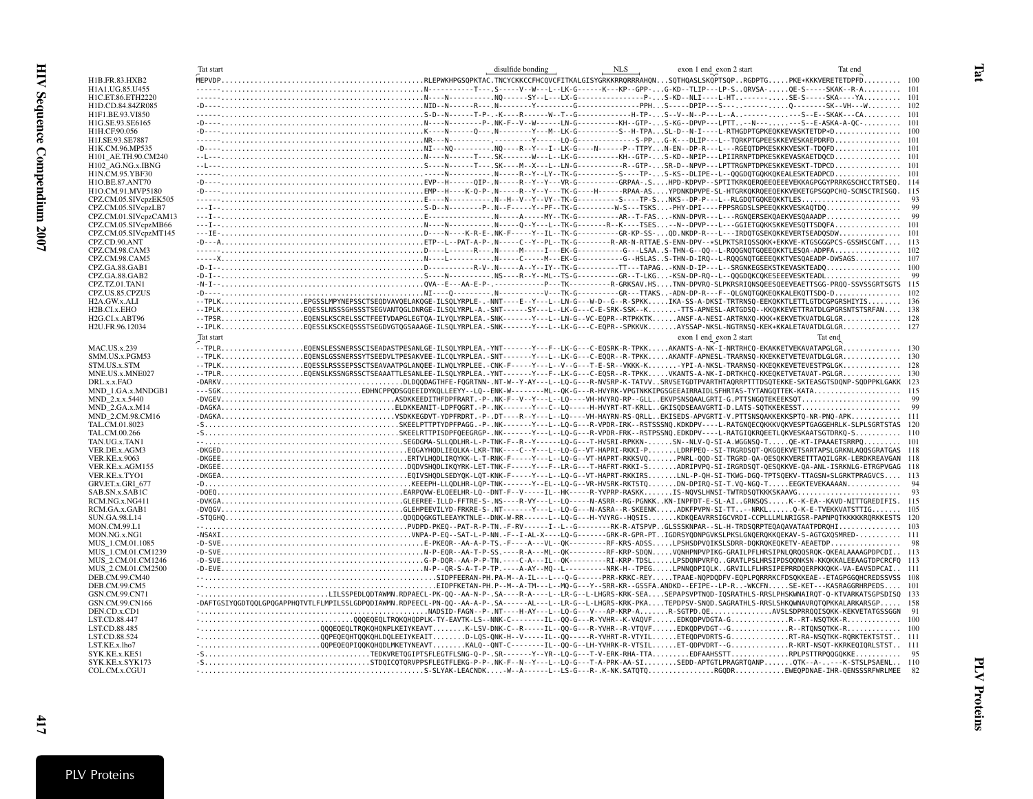<span id="page-22-0"></span>

|                                               | Tat start |                                                                                                                                                                                                                                                                                | disulfide bonding | NLS | exon 1 end exon 2 start | Tat end |  |
|-----------------------------------------------|-----------|--------------------------------------------------------------------------------------------------------------------------------------------------------------------------------------------------------------------------------------------------------------------------------|-------------------|-----|-------------------------|---------|--|
| H1B.FR.83.HXB2                                |           |                                                                                                                                                                                                                                                                                |                   |     |                         |         |  |
| H1A1.UG.85.U455                               |           |                                                                                                                                                                                                                                                                                |                   |     |                         |         |  |
| H1C.ET.86.ETH2220                             |           |                                                                                                                                                                                                                                                                                |                   |     |                         |         |  |
| H1D.CD.84.84ZR085                             |           |                                                                                                                                                                                                                                                                                |                   |     |                         |         |  |
| H1F1.BE.93.VI850                              |           |                                                                                                                                                                                                                                                                                |                   |     |                         |         |  |
| H1G.SE.93.SE6165                              |           |                                                                                                                                                                                                                                                                                |                   |     |                         |         |  |
| H1H.CF.90.056                                 |           |                                                                                                                                                                                                                                                                                |                   |     |                         |         |  |
| H1J.SE.93.SE7887                              |           |                                                                                                                                                                                                                                                                                |                   |     |                         |         |  |
| H1K.CM.96.MP535                               |           |                                                                                                                                                                                                                                                                                |                   |     |                         |         |  |
| H101 AE.TH.90.CM240                           |           |                                                                                                                                                                                                                                                                                |                   |     |                         |         |  |
| H102 AG.NG.x.IBNG                             |           |                                                                                                                                                                                                                                                                                |                   |     |                         |         |  |
| H1N.CM.95.YBF30                               |           |                                                                                                                                                                                                                                                                                |                   |     |                         |         |  |
| H1O.BE.87.ANT70<br>H1O.CM.91.MVP5180          |           |                                                                                                                                                                                                                                                                                |                   |     |                         |         |  |
| CPZ.CM.05.SIVcpzEK505                         |           |                                                                                                                                                                                                                                                                                |                   |     |                         |         |  |
| CPZ.CM.05.SIVcpzLB7                           |           |                                                                                                                                                                                                                                                                                |                   |     |                         |         |  |
| CPZ.CM.01.SIVcpzCAM13                         |           |                                                                                                                                                                                                                                                                                |                   |     |                         |         |  |
| CPZ.CM.05.SIVcpzMB66                          |           |                                                                                                                                                                                                                                                                                |                   |     |                         |         |  |
| CPZ.CM.05.SIVcpzMT145                         |           |                                                                                                                                                                                                                                                                                |                   |     |                         |         |  |
| CPZ.CD.90.ANT                                 |           |                                                                                                                                                                                                                                                                                |                   |     |                         |         |  |
| CPZ.CM.98.CAM3                                |           |                                                                                                                                                                                                                                                                                |                   |     |                         |         |  |
| CPZ.CM.98.CAM5                                |           |                                                                                                                                                                                                                                                                                |                   |     |                         |         |  |
| CPZ.GA.88.GAB1                                |           |                                                                                                                                                                                                                                                                                |                   |     |                         |         |  |
| CPZ.GA.88.GAB2                                |           |                                                                                                                                                                                                                                                                                |                   |     |                         |         |  |
| CPZ.TZ.01.TAN1                                |           |                                                                                                                                                                                                                                                                                |                   |     |                         |         |  |
| CPZ.US.85.CPZUS                               |           |                                                                                                                                                                                                                                                                                |                   |     |                         |         |  |
| H <sub>2</sub> A.GW.x.ALI                     |           | --TPLKEPGSSLMPYNEPSSCTSEODVAVOELAKOGE-ILSOLYRPLE-.-NNT----E--Y---L--LN-G---W-D--G--R-SPKKIKA-SS-A-DKSI-TRTRNSO-EEKOKKTLETTLGTDCGPGRSHIYIS 136                                                                                                                                  |                   |     |                         |         |  |
| H <sub>2</sub> B.CI.x.EHO                     |           | --IPLKEOESSLNSSSGHSSSTSEGVANTOGLDNRGE-ILSOLYRPL-A.-SNT------SY---L--LK-G---C-E-SRK-SSK--KTTS-APNESL-ARTGDSO--KKOKKEVETTRATDLGPGRSNTSTSRFAN 138                                                                                                                                 |                   |     |                         |         |  |
| H <sub>2G.CL</sub> x.ABT96<br>H2U.FR.96.12034 |           | --TPSREQENSLKSCRELSSCTFEETVDAPGLEGTQA-ILYQLYRPLEA.-SNK------Y---L--LN-G--VC-EQPR--RTPKKTKANSF-A-NESI-ARTRNXQ-KKK*KEKVETKVATDLGLGR 128<br>--IPLKEQESSLKSCKEQSSSTSEGDVGTQGSAAAGE-ILSQLYRPLEA.-SNK-------Y---L--LK-G---C-EQPR--SPKKVKAYSSAP-NKSL-NGTRNSQ-KEK*KKALETAVATDLGLGR 127 |                   |     |                         |         |  |
|                                               |           |                                                                                                                                                                                                                                                                                |                   |     |                         |         |  |
|                                               | Tat start |                                                                                                                                                                                                                                                                                |                   |     | exon 1 end exon 2 start | Tat end |  |
| <b>MAC.US.x.239</b>                           |           | .<br>--TPLREQENSLESSNERSSCISEADASTPESANLGE-ILSQLYRPLEA.-YNT------Y---F--LK-G---C-EQSRK-R-TPKKAKANTS-A-NK-I-NRTRHCQ-EKAKKETVEKAVATAPGLGR 130                                                                                                                                    |                   |     |                         |         |  |
| SMM.US.x.PGM53                                |           | --TPLKEQENSLGSSNERSSYTSEEDVLTPESAKVEE-ILCQLYRPLEA.-SNT-------Y---L--LK-G---C-EQQR--R-TPKKAKANTF-APNESL-TRARNSQ-KKEKKETVETEVATDLGLGR 130                                                                                                                                        |                   |     |                         |         |  |
| STM.US.x.STM                                  |           |                                                                                                                                                                                                                                                                                |                   |     |                         |         |  |
| MNE.US.x.MNE027                               |           |                                                                                                                                                                                                                                                                                |                   |     |                         |         |  |
| DRL.x.x.FAO<br>MND 1.GA.x.MNDGB1              |           |                                                                                                                                                                                                                                                                                |                   |     |                         |         |  |
| MND_2.x.x.5440                                |           |                                                                                                                                                                                                                                                                                |                   |     |                         |         |  |
| MND_2.GA.x.M14                                |           |                                                                                                                                                                                                                                                                                |                   |     |                         |         |  |
| MND 2.CM.98.CM16                              |           |                                                                                                                                                                                                                                                                                |                   |     |                         |         |  |
| TAL.CM.01.8023                                |           |                                                                                                                                                                                                                                                                                |                   |     |                         |         |  |
| TAL.CM.00.266                                 |           |                                                                                                                                                                                                                                                                                |                   |     |                         |         |  |
| TAN.UG.x.TAN1                                 |           |                                                                                                                                                                                                                                                                                |                   |     |                         |         |  |
| VER.DE.x.AGM3                                 |           |                                                                                                                                                                                                                                                                                |                   |     |                         |         |  |
| <b>VER.KE.x.9063</b>                          |           |                                                                                                                                                                                                                                                                                |                   |     |                         |         |  |
| VER.KE.x.AGM155                               |           |                                                                                                                                                                                                                                                                                |                   |     |                         |         |  |
| VER.KE.x.TYO1                                 |           |                                                                                                                                                                                                                                                                                |                   |     |                         |         |  |
| GRV.ET.x.GRI 677                              |           |                                                                                                                                                                                                                                                                                |                   |     |                         |         |  |
| SAB.SN.x.SAB1C                                |           |                                                                                                                                                                                                                                                                                |                   |     |                         |         |  |
| RCM.NG.x.NG411<br>RCM.GA.x.GAB1               |           |                                                                                                                                                                                                                                                                                |                   |     |                         |         |  |
| <b>SUN.GA.98.L14</b>                          |           |                                                                                                                                                                                                                                                                                |                   |     |                         |         |  |
| <b>MON.CM.99.L1</b>                           |           |                                                                                                                                                                                                                                                                                |                   |     |                         |         |  |
| MON.NG.x.NG1                                  |           |                                                                                                                                                                                                                                                                                |                   |     |                         |         |  |
| MUS_1.CM.01.1085                              |           |                                                                                                                                                                                                                                                                                |                   |     |                         |         |  |
| MUS 1.CM.01.CM1239                            |           |                                                                                                                                                                                                                                                                                |                   |     |                         |         |  |
| MUS 2.CM.01.CM1246                            |           |                                                                                                                                                                                                                                                                                |                   |     |                         |         |  |
| MUS 2.CM.01.CM2500                            |           |                                                                                                                                                                                                                                                                                |                   |     |                         |         |  |
| DEB.CM.99.CM40                                |           |                                                                                                                                                                                                                                                                                |                   |     |                         |         |  |
| DEB.CM.99.CM5                                 |           |                                                                                                                                                                                                                                                                                |                   |     |                         |         |  |
| GSN.CM.99.CN71                                |           | -LILSSPEDLQDTAWMN.RDPAECL-PK-QQ--AA-N-P-.SA----R-A----L--LR-G--L-LHGRS-KRK-SEASEPAPSVPTNQD-IQSRATHLS-RRSLPHSKWNAIRQT-Q-KTVARKATSGPSDISQ 133                                                                                                                                    |                   |     |                         |         |  |
| GSN.CM.99.CN166                               |           | -DAFTGSIYQGDTQQLGPQGAPPHQTVTLFLMPILSSLGDPQDIAWMN.RDPEECL-PN-QQ--AA-A-P-.SA------AL---L--LR-G--L-LHGRS-KRK-PKATEPDPSV-SNQD.SAGRATHLS-RRSLSHKQWNAVRQTQPKKALARKARSGP 158                                                                                                          |                   |     |                         |         |  |
| DEN.CD.x.CD1                                  |           |                                                                                                                                                                                                                                                                                |                   |     |                         |         |  |
| LST.CD.88.447                                 |           |                                                                                                                                                                                                                                                                                |                   |     |                         |         |  |
| LST.CD.88.485<br>LST.CD.88.524                |           |                                                                                                                                                                                                                                                                                |                   |     |                         |         |  |
| LST.KE.x.lho7                                 |           | 00PEOEOPIOOKOHODLMKETYNEAVTKALO--ONT-C-------IL--00-G--LH-YVHRK-R-VTSILET-ODPVDRT--GR-KRT-NSOT-KKRKEOIORLSTST 111                                                                                                                                                              |                   |     |                         |         |  |
| SYK.KE.x.KE51                                 |           |                                                                                                                                                                                                                                                                                |                   |     |                         |         |  |
| SYK.KE.x.SYK173                               |           |                                                                                                                                                                                                                                                                                |                   |     |                         |         |  |
| COL.CM.x.CGU1                                 |           |                                                                                                                                                                                                                                                                                |                   |     |                         |         |  |
|                                               |           |                                                                                                                                                                                                                                                                                |                   |     |                         |         |  |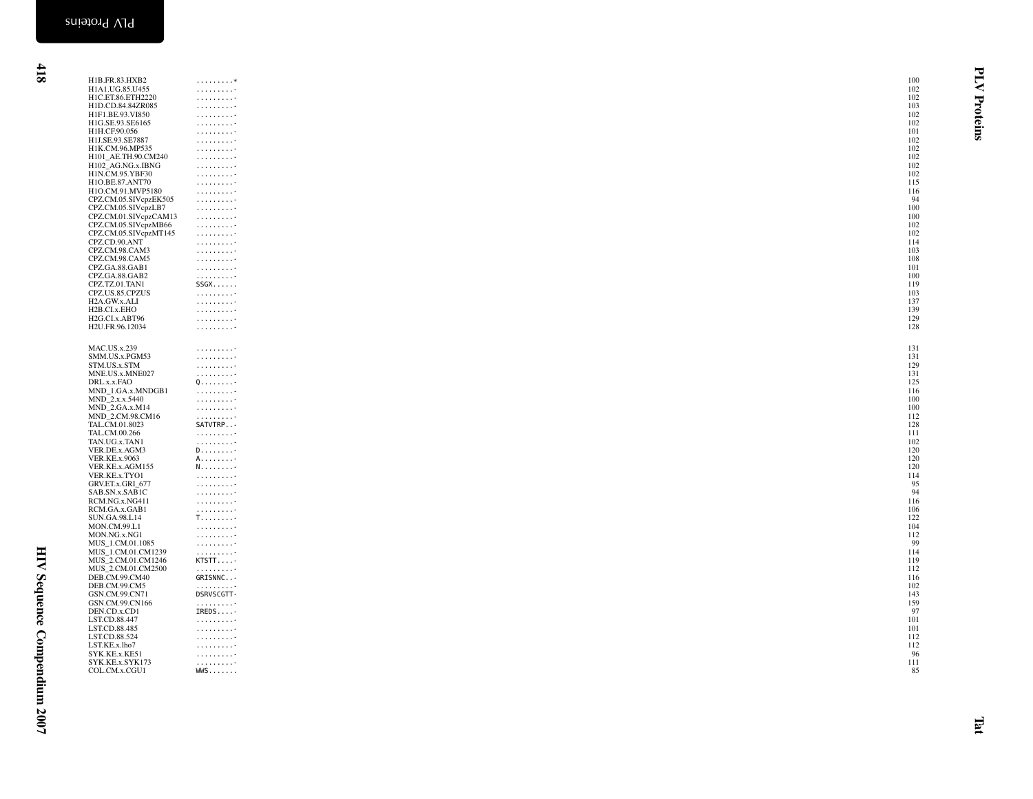| H1B.FR.83.HXB2<br>H1A1.UG.85.U455            | . *                                                                                                  | 100<br>102 | ₹        |
|----------------------------------------------|------------------------------------------------------------------------------------------------------|------------|----------|
| H1C.ET.86.ETH2220                            | $\alpha$ , and $\alpha$ , and $\alpha$ , and $\beta$<br>.                                            | 102        |          |
| H1D.CD.84.84ZR085                            | .                                                                                                    | 103        | Proteins |
| H1F1.BE.93.VI850                             | .                                                                                                    | 102        |          |
| H1G.SE.93.SE6165                             | .                                                                                                    | 102        |          |
| H1H.CF.90.056                                |                                                                                                      | 101        |          |
| H1J.SE.93.SE7887<br>H1K.CM.96.MP535          |                                                                                                      | 102<br>102 |          |
| H101 AE.TH.90.CM240                          | $\alpha$ , and $\alpha$ , and $\alpha$ , and $\beta$<br>1.1.1.1.1.1.1.1.7                            | 102        |          |
| H102 AG.NG.x.IBNG                            | $\alpha$ is a second order.                                                                          | 102        |          |
| H1N.CM.95.YBF30                              | .                                                                                                    | 102        |          |
| H1O.BE.87.ANT70                              | 1.1.1.1.1.1.1.1.7                                                                                    | 115        |          |
| H1O.CM.91.MVP5180                            | $\alpha$ , and $\alpha$ , and $\alpha$ , and                                                         | 116<br>94  |          |
| CPZ.CM.05.SIVcpzEK505<br>CPZ.CM.05.SIVcpzLB7 | $\alpha$ , $\alpha$ , $\alpha$ , $\alpha$ , $\alpha$                                                 | 100        |          |
| CPZ.CM.01.SIVcpzCAM13                        | $\alpha$ , $\alpha$ , $\alpha$ , $\alpha$ , $\alpha$<br>$\alpha$ , and $\alpha$ , and $\alpha$ , and | 100        |          |
| CPZ.CM.05.SIVcpzMB66                         | . 7                                                                                                  | 102        |          |
| CPZ.CM.05.SIVcpzMT145                        |                                                                                                      | 102        |          |
| CPZ.CD.90.ANT                                |                                                                                                      | 114        |          |
| CPZ.CM.98.CAM3                               | 1.1.1.1.1.1.1.1.7                                                                                    | 103        |          |
| CPZ.CM.98.CAM5<br>CPZ.GA.88.GAB1             | 1.1.1.1.1.1.1.1.7<br>$\alpha$ , and $\alpha$ , and $\alpha$ , and                                    | 108<br>101 |          |
| CPZ.GA.88.GAB2                               | $\alpha$ , and $\alpha$ , and $\alpha$ , and                                                         | 100        |          |
| CPZ.TZ.01.TAN1                               | SSGX                                                                                                 | 119        |          |
| CPZ.US.85.CPZUS                              | .                                                                                                    | 103        |          |
| H2A.GW.x.ALI                                 |                                                                                                      | 137        |          |
| H <sub>2</sub> B.CI.x.EHO                    | 1.1.1.1.1.1.1.1.7                                                                                    | 139        |          |
| H2G.CI.x.ABT96<br>H2U.FR.96.12034            | .<br>1.1.1.1.1.1.1.1.7                                                                               | 129<br>128 |          |
|                                              |                                                                                                      |            |          |
| <b>MAC.US.x.239</b>                          |                                                                                                      | 131        |          |
| SMM.US.x.PGM53                               | .<br>$\alpha$ , $\alpha$ , $\alpha$ , $\alpha$ , $\alpha$                                            | 131        |          |
| STM.US.x.STM                                 | $\alpha$ , $\alpha$ , $\alpha$ , $\alpha$ , $\alpha$ , $\alpha$                                      | 129        |          |
| MNE.US.x.MNE027                              | 1.1.1.1.1.1.1.1                                                                                      | 131        |          |
| DRL.x.x.FAO                                  |                                                                                                      | 125        |          |
| MND_1.GA.x.MNDGB1                            | $\alpha$ is a second control.                                                                        | 116        |          |
| MND_2.x.x.5440<br>MND_2.GA.x.M14             | $\alpha$                                                                                             | 100<br>100 |          |
| MND_2.CM.98.CM16                             | $\alpha$<br>$\alpha$ is a second order.                                                              | 112        |          |
| TAL.CM.01.8023                               | SATVTRP                                                                                              | 128        |          |
| TAL.CM.00.266                                | $\alpha$ is a second control.                                                                        | 111        |          |
| TAN.UG.x.TAN1                                | $\alpha$ is a second control.                                                                        | 102        |          |
| VER.DE.x.AGM3                                | D                                                                                                    | 120        |          |
| <b>VER.KE.x.9063</b><br>VER.KE.x.AGM155      | A. -<br>N. -                                                                                         | 120<br>120 |          |
| VER.KE.x.TYO1                                | $\alpha$ . The contract of $\alpha$                                                                  | 114        |          |
| GRV.ET.x.GRI_677                             | $\alpha$ , and $\alpha$ , and $\alpha$ , and                                                         | 95         |          |
| SAB.SN.x.SAB1C                               | $\alpha$ , $\alpha$ , $\alpha$ , $\alpha$ , $\alpha$ , $\alpha$                                      | 94         |          |
| RCM.NG.x.NG411                               | $\alpha$ , $\alpha$ , $\alpha$ , $\alpha$ , $\alpha$ , $\alpha$                                      | 116        |          |
| RCM.GA.x.GAB1<br><b>SUN.GA.98.L14</b>        | $\alpha$ , and $\alpha$ , and $\alpha$ , and $\beta$<br>$T_{1},,,$                                   | 106<br>122 |          |
| MON.CM.99.L1                                 | $\alpha$ , and $\alpha$ , and $\alpha$ , and                                                         | 104        |          |
| MON.NG.x.NG1                                 |                                                                                                      | 112        |          |
| MUS_1.CM.01.1085                             | $\alpha$ , and $\alpha$ , and $\alpha$ , and                                                         | 99         |          |
| MUS_1.CM.01.CM1239                           | $\alpha$ , and $\alpha$ , and $\alpha$ , and                                                         | 114        |          |
| MUS_2.CM.01.CM1246                           | KTSTT-                                                                                               | 119<br>112 |          |
| MUS_2.CM.01.CM2500<br>DEB.CM.99.CM40         | $\alpha$ , $\alpha$ , $\alpha$ , $\alpha$ , $\alpha$ , $\alpha$<br>GRISNNC-                          | 116        |          |
| DEB.CM.99.CM5                                | 1.1.1.1.1.1.1.1.7                                                                                    | 102        |          |
| GSN.CM.99.CN71                               | DSRVSCGTT-                                                                                           | 143        |          |
| GSN.CM.99.CN166                              | 1.1.1.1.1.1.1.1.7                                                                                    | 159        |          |
| DEN.CD.x.CD1                                 | IREDS-                                                                                               | 97         |          |
| LST.CD.88.447<br>LST.CD.88.485               | $\alpha$                                                                                             | 101<br>101 |          |
| LST.CD.88.524                                | $\alpha$<br>$\alpha$ , $\alpha$ , $\alpha$ , $\alpha$ , $\alpha$ , $\alpha$                          | 112        |          |
| LST.KE.x.lho7                                | $\alpha$ , $\alpha$ , $\alpha$ , $\alpha$ , $\alpha$ , $\alpha$                                      | 112        |          |
| SYK.KE.x.KE51                                | .                                                                                                    | 96         |          |
| SYK.KE.x.SYK173                              | $\alpha$ , $\alpha$ , $\alpha$ , $\alpha$ , $\alpha$ , $\alpha$                                      | 111        |          |
| COL.CM.x.CGU1                                | $WMS$                                                                                                | 85         |          |
|                                              |                                                                                                      |            |          |
|                                              |                                                                                                      |            |          |
|                                              |                                                                                                      |            |          |
|                                              |                                                                                                      |            |          |
|                                              |                                                                                                      |            | EI       |
|                                              |                                                                                                      |            |          |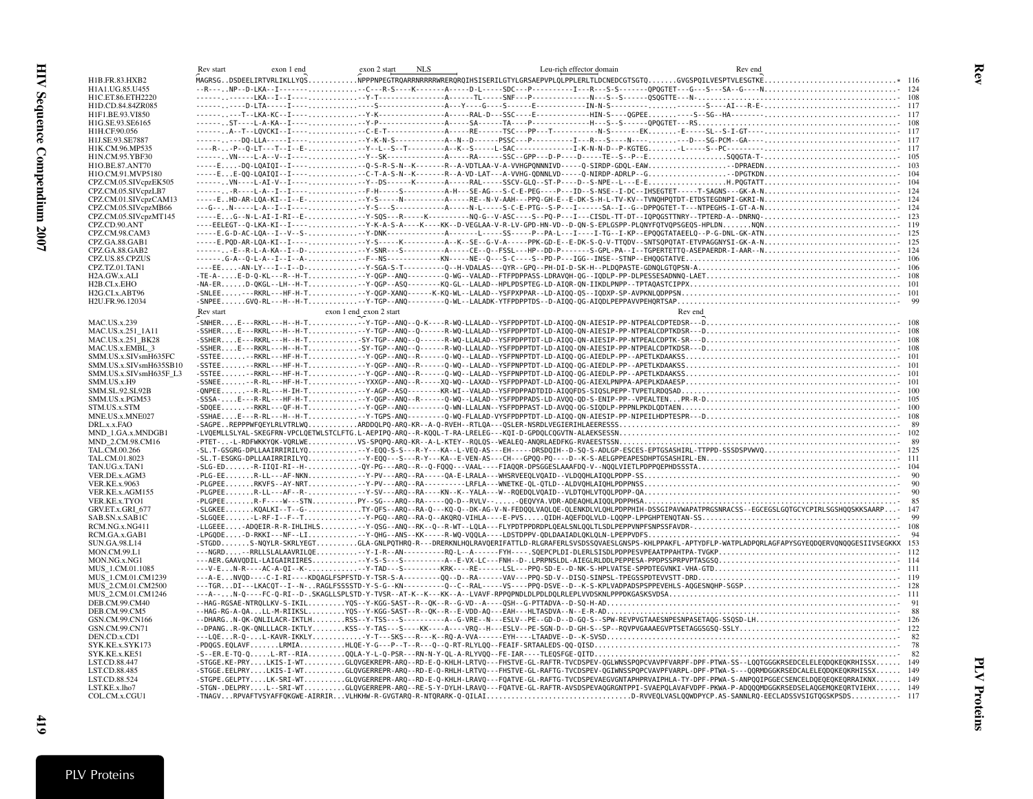<span id="page-24-0"></span>

|                                               | Rev start<br>exon 1 end | exon 2 start<br><b>NLS</b><br>Leu-rich effector domain                                                                                                        | Rev end |  |
|-----------------------------------------------|-------------------------|---------------------------------------------------------------------------------------------------------------------------------------------------------------|---------|--|
| H1B.FR.83.HXB2                                |                         |                                                                                                                                                               |         |  |
| H1A1.UG.85.U455                               |                         |                                                                                                                                                               |         |  |
| H1C.ET.86.ETH2220                             |                         |                                                                                                                                                               |         |  |
| H1D.CD.84.84ZR085                             |                         |                                                                                                                                                               |         |  |
| H1F1.BE.93.VI850<br>H1G.SE.93.SE6165          |                         |                                                                                                                                                               |         |  |
| H1H.CF.90.056                                 |                         |                                                                                                                                                               |         |  |
| H1J.SE.93.SE7887                              |                         |                                                                                                                                                               |         |  |
| H1K.CM.96.MP535                               |                         |                                                                                                                                                               |         |  |
| H1N.CM.95.YBF30                               |                         |                                                                                                                                                               |         |  |
| H1O.BE.87.ANT70                               |                         |                                                                                                                                                               |         |  |
| H1O.CM.91.MVP5180                             |                         |                                                                                                                                                               |         |  |
| CPZ.CM.05.SIVcpzEK505                         |                         |                                                                                                                                                               |         |  |
| CPZ.CM.05.SIVcpzLB7                           |                         |                                                                                                                                                               |         |  |
| CPZ.CM.01.SIVcpzCAM13<br>CPZ.CM.05.SIVcpzMB66 |                         |                                                                                                                                                               |         |  |
| CPZ.CM.05.SIVcpzMT145                         |                         |                                                                                                                                                               |         |  |
| CPZ.CD.90.ANT                                 |                         |                                                                                                                                                               |         |  |
| CPZ.CM.98.CAM3                                |                         |                                                                                                                                                               |         |  |
| CPZ.GA.88.GAB1                                |                         |                                                                                                                                                               |         |  |
| CPZ.GA.88.GAB2                                |                         |                                                                                                                                                               |         |  |
| CPZ.US.85.CPZUS                               |                         |                                                                                                                                                               |         |  |
| CPZ.TZ.01.TAN1                                |                         |                                                                                                                                                               |         |  |
| H2A.GW.x.ALI                                  |                         |                                                                                                                                                               |         |  |
| H2B.CI.x.EHO<br>H2G.CI.x.ABT96                |                         |                                                                                                                                                               |         |  |
| H2U.FR.96.12034                               |                         |                                                                                                                                                               |         |  |
|                                               | Rev start               | exon 1 end exon 2 start                                                                                                                                       | Rev end |  |
|                                               |                         |                                                                                                                                                               |         |  |
| MAC.US.x.239                                  |                         |                                                                                                                                                               |         |  |
| MAC.US.x.251 1A11                             |                         |                                                                                                                                                               |         |  |
| MAC.US.x.251_BK28<br>MAC.US.x.EMBL_3          |                         |                                                                                                                                                               |         |  |
| SMM.US.x.SIVsmH635FC                          |                         |                                                                                                                                                               |         |  |
| SMM.US.x.SIVsmH635SB10                        |                         |                                                                                                                                                               |         |  |
| SMM.US.x.SIVsmH635F L3                        |                         |                                                                                                                                                               |         |  |
| SMM.US.x.H9                                   |                         |                                                                                                                                                               |         |  |
| SMM.SL.92.SL92B                               |                         |                                                                                                                                                               |         |  |
| SMM.US.x.PGM53                                |                         |                                                                                                                                                               |         |  |
| STM.US.x.STM                                  |                         |                                                                                                                                                               |         |  |
| MNE.US.x.MNE027<br>DRL.x.x.FAO                |                         |                                                                                                                                                               |         |  |
| MND 1.GA.x.MNDGB1                             |                         |                                                                                                                                                               |         |  |
| MND 2.CM.98.CM16                              |                         |                                                                                                                                                               |         |  |
| TAL.CM.00.266                                 |                         |                                                                                                                                                               |         |  |
| TAL.CM.01.8023                                |                         |                                                                                                                                                               |         |  |
| TAN.UG.x.TAN1                                 |                         |                                                                                                                                                               |         |  |
| VER.DE.x.AGM3                                 |                         |                                                                                                                                                               |         |  |
| <b>VER.KE.x.9063</b>                          |                         |                                                                                                                                                               |         |  |
| VER.KE.x.AGM155                               |                         |                                                                                                                                                               |         |  |
| VER.KE.x.TYO1                                 |                         | -SLGKEEKQALKI--T--G-TY-QFS--ARQ--RA-Q---KQ-Q--DK-AG-V-N-FEDQQLVAQLQE-QLENKDLVLQHLPDPPHIH-DSSGIPAVWAPATPRGSNRACSS--EGCEGSLGQTGCYCPIRLSGSHQQSKKSAARP- 147       |         |  |
| GRV.ET.x.GRI_677<br>SAB.SN.x.SAB1C            |                         |                                                                                                                                                               |         |  |
| RCM.NG.x.NG411                                |                         |                                                                                                                                                               |         |  |
| RCM.GA.x.GAB1                                 |                         |                                                                                                                                                               |         |  |
| SUN.GA.98.L14                                 |                         | -STGDDS-NQYLR-SKRLYEGTGLA-GNLPQTHRQ-R---DRERKNLHQLRAVQERIFATTLD-RLGRAFERLSVSDSSQVAESLGNSPS-KHLPPAKFL-APTYDFLP-WATPLADPQRLAGFAPYSGYEQDQERVQNQQGESIIVSEGKKX 153 |         |  |
| MON.CM.99.L1                                  |                         |                                                                                                                                                               |         |  |
| MON.NG.x.NG1                                  |                         |                                                                                                                                                               |         |  |
| MUS 1.CM.01.1085                              |                         |                                                                                                                                                               |         |  |
| MUS_1.CM.01.CM1239                            |                         |                                                                                                                                                               |         |  |
| MUS 2.CM.01.CM2500                            |                         |                                                                                                                                                               |         |  |
| MUS 2.CM.01.CM1246                            |                         |                                                                                                                                                               |         |  |
| DEB.CM.99.CM40<br>DEB.CM.99.CM5               |                         |                                                                                                                                                               |         |  |
| GSN.CM.99.CN166                               |                         |                                                                                                                                                               |         |  |
| GSN.CM.99.CN71                                |                         |                                                                                                                                                               |         |  |
| DEN.CD.x.CD1                                  |                         |                                                                                                                                                               |         |  |
| SYK.KE.x.SYK173                               |                         |                                                                                                                                                               |         |  |
| SYK.KE.x.KE51                                 |                         |                                                                                                                                                               |         |  |
| LST.CD.88.447                                 |                         | -STGGE.KE-PRYLKIS-I-WTGLQVGEKREPR-ARQ--RD-E-Q-KHLH-LRTVQ---FHSTVE-GL-RAFTR-TVCDSPEV-QGLWNSSPQPCVAVPFVARPF-DPF-PTWA-SS--LQQTGGGKRSEDCELELEQDQKEQKRHISSX 149    |         |  |
| LST.CD.88.485                                 |                         | -STGGE.EELPRYLKIS-I-WTGLOVGERREPR-ARO--RD-E-O-RHLH-LRTVO---FHSTVE-GL-RAFTG-TVCDSPEV-OGIWNSSPOPCVAVPFVARPL-DPF-PTWA-S---OORMDGGKRSEDCALELEODOKEOKRHISSX 149    |         |  |
| LST.CD.88.524                                 |                         | -STGPE.GELPTYLK-SRI-WTGLQVGERREPR-ARQ--RD-E-Q-KHLH-LRAVQ---FQATVE-GL-RAFTG-TVCDSPEVAEGVGNTAPHPRVAIPHLA-TY-DPF-PPWA-S-ANPQQIPGGECSENCELDQEQEQKEQRRAIKNX 149    |         |  |
| LST.KE.x.lho7                                 |                         | -STGN-.DELPRYL--SRI-WTGLQVGERREPR-ARQ--RE-S-Y-DYLH-LRAVQ---FQATVE-GL-RAFTR-AVSDSPEVAQGRGNTPPI-SVAEPQLAVAFVDPF-PKWA-P-ADQQQMDGGKRSEDSELAQGEMQKEQRTVIEHX 149    |         |  |
| COL.CM.x.CGU1                                 |                         | -TNAGVRPVAFTVSYAFFQKGWE-AIRRIRVLHKHW-R-GVGTARQ-R-NTQRARK-Q-QILAID-RVVEQLVASLQQWDPYCP.AS-SANNLRQ-EECLADSSVSIGTQGSKPSDS- 117                                    |         |  |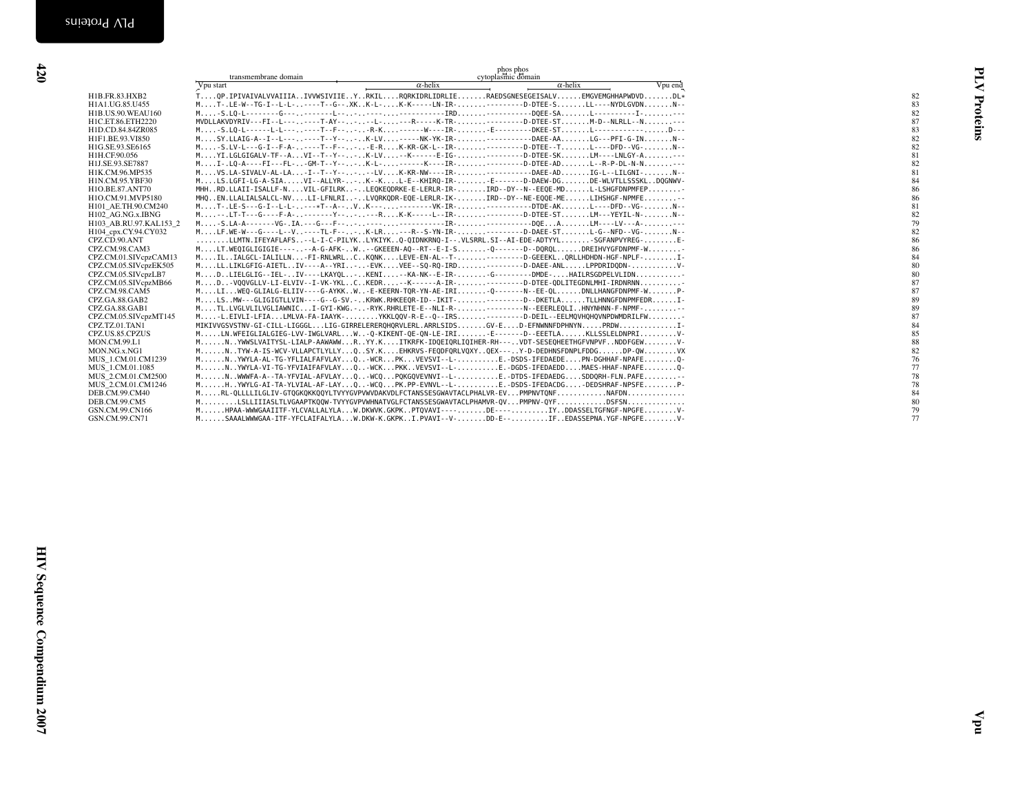<span id="page-25-0"></span>

|                                         | transmembrane domain                                                                                                                                                        |                 | phos phos                             |         |                      |
|-----------------------------------------|-----------------------------------------------------------------------------------------------------------------------------------------------------------------------------|-----------------|---------------------------------------|---------|----------------------|
|                                         | Vpu start                                                                                                                                                                   | $\alpha$ -helix | cytoplasmic domain<br>$\alpha$ -helix | Vpu end |                      |
| H1B.FR.83.HXB2                          | TOP.IPIVAIVALVVAIIIAIVVWSIVIIEYRKILRORKIDRLIDRLIERAEDSGNESEGEISALVEMGVEMGHHAPWDVDDL*                                                                                        |                 |                                       |         |                      |
|                                         |                                                                                                                                                                             |                 |                                       |         | 82                   |
| H1A1.UG.85.U455<br>H1B.US.90.WEAU160    | MT-.LE-W--TG-I--L-L----T--G--.XKK-L-K-K-----LN-IR---------D-DTEE-SLL----NYDLGVDNN--                                                                                         |                 |                                       |         | Proteins<br>83<br>82 |
| H1C.ET.86.ETH2220                       | MVDLLAKVDYRIV---FI--L-------T-AY-----L----R-----K-TR---------D-DTEE-STM-D--NLRLL--N---                                                                                      |                 |                                       |         | 87                   |
| H1D.CD.84.84ZR085                       | M-S.LQ-L------L-L------T--F----R-K------W----IR-E---------DKEE-STL-------------D---                                                                                         |                 |                                       |         | 83                   |
| H1F1.BE.93.VI850                        | $M_{1},,SY, LLATG-A--I--L-----T--Y--K-LV,---NK-YK-IR----DAEE-AALG---PFI-G-INN--P-1.$                                                                                        |                 |                                       |         | 82                   |
| H1G.SE.93.SE6165                        | M-S.LV-L---G-I--F-A-----T--F---E-RK-KR-GK-L--IR----------D-DTEE--TL----DFD--VG-N--                                                                                          |                 |                                       |         | 82                   |
| H1H.CF.90.056                           | MYI.LGLGIGALV-TF--AVI--T--Y---K-LV--K------E-IG----------D-DTEE-SKLM----LNLGY-A--                                                                                           |                 |                                       |         | 81                   |
| H1J.SE.93.SE7887                        | MI-.LQ-A----FI---FL--GM-T--Y---K-L------K----IR----------D-DTEE-ADL--R-P-DL-N-N--                                                                                           |                 |                                       |         | 82                   |
| H1K.CM.96.MP535                         | MVS.LA-SIVALV-AL-LA-I--T--Y----LVK-KR-NW----IR-------------DAEE-ADIG-L--LILGNI-N--                                                                                          |                 |                                       |         | 81                   |
| H1N.CM.95.YBF30                         | MLS.LGFI-LG-A-SIAVI--ALLYR--K--KL-E--KHIRO-IR--E------D-DAEW-DGDE-WLVTLLSSSKLDOGNWV-                                                                                        |                 |                                       |         | 84                   |
| H1O.BE.87.ANT70                         | MHHRD.LLAII-ISALLF-NVIL-GFILRK-LEQKEQDRKE-E-LERLR-IR-IRD--DY--N--EEQE-MDL-LSHGFDNPMFEP                                                                                      |                 |                                       |         | 86                   |
| H1O.CM.91.MVP5180                       | MHQEN.LLALIALSALCL-NVLI-LFNLRI-LVQRKQDR-EQE-LERLR-IK-IRD--DY--NE-EQQE-MELIHSHGF-NPMFE-                                                                                      |                 |                                       |         | 86                   |
| H101_AE.TH.90.CM240                     | MT-.LE-S---G-I--L-L----*T--A--VK-----------VK-IR------------DTDE-AKL----DFD--VG-N--                                                                                         |                 |                                       |         | 81                   |
| H102_AG.NG.x.IBNG                       | M--.LT-T---G----F-A--------Y----RK-K-----L--IR----------D-DTEE-STLM---YEYIL-N-N--                                                                                           |                 |                                       |         | 82                   |
| H103_AB.RU.97.KAL153_2                  |                                                                                                                                                                             |                 |                                       |         | 79                   |
| H104_cpx.CY.94.CY032                    | MLF.WE-W--G----L--V----TL-F---.K-LR---R--S-YN-IR----------D-DAEE-STL-G--NFD--VG-N--                                                                                         |                 |                                       |         | 82                   |
| CPZ.CD.90.ANT                           | LLMTN.IFEYAFLAFS--L-I-C-PILYKLYKIYKQ-QIDNKRNQ-I--.VLSRRL.SI--AI-EDE-ADTYYLSGFANPVYREG-E-                                                                                    |                 |                                       |         | 86                   |
| CPZ.CM.98.CAM3<br>CPZ.CM.01.SIVcpzCAM13 | MLT.WEQIGLIGIGIE-----A-G-AFK-W-GKEEEN-AQ--RT--E-I-SQ-------D--DQRQLDREIHVYGFDNPMF-W<br>MILIALGCL-IALILLN-FI-RNLWRLCKONKLEVE-EN-AL--T----------D-GEEEKLQRLLHDHDN-HGF-NPLF-I- |                 |                                       |         | 86                   |
| CPZ.CM.05.SIVcpzEK505                   | MLL.LIKLGFIG-AIETLIV----A--YRI--EVKVEE--SQ-RQ-IRD---------D-DAEE-ANLLPPDRIDQDN-V-                                                                                           |                 |                                       |         | 84<br>80             |
| CPZ.CM.05.SIVcpzLB7                     | MDLIELGLIG--IEL-IV----LKAYQL-KENI--KA-NK--E-IR-G---------DMDE-HAILRSGDPELVLIDN                                                                                              |                 |                                       |         | 80                   |
| CPZ.CM.05.SIVcpzMB66                    | MD-VQQVGLLV-LI-ELVIV--I-VK-YKLCKEDR--K-----A-IR----------D-DTEE-QDLITEGDNLMHI-IRDNRNN                                                                                       |                 |                                       |         | 87                   |
| CPZ.CM.98.CAM5                          | MLIWEQ-GLIALG-ELIIV----G-AYKKWE-KEERN-TQR-YN-AE-IRIQ-------N--EE-QLDNLLHANGFDNPMF-WP-                                                                                       |                 |                                       |         | 87                   |
| CPZ.GA.88.GAB2                          | MLSMW---GLIGIGTLLVIN----G--G-SV.-KRWK.RHKEEQR-ID--IKIT---------D--DKETLATLLHNNGFDNPMFEDRI-                                                                                  |                 |                                       |         | 89                   |
| CPZ.GA.88.GAB1                          | MTL.LVGLVLILVGLIAWNICI-GYI-KWG.--RYK.RHRLETE-E--NLI-R-----------N--EEERLEQLIHNYNHNN-F-NPMF--                                                                                |                 |                                       |         | 89                   |
| CPZ.CM.05.SIVcpzMT145                   | M-L.EIVLI-LFIALMLVA-FA-IAAYK-YKKLQQV-R-E--Q--IRS---------D-DEIL--EELMQVHQHQVNPDWMDRILFW                                                                                     |                 |                                       |         | 87                   |
| CPZ.TZ.01.TAN1                          | MIKIVVGSVSTNV-GI-CILL-LIGGGLLIG-GIRRELERERQHQRVLERL.ARRLSIDSGV-ED-EFNWNNFDPHNYNPRDWI-                                                                                       |                 |                                       |         | 84                   |
| CPZ.US.85.CPZUS                         | MLN.WFEIGLIALGIEG-LVV-IWGLVARLW-Q-KIKENT-QE-QN-LE-IRIE-------D--EEETLAKLLSSLELDNPRIV-                                                                                       |                 |                                       |         | 85                   |
| MON.CM.99.L1                            | MNYWWSLVAITYSL-LIALP-AAWAWWRYY.KITKRFK-IDQEIQRLIQIHER-RH---VDT-SESEQHEETHGFVNPVFNDDFGEWV-                                                                                   |                 |                                       |         | 88                   |
| MON.NG.x.NG1                            | MNTYW-A-IS-WCV-VLLAPCTLYLLYQSY.KEHKRVS-FEQDFQRLVQXYQEX---Y-D-DEDHNSFDNPLFDDGDP-QWVX                                                                                         |                 |                                       |         | 82                   |
| MUS_1.CM.01.CM1239                      | MNYWYLA-AL-TG-YFLIALFAFVLAYQ-WCRPKVEVSVI--L-E.-DSDS-IFEDAEDEPN-DGHHAF-NPAFEQ-                                                                                               |                 |                                       |         | 76                   |
| MUS 1.CM.01.1085                        | MNYWYLA-VI-TG-YFVIAIFAFVLAYQ-WCKPKKVEVSVI--L-E.-DGDS-IFEDAEDDMAES-HHAF-NPAFEQ-                                                                                              |                 |                                       |         | 77                   |
| MUS 2.CM.01.CM2500                      | MNWWWFA-A--TA-YFVIAL-AFVLAYQ-WCQPQKGQVEVNVI--L-E.-DTDS-IFEDAEDGSDDQRH-FLN.PAFE-                                                                                             |                 |                                       |         | 78                   |
| MUS_2.CM.01.CM1246                      | MH.YWYLG-AI-TA-YLVIAL-AF-LAYQ-WCQPK.PP-EVNVL--L-E.-DSDS-IFEDACDG-DEDSHRAF-NPSFEP-                                                                                           |                 |                                       |         | 78<br>84             |
| DEB.CM.99.CM40<br>DEB.CM.99.CM5         | MRL-QLLLLILGLIV-GTQGKQKKQQYLTVYYGVPVWVDAKVDLFCTANSSESGWAVTACLPHALVR-EVPMPNVTQNFNAFDN<br>MLSLLIIIASLTLVGAAPTKQQW-TVYYGVPVWHNATVGLFCTANSSESGWAVTACLPHAMVR-QVPMPNV-QYFDSFSN    |                 |                                       |         | 80                   |
| GSN.CM.99.CN166                         | MHPAA-WWWGAAIITF-YLCVALLALYLAW.DKWVK.GKPKPTQVAVI----DE----IYDDASSELTGFNGF-NPGFEV-                                                                                           |                 |                                       |         | 79                   |
| GSN.CM.99.CN71                          | MSAAALWWWGAA-ITF-YFCLAIFALYLAW.DKW-K.GKPKI.PVAVI--V-DD-E--IFEDASSEPNA.YGF-NPGFEV-                                                                                           |                 |                                       |         | 77                   |
|                                         |                                                                                                                                                                             |                 |                                       |         |                      |
|                                         |                                                                                                                                                                             |                 |                                       |         |                      |
|                                         |                                                                                                                                                                             |                 |                                       |         |                      |
|                                         |                                                                                                                                                                             |                 |                                       |         |                      |
|                                         |                                                                                                                                                                             |                 |                                       |         |                      |
|                                         |                                                                                                                                                                             |                 |                                       |         |                      |
|                                         |                                                                                                                                                                             |                 |                                       |         |                      |
|                                         |                                                                                                                                                                             |                 |                                       |         |                      |
|                                         |                                                                                                                                                                             |                 |                                       |         |                      |
|                                         |                                                                                                                                                                             |                 |                                       |         |                      |
|                                         |                                                                                                                                                                             |                 |                                       |         |                      |
|                                         |                                                                                                                                                                             |                 |                                       |         |                      |
|                                         |                                                                                                                                                                             |                 |                                       |         |                      |
|                                         |                                                                                                                                                                             |                 |                                       |         |                      |
|                                         |                                                                                                                                                                             |                 |                                       |         |                      |
|                                         |                                                                                                                                                                             |                 |                                       |         |                      |
|                                         |                                                                                                                                                                             |                 |                                       |         |                      |
|                                         |                                                                                                                                                                             |                 |                                       |         |                      |
|                                         |                                                                                                                                                                             |                 |                                       |         |                      |
|                                         |                                                                                                                                                                             |                 |                                       |         |                      |
|                                         |                                                                                                                                                                             |                 |                                       |         |                      |
|                                         |                                                                                                                                                                             |                 |                                       |         |                      |
|                                         |                                                                                                                                                                             |                 |                                       |         |                      |
|                                         |                                                                                                                                                                             |                 |                                       |         |                      |
|                                         |                                                                                                                                                                             |                 |                                       |         |                      |
|                                         |                                                                                                                                                                             |                 |                                       |         |                      |
|                                         |                                                                                                                                                                             |                 |                                       |         |                      |
|                                         |                                                                                                                                                                             |                 |                                       |         |                      |
|                                         |                                                                                                                                                                             |                 |                                       |         |                      |
|                                         |                                                                                                                                                                             |                 |                                       |         |                      |
|                                         |                                                                                                                                                                             |                 |                                       |         |                      |
|                                         |                                                                                                                                                                             |                 |                                       |         |                      |
|                                         |                                                                                                                                                                             |                 |                                       |         |                      |
|                                         |                                                                                                                                                                             |                 |                                       |         | ᇰ                    |
|                                         |                                                                                                                                                                             |                 |                                       |         |                      |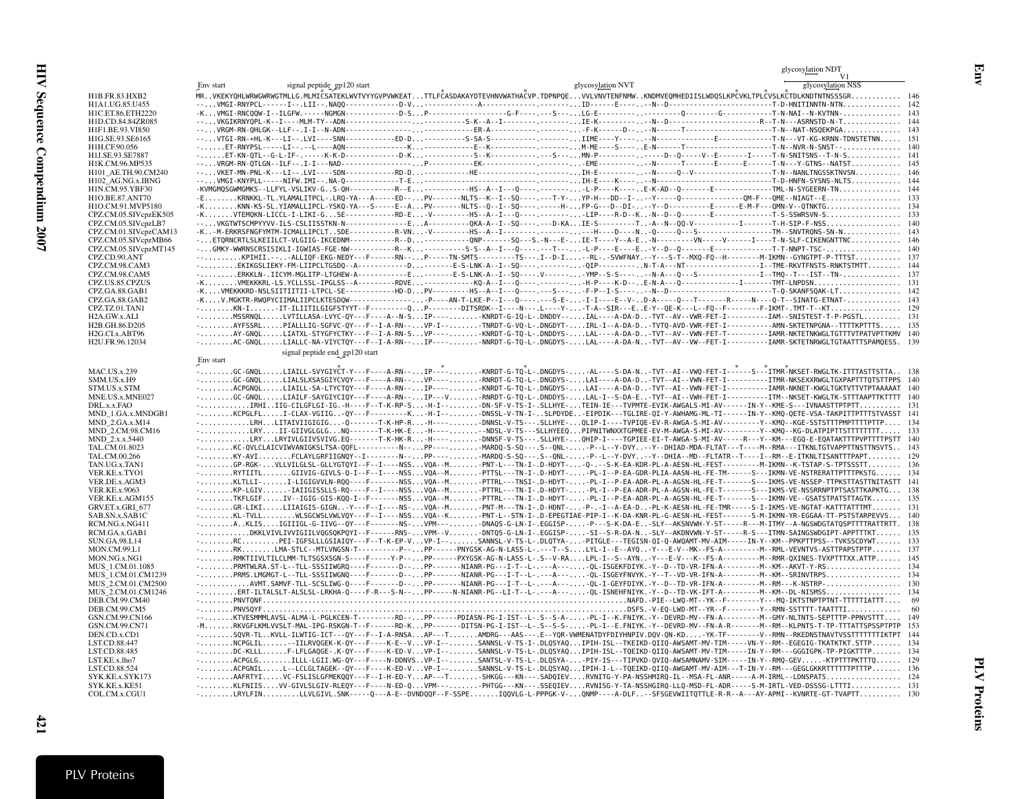<span id="page-26-0"></span>

|                                               |                                                                                                                                                                                                                                                                                                       | glycosylation NDT |     |
|-----------------------------------------------|-------------------------------------------------------------------------------------------------------------------------------------------------------------------------------------------------------------------------------------------------------------------------------------------------------|-------------------|-----|
|                                               | signal peptide_gp120 start<br>glycosylation NVT<br>Env start                                                                                                                                                                                                                                          | glycosylation NSS |     |
| H1B.FR.83.HXB2                                | MRVKEKYQHLWRWGWRWGTMLLG.MLMIČSATEKLWVTVYYGVPVWKEATTTLFČASDAKAYDTEVHNVWATHAČVP.TDPNPQEVVLVNVTENFNMWKNDMVEQMHEDIISLWDQSLKPČVKLTPLČVSLKČTDLKNDTNTNSSSGR 146                                                                                                                                              |                   |     |
| H1A1.UG.85.U455                               |                                                                                                                                                                                                                                                                                                       |                   |     |
| H1C.ET.86.ETH2220<br>H1D.CD.84.84ZR085        |                                                                                                                                                                                                                                                                                                       |                   |     |
| H1F1.BE.93.VI850                              |                                                                                                                                                                                                                                                                                                       |                   |     |
| H1G.SE.93.SE6165                              |                                                                                                                                                                                                                                                                                                       |                   |     |
| H1H.CF.90.056<br>H1J.SE.93.SE7887             |                                                                                                                                                                                                                                                                                                       |                   |     |
| H1K.CM.96.MP535                               |                                                                                                                                                                                                                                                                                                       |                   |     |
| H101 AE.TH.90.CM240                           |                                                                                                                                                                                                                                                                                                       |                   |     |
| H102_AG.NG.x.IBNG                             |                                                                                                                                                                                                                                                                                                       |                   |     |
| H1N.CM.95.YBF30<br>H1O.BE.87.ANT70            |                                                                                                                                                                                                                                                                                                       |                   |     |
| H1O.CM.91.MVP5180                             |                                                                                                                                                                                                                                                                                                       |                   |     |
| CPZ.CM.05.SIVcpzEK505                         |                                                                                                                                                                                                                                                                                                       |                   |     |
| CPZ.CM.05.SIVcpzLB7                           | --VKGTWTSCMPYYVV-ILS-CSLIISSTKN-N-------------EA---------QKA-A--I--SQ----.---D-KAIE-S---------TA--N--QQ-V----------------------T-H-SIP-F-NSS                                                                                                                                                          |                   |     |
| CPZ.CM.01.SIVcpzCAM13<br>CPZ.CM.05.SIVcpzMB66 | ETORNCRTLSLKEIILCT-VLGIIG-IKCEDNM----------R--D-------------ONP------SQ---S.-N---E-IE-T----Y--A-EN--------VN------VN-----V----I-N-SLF-CIKENGNTTNC 146                                                                                                                                                 |                   |     |
| CPZ.CM.05.SIVcpzMT145                         |                                                                                                                                                                                                                                                                                                       |                   |     |
| CPZ.CD.90.ANT                                 | --KPIHII.---ALLIQF-EKG-NEDY---F------RN--P-----TN-SMTS--------TS---.I--D-I--RL-.-SVWFNAY.--Y---S-T--MXQ-FQ--H------------M-IKMN--GYNGTPT-P-TTTST 137                                                                                                                                                  |                   |     |
| CPZ.CM.98.CAM3<br>CPZ.CM.98.CAM5              | -ERKKLN-.IICYM-MGLITP-LTGHEW-A------------E------E-S-LNK-A--I--SQ----.V------YMP--S-S-----N-A---Q---S------------------------I--TMQ--T---IST--TN- 137                                                                                                                                                 |                   |     |
| CPZ.US.85.CPZUS                               |                                                                                                                                                                                                                                                                                                       |                   |     |
| CPZ.GA.88.GAB1                                |                                                                                                                                                                                                                                                                                                       |                   |     |
| CPZ.GA.88.GAB2<br>CPZ.TZ.01.TAN1              | -KV.MGKTR-RWQPYCIIMALIIPCLKTESDQW----------------P----AN-T-LKE-P--I---Q----.S-E--I-I----E--V-D-A----Q--T-------R-----N---Q-T--SINATG-ETNAT- 143                                                                                                                                                       |                   |     |
| H2A.GW.x.ALI                                  | -MSSRNQLLVTILLASA-LVYC-QY---F----A--N-SIP-----KNRDT-G-IQ-L-.DNDDY--IAL----A-DA-D-TVT--AV--VWR-FET-I----------IAM--SNISTEST-T-P-PGSTL 131                                                                                                                                                              |                   |     |
| H2B.GH.86.D205                                | -AYFSSRLPIALLLIG-SGFVC-QY---F--I-A-RN--VP-I--TNRDT-G-VQ-L-.DNGDYT-IRL-I--A-DA-DTVTQ-AVD-VWR-FET-I-----------AMN-SKTETNPGNA--TTTTKPTTTS 135                                                                                                                                                            |                   |     |
| H2G.CI.x.ABT96<br>H2U.FR.96.12034             | -AY-GNQLLIATXL-STYGFYCTKY---F--I-A-RN-SVP-----KNRDT-G-TQ-L-.DNDDYS-LAL----A-DA-DTVT--AV--VWN-FET-T----------IAMR-NKTETNKWGLTGTTTVTPATVPTTKMV 140<br>-AC-GNQLLIALLC-NA-VIYCTQY---F--I-A-RN--IP----NNRDT-G-TQ-L-.DNGDYS-LAL----A-DA-N-TVT--AV--VW--FET-I----------IAMR-SKTETNRWGLTGTAATTTSPAMQESS. 139  |                   |     |
|                                               | signal peptide end_gp120 start                                                                                                                                                                                                                                                                        |                   |     |
|                                               | Env start                                                                                                                                                                                                                                                                                             |                   |     |
| <b>MAC.US.x.239</b>                           | . GC-GNOL LIAILL-SVYGIYČT-Y---F----A-RN--. IP----. KNRDT-G-TO-L-. DNGDYS- AL----S-DA-N. . -TVT--AI--VWO-FET-I-----S----ITMR-NKSET-RWGLTK-ITTTASTTSTTA. .    138                                                                                                                                       |                   |     |
| SMM.US.x.H9<br>STM.US.x.STM                   | -GC-GNQLLIALSLXSASGIYCVQY---F----A-RN--VP----RNRDT-G-TQ-L-.DNGDYS-LAI----A-DA-D-TVT--AI--VWN-FET-I----------ITMR-NKSEXXRWGLTGXPAPTTTQTSTTPPS 140<br>-ACPGNQLLIAILL-SA-LTYCTQY---F----A-RN--IP----KNRDT-G-TQ-L-.DNGDYS-LAI----A-DA-D-TVT--AI--VWN-FET-I-----------IAMR-NKNET-KWGLTGKTVTTVTPTAAAAAT 140 |                   |     |
| MNE.US.x.MNE027                               | -GC-GNQLLIAILF-SAYGIYCIQY---F----A-RN--IP---V-RNRDT-G-TQ-L-.DNDDYS-LAL-I--S-DA-E-TVT--AI--VWH-FET-I-----------ITM--NKSET-KWGLTK-STTTAAPTTKTTTT 140                                                                                                                                                    |                   |     |
| DRL.x.x.FAO                                   | -IRHIIIG-CILGFLGI-IG.-H----F--T-K-RP-S-H-I--DN-SF-V-TS-I-.SLLHYE-TEIN-IE---TVPMTE-EVIK-AWGALS-MI-AV------IN-Y--KME-S---IVNAASTTPTPTT 131                                                                                                                                                              |                   |     |
| MND_1.GA.x.MNDGB1<br>$MND$ 2.GA.x. $M14$      | -KCPGLFLI-CLAX-VGIIG-QY---F--------K-H-I--DNSSL-V-TN-I-SLPDYDE-EIPDIK---TGLIRE-QI-Y-AWHAMG-ML-TI------IN-Y--KMQ-QETE-VSA-TAKPITTPTTTSTVASST 141<br>-LRHLITAIVIIGIGIG-Q-------T-K-HP-R-H----DNNSL-V-TS---.SLLHYE-QLIP-I----TVPIQE-EV-R-AWGA-S-MI-AV---------Y--KMQ--KGE-SSTSTTTPMPTTTTPTTP 134         |                   |     |
| MND 2.CM.98.CM16                              | -LRYII-GIIVGLGLGNQ-------T-K-HK-E-H-----NDSL-V-TS---SLLHYEEQPIPNITWNXXTGPMEE-EV-M-AWGA-S-MI-AV---------Y--KMQ--KG-DLATPIPTTSTTTTTTT 133                                                                                                                                                               |                   |     |
| MND 2.x.x.5440                                | -LRYLRYIVLGIIVSVIVG.EQ-------T-K-HK-R-H----DNNSF-V-TS---.SLLHYE-QHIP-I----TGPIEE-EI-T-AWGA-S-MI-AV-----R---Y--KM---EGQ-E-EQATAKTTTPVPTTTTPSTT 140                                                                                                                                                     |                   |     |
| TAL.CM.01.8023<br>TAL.CM.00.266               | -KC-QVLCLAICVIWVANIGKSLTSA-QQFL---------N--PP----MARDQ-S-SQ---.S--QNL--P--L--Y-DVY--Y--DHIAD-MDA-FLTAT---T----M---RMA---ITKNLTGTVAPPTTNSTTNSVTS 143<br>KY-AVIFCLAYLGRFIIGNQY--I-------N--PP------MARDQ-S-SQ---.S--QNL--P--L--Y-DVY--Y--DHIA--MD--FLTATR--T----I--RM--E-ITKNLTISANTTTPAPT 129          |                   |     |
| TAN.UG.x.TAN1                                 | GP-RGK-VLLVILGLSL-GLLYGTQYI--F--I----NSSVQA--M-PNT-L---TN-I-.D-HDYT--Q-.--S-K-EA-KDR-PL-A-AESN-HL-FEST-----------M-IKMN--K-TSTAP-S-TPTSSSTT 136                                                                                                                                                       |                   |     |
| VER.KE.x.TYO1                                 | -RYTIITLGIIVIG-GIVLS-Q-I--F--I----NSSVQA--MPTTSL---TN-I-.D-HDYT--PL-I--P-EA-GDR-PLIA-AASN-HL-FE-TM------S---IKMN-VE-NSTRERATTPTTTPKSTG 134                                                                                                                                                            |                   |     |
| VER.DE.x.AGM3                                 | -KLTLLI-I-LIGIGVVLN-RQQ----F------NSSVQA--M-PTTRL---TNSI-.D-HDYT-PL-I--P-EA-ADR-PL-A-AGSN-HL-FE-T------S---IKMS-VE-NSSEP-TTPKSTTASTTNITASTT 141                                                                                                                                                       |                   |     |
| <b>VER.KE.x.9063</b><br>VER.KE.x.AGM155       | KP-LGIV-IAIIGISSLLS-RO----F--I----NSSVOA--M-PTTRL---TN-I-.D-HDYT--PL-I--P-EA-ADR-PL-A-AGSN-HL-FE-T-------S---IKMS-VE-NSSRRNPTPTSASTTKAPKTG 138<br>TKFLGIFIV--IGIG-GIS-KQQ-I--F------NSSVQA--MPTTRL---TN-I-.D-HDYT--PL-I--P-EA-ADR-PL-A-AGSN-HL-FE-T------S---IKMN-VE--GSATSTPATSTTAGTK 135            |                   |     |
| GRV.ET.x.GRI 677                              | -GR-LIKILIIAIGIS-GIGN-Y---F--I----NS-VQA--M-PNT-M---TN-I-.D-HDNT--P-.-I--A-EA-D-PL-K-AESN-HL-FE-TMR-----S-I-IKMS-VE-NGTAT-KATTTATTTMT 131                                                                                                                                                             |                   |     |
| SAB.SN.x.SAB1C                                | -KL-TVLLWLSGCWSLVWLVQY---F--I----NSSVQA--K-PNT-L--STN-I-.D-EPEGTIAE-PIP-I--K-DA-KNR-PL-G-AESN-HL-FEST-------S-M-IKMN-YR-EGGAA-TT-PSTSTARPEVVS 140                                                                                                                                                     |                   |     |
| RCM.NG.x.NG411<br>RCM.GA.x.GAB1               | -AKLISIGIIIGL-G-IIVG--QY---F------NS-VPM---DNAQS-G-LN-I-.EGGISP--P---S-K-DA-E-SLY--AKSNVWH-Y-ST-----R---M-ITMY--A-NGSWDGTATQSPTTTTRATTRTT. 138<br>-DKKLVIVLIVVIGIILVQGSQKPQYI--F------RNS-VPM--V-DNTQS-G-LN-I-.EGGISP--SI--S-R-DA-N-SLY--AKDNVWN-Y-ST-----R-S---ITMN-SAINGSWDGIPT-APPTTTKT 135        |                   |     |
| <b>SUN.GA.98.L14</b>                          | -RCPEI-IGFSLLLGSIAIQY---F--T-K-EP-VVP-I--SANNSL-V-TS-L-.DLQTYA--PITGLE---TEGISN-QI-Q-AWQAMT-MV-AIM-----IN-Y--KM--PPKPTTPSS--TVKSSCDYWT 133                                                                                                                                                            |                   |     |
| MON.CM.99.L1                                  | -RKLMA-STLC--MTLVNGSN-T----------P--PP------PNYGSK-AG-N-LASS-L-.---T--SLYL-I--E--AYQ-Y---E-V--MK--FS-A---------M--RML-VEVNTVS-ASTTPAPSTPTP 137                                                                                                                                                        |                   |     |
| MON.NG.x.NG1<br>MUS 1.CM.01.1085              | -RMKTIIVLTILCLMM-TLTSGSXSGN-S----F-----Y-P--PP------PXYGSK-AG-N-LASS-L-.S--V-RALPL-I--S--AYN-Y---E-V---K--FS-A----------M--RMR-QXINES-TVXPTTTXX.ATTP 145                                                                                                                                              |                   |     |
| MUS 1.CM.01.CM1239                            | -PRMS.LMGMGT-L--TLL-SSSIIWGNQ----F-------D--PP-------NIANR-PG---I-T--L-.---A---QL-ISGEYFNVYK.-Y--T--VD-VR-IFN-A---------M--KM--SRINVTRPS 134                                                                                                                                                          |                   |     |
| MUS_2.CM.01.CM2500                            |                                                                                                                                                                                                                                                                                                       |                   |     |
| MUS 2.CM.01.CM1246                            |                                                                                                                                                                                                                                                                                                       |                   |     |
| DEB.CM.99.CM40<br>DEB.CM.99.CM5               |                                                                                                                                                                                                                                                                                                       |                   | -60 |
| GSN.CM.99.CN166                               | --KTVESMMMLAVSL-ALMA-L-PGLKCEN-T---------RD--PP------PDIASN-PG-I-IST--L-.S--S-A--PL-I--K.FNIYK.-Y--DEVRD-MV--FN-A----------M--GMY-NLTNTS-SEPTTTP-PPNVSTTT 149                                                                                                                                         |                   |     |
| GSN.CM.99.CN71                                | -MRKVGFLKMLVVSLT-MAL-IPG-RSKGN-T--F------RD-KPP------DITSN-PG-I-IST--L-.S--S-S--PL-I--E.FNIYK.-Y--DEVRD-MV--FN-A-R-------M--RM--KLPNTS-T-TP-TTTATTSPSSPTPTP 153                                                                                                                                       |                   |     |
| DEN.CD.x.CD1<br>LST.CD.88.447                 | -SQVR-TLKVLL-ILWTIG-ICT---QY---F--I-A-RNSAAP---TAMDRG---AAS---.E--YQR-VWMENATDYFDIYHNPIV.DQV-QN-KD-YK-TF--------V--RMN--RKEDNSTNAVTVSSTTTTTTTIKTPT 144<br>-NCPGLIL-IILRVQGEK-K-QY---F----K-E--VVP-I--SANNSL-V-TS-I-.DLQSYAQIPIH-ISL--TKEIKD-QIIQ-AWSAMT-MV-TIM-----VN-Y--RM--EGEGIG-TKATKTKT.STTP 134 |                   |     |
| LST.CD.88.485                                 | -DC-KLLLF-LFLGAQGE-.K-QY---F----K-ED-VVP-I--SANNSL-V-TS-L-.DLQSYAQIPIH-ISL--TQEIKD-QIIQ-AWSAMT-MV-TIM-----IN-Y--RM---GGGIGPK-TP-PIGKTTTP 134                                                                                                                                                          |                   |     |
| LST.KE.x.lho7                                 | -ACPGLGILLL-LGII.WG-QY---F----N-DDNVSVP-I--SANTSL-V-TS-L-.DLQSYA--PIY-IS---TIPVKD-QVIQ-AWSAMNAMV-SIM-----IN-Y--RMQ-GEVKTPTTTPKTTTQ 129                                                                                                                                                                |                   |     |
| LST.CD.88.524<br>SYK.KE.x.SYK173              | -ACPGNILL--LCLGLTAGEK--QY---F----K-ED-VVP-I--SANNSL-V-TS-L-.DLQSYAQIPIH-I-L--TQEIKD-QIIQ-AWGAMT-MV-AIM---T-IN-Y--RM---GEGLGKKRTTTTTTPTTTP 136<br>-AAFRTYIVC-FSLISLGFMEKQQY---F--I-H-ED-YAP---TSHKGG---KN---.SADQIEVRVNITG-Y-PA-NSSHMIRQ-IL--MSA-FL-ANR-----A-M-IRML--LDNSPATS 124                     |                   |     |
| SYK.KE.x.KE51                                 | -KLFNIISVV-GIVLSLGIV-RLEQY---F----N-ED-QVPM---PHTGG---KN---.SSEQIEVRVNISG-Y-TA-NSSHGIRQ-LLQ-MSD-FL-ADR-----S-M-IRTL-VED-DSSSG-LTTTI 131                                                                                                                                                               |                   |     |
| COL.CM.x.CGU1                                 | -LRYLFINLLVLGIVL.SNK-----Q---A-E--DVNDQQF--F-SSPEIQQVLG-L-PPPGK-V-QNMP----A-DLF--SFSGEVWIITQTTLE-R-R--A---AY-APMI--KVNRTE-GT-TVAPTT 130                                                                                                                                                               |                   |     |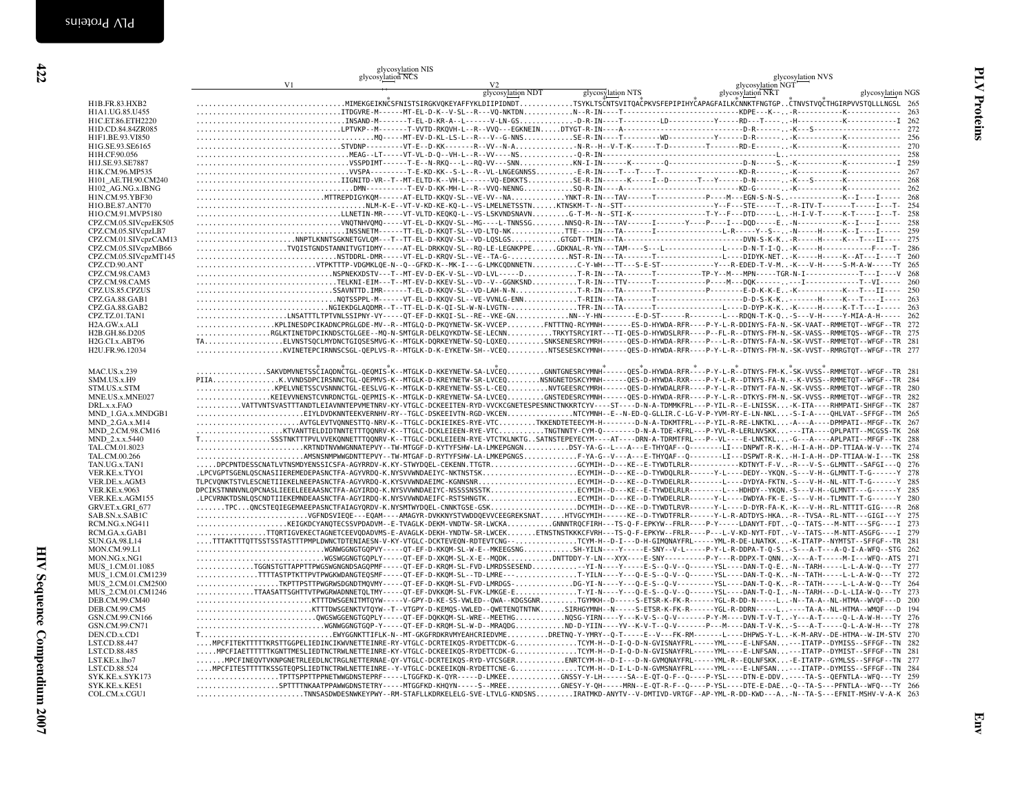|                                        | glycosylation NIS<br>glycosylation NCS<br>V1<br>V <sub>2</sub>                                                                                                                                                                                                                                              |                                        | glycosylation NVS<br>glycosylation NGT |            |
|----------------------------------------|-------------------------------------------------------------------------------------------------------------------------------------------------------------------------------------------------------------------------------------------------------------------------------------------------------------|----------------------------------------|----------------------------------------|------------|
|                                        |                                                                                                                                                                                                                                                                                                             | glycosylation NDT<br>glycosylation NTS | glycosylation NKT<br>glycosylation NGS |            |
| H1B.FR.83.HXB2                         | $\ldots\ldots\ldots\ldots\ldots\ldots\ldots\ldots\ldots\ldots$ MIMEKGEIKNČSFNISTSIRGKVQKEYAFFYKLDIIPIDNDT $\ldots\ldots\ldots\ldots\ldots$ TSYKLTSČNTSVITQAČPKVSFEPIPIHYČAPAGFAILKČNNKTFNGTGPČTNVSTVQČTHGIRPVVSTQLLLNGSL 265                                                                                |                                        |                                        |            |
| H1A1.UG.85.U455                        |                                                                                                                                                                                                                                                                                                             |                                        |                                        |            |
| H1C.ET.86.ETH2220                      |                                                                                                                                                                                                                                                                                                             |                                        |                                        |            |
| H1D.CD.84.84ZR085                      |                                                                                                                                                                                                                                                                                                             |                                        |                                        |            |
| H1F1.BE.93.VI850                       |                                                                                                                                                                                                                                                                                                             |                                        |                                        |            |
| H1G.SE.93.SE6165                       |                                                                                                                                                                                                                                                                                                             |                                        |                                        | 270<br>258 |
| H1H.CF.90.056                          |                                                                                                                                                                                                                                                                                                             |                                        |                                        |            |
| H1J.SE.93.SE7887<br>H1K.CM.96.MP535    |                                                                                                                                                                                                                                                                                                             |                                        |                                        |            |
| H101 AE.TH.90.CM240                    |                                                                                                                                                                                                                                                                                                             |                                        |                                        |            |
| H102_AG.NG.x.IBNG                      |                                                                                                                                                                                                                                                                                                             |                                        |                                        |            |
| H1N.CM.95.YBF30                        |                                                                                                                                                                                                                                                                                                             |                                        |                                        |            |
| H1O.BE.87.ANT70                        | $\ldots \ldots \ldots \ldots \ldots \ldots \ldots \ldots \ldots \ldots \ldots \ldots$                                                                                                                                                                                                                       |                                        |                                        | 254        |
| H1O.CM.91.MVP5180                      | LLNETIN-MR-----VT-VLTD-KEQKQ-L--VS-LSKVNDSNAVNG-T-M--N--STI-K----------------------T-Y--F---DTD-----L-H-I-V-T------K-T-----I--T-                                                                                                                                                                            |                                        |                                        | 258        |
| CPZ.CM.05.SIVcpzEK505                  |                                                                                                                                                                                                                                                                                                             |                                        |                                        | 258        |
| CPZ.CM.05.SIVcpzLB7                    |                                                                                                                                                                                                                                                                                                             |                                        |                                        | 259        |
| CPZ.CM.01.SIVcpzCAM13                  |                                                                                                                                                                                                                                                                                                             |                                        |                                        | 275        |
| CPZ.CM.05.SIVcpzMB66                   |                                                                                                                                                                                                                                                                                                             |                                        |                                        | - 286      |
| CPZ.CM.05.SIVcpzMT145<br>CPZ.CD.90.ANT | VTPKTTTP-VDGMKLQE-N--Q--GFKD-K--MK-I---G-LMKCQDNNETNC-Y-WH---TT---S-E-ST-------------Y---R-EDED-T-V-M-K---V-H-----S-M-A-W-----TY 265                                                                                                                                                                        |                                        |                                        |            |
| CPZ.CM.98.CAM3                         |                                                                                                                                                                                                                                                                                                             |                                        |                                        |            |
| CPZ.CM.98.CAM5                         |                                                                                                                                                                                                                                                                                                             |                                        |                                        |            |
| CPZ.US.85.CPZUS                        |                                                                                                                                                                                                                                                                                                             |                                        |                                        |            |
| CPZ.GA.88.GAB1                         |                                                                                                                                                                                                                                                                                                             |                                        |                                        |            |
| CPZ.GA.88.GAB2                         | NGIEKDGLAQDMR--T--TT-EL-D-K-QI-SL-W-N-LVGTN-TFR-IN---TA------T----------------L----D-DYP-K-K-K-----H-----K-T-T---I-----                                                                                                                                                                                     |                                        |                                        | 263        |
| CPZ.TZ.01.TAN1                         | LNSATTTLTPTVNLSSIPNY-VY-----QT-EF-D-KKQI-SL--RE--VKE-GNNN--Y-HN------E-D-ST------R-------L---RDQN-T-K-Q-S---V-H-----Y-MIA-A-H----- 262                                                                                                                                                                      |                                        |                                        |            |
| H2A.GW.x.ALI                           | KPLINESDPCIKADNCPRGLGDE-MV--R--MTGLQ-D-PKQYNETW-SK-VVCEPFNTTTNQ-RCYMNH------ES-D-HYWDA-RFR----P-Y-L-R-DDINYS-FA-N.-SK-VAAT--RMMETQT--WFGF--TR 272                                                                                                                                                           |                                        |                                        |            |
| H2B.GH.86.D205                         | RGLKTINETDPCIKNDSCTGLGEE--MQ-N-SMTGLR-DELKQYKDTW-SE-LECNNTRKYTSRCYIRT---TI-QES-D-HYWDSLRFR----P--FL-R--DTNYS-FM-N.-SK-VASS--RMMETQS--WFGF--TR 275                                                                                                                                                           |                                        |                                        |            |
| H <sub>2G.</sub> CI.x.ABT96            | TAELVNSTSQCLMYDNCTGIQSESMVG-K--MTGLK-DQRKEYNETW-SQ-LQXEQSNKSENESRCYMRH------QES-D-HYWDA-RFR----P---L-R--DTNYS-FA-N.-SK-VVST--RMMETQT--WFGF--TR 281                                                                                                                                                          |                                        |                                        |            |
| H2U.FR.96.12034                        | KVINETEPCIRNNSCSGL-QEPLVS-R--MTGLK-D-K-EYKETW-SH--VCEQNTSESESKCYMNH------QES-D-HYWDA-RFR----P-Y-L-R--DTNYS-FM-N.-SK-VVST--RMRGTQT--WFGF--TR 277                                                                                                                                                             |                                        |                                        |            |
|                                        |                                                                                                                                                                                                                                                                                                             |                                        |                                        |            |
| <b>MAC.US.x.239</b>                    | SAKVDMVNETSSČIAQDNČTGL-QEQMIS-K--MTGLK-D-KKEYNETW-SA-LVČEQGNNTGNESRCYMNH+-----QES-D-HYWDA-RFR----P-Y-L-R--DTNYS-FM-K.-SK-VVSS+-RMMETQT--WFGF--TR 281                                                                                                                                                        |                                        |                                        |            |
| SMM.US.x.H9                            | PIIAK.VVNDSDPCIRSNNCTGL-QEPMVS-K--MTGLK-D-KREYNETW-SR-LVCEQNSNGNETDSKCYMNH------QES-D-HYWDA-RXR----P-Y-L-R--DTNYS-FA-N.--K-VVSS--RMMETQT--WFGF--TR 284<br>KPELVNETSSCVSNNNCTGL-EESLVG-K--MTGLK-D-KREYNETW-SS-L-CEQNVTGEESRCYMRH------QES-D-HYWDALRFR----P-Y-L-R--DTNYT-FA-N.-SK-VVSS--RMMETQT--WFGF--TR 280 |                                        |                                        |            |
| STM.US.x.STM<br>MNE.US.x.MNE027        | KEIEVVNENSTCVNRDNCTGL-QEPMIS-K--MTGLK-D-KREYNETW-SA-LVCEQGNSTEDESRCYMNH-----QES-D-HYWDA-RFR----P-Y-L-R--DTKYS-FM-N.-SK-VVSS--RMMETQT--WFGF--TR 282                                                                                                                                                          |                                        |                                        |            |
| DRL.x.x.FAO                            | VATTVNTSVASTTTANDTLEIAVNNTEPVMETNRV-KY-VTGLC-DCKEEITEN-RYD-VVCKCGNETESPESNNCTNKKRTCYV----ST----D-N-A-TDMMKFRL---P-YIL-R--E-LNISSK-K-ITA----RHMPATI-SHFGF--TK 287                                                                                                                                            |                                        |                                        |            |
| MND 1.GA.x.MNDGB1                      | EIYLDVDKNNTEEKVERNHV-RY--TGLC-DSKEEIVTN-RGD-VKCENNTCYMNH--E--N-ED-Q-GLLIR.C-LG-V-P-YVM-RY-E-LN-NKL-S-I-A----QHLVAT--SFFGF--TM 265                                                                                                                                                                           |                                        |                                        |            |
| <b>MND 2.GA.x.M14</b>                  | $\ldots\ldots\ldots\ldots\ldots\ldots$ AVTGLEVTVONNESTTO-NRV-K--TTGLC-DCKIEIKES-RYE-VTCTKKENDTETEECYM-H-------D-N-A-TDKMTFRL---P-YIL-R-RE-LNKTKL-A---A----DPMPATI--MFGF--TK 267                                                                                                                             |                                        |                                        |            |
| MND_2.CM.98.CM16                       |                                                                                                                                                                                                                                                                                                             |                                        |                                        |            |
| MND_2.x.x.5440                         | TSSSTNKTTTPVLVVEKQNNETTTQQNRV-K--TTGLC-DCKLEIEEN-RYE-VTCTKLNKTGSATNSTEPEYECYM----AT----DRN-A-TDRMTFRL---P--VL----E-LNKTKL-G---A----APLPATI--MFGF--TK 288                                                                                                                                                    |                                        |                                        |            |
| TAL.CM.01.8023                         |                                                                                                                                                                                                                                                                                                             |                                        |                                        |            |
| TAL.CM.00.266                          | AMSNSNMPWWGDNTTEPVY--TW-MTGAF-D-RYTYFSHW-LA-LMKEPGNGSF-YA-G--V---A---E-THYOAF--0--------LI---DSPWT-R-K-H-I-A-H--DP-TTIAA-W-I---TK 258                                                                                                                                                                       |                                        |                                        |            |
| TAN.UG.x.TAN1                          | DPCPNTDESSCNATLVTNSMDYENSSICSFA-AGYRRDV-K.KY-STWYDQEL-CEKENN.TTGTRGCYMIH--D---KE--E-TYWDTLRLR-------------KDTNYT-F-V-R---V-S--GLMNTT--SAFGI---Q                                                                                                                                                             |                                        |                                        | 276        |
| VER.KE.x.TYO1                          | .LPCVGPTSGENLQSCNASIIEREMEDEPASNCTFA-AGYVRDQ-K.NYSVVWNDAEIYC-NKTNSTSKECYMIH--D---KE--D-TYWDQLRLR------Y-L----DEDY--YKQN.-S---V-H--GLMNTT-T-G------Y                                                                                                                                                         |                                        |                                        | 278        |
| VER.DE.x.AGM3                          | TLPCVQNKTSTVLESCNETIIEKELNEEPASNCTFA-AGYVRDQ-K.KYSVVWNDAEIMC-KGNNSNRECYMIH--D---KE--D-TYWDELRLR-------L---DYDYA-FKTN.-S---V-H--NL-NTT-T-G------Y 285                                                                                                                                                        |                                        |                                        |            |
| <b>VER.KE.x.9063</b>                   | DPCIKSTNNNVNLQPCNASLIEEELEEEAASNCTFA-AGYIRDQ-K.NYSVVWNDAEIYC-NSSSSNSSTKECYMIH--D---KE--E-TYWDELRLR--------L---HDHDY--YKQN.-S---V-H--GLMNTT---G------Y 285                                                                                                                                                   |                                        |                                        |            |
| VER.KE.x.AGM155<br>GRV.ET.x.GRI_677    | .LPCVRNKTDSNLQSCNDTIIEKEMNDEAASNCTFA-AGYIRDQ-K.NYSVVWNDAEIFC-RSTSHNGTKECYMIH--D---KE--D-TYWDELRLR------Y-L----DWDYA-FK-E.-S---V-H--TLMNTT-T-G------Y 280<br>TPCQNCSTEQIEGEMAEEPASNCTFAIAGYQRDV-K.NYSMTWYDQEL-CNNKTGSE-GSKDCYMIH--D---KE--D-TYWDTLRVR------Y-L---D-DYR-FA-K.-K---V-H--RL-NTTIT-GIG----R 268  |                                        |                                        |            |
| SAB.SN.x.SAB1C                         |                                                                                                                                                                                                                                                                                                             |                                        |                                        |            |
| RCM.NG.x.NG411                         | KEIGKDCYANQTECSSVPDADVM--E-TVAGLK-DEKM-VNDTW-SR-LWCKAGNNNTRQCFIRH---TS-Q-F-EPKYW--FRLR----P-Y-----LDANYT-FDT-Q--TATS---M-NTT---SFG----I 273                                                                                                                                                                 |                                        |                                        |            |
| RCM.GA.x.GAB1                          | TTQRTIGVEKECTAGNETCEEVQDADVMS-E-AVAGLK-DEKH-YNDTW-SR-LWCEKETNSTNSTKKKCFVRH---TS-Q-F-EPKYW--FRLR----P---L-V-KD-NYT-FDT-V--TATS---M-NTT-ASGFG----I 279                                                                                                                                                        |                                        |                                        |            |
| <b>SUN.GA.98.L14</b>                   | TTTAKTTTQTTSSTSSTASTTTPMPLDWNCTDTENIAESN-V-KY-VTGLC-DCKTEVEQN-RDTEVTCNG--TCYM-H--D-I---D-H-GIMQNAYFRL-----YML-R-DE-LNATKK-K-ITATP--NYMTST--SFFGF--TR                                                                                                                                                        |                                        |                                        | 281        |
| MON.CM.99.L1                           |                                                                                                                                                                                                                                                                                                             |                                        |                                        |            |
| MON.NG.x.NG1                           |                                                                                                                                                                                                                                                                                                             |                                        |                                        |            |
| MUS 1.CM.01.1085                       | TGGNSTGTTAPPTTPWGSWGNGNDSAGQPMF----QT-EF-D-KRQM-SL-FVD-LMRDSSESENDYI-N---Y----E-S--Q-V--Q-----YSL----DAN-T-Q-E-N--TARH-----L-L-A-W-Q---TY 277                                                                                                                                                               |                                        |                                        |            |
| MUS 1.CM.01.CM1239                     | TTTTASTPTKTTPVTPWGKWDANGTEQSMF-----QT-EF-D-KKQM-SL--TD-LMRE---T-YILN----Y---Q-E-S--Q-V--Q-----YSL----DAN-T-Q-K-N--TATH-----L-L-A-W-Q---TY                                                                                                                                                                   |                                        |                                        | 272        |
| MUS 2.CM.01.CM2500                     | TKPTTPSTTPWGRWSDGNDTMQVMY-----QT-EF-D-KKQM-SL-FVD-LMRDGS-DG-YI-N----Y--Q-E-S--Q-V---------YSL----DAN-T-Q-KR--TATH-----L-L-A-W-Q---TY 264                                                                                                                                                                    |                                        |                                        |            |
| MUS_2.CM.01.CM1246                     | TTAASATTSGHTTVTPWGRWADNNETQLTMY-----QT-EF-DVKKQM-SL-FVK-LMKGE-ET-YI-N----Y---Q-E-S--Q-V--Q-----YSL----DAN-T-Q-I-N--TARH---D-L-LIA-W-Q---TY 273                                                                                                                                                              |                                        |                                        |            |
| DEB.CM.99.CM40<br>DEB.CM.99.CM5        | TTTDMSGENITMTQYW-----V-GPY-D-KE-SS-VWLED--QWA--KDGSGNRTGYMKH--D----S-ETSR-K-FK-R-----YGL-R-DD-N-----L-N--TA-A--NL-HTMA--WVQF---D 200                                                                                                                                                                        |                                        |                                        | 194        |
| GSN.CM.99.CN166                        |                                                                                                                                                                                                                                                                                                             |                                        |                                        | 276        |
| GSN.CM.99.CN71                         | WGNWGGNGTGQP-Y-----QT-EF-D-KRQM-SL-W-D--MRAQDGND-D-YIIN----YV--K-V-T--Q-V-------P---M----MAN-T-V-K-S---A-T-----Q-L-A-W-H---TY                                                                                                                                                                               |                                        |                                        | 278        |
| DEN.CD.x.CD1                           | TEWYGGNKTTIFLK-N--MT-GKGFRDKRVMYEAHCRIEDVMEDRETNQ-Y-YMRY--Q-T-----E--V---FK-RM------L----DHPWS-Y-L-K-M-ARV--DE-HTMA--W-IM-STV                                                                                                                                                                               |                                        |                                        | 270        |
| LST.CD.88.447                          | MPCFITEKTTTTTKRSTTGGPELIEDINCIKWNETTEINRE-RY-VTGLC-DCRTEIKQS-RYDETTCDK-GTCYM-H--D-I-Q-D-N-GVISNAYFRL-----YML----E-LNFSAN---ITATP--DYMISS--SFFGF--TN 282                                                                                                                                                     |                                        |                                        |            |
| LST.CD.88.485                          | MPCFIAETTTTTTKGNTTMESLIEDTNCTRWLNETTEINRE-KY-VTGLC-DCKEEIKQS-RYDETTCDK-GTCYM-H--D-I-Q-D-N-GVISNAYFRL-----YML----E-LNFSAN---ITATP--DYMIST--SFFGF--TN 281                                                                                                                                                     |                                        |                                        |            |
| LST.KE.x.lho7                          | MPCFINEQVTVKNPGNETRLEEDLNCTRGLNETTERNAE-QY-VTGLC-DCRTEIKQS-RYD-VTCSGERENRTCYM-H--D-I---D-N-GVMQNAYFRL-----YML-R--EQLNFSKK-E-ITATP--GYMLSS--SFFGF--TN 277                                                                                                                                                    |                                        |                                        |            |
| LST.CD.88.524                          | MPCFITESTTTTTKSSGTEQPSLIEDTNCTRWLNETTEINRE--Y-VTGLC-DCKEEIKQN-RYDETTCNE-GTCYM-H--D-I-L-D-N-GVMSNAYFRL-----YML----E-LNFSAN---ITATP--DYMISS--SFFGF--TN 284                                                                                                                                                    |                                        |                                        |            |
| SYK.KE.x.SYK173                        | TPTTSPPTTPPNETWWGDNSTEPRF-----LTGGFKD-K-QYR-----D-LMKEEGNSSY-Y-LH-----SA--E-QT-Q-F--Q----P-YSL----DTN-E-DDV----TA-S--QEFNTLA--WFQ---TY 259                                                                                                                                                                  |                                        |                                        |            |
|                                        | SPTTTTNKAATPPAWWGDNSTETRY-----MTGGFKD-KHQYN----S--MREEGNESY-Y-QH-----MRN--E-QT-R-F--Q---P-YSL----DTE-E-DAE-Q--TA-S---PFNTLA--WFQ---TY 266                                                                                                                                                                   |                                        |                                        |            |
|                                        |                                                                                                                                                                                                                                                                                                             |                                        |                                        |            |
| SYK.KE.x.KE51<br>COL.CM.x.CGU1         | TNNSASDWDESNWKEYPWY--RM-STAFLLKDRKELELG-SVE-LTVLG-KNDSNSIRATMKD-ANYTV--V-DMTIVD-VRTGF--AP-YML-R-DD-KWD---A-N--TA-S---EFNIT-MSHV-V-A-K 263                                                                                                                                                                   |                                        |                                        |            |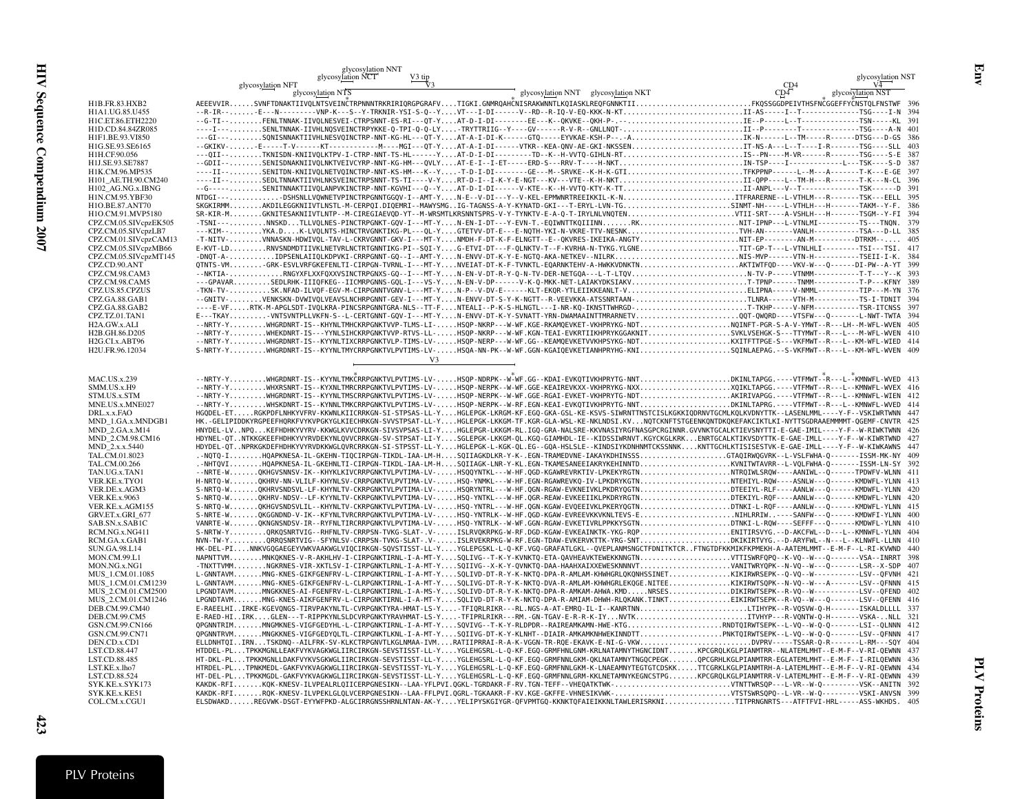|                                              | glycosylation NNT                                                                                                                                                                                                                                                                                                                                 |                                     |                   |
|----------------------------------------------|---------------------------------------------------------------------------------------------------------------------------------------------------------------------------------------------------------------------------------------------------------------------------------------------------------------------------------------------------|-------------------------------------|-------------------|
|                                              | glycosylation NCT<br>V3 tip<br>glycosylation NFT                                                                                                                                                                                                                                                                                                  |                                     | glycosylation NST |
|                                              | glycosylation NTS                                                                                                                                                                                                                                                                                                                                 | glycosylation NNT glycosylation NKT | glycosylation NST |
| H1B.FR.83.HXB2                               | AEEEVVIRSVNFTDNAKTIIVQLNTSVEINČTRPNNNTRKRIRIQRGPGRAFVTIGKI.GNMRQAHČNISRAKWNNTLKQIASKLREQFGNNKTIIFKQSSGGDPEIVTHSFNCGGEFFYCNSTQLFNSTWF 396                                                                                                                                                                                                          |                                     |                   |
| H1A1.UG.85.U455                              | --R-IR--E---N---------VNP-K---S--Y-TRKNIR-YSI-S-Q--YVT---I-DI------V--RD--R-IQ-V-EQ-KKK-N-KTII-AS-----I--T---------------------TSG----I-N 394                                                                                                                                                                                                     |                                     |                   |
| H1C.ET.86.ETH2220<br>H1D.CD.84.84ZR085       |                                                                                                                                                                                                                                                                                                                                                   |                                     |                   |
| H1F1.BE.93.VI850                             |                                                                                                                                                                                                                                                                                                                                                   |                                     |                   |
| H1G.SE.93.SE6165                             |                                                                                                                                                                                                                                                                                                                                                   |                                     |                   |
| H1H.CF.90.056                                | ---QII--TKNISDN-KNIIVQLKTPV-I-CTRP-NNT-TS-HL------YAT-D-I-DI--------TD--K--H-VVTQ-GIHLN-RTIS--PN----M-VR------R-------TSG----S-E 387                                                                                                                                                                                                              |                                     |                   |
| H1J.SE.93.SE7887                             | --GDII--SENISDNAKNIIVQLNKTVEIVCYRP-NNT-KG-HM---QVLYAT-E-I--I-ET-----ERD-S---RRV-T----H-NKTIN-TSP----I-----------L---TSK----S-D 387                                                                                                                                                                                                                |                                     |                   |
| H1K.CM.96.MP535                              | ----II--SENITDN-KNIIVQLNETVQINCTRP-NNT-KS-HM---K--YT-D-I-DI--------GE---M--SRVKE--K-H-K-GTITFKPPNP------L--M---A-------T-K---E-GE 397<br>----II--SEDLTNNAKTIIVHLNKSVEINCTRPSNNT-TS-TI----V-YRT-D-I--I-K-Y-E-NGT---KV---VTE--K-H-NKTII-QPP----L--TM-H---R--------T-K---N-CL 396                                                                    |                                     |                   |
| H101 AE.TH.90.CM240<br>H102_AG.NG.x.IBNG     | --G------SENITNNAKTIIVQLANPVKINCTRP-NNT-KGVHI---Q--YAT-D-I-DI------V-KTE--K--H-VVTQ-KTY-K-TTII-ANPL---V--T-----------------TSK------D 391                                                                                                                                                                                                         |                                     |                   |
| H1N.CM.95.YBF30                              | NTDGI---DSHSNLLVQWNETVPINCTRPGNNTGGQV-I--AMT-YN-E--V-DI---Y--V-KEL-EPMWNRTREEIKKIL-K-NITFRARERNE--L-VTHLM---R-------TSK---EELL 395                                                                                                                                                                                                                |                                     |                   |
| H1O.BE.87.ANT70                              | SKGKIRMMAKDILEGGKNIIVTLNSTL-M-CERPQI.DIQEMRI--MAWYSMGIG-TAGNSS-A-Y-KYNATD-GKI---T-ERYL-LVN-TGSINMT-NH-----L-VTHLH---H-------TAKM--Y-F. 386                                                                                                                                                                                                        |                                     |                   |
| H1O.CM.91.MVP5180                            |                                                                                                                                                                                                                                                                                                                                                   |                                     |                   |
| CPZ.CM.05.SIVcpzEK505                        | -TSNI----NNSKDTLLVQLNES-PINCTRPGNKT-GQV-I--MT-YN-EN-I-DT---Y-EVN-T.-EQIWNTTKQIIINNRKNIT-IPNP---L-VTNLMI----------TS---TNQN. 379                                                                                                                                                                                                                   |                                     |                   |
| CPZ.CM.05.SIVcpzLB7<br>CPZ.CM.01.SIVcpzCAM13 |                                                                                                                                                                                                                                                                                                                                                   |                                     |                   |
| CPZ.CM.05.SIVcpzMB66                         | E-KVT-LDRNVSNDMDTIIVKLNETVRLNCTRTGNNTIKG-PI--SQI-YG-ETVI-DT---F-QLNKTV-T--F-KVRHA-N-TYKG.YLGNETIT-GP-T---L-VTNLHLI----------TSI---TSI. 417                                                                                                                                                                                                        |                                     |                   |
| CPZ.CM.05.SIVcpzMT145                        | -DNQT-A-IDPSENLAIIQLKDPVKI-CRRPGNNT-GQ--I--AMT-YN-ENVV-DT-K-Y-E-NGTQ-AKA-NETKEV--NILRKNIS-MVP------VTN-H------------TSEII-I-K. 384                                                                                                                                                                                                                |                                     |                   |
| CPZ.CD.90.ANT                                | QTNTS-VMGRK-ESVLVRFGKEFENLTI-CIRPGN-TVRNL-I---MT-YNVEIAT-DT-K-F-TVNKTL-EQARNKTEHV-A-HWKKVDNKTNAKTIWTFQD----VKV-W---Q-----DI-PW--A-YT 399                                                                                                                                                                                                          |                                     |                   |
| CPZ.CM.98.CAM3                               |                                                                                                                                                                                                                                                                                                                                                   |                                     |                   |
| CPZ.CM.98.CAM5                               | ---GPAVARSEDLRHK-IIIQFKEG--IICMRPGNNS-GQL-I---VS-YN-EN-V-DP------V-K-Q-MKK-NET-LAIAKYDKSIAKVT-TPNP------TNMM-----------T-P---KFNY 389                                                                                                                                                                                                             |                                     |                   |
| CPZ.US.85.CPZUS<br>CPZ.GA.88.GAB1            | -TKN-TV-SK.NFAD-ILVQF-EGV-M-CIRPGNNTVGNV-L---MT-YN-P--V-DV-E------KLT-EKQR-YTLEIIKKEANLT-VELIPNA-----V-NMML-----------TIP---M-YN 376<br>--GNITV-VENKSKN-DVWIVQLVEAVSLNCHRPGNNT-GEV-I---MT-YN-ENVV-DT-S-Y-K-NGTT--R-VEEVKKA-ATSSNRTAAN-TLNRA------VTH-M------------TS-I-TDNIT 394                                                                  |                                     |                   |
| CPZ.GA.88.GAB2                               | ----E-VFRTK-M-APGLSDT-IVQLKRA-PINCSRPGNNTGRA-NLS--TT-FNTEALI--P-K-S-HLNGTL---I-NR-KQ-IKNSTTWHRGD-T-TKHP-----V-NFM-----------TSR-ITCNSS 397                                                                                                                                                                                                        |                                     |                   |
| CPZ.TZ.01.TAN1                               | E---TKAYVNTSVNTPLLVKFN-S--L-CERTGNNT-GQV-I---MT-YN-ENVV-DT-K-Y-SVNATT-YRN-DWAMAAINTTMRARNETVQQT-QWQRD----VTSFW---Q-------L-NWT-TWTA 394                                                                                                                                                                                                           |                                     |                   |
| H2A.GW.x.ALI                                 | --NRTY-YWHGRDNRT-IS--KHYNLTMHCKRPGNKTVVP-TLMS-LI-HSQP-NKRP---W-WF.KGE-RKAMQEVKET-VKHPRYKG-NDTNQINFT-PGR-S-A-V-YMWT--R---LH--M-WFL-WVEN 405                                                                                                                                                                                                        |                                     |                   |
| H2B.GH.86.D205                               | --NRTY-YWHEKDNRT-IS---YYNLSIHCKRPGNKTVVP-RTVS-LL-HSQP-NKRP---W-WF.KGN-TEAI-EVKRTIIKHPRYKGGAKNITSVKLVSEHGK-S---TTYMWT--R---L---M-WFL-WVEN 410                                                                                                                                                                                                      |                                     |                   |
| H2G.CI.x.ABT96                               |                                                                                                                                                                                                                                                                                                                                                   |                                     |                   |
| H2U.FR.96.12034                              | S-NRTY-YWHGRDNRT-IS--KYYNLTMYCRRPGNKTVLPVTIMS-LV-HSQA-NN-PK--W-WF.GGN-KGAIQEVKETIANHPRYHG-KNISQINLAEPAG.--S-VKFMWT--R---L--KM-WFL-WVEN 409                                                                                                                                                                                                        |                                     |                   |
|                                              | V <sub>3</sub>                                                                                                                                                                                                                                                                                                                                    |                                     |                   |
| <b>MAC.US.x.239</b>                          | --NRTY-YWHGRDNRT-IS--KYYNLTMKČRRPGNKTVLPVTIMS-LV-HSQP-NDRPK--W-WF.GG--KDAI-EVKQTIVKHPRYTG-NNTDKINLTAPGG.----VTFMWT--R---L---KMNWFL-WVED 413                                                                                                                                                                                                       |                                     |                   |
| SMM.US.x.H9                                  | --NRTY-YWHXRSNRT-IS--KYXNLTMRCRRPGNKTVLPVTIMS-LV-HSQP-NERPK--W-WF.GGE-KEAIREVKXX-VKHPRYKG-NXXXQIKLTAPGG.----VTFMWT--R---L--KMNWFL-WVEX 416                                                                                                                                                                                                        |                                     |                   |
| STM.US.x.STM                                 | --NRTY-YWHGRDNRT-IS--KYYNLTMSCRRPGNKTVLPVTIMS-LV-HSQP-NERPK--W-WF.GGE-RGAI-EVKET-VKHPRYTG-NDTAKIRIVAPGG.----VTFMWT--R---L--KMNWFL-WIEN 412                                                                                                                                                                                                        |                                     |                   |
| MNE.US.x.MNE027                              | --NRTY-YWHSKDNRT-IS--KYNNLTMKCRRPGNKTVLPVTIMS-LV-HSQP-NERPK--W-RF.EGN-KEAI-EVKQTIVKHPRYTG-NNTDKINLTAPRG.----VTFMWT--R---L--KMNWFL-WVED 414                                                                                                                                                                                                        |                                     |                   |
| DRL.x.x.FAO                                  | HGQDEL-ETRGKPDFLNHKYVFRV-KKWNLKIICRRKGN-SI-STPSAS-LL-YHGLEPGK-LKRGM-KF.EGQ-GKA-GSL-KE-KSVS-SIWRNTTNSTCISLKGKKIQDRNVTGCMLKQLKVDNYTTK--LASENLMML----Y-F--VSKIWRTWNN 447                                                                                                                                                                             |                                     |                   |
| MND_1.GA.x.MNDGB1<br>MND_2.GA.x.M14          | HK. -GELIPIDDKYRGPEEFHQRKFVYKVPGKYGLKIECHRKGN-SVVSTPSAT-LL-YHGLEPGK-LKKGM-TF.KGR-GLA-WSL-KE-NKLNDSI.KVNQTCKNFTSTGEENKQNTDKQKEFAKCIKTLKI-NYTTSGDRAAEMMMMT-QGEMF-CNVTR 425<br>HNYDEL-LVNPQKEFHDHKYVYRV-KKWGLKVVCDRKGN-SIVSVPSAS-LI-YHGLEPGR-LKKGM-RL.IGQ-GRA-NALSRE-KKVNASIYRGFNASGPCRGINNR.GVVNKTGCALKTIEVSNYTTI-E-GAE-IMIL----Y-F--W-RIWKTWNN 426 |                                     |                   |
| MND 2.CM.98.CM16                             | HDYNEL-QTNTKKGKEEFHDHKYVYRVDEKYNLQVVCRRKGN-SV-STPSAT-LI-YSGLEPGK-LKKGM-QL.KGQ-GIAMHDL-IE--KIDSSIWRNVT.KGYCKGLKRKENRTGCALKTIKVSDYTTK-E-GAE-IMLL----Y-F--W-KIWRTWND 427                                                                                                                                                                             |                                     |                   |
| MND_2.x.x.5440                               | HDYDEL-QTNPRKGKDEFHDHKYVYRVDKKWGLQVRCRRKGN-SI-STPSST-LL-YHGLEPGK-L-KGK-QL.EG--GQA-HSLSLE--KINDSIYKDNHNMTCKSSNNKKNTTGCHLKTISISESTVK-E-GAE-IMLL----Y-F--W-KIWKAWNS 447                                                                                                                                                                              |                                     |                   |
| TAL.CM.01.8023                               | .-NOTO-IHOAPKNESA-IL-GKEHN-TIOCIRPGN-TIKDL-IAA-LM-HSOIIAGKDLKR-Y-K-.EGN-TRAMEDVNE-IAKAYKDHINSSSGTAOIRWOGVRK--L-VSLFWHA-Q-------ISSM-MK-NY 409                                                                                                                                                                                                     |                                     |                   |
| TAL.CM.00.266                                |                                                                                                                                                                                                                                                                                                                                                   |                                     |                   |
| TAN.UG.x.TAN1                                |                                                                                                                                                                                                                                                                                                                                                   |                                     |                   |
| VER.KE.x.TYO1<br>VER.DE.x.AGM3               | H-NRTQ-WQKHRV-NN-VLILF-KHYNLSV-CRRPGNKTVLPVTIMA-LV-HSQ-YNMKL---W-HF.EGN-RGAWREVKQ-IV-LPKDRYKGTNNTEHIYL-RQW----ASNLW---Q------KMDWFL-YLNN 413<br>S-NRTQ-WQKHRVSNDSVL-LF-KHYNLTV-CKRPGNKTVLPVTIMA-LV-HSQRYNTRL---W-HF.QGN-RGAW-EVKNEIVKLPKDRYQGTNDTEEIYL-RLF---AANLW---Q------KMDWFL-YLNN 420                                                       |                                     |                   |
| <b>VER.KE.x.9063</b>                         | S-NRTQ-WQKHRV-NDSV--LF-KYYNLTV-CKRPGNKTVLPVTIMA-LV-HSQ-YNTKL---W-HF.QGR-REAW-EVKEEIIKLPKDRYRGTNDTEKIYL-RQF----AANLW---Q------KMDWFL-YLNN 420                                                                                                                                                                                                      |                                     |                   |
| VER.KE.x.AGM155                              | S-NRTQ-WQKHGVSNDSVLIL--KHYNLTV-CKRPGNKTVLPVTIMA-LV-HSQ-YNTRL---W-HF.QGN-KGAW-EVQEEIVKLPKERYQGTNDTNKI-L-RQF----AANLW---Q------KMDWFL-YLNN 415                                                                                                                                                                                                      |                                     |                   |
| GRV.ET.x.GRI 677                             | S-NRTE-WQKGGNDND-V-IK--KFYNLTVRCRRPGNKTVLPVTIMA-LV-HSQ-YNTRLK--W-HF.QGD-KGAW-EVREEVKKVKNLTEVS-ENIHLRRIW----SANFW---Q------KMDWFI-YLNN 400                                                                                                                                                                                                         |                                     |                   |
| SAB.SN.x.SAB1C                               | VANRTE-WQKNGNSNDSV-IR--RYFNLTIRCRRPGNKTVLPVTIMA-LV-HSQ-YNTRLK--W-WF.GGN-RGAW-EVKETIVRLPPKKYSGTNDTNKI-L-RQW----SEFFF---Q------KMDWFL-YLNN 410                                                                                                                                                                                                      |                                     |                   |
| RCM.NG.x.NG411<br>RCM.GA.x.GAB1              | S-NRTW-YORKOSNRTVIG--RHFNLTV-CRRPSN-TVKG-SLAT-.V-ISLRVOKRPKG-W-RF.DGD-KGAW-EVKEAINKTK-YKG-ROPENITIRSVYG.--D-AKCFWL--D---L--KMNWFL-YLNN 404<br>NVN-TW-YQRRQSNRTVIG--SFYNLSV-CRRPSN-TVKG-SLAT-.V-ISLRVEKRPKG-W-RF.EGN-TDAW-EVKERVKTTK-YRG-SNTDKIKIRTVYG.--D-ARYFWL--N---L--KLNWFL-LLNN 410                                                          |                                     |                   |
| SUN.GA.98.L14                                | HK-DEL-PINNKVGQGAEGEYVWKVAAKWGLVIQCIRKGN-SQVSTISST-LL-YYGLEPGSKL-L-Q-KF.VGQ-GRAFATLGKL--QVEPLANMSNGCTFDNITKTCRFTNGTDFKKMIKFKPMEKH-A-AATEMLMMT--E-M-F--L-RI-KVWND 440                                                                                                                                                                              |                                     |                   |
| MON.CM.99.L1                                 |                                                                                                                                                                                                                                                                                                                                                   |                                     |                   |
| MON.NG.x.NG1                                 |                                                                                                                                                                                                                                                                                                                                                   |                                     |                   |
| MUS 1.CM.01.1085                             | L-GNNTAVMMNG-KNES-GIKFGENFRV-L-CIRPGNKTIRNL-I-A-MT-YSQLIVD-DT-R-Y-K-NKTQ-DPA-R-AMLAM-KHWHGRLQKQNHSSINETKIKIRWRSEPK--Q-VQ--W-----------LSV--QFVNH 421                                                                                                                                                                                              |                                     |                   |
| MUS 1.CM.01.CM1239                           | L-GNNTAVMMNG-KNES-GIKFGENFRV-L-CLRPGNKTIRNL-I-A-MT-YSQLIVG-DT-R-Y-K-NKTQ-DVA-R-AMLAM-KHWHGRLEKQGE.NITEEKIKIRWTSQPK--N-VQ--W---A-------LSV--QFNNN 415                                                                                                                                                                                              |                                     |                   |
| MUS 2.CM.01.CM2500<br>MUS 2.CM.01.CM1246     | LPGNDTAVMMNGKKNES-AI-FGENFRV-L-CLRPGNKTIRNL-I-A-MS-YSQLIVD-DT-R-Y-K-NKTQ-DPA-R-AMKAM-AHWA.KMDNRSESDIKIRWTSEPK--R-VQ--W-----------LSV--QFEND 402<br>LPGNDTAVMMNG-KNES-AIKFGENFRV-L-CIRPGNKTIRNL-I-A-MT-YSQLIVD-DT-R-Y-K-NKTQ-DPA-R-AMIAM-DHWH-RLQKANK.TINKTEIKIRWTSEPK--R-VQ--W---Q------LSV--QFENN 416                                            |                                     |                   |
| DEB.CM.99.CM40                               | E-RAEELHIIRKE-KGEVQNGS-TIRVPAKYNLTL-CVRPGNKTYRA-HMAT-LS-Y-TFIQRLRIKR---RL.NGS-A-AT-EMRQ-IL-I--KANRTNNLTIHYPK--R-VQSVW-Q-H-------ISKALDLLLL 337                                                                                                                                                                                                    |                                     |                   |
| DEB.CM.99.CM5                                | E-RAED-HIIRKGLEN---T-RIPPKYNLSLDCVRPGNKTYRAVHMAT-LS-Y-TFIPRLRIKR---RM.-GN-TGAV-E-R-R-K-IYNVTKITVHYP---R-VQNTW-Q-H-------VSKA-NLL 321                                                                                                                                                                                                              |                                     |                   |
| GSN.CM.99.CN166                              | QPGNNTRIMMNGMKNES-VIGFGEDYHL-L-CIRPGNKTIRNL-I-A-MT-YSQVIVG--T-K-Y-RLDPDR--RAIREAMKAMN-HWE-KTGRNDTQIRWTSEPK--L-VQ--W-Q-Q-------LSI--QLNNN 412                                                                                                                                                                                                      |                                     |                   |
| GSN.CM.99.CN71                               | QPGNNTRVMMNGKKNES-VIGFGEDYQLTL-CIRPGNKTLKNL-I-A-MT-YSQIIVG-DT-K-Y-KLNHT--DIAIR-AMKAMKNHWEKINNDTTPNKTQIRWTSEPK--L-VQ--W-Q-Q-------LSV--QFNNN 417                                                                                                                                                                                                   |                                     |                   |
| DEN.CD.x.CD1<br>LST.CD.88.447                | ELLDNHTQIIRNTSKDNQ--AILFRK-SV-KLKCTRPGNVTLKGLNMAA-IVMRATIIPRRAI-R-A-K-VGGN-TR-RQE-EKAVK-E-NI-G-VKWDVPRV-----TSSAR-Q-R-------L-RM---SQY 404<br>HTDDEL-PLTPKKMGNLLEAKFVYKVAGKWGLIIRCIRKGN-SEVSTISST-LL-YYGLEHGSRL-L-Q-KF.EGQ-GRMFHNLGNM-KRLNATAMNYTHGNCIDNTKPCGRQLKGLPIANMTRR--NLATEMLMHT--E-M-F--V-RI-QEWNN 437                                    |                                     |                   |
| LST.CD.88.485                                | HT-DKL-PLTPKKMGNLLDAKFVYKVSGKWGLIIRCIRKGN-SEVSTISST-LL-YYGLEHGSRL-L-Q-KF.EGQ-GRMFNNLGKM-QKLNATAMNYTNGQCPEGKQPCGRHLKGLPIANMTRR-EGLATEMLMHT--E-M-F--I-RILQEWNN 436                                                                                                                                                                                  |                                     |                   |
| LST.KE.x.lho7                                | HTRDEL-PLTPNKMEDL-GAKFVYKVAGKWGLIIRCIRKGN-SEVSTISST-YL-YYGLEHGSRL-L-Q-KF.EGQ-GRMFNNLGKM-K-LNAEAMNYTEGTGTCDSKKTTCGRKLKGLPIANMTRH-A-LATEMLMHT--E-M-F--V-RI-QEWNN 434                                                                                                                                                                                |                                     |                   |
| LST.CD.88.524                                | HT-DEL-PLTPKKMGDL-GAKFVYKVAGKWGLIIRCIRKGN-SEVSTISST-LL-YYGLEHGSRL-L-Q-KF.EGQ-GRMFNNLGRM-KKLNETAMNYKEGNCSTPGKPCGRQLKGLPIANMTRR-V-LATEMLMHT--E-M-F--V-RI-QEWNN 439                                                                                                                                                                                  |                                     |                   |
| SYK.KE.x.SYK173                              |                                                                                                                                                                                                                                                                                                                                                   |                                     |                   |
| SYK.KE.x.KE51                                |                                                                                                                                                                                                                                                                                                                                                   |                                     |                   |
| COL.CM.x.CGU1                                | ELSDWAKDREGVWK-DSGT-EYYWFPKD-ALGCIRRGNSSHRNLNTAN-AK-YYELIPYSKGIYGR-QFVPMTGQ-KKNKTQFAIEIKKNLTAWLERISRKNITITPRNGNRTS---ATFTFVI-HRL-----ASS-WKHDS. 405                                                                                                                                                                                               |                                     |                   |

Env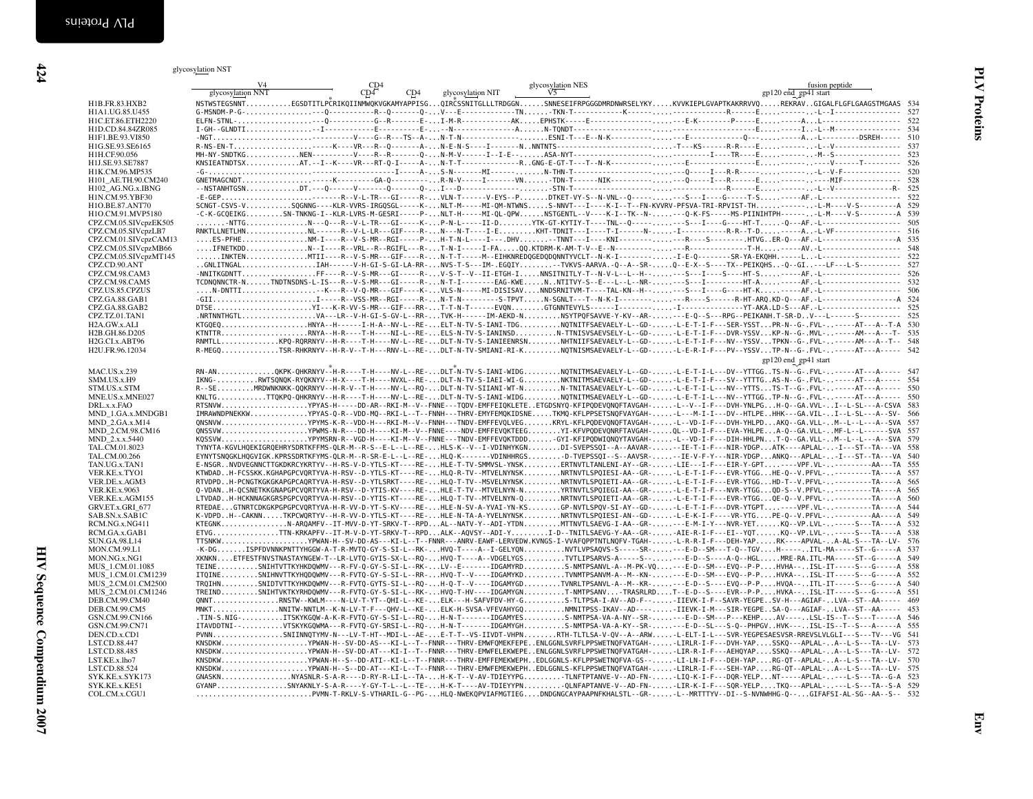|                                        | V <sub>4</sub><br>glycosylation NNT                                                                                                                      | CD4<br>CD4 | CD4 | glycosylation NIT | glycosylation NES<br>V <sub>5</sub>                                                                                                                                                                                                                                                                                                                                                                                                                           |  | gp120 end gp41 start | fusion peptide |      |
|----------------------------------------|----------------------------------------------------------------------------------------------------------------------------------------------------------|------------|-----|-------------------|---------------------------------------------------------------------------------------------------------------------------------------------------------------------------------------------------------------------------------------------------------------------------------------------------------------------------------------------------------------------------------------------------------------------------------------------------------------|--|----------------------|----------------|------|
| H1B.FR.83.HXB2                         |                                                                                                                                                          |            |     |                   | NSTWSTEGSNNTEGSDTITLPCRIKQIINMWQKVGKAMYAPPISGQIRCSSNITGLLLTRDGGNSNNESEIFRPGGGDMRDNWRSELYKYKVVKIEPLGVAPTKAKRRVVQREKRAVGIGALFLGFLGAAGSTMGAAS 534                                                                                                                                                                                                                                                                                                                |  |                      |                |      |
| H1A1.UG.85.U455                        |                                                                                                                                                          |            |     |                   |                                                                                                                                                                                                                                                                                                                                                                                                                                                               |  |                      |                |      |
| H1C.ET.86.ETH2220                      |                                                                                                                                                          |            |     |                   |                                                                                                                                                                                                                                                                                                                                                                                                                                                               |  |                      |                |      |
| H1D.CD.84.84ZR085                      |                                                                                                                                                          |            |     |                   |                                                                                                                                                                                                                                                                                                                                                                                                                                                               |  |                      |                |      |
| H1F1.BE.93.VI850                       |                                                                                                                                                          |            |     |                   |                                                                                                                                                                                                                                                                                                                                                                                                                                                               |  |                      |                |      |
| H1G.SE.93.SE6165                       |                                                                                                                                                          |            |     |                   |                                                                                                                                                                                                                                                                                                                                                                                                                                                               |  |                      |                |      |
| H1H.CF.90.056                          |                                                                                                                                                          |            |     |                   |                                                                                                                                                                                                                                                                                                                                                                                                                                                               |  |                      |                |      |
| H1J.SE.93.SE7887                       |                                                                                                                                                          |            |     |                   |                                                                                                                                                                                                                                                                                                                                                                                                                                                               |  |                      |                |      |
| H1K.CM.96.MP535<br>H101 AE.TH.90.CM240 |                                                                                                                                                          |            |     |                   |                                                                                                                                                                                                                                                                                                                                                                                                                                                               |  |                      |                |      |
| H102 AG.NG.x.IBNG                      |                                                                                                                                                          |            |     |                   |                                                                                                                                                                                                                                                                                                                                                                                                                                                               |  |                      |                |      |
| H1N.CM.95.YBF30                        |                                                                                                                                                          |            |     |                   |                                                                                                                                                                                                                                                                                                                                                                                                                                                               |  |                      |                |      |
| H1O.BE.87.ANT70                        |                                                                                                                                                          |            |     |                   | SCNGT-CSVS-VSQGNNG----KLR-VVRS-IRGQSGL-----K-NLT-M-----MI-QM-NTWNSS-NNVT---I----K-I--T--FN-KVVRV-PFSVA-TRI-RPVIST-TH-------L-M----V-S-----------A 529                                                                                                                                                                                                                                                                                                         |  |                      |                |      |
| H1O.CM.91.MVP5180                      |                                                                                                                                                          |            |     |                   | -C-K-GCQEIKGSN-TNKNG-I--KLR-LVRS-M-GESRI-----P-NLT-H-----MI-QL-QPWNSTGENTL--V---K-I--TK--N----Q-K-FS-----MS-PIINIHTPH-------L-M----V-S----------A 539                                                                                                                                                                                                                                                                                                         |  |                      |                |      |
| CPZ.CM.05.SIVcpzEK505                  |                                                                                                                                                          |            |     |                   | -NTTGN---Q---R--V-L-TR---GI-----K-P-N-L-----II-DYTK-GT-KYTIY-T----TNL--Q--------S---I----G----HT-T-Q---AF.-L--------------------- 505                                                                                                                                                                                                                                                                                                                         |  |                      |                |      |
| CPZ.CM.05.SIVcpzLB7                    |                                                                                                                                                          |            |     |                   |                                                                                                                                                                                                                                                                                                                                                                                                                                                               |  |                      |                |      |
| CPZ.CM.01.SIVcpzCAM13                  |                                                                                                                                                          |            |     |                   |                                                                                                                                                                                                                                                                                                                                                                                                                                                               |  |                      |                |      |
| CPZ.CM.05.SIVcpzMB66                   |                                                                                                                                                          |            |     |                   |                                                                                                                                                                                                                                                                                                                                                                                                                                                               |  |                      |                |      |
| CPZ.CM.05.SIVcpzMT145                  |                                                                                                                                                          |            |     |                   | INKTENMTII----R--V-S-MR---GIF----R-N-T-T-----M--EIHKNREDQGEDQDQNNTYVCLT--N-K-I--------I-E-Q-------SR-YA-EKQHH.-----L-L------------------ 522<br>GNLITNGALIAH------V-H-GI-S-GI-LA-RR-NVS-T-S---IM-.EGOIY-TVKVS-AARVA.-0--A--SR-0--E-X--S----TX--PEIKOHS-0--GI--LF---L-S---------- 527                                                                                                                                                                          |  |                      |                |      |
| CPZ.CD.90.ANT                          |                                                                                                                                                          |            |     |                   |                                                                                                                                                                                                                                                                                                                                                                                                                                                               |  |                      |                |      |
| CPZ.CM.98.CAM3                         |                                                                                                                                                          |            |     |                   | -NNITKGDNTTFF---R--V-S-MR---GI-----R-V-S-T--V--II-ETGH-INNSITNITLY-T--N-V-L--L--H----S---[---S---HT-S-------AF.-L------------------ 526                                                                                                                                                                                                                                                                                                                       |  |                      |                | 532  |
| CPZ.CM.98.CAM5<br>CPZ.US.85.CPZUS      | TCDNQNNCTR-NTNDTNSDNS-L-IS---R--V-S-MR---GI-----R-N-T-I-------EAG-KWENNTITVY-S--E---L--L--NR---S---I----------HT-A-------AF.-L-------------------        |            |     |                   | $\ldots\ldots\texttt{N-DNTI}\ldots\ldots\ldots\ldots\ldots\ldots\texttt{K}\ldots\texttt{K}\ldots\texttt{P}\ldots\texttt{P}\texttt{R}\ldots\texttt{GIF}\ldots\texttt{N}\texttt{L}\ldots\texttt{N}\ldots\texttt{N}\ldots\texttt{N}\ldots\texttt{N}\texttt{D} \texttt{ISSI}\texttt{SAV}\ldots\ldots\texttt{N} \texttt{D} \texttt{ISSI}\texttt{N}\texttt{N}\ldots\texttt{T}\ldots\texttt{T}\texttt{A}\ldots\texttt{R}\ldots\texttt{P}\ldots\texttt{P}\ldots\text$ |  |                      |                | 506  |
| CPZ.GA.88.GAB1                         |                                                                                                                                                          |            |     |                   | -GIII-----R--VSS-MR--RGI-----R-N-T-N---------S-TPVTN-SGNLT---T--N-K-I----------R---S-----R-HT-ARQ.KD-Q---AF.-L---------------------- A 524                                                                                                                                                                                                                                                                                                                    |  |                      |                |      |
| CPZ.GA.88.GAB2                         |                                                                                                                                                          |            |     |                   |                                                                                                                                                                                                                                                                                                                                                                                                                                                               |  |                      |                | -525 |
| CPZ.TZ.01.TAN1                         |                                                                                                                                                          |            |     |                   | .NRTNNTHGTLVA---LR--V-H-GI-S-GV-L--RR-TVK-H------IM-AEKD-NNSYTPQFSAVVE-Y-KV--AR----E-Q--S---RPG--PEIKANH.T-SR-DV---L------S---------- 525                                                                                                                                                                                                                                                                                                                     |  |                      |                |      |
| H2A.GW.x.ALI                           |                                                                                                                                                          |            |     |                   |                                                                                                                                                                                                                                                                                                                                                                                                                                                               |  |                      |                |      |
| H2B.GH.86.D205                         |                                                                                                                                                          |            |     |                   | KTNTTRRNYA--H-R----T-H----NI-L--RE-ELS-N-TV-S-IANINSDN-TTNISVSAEVSELY-L--GD-L-E-T-I-F---DVR-YSSVKP-N--G--MVL------AM---A---T- 535                                                                                                                                                                                                                                                                                                                             |  |                      |                |      |
| H2G.CI.x.ABT96                         |                                                                                                                                                          |            |     |                   | RNMTLLKPQ-RQRRNYV--H-R----T-H----NV-L--RE-DLT-N-TV-S-IANIEENRSNNHTNIIFSAEVAELY-L--GD-L-E-T-I-F---NV--YSSVTPKN--G-.FVL------AM---A--T-- 548                                                                                                                                                                                                                                                                                                                    |  |                      |                |      |
| H2U.FR.96.12034                        |                                                                                                                                                          |            |     |                   | R-MEGQTSR-RHKRNYV--H-R-V--T-H---RNV-L--RE-DLT-N-TV-SMIANI-RI-KNQTNISMSAEVAELY-L--GD-L-E-R-I-F---PV--YSSVTP-N--G-.FVL------AT---A----- 542                                                                                                                                                                                                                                                                                                                     |  |                      |                |      |
|                                        |                                                                                                                                                          |            |     |                   |                                                                                                                                                                                                                                                                                                                                                                                                                                                               |  | gp120 end gp41 start |                |      |
| <b>MAC.US.x.239</b>                    |                                                                                                                                                          |            |     |                   | RN-ANQKPK-QHKRNYV--H-R----T-H----NV-L--RE-DLT-N-TV-S-IANI-WIDGNQTNITMSAEVAELY-L--GD--L-E-T-I-L---DV--YTTGGTS-N--G-.FVL------AT---A----- 547                                                                                                                                                                                                                                                                                                                   |  |                      |                |      |
| SMM.US.x.H9                            | IKNG-RWTSQNQK-RYQKNYV--H-X----T-H----NVXL--RE-DLT-N-TV-S-IAEI-WI-GNKTNITMSAEVAELY-L--GD-L-E-T-I-F---SV--YTTTGAS-N--G-.FVL-------AT---A----- 554          |            |     |                   |                                                                                                                                                                                                                                                                                                                                                                                                                                                               |  |                      |                |      |
| STM.US.x.STM                           |                                                                                                                                                          |            |     |                   | R--SEMRDWNKNKK-QQKRNYV--H-R-V--T-H----NV-L--RQ-DLT-N-TV-SIIANI-WT-NN-TNITASAEVAELY-L--GD-L-E-T-I-L---NV--YTTSTS-T--G-.FVL------AT---A----- 550                                                                                                                                                                                                                                                                                                                |  |                      |                |      |
| MNE.US.x.MNE027                        |                                                                                                                                                          |            |     |                   | KNLTGTTQKPQ-QHKRNYV--H-R----T-H----NV-L--RE-DLT-N-TV-S-IANI-WIDGNQTNITMSAEVAELY-L--GD-L-E-T-I-L---NV--YTTGGTP-N--G-.FVL------AT---A----- 550                                                                                                                                                                                                                                                                                                                  |  |                      |                |      |
| DRL.x.x.FAO                            |                                                                                                                                                          |            |     |                   | RTSNVWYPYAS-H-----DD-AR--RKI-M--V--FNNE---TODV-EMFFEIQKLETEETGDSNYQ-KFIPQDEVQNQFTAVGAH--L--V--I-F---DVH-YNLPGH-Q--GA.VVL-I--L-SL---A-CSVA 583                                                                                                                                                                                                                                                                                                                 |  |                      |                |      |
| MND_1.GA.x.MNDGB1                      | IMRAWNDPNEKKWYPYAS-Q-R--VDD-MQ--RKI-L--T--FNNH---THRV-EMYFEMQKIDSNETKMQ-KFLPPSETSNQFVAYGAH--L---M-I-I---DV--HTLPEHHK---GA.VIL-I--L-SL---A--SV- 566       |            |     |                   |                                                                                                                                                                                                                                                                                                                                                                                                                                                               |  |                      |                |      |
| MND 2.GA.x.M14                         |                                                                                                                                                          |            |     |                   | QNSNVWYPYMS-K-R--VDD-H---RKI-M--V--FNNH---TNDV-EMFFEVQLVEGKRYL-KFLPQDEVQNQFTAVGAH--L--VD-I-F---DVH-YHLPDAKQ--GA.VLL-M--L--L---A--SVA 557                                                                                                                                                                                                                                                                                                                      |  |                      |                |      |
| MND 2.CM.98.CM16<br>MND 2.x.x.5440     |                                                                                                                                                          |            |     |                   | QNSSVWYPWMS-N-R---DD-H----KI-M--V--FNNE----NDV-EMFFEVQKTEEGYI-KFVPQDEVQNRFTAVGAH-QL--VD-I-F---EVA-YHLPEA-Q--GA.VLL-MF-L--L------SVA 557<br>KQSSVWYPYMSRN-R--VGD-H----KI-M--V--FNNE---TNDV-EMFFEVQKTDDDGYI-KFIPQDWIQNQYTAVGAH-L-VD-I-F---DIH-HHLPNT-Q--GA.VLL-M--L--L---A--SVA 579                                                                                                                                                                             |  |                      |                |      |
| TAL.CM.01.8023                         | TYNYTA-KGVLHQEKIGRQEHRYSDRTKFFMS-QLR-M--R-S--E-L--L--RE-HLS-K--V--I-VDINHYKGNDI-SVEPSSQI--A--AAVAR--IE-T-I-F---NIR-YDGPATK----APLAL--I---ST--TA---VA 558 |            |     |                   |                                                                                                                                                                                                                                                                                                                                                                                                                                                               |  |                      |                |      |
| TAL.CM.00.266                          | EYNYTSNQGKLHQGVIGK.KPRSSDRTKFYMS-QLR-M--R-SR-E-L--L--RE-HLQ-K-------VDINHHRGSD-TVEPSSQI--S--AAVSR--E-V-F-Y---NIR-YDGPANKQ---APLAL--I---ST--TA---VA 540   |            |     |                   |                                                                                                                                                                                                                                                                                                                                                                                                                                                               |  |                      |                |      |
| TAN.UG.x.TAN1                          | E-NSGRNVDVEGNNCTTGKDKRCYKRTYV--H-RS-V-D-YTLS-KT----RE-HLE-T-TV-SMMVSL-YNSKERTNVTLTANLENI-AY--GR-LEE---I-F---EIR-Y-GPT-----VPF.VL----------AA---TA 555    |            |     |                   |                                                                                                                                                                                                                                                                                                                                                                                                                                                               |  |                      |                |      |
| VER.KE.x.TYO1                          |                                                                                                                                                          |            |     |                   | KTWDADH-FCSSKK.KGHAPGPCVQRTYVA-H-RSV--D-YTLS-KT----RE-HLQ-R-TV--MTVELNYNSKNRTNVTLSPQIESI-AA--GR--L-E-T-I-F---EVR-YTGGHE-Q--V.PFVL-----------TA----A 557                                                                                                                                                                                                                                                                                                       |  |                      |                |      |
| VER.DE.x.AGM3                          |                                                                                                                                                          |            |     |                   | RTVDPDH-PCNGTKGKGKAPGPCAQRTYVA-H-RSV--D-YTLSRKT----RE-HLQ-T-TV--MSVELNYNSKNRTNVTLSPQIETI-AA--GR-L-E-T-I-F---EVR-YTGGHD-T--V.PFVL----------TA----A 565                                                                                                                                                                                                                                                                                                         |  |                      |                |      |
| <b>VER.KE.x.9063</b>                   |                                                                                                                                                          |            |     |                   | Q-VDANH-QCSNETKKGNAPGPCVQRTYVA-H-RSV--D-YTIS-KV----RE-HLE-T-TV--MTVELNYN-NYRTNVTLSPQIEGI-AA--GR-L-E-T-I-F---NVR-YTGGQD-S--V.PFVL----------TA----A 565                                                                                                                                                                                                                                                                                                         |  |                      |                |      |
| VER.KE.x.AGM155                        |                                                                                                                                                          |            |     |                   | LTVDADH-HCKNNAGKGRSPGPCVQRTYVA-H-RSV--D-YTIS-KT----RE-HLQ-T-TV--MTVELNYN-QNRTNVTLSPQIETI-AA--GR-L-E-T-I-F---EVR-YTGGQE-Q--V.PFVL----------TA----A 560                                                                                                                                                                                                                                                                                                         |  |                      |                |      |
| GRV.ET.x.GRI_677                       |                                                                                                                                                          |            |     |                   | RTEDAEGTNRTCDKGKPGPGPCVQRTYVA-H-R-VV-D-YT-S-KV----RE-HLE-N-SV-A-YVAI-YN-KSGP-NVTLSPQV-SI-AY--GD--L-E-T-I-F---DVR-YTGPT-----VPF.VL----------TA----A 544                                                                                                                                                                                                                                                                                                        |  |                      |                |      |
| SAB.SN.x.SAB1C                         |                                                                                                                                                          |            |     |                   | K-VDPDH--CAKNNTKPCWQRTYV--H-R-VV-D-YTLS-KT----RE-HLE-N-TA-A-YVELNYNSKNRTNVTLSPQIESI-AN--GD-L-E-K-I-F----VR-YTGPE-Q--V.PFVL----------AA----A 549                                                                                                                                                                                                                                                                                                               |  |                      |                |      |
| RCM.NG.x.NG411                         |                                                                                                                                                          |            |     |                   | KTEGNKN-ARQAMFV--IT-MVV-D-YT-SRKV-T--RPDAL--NATV-Y--ADI-YTDNMTTNVTLSAEVG-I-AA--GR----E-M-I-Y---NVR-YETKQ--VP.LVL------S---TA----A 532                                                                                                                                                                                                                                                                                                                         |  |                      |                |      |
| RCM.GA.x.GAB1                          | ETVGTTN-KRKAPFV--IT-M-V-D-YT-SRKV-T--RPDALK--AQVSY--ADI-YI-D--TNITLSAEVG-Y-AA--GR-AIE-R-I-F---EI--YQTKQ--VP.LVL------S---TA----A 538                     |            |     |                   |                                                                                                                                                                                                                                                                                                                                                                                                                                                               |  |                      |                |      |
| SUN.GA.98.L14                          | TTSNKWYPWAN-H--SV-DD-AS---KI-L--T--FNNR---ANRV-EAWF-LERVEDW.KVNGS-I-VVAFQPPTNTLNQFV-TGAH-L-R-R-I-F---DEH-YAPRK----APVAL-A-AL-S---TA--LV- 576             |            |     |                   |                                                                                                                                                                                                                                                                                                                                                                                                                                                               |  |                      |                |      |
| MON.CM.99.L1<br>MON.NG.x.NG1           |                                                                                                                                                          |            |     |                   | -K-DGISPFDVNNKPNTTYHGGW-A-T-R-MVTQ-GY-S-SI-L--RK-HVQ-T----A--I-GELYQNNVTLVPSAQVS-S-----SR----E-D--SM---T-Q--TGVH-----.ITL-MA-----ST--G-----A 537<br>XKNKNETFESTFNVSTNASTAYNGEW-T--LR-LVTQ-GYIS-SX-L--RQ-HVQ-T----A--VDGELYGSTVTLIPSARVS-A-----S-----E-D--S----A-Q--HGLMRE-RA.ITL-MA-----ST--G-----A 549                                                                                                                                                       |  |                      |                |      |
| MUS_1.CM.01.1085                       |                                                                                                                                                          |            |     |                   | TEINESNIHTVTTKYHKDQWMV---R-FV-Q-GY-S-SI-L--RK-LV--E-------IDGAMYRDS-NMTPSANVL-A--M-PK-VQ---E-D--SM---EVQ--P-PHVHA--ISL-IT-----S---G-----A 558                                                                                                                                                                                                                                                                                                                 |  |                      |                |      |
| MUS_1.CM.01.CM1239                     | ITQINESNIHNVTTKYHQDQWMV---R-FVTQ-GY-S-SI-L--RR-HVQ-T--V----IDGAMYKDTVNMTPSANVM-A--M--KN---E-D--SM---EVQ--P-PHVKA--ISL-IT-----S---G-----A 552             |            |     |                   |                                                                                                                                                                                                                                                                                                                                                                                                                                                               |  |                      |                |      |
| MUS_2.CM.01.CM2500                     |                                                                                                                                                          |            |     |                   | TRQIHNSNIDTVTTKYHKDQWMV---R-FVTQ-GYTS-SI-L--RQ-H-Q-T--V----IDGAMYGDTVNRLTPSANVL-A--M--KR----E-D--S----EVQ--P-PHVQA--ITL-IT-----S---G-----A 540                                                                                                                                                                                                                                                                                                                |  |                      |                |      |
| MUS 2.CM.01.CM1246                     |                                                                                                                                                          |            |     |                   | TREINDSNIHTVKTKYRHDQWMV---R-FVTQ-GY-S-SI-L--RK-HVQ-T-HV----IDGAMYGNT-NMTPSANV-TRASRLRDT--E-D--S----EVR--P-PHVKA--ISL-IT-----S---G-----A 551                                                                                                                                                                                                                                                                                                                   |  |                      |                |      |
| DEB.CM.99.CM40                         |                                                                                                                                                          |            |     |                   | QNNTRNSTW--KWLM----N-LV-T-YT--QHI-L--KE-ELK---H-SAFVFDV-HY-GS-TLTPSA-I-AV--AD-F--IIEVK-I-F--SAVR-YEGPESV-H---AGIAF-LVA--ST--AA----- 469                                                                                                                                                                                                                                                                                                                       |  |                      |                |      |
| DEB.CM.99.CM5                          |                                                                                                                                                          |            |     |                   | MNKTNNITW-NNTLM--K-N-LV-T-F---QHV-L--KE-ELK-H-SVSA-VFEVAHYGQNMNITPSS-IKAV--AD----IIEVK-I-M---SIR-YEGPESA-Q---AGIAF-LVA--ST--AA----- 453                                                                                                                                                                                                                                                                                                                       |  |                      |                |      |
| GSN.CM.99.CN166                        |                                                                                                                                                          |            |     |                   | .TIN-S.NIG-ITSKYKGQW-A-K-R-FVTQ-GY-S-SI-L--RQ-H-N-T-------IDGAMYESS-NMTPSA-VA-A-NY--SR---E-D--SM---P---KEHPAV----LSL-IS--T--S---T-----A 546                                                                                                                                                                                                                                                                                                                   |  |                      |                |      |
| GSN.CM.99.CN71                         | ITAVDDTNI--VTSKYKGQWMA---R-FVTQ-GY-SRSI-L--RQ-H-N-T-------IDGAMYGHS-NMTPSA-VA-A-KY--SR----E-D--SL--S-Q--PHPGVHVK---ISL-IS--T--S---A-----A 555            |            |     |                   |                                                                                                                                                                                                                                                                                                                                                                                                                                                               |  |                      |                |      |
| DEN.CD.x.CD1                           |                                                                                                                                                          |            |     |                   | PVNNSNIINNQTYMV-N---LV-T-HT--MDI-L--AE-E-T-T--VS-IIVDT-VHPNRTH-TLTLSA-V-QV--A--ARW-L-ELT-I-L--SVR-YEGPESAESVSR-RREVSLVLGLI---S---TV---VG 541                                                                                                                                                                                                                                                                                                                  |  |                      |                |      |
| LST.CD.88.447                          |                                                                                                                                                          |            |     |                   | KNSDKWYPWAN-H--SV-DD-AS---KI-L--T--FNNR---THRV-EMWFQMEKFEPEENLGGNLSVRFLPPSWETNQFVATGAH--LIRLR-I-F---DVH-YAPSSKQ---APLAL-A--L-S---TA--LV- 573                                                                                                                                                                                                                                                                                                                  |  |                      |                |      |
| LST.CD.88.485                          |                                                                                                                                                          |            |     |                   | KNSDKWYPWAN-H--SV-DD-AT---KI-I--T--FNNR---THRV-EMWFELEKWEPEENLGGNLSVRFLPPSWETNQFVATGAH-LIR-R-I-F---AEHQYAPSSKQ---APLAL-A--L-S---TA--LV- 572<br>KNSDKWYPWAN-H--S--DD-ATI--KI-L--T--FNNR---THRV-EMFFEMEKWEPHEDLGGNLS-KFLPPSWETNQFVA-GS--LI-LN-I-F---DEH-YAPRG-QT--APLAL-A--L-S---TA--LV- 570                                                                                                                                                                    |  |                      |                |      |
| LST.KE.x.lho7<br>LST.CD.88.524         |                                                                                                                                                          |            |     |                   | KNSDKWYPWAN-H--S--DD-AT---KI-L--T--FNNR---THRV-EMWFEMEKWEPHEDLGGNLS-KFLPPSWETNQFVATGAH-LIRLR-I-F---SEH-YAPRG-QT--APLAL-A--L-S---TA--LV- 575                                                                                                                                                                                                                                                                                                                   |  |                      |                |      |
| SYK.KE.x.SYK173                        |                                                                                                                                                          |            |     |                   | GNASKNNYASNLR-S-A-R----D-RY-R-LI-L--TA-H-K-T--V-AV-TDIEYYPGTLNFTPTANVE-V--AD-FN--LIQ-K-I-F---DQR-YELPNT-----APLAL----L-S---TA--G-A 523                                                                                                                                                                                                                                                                                                                        |  |                      |                |      |
| SYK.KE.x.KE51                          | GYANPSNYAKNLY-S-A-R----Y-GY-T-L--L--TE-H-K-T----AV-TDIEYYPNQLNFAPTANVE-V--AD-FN--LIR-K-I-F---SOR-YELPTKQ---APLAL----L-S---TA--S-A 529                    |            |     |                   |                                                                                                                                                                                                                                                                                                                                                                                                                                                               |  |                      |                |      |
|                                        |                                                                                                                                                          |            |     |                   |                                                                                                                                                                                                                                                                                                                                                                                                                                                               |  |                      |                |      |
| COL.CM.x.CGU1                          | PVMN-T-RKLV-S-VTHARIL-G--PG-HLQ-NWEKQPVIAFMGTIEGDNDGNGCAYPAAPNFKHALSTL--GR-L--MRTTTYV--DI--S-NVNWHHG-Q--GIFAFSI-AL-SG--AA--S-- 532                       |            |     |                   |                                                                                                                                                                                                                                                                                                                                                                                                                                                               |  |                      |                |      |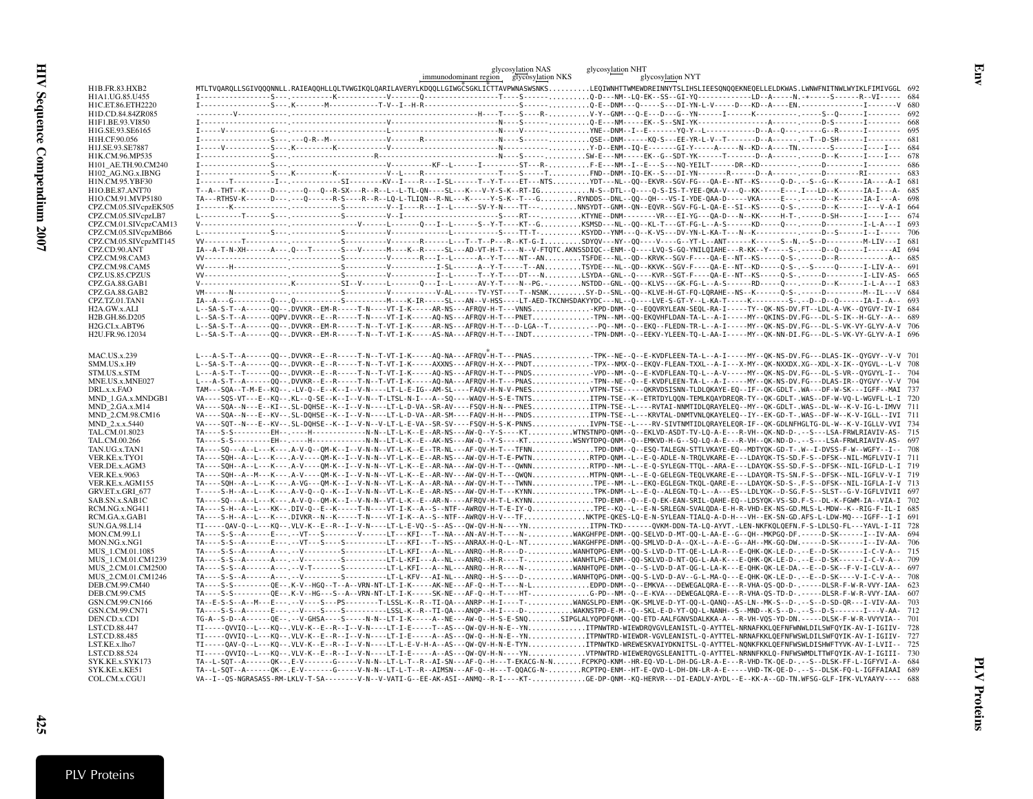|                                            | glycosylation NAS<br>glycosylation NHT<br>glycosylation NYT                                                                                                                                                                                                                                                                          |
|--------------------------------------------|--------------------------------------------------------------------------------------------------------------------------------------------------------------------------------------------------------------------------------------------------------------------------------------------------------------------------------------|
|                                            | immunodominant region glycosylation NKS<br>MTLTVOAROLLSGIVOOONNLL.RAIEAOOHLLOLTVWGIKOLOARILAVERYLKDOOLLGIWGČSGKLIČTTAVPWNASWSNKSLEOIWNHTTWMEWDREINNYTSLIHSLIEESONOOEKNEOELLELDKWAS.LWNWFNITNWLWYIKLFIMIVGGL 692                                                                                                                      |
| <b>H1B.FR.83.HXB2</b><br>H1A1.UG.85.U455   |                                                                                                                                                                                                                                                                                                                                      |
| H1C.ET.86.ETH2220                          |                                                                                                                                                                                                                                                                                                                                      |
| H1D.CD.84.84ZR085                          |                                                                                                                                                                                                                                                                                                                                      |
| H1F1.BE.93.VI850                           |                                                                                                                                                                                                                                                                                                                                      |
| H1G.SE.93.SE6165                           |                                                                                                                                                                                                                                                                                                                                      |
| H1H.CF.90.056                              |                                                                                                                                                                                                                                                                                                                                      |
| H1J.SE.93.SE7887                           |                                                                                                                                                                                                                                                                                                                                      |
| H1K.CM.96.MP535                            |                                                                                                                                                                                                                                                                                                                                      |
| H101 AE.TH.90.CM240                        |                                                                                                                                                                                                                                                                                                                                      |
| H102_AG.NG.x.IBNG                          |                                                                                                                                                                                                                                                                                                                                      |
| H1N.CM.95.YBF30                            |                                                                                                                                                                                                                                                                                                                                      |
| H1O.BE.87.ANT70                            | T--A--THT--K------D---.--Q---Q--R-SX---R--R--L--L-TL-QN----SL---K---V-Y-S-K--RT-IGN-S--DTL--Q---Q-S-IS-T-YEE-QKA-V--Q--KK-----E---.I---LD--K-------IA-I ---A- 685                                                                                                                                                                    |
| H1O.CM.91.MVP5180<br>CPZ.CM.05.SIVcpzEK505 | TA---RTHSV-K-----D---.--Q------R-S----R-S--LQ-L-TLIQN--R-NL---K-----Y-S-K--T---GRYNDDS--DNL--QQ--QH---VS-I-YDE-QAA-D-----VKA-----E-------D--K------IA-I---A- 698                                                                                                                                                                     |
| CPZ.CM.05.SIVcpzLB7                        |                                                                                                                                                                                                                                                                                                                                      |
| CPZ.CM.01.SIVcpzCAM13                      |                                                                                                                                                                                                                                                                                                                                      |
| CPZ.CM.05.SIVcpzMB66                       |                                                                                                                                                                                                                                                                                                                                      |
| CPZ.CM.05.SIVcpzMT145                      |                                                                                                                                                                                                                                                                                                                                      |
| CPZ.CD.90.ANT                              | IA--A-T-N-XH------A---Q---T-------S---V------M---K--R-----SL---AD-VT-H-T----N--V-FTQTC.AKNSSDIQC--ENM--Q----LVQ-S-GQ-YNILQIAHE---R-KK--Y-----S-.-----D--Q------I------AI 694                                                                                                                                                         |
| CPZ.CM.98.CAM3                             |                                                                                                                                                                                                                                                                                                                                      |
| CPZ.CM.98.CAM5                             |                                                                                                                                                                                                                                                                                                                                      |
| CPZ.US.85.CPZUS                            |                                                                                                                                                                                                                                                                                                                                      |
| CPZ.GA.88.GAB1                             | V---------------------K--------SI--V-----L------Q---I-L------AV-Y-T----N--PG.-NSTDD--GNL--QQ--KLVS---GK-FG-L--A-S------RD----Q---.-----D--K------I-L-A---I 683                                                                                                                                                                       |
| CPZ.GA.88.GAB2                             |                                                                                                                                                                                                                                                                                                                                      |
| CPZ.TZ.01.TAN1<br>H2A.GW.x.ALI             | L--SA-S-T--A-------QQ--.DVVKR--EM-R-----T-N----VT-I-K-----AR-NS---AFRQV-H-T---VNNSKPD-DNM--Q--EQQVRYLEAN-SEQL-RA-I-----TY--QK-NS-DV.FT--LDL-A-VK--QYGVY-IV-I 684                                                                                                                                                                     |
| H2B.GH.86.D205                             | L--SA-S-T--A-------QQPV.DVVKR--E--R-----T-N----VT-I-K-----AQ-NS---AFRQV-H-T---PNETTPN--NM--QQ-EKQVHFLDAN-TA-L--A-I------------------------DL-S-IK--H-GLY--A-- 689                                                                                                                                                                    |
| H2G.CI.x.ABT96                             | L--SA-S-T--A-------QQ--.DVVKR--EM-R-----T-N--T-VT-I-K-----AR-NS---AFRQV-H-T---D-LGA--T--PQ--NM--Q--EKQ--FLEDN-TR-L--A-I------MY--QK-NS-DV.FG---DL-S-VK-VY-GLYV-A-V 706                                                                                                                                                               |
| H2U.FR.96.12034                            | L--SA-S-T--A------00--.DVVKR--EM-R-----T-N--T-VT-I-K-----AS-NA---AFROV-H-T---INDTTPN-DNM--0--EEKV-YLEEN-TO-L-AA-I-----MY--OK-NN-DI.FG---DL-S-VK-VY-GLYV-A-I696                                                                                                                                                                       |
|                                            |                                                                                                                                                                                                                                                                                                                                      |
| <b>MAC.US.x.239</b>                        | L---A-S-T--A-------OO--.DVVKR--E--R-----T-N--T-VT-I-K-----AO-NA---AFROV-H-T---PNASTPK--NE--O--E-KVDFLEEN-TA-L--A-I-----MY--OK-NS-DV.FG---DLAS-IK--OYGVY--V-V_701                                                                                                                                                                     |
| SMM.US.x.H9                                | L--SA-S-T--A-------QQ--.DVVKR--E--R-----T-N--T-VT-I-K-----AXXNS---AFRQV-H-X---PNDTTPX--NMX-Q--EKQV-FLEAN-TXXL--A-I---X-MY--QK-NXXDX.XG--XDL-X-IK--QYGVL--L-V 708                                                                                                                                                                     |
| STM.US.x.STM                               | L---A-S-T--T-------QQ--.DVVKR--E--R-----T-N--T-VT-I-K-----AQ-NS---AFRQV-H-T---PNDS-VPD--NM--Q--E-KVDFLEAN-TQ-L--A-V-----MY--QK-NS-DV.FG---DL-S-VR--QYGVYL-I-- 704                                                                                                                                                                    |
| MNE.US.x.MNE027                            | L---A-S-T--A-------QQ--.DVVKR--E--R-----T-N--T-VT-I-K-----AQ-NA---AFRQV-H-T---PNASTPN--NE--Q--E-KVDFLEEN-TA-L--A-I------MY--QK-NS-DV.FG---DLAS-IR--QYGVY--V-V 704                                                                                                                                                                    |
| DRL.x.x.FAO                                | TAM---SQA--T-M-E--KQ--.-LV-Q--E--K--I--V-N----LT-L-E-IG--AM-SL----FAQV-H-N-V-PNESVTPN-TSE-----QKRVDSISNN-TLDLQKAYE-EQ--IF--QK-GDLT-.WA---DF-W-SK---IGFF--MAI 737                                                                                                                                                                     |
| MND 1.GA.x.MNDGB1                          | VA----SQS-VT---E--KQ--.KL--Q-SE--K--I--V-N--T-LTSL-N-I---A--SQ----WAQV-H-S-E-TNTSITPN-TSE--K--ETRTDYLQQN-TEMLKQAYDREQR-TY--QK-GDLT-.WAS--DF-W-VQ-L-WGVFL-L-I 720                                                                                                                                                                     |
| MND 2.GA.x.M14                             | VA----SQA--N---E--KI--.SL-DQHSE--K--I--V-N----LT-L-D-VA--SR-AV----FSQV-H-N---PNESITPN-TSE--L----RVTAI-NNMTIDLQRAYELEQ--MY--QK-GDLT-.WAS--DL-W--K-V-IG-L-IMVV 711                                                                                                                                                                     |
| MND 2.CM.98.CM16                           | VA----SQA--N---E--KV--.SL-DQHSE--K--I--V-N----LT-L-D-VA--AR-SM----FAQV-H-H---PNDSITPN-TSE--L---KRVTAL-DMMTVNLQKAYELEQ--IY--EK-GD-T-.WAS--DF-W--K-V-IGLL--IVI 711                                                                                                                                                                     |
| MND_2.x.x.5440                             | VA----SQT--N---E--KV--.SL-DQHSE--K--I--V-N--V-LT-L-E-VA--SR-SV----FSQV-H-S-K-PNNSIVPN-TSE--L----RV-SIVTMMTIDLQRAYELEQR-IF--QK-GDLNFHGLTG-DL-W--K-V-IGLLV-VVI 734                                                                                                                                                                     |
| TAL.CM.01.8023                             | TA----S-S---------EH--.----H------------N-N--LT-L-K--E--AR-NS---AW-Q--Y-S----KTWTNSTNPD-QNM--Q--EKLVD-ASDT-TV-LQ-A-E---R-VH--QK-ND-D-.--S---LSA-FRWLRIAVIV-AS- 715                                                                                                                                                                   |
| TAL.CM.00.266                              | TA----S-S---------EH--.----H------------N-N--LT-L-K--E--AK-NS---AW-Q--Y-S----KTWSNYTDPQ-QNM--Q--EMKVD-H-G--SQ-LQ-A-E---R-VH--QK-ND-D-.--S---LSA-FRWLRIAVIV-AS- 697                                                                                                                                                                   |
| TAN.UG.x.TAN1                              | TA----SQ---A--L---K---.A-V-Q--QM-K--I--V-N-N--VT-L-K--E--TR-NL---AF-QV-H-T---TFNNTPD-DNM--Q--ESQ-TALEGN-STTLVKAYE-EQ--MDTYQK-GD-T-.W--I-DVSS-F-W--WGFY--I--<br>708                                                                                                                                                                   |
| VER.KE.x.TYO1<br>VER.DE.x.AGM3             | TA----SQH--A--L---K---.A-V----QM-K--I--V-N-N--VT-L-K--E--AR-NS---AW-QV-H-T-E-PWTNRTPD-QNM--L--E-Q-ADLE-N-TRQLVKARE-E---LDAYQK-TS-SD.F-S--DFSK--NIL-MGFLVIV-I 711<br>TA----SOH--A--L---K---.A-V----OM-K--I--V-N-N--VT-L-K--E--AR-NA---AW-OV-H-T---OWNNRTPD--NM--L--E-O-SYLEGN-TTOL--ARA-E---LDAYOK-SS-SD.F-S--DFSK--NIL-IGFLD-L-I 719 |
| <b>VER.KE.x.9063</b>                       | TA----SOH--A--M---K---.A-V----OM-K--I--V-N-N--VT-L-K--E--AR-NV---AW-OV-H-T---OWONMTPN-OMM--L--E-O-GELEGN-TEOLVKARE-E---LDAYOR-TS-SN.F-S--DFSK--NIL-IGFLV-V-I 719                                                                                                                                                                     |
| VER.KE.x.AGM155                            | TA----SQH--A--L---K---.A-VG---QM-K--I--V-N-N--VT-L-K--A--AR-NA---AW-QV-H-T---TWNNTPE--NM--L--EKQ-EGLEGN-TKQL-QARE-E---LDAYQK-SD-S-.F-S--DFSK--NIL-IGFLA-I-V 713                                                                                                                                                                      |
| GRV.ET.x.GRI 677                           | T-----S-H--A--L---K---.A-V-Q--Q--K--I--V-N-N--VT-L-K--E--AR-NS---AW-QV-H-T---KYNNTPK-DNM--L--E-Q--ALEGN-TQ-L--A---ES--LDLYQK--D-SG.F-S--SLST--G-V-IGFLVIVII 697                                                                                                                                                                      |
| SAB.SN.x.SAB1C                             | TA----SQ---A--L---K---.A-V-Q--QM-K--I--V-N-N--VT-L-K--E--AR-N----AFRQV-H-T-L-KYNNTPD-ENM--Q--E-Q-EK-EAN-SRIL-QAHE-EQ--LDSYQK-VS-SD.F-S--DL-K-FGWM-IA--VIA-I 702                                                                                                                                                                      |
| RCM.NG.x.NG411                             | TA----S-H--A--L---KK--.DIV-Q--E--K-----T-N----VT-I-K--A--S--NTF--AWRQV-H-T-E-IY-QTPE--KQ--L--E-N-SRLEGN-SVALQDA-E-H-R-VHD-EK-NS-GD.MLS-L-MDW--K--RIG-F-IL-I 685                                                                                                                                                                      |
| RCM.GA.x.GAB1                              | TA----S-H--A--L---K---.DIVKR--N--K-----T-N----VT-I-K--A--S--NTF--AWRQV-H-V---TFNKTPE-QKES-LQ-E-N-SYLEAN-TIALQ-A-D-H---VH--EK-SN-GD.AFS-L-LDW-MQ---IGFF--I-I 691                                                                                                                                                                      |
| <b>SUN.GA.98.L14</b>                       | TI-----QAV-Q--L---KQ--.VLV-K--E--R--I--V-N----LT-L-E-VQ--S--AS---QW-QV-H-N----YNTTPN-TKD-------QVKM-DDN-TA-LQ-AYVT.-LEN-NKFKQLQEFN.F-S-LDLSQ-FL---YAVL-I-II 728                                                                                                                                                                      |
| <b>MON.CM.99.L1</b>                        | TA----S-S--A------E---.--VT---S--------V-----LT---KFI---T--NA---AN-AV-H-T----N-WAKGHFPE-DNM--QQ-SELVD-D-MT-QQ-L-AA-E--G--QH--MKPGQ-DF.-----D-SK------I--IV-AA- 694                                                                                                                                                                   |
| MON.NG.x.NG1                               | TA----S-S--A------E---.-VT---S----S--------LT---KFI---T--NS---ANRAX-H-Q-L--NTWAKGHFPE-DNM--QQ-SMLVD-D-A--QX-L--A-E--G--AH--MK-GQ-DW.-----D-SK------I--IV-AA-                                                                                                                                                                         |
| MUS 1.CM.01.1085                           | TA----S-S--A------A---.-V--------S--------LT-L-KFI---A-NL---ANRQ--H-R----D-WANHTQPG-ENM--QQ-S-LVD-D-TT-QE-L-LA-R---E-QHK-QK-LE-D-.--E--D-SK------I-C-V-A-- 715                                                                                                                                                                       |
| MUS 1.CM.01.CM1239                         | TA----S-S--A------A---.-V--------S--------LT-L-KFI---A--NL---ANRQ--H-R----T-WANHTLPG-ENM--QQ-SKLVD-D-NT-QG-L-AA-K---E-QHK-QK-LE-D-.--E--D-SK------I-C-V-A-- 709<br>TA----S-S--A------A---.-V-T------S--------LT-L-KFI---A--NL---ANRQ--H-R----N-WANHTQPE-DNM--Q--S-LVD-D-AT-QG-L-LA-K---E-QHK-QK-LE-DA.--E--D-SK--F-V-I-CLV-A-- 697   |
| MUS 2.CM.01.CM2500<br>MUS 2.CM.01.CM1246   | TA----S-S--A------A--- .-V--------S---------LT-L-KFV---AI-NL---ANRQ--H-S---D-WANHTQPG-DNM--QQ-S-LVD-D-AV--G-L-MA-Q---E-QHK-QK-LE-D-.--E--D-SK----V-I-C-V-A-- 708                                                                                                                                                                     |
| DEB.CM.99.CM40                             | TA----S-S---------QE--.K-V--HGQ--T--A--VRN-NT-LT-I-K-----AK-NE---AF-Q--H-T----N-LEDPD-DNM--Q--EMKVA---DEWEGALQRA-E---R-VHA-QS-QD-D-.-----DLSR-F-W-R-VVY-IAA- 623                                                                                                                                                                     |
| DEB.CM.99.CM5                              | TA----S-S---------QE--.K-V--HG---S--A--VRN-NT-LT-I-K-----SK-NE---AF-Q--H-T----HT-G-PD--NM--Q--E-KVA---DEWEGALQRA-E---R-VHA-QS-TD-D-.-----DLSR-F-W-R-VVY-IAA-<br>607                                                                                                                                                                  |
| GSN.CM.99.CN166                            | TA--E-S-S--A--M---E---.-V---S---PS-------T-LSSL-K--R--TI-QA---ANRP--H-I----T-WANGSLPD-ENM--QK-SMLVE-D-YT-QQ-L-QANQ--AS-LN--MK-S--D-.--S--D-SD-QR---I-VIV-AA-<br>-703                                                                                                                                                                 |
| GSN.CM.99.CN71                             | TA----S-S--A------E---.--V----S----S--------LSSL-K--R--TI-QA---ANQP--H-I----D-WAKNSTPD-E-M--Q--SKL-E-D-YT-QQ-L-NANH--S--MND--K-S--D-.--S--D-S-------I---V-AA- 712                                                                                                                                                                    |
| DEN.CD.x.CD1                               | TG-A--S-D--A------QE--.--V-GHSA----S-----N-N--LT-I-K-----A--NE---AW-Q--H-S-E-SNQSIPGLALYQPDFQNM--QQ-ETD-AALFGNVSDALKKA-A---R-VH-VQS-YD-DN.-----DLSK-F-W-R-VVYVIA--<br>701                                                                                                                                                            |
| LST.CD.88.447                              | TI-----QVVIQ--L---KQ--.VLV-K--E--R--I--V-N----LT-I-E-----T--AS---QW-QV-H-N-E--YNITPNWTRD-WIEWDRQVGVLEANISTL-Q-AYTTEL-NRNAFKKLQEFNFWNWLDILSWFQYIK-AV-I-IGIIV-<br>728                                                                                                                                                                  |
| LST.CD.88.485                              | TI-----OVVIO--L---KO--.VLV-K--E--R--I--V-N----LT-I-E-----A--AS---OW-O--H-N-E--YNITPNWTRD-WIEWDR-VGVLEANISTL-O-AYTTEL-NRNAFKKLOEFNFWSWLDILSWFOYIK-AV-I-IGIIV-<br>727                                                                                                                                                                  |
| LST.KE.x.lho7                              | TI-----OAV-0--L---KO--.VLV-K--E--R--I--V-N----LT-L-E-V-H-A--AS---OW-OV-H-N-E-TYNITPNWTKD-WREWESKVAIYDKNITSL-0-AYTTEL-NONKFKKLOEFNFWSWLDISHWFTYVK-AV-I-LVII--                                                                                                                                                                         |
| LST.CD.88.524                              | TI-----QVVIQ--L---KQ--.VLV-K--E--R--I--V-N----LT-I-E-----A--AS---QW-QV-H-N----YNVTPNWTRD-WIEWERQVGSLEANITTL-Q-AYTTEL-NRNNFKKLQ-FNFWSWMDLTTWFQYIK-AV-I-IGIII- 730                                                                                                                                                                     |
| SYK.KE.x.SYK173                            | TA--L-SQT--A------QK--.E-V------G-----V-N-N--LT-L-T--R--AI-SN---AF-Q--H---T-EKACG-N-NFCPKPQ-KNM--HR-EQ-VD-L-DH-DG-LR-A-E---R-VHD-TK-QE-D-.--S--DLSK-FF-L-IGFYVI-A- 684                                                                                                                                                               |
| SYK.KE.x.KE51                              | TA--L-SQT--A------QK--.E-V------G-----V-N-N--LT-L-T--R--AIMSN---AF-Q--H---T-QQACG-N-RCPTPQ-EMM--HT-E-QVD-L-DH-DN-LR-A-E-----VHD-TK-QE-D-.--S--DLSK-FQ-L-IGFFAIAAI 689                                                                                                                                                                |
| COL.CM.x.CGU1                              | VA--I--QS-NGRASASS-RM-LKLV-T-SA--------V-N--V-VATI-G--EE-AK-ASI--ANMQ--R-I----KT-GE-DP-QNM--KQ-HERVR---DI-EADLV-AYDL--E--KK-A--GD-TN.WFSG-GLF-IFK-VLYAAYV---- 688                                                                                                                                                                    |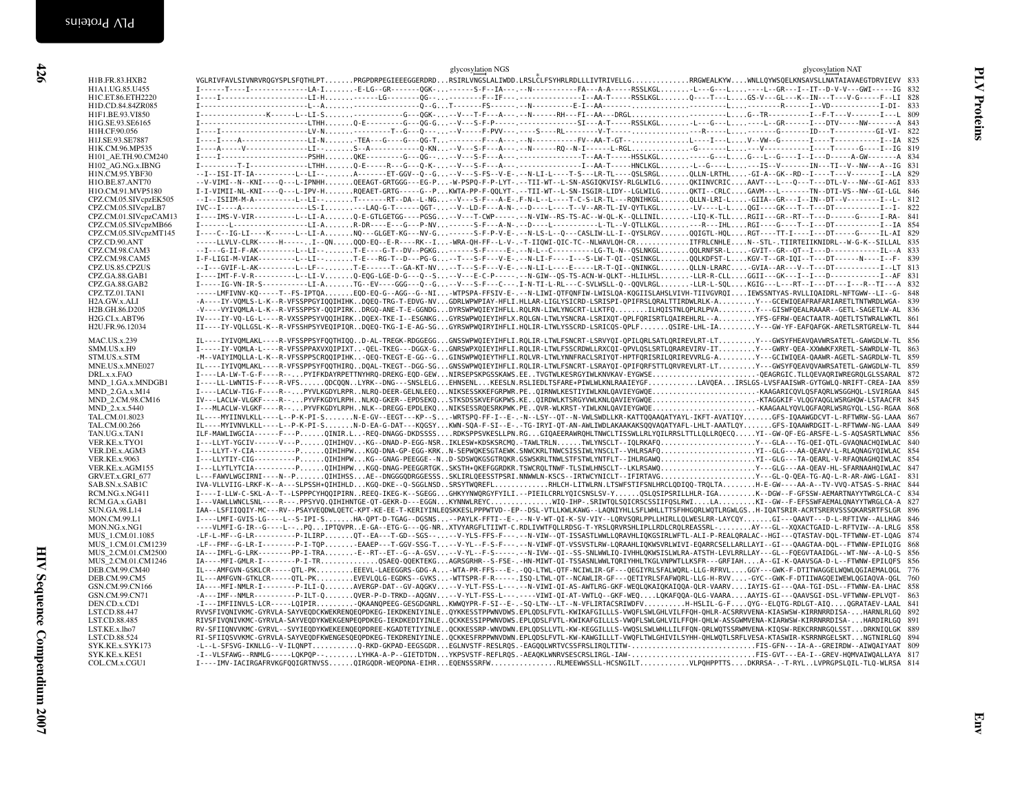|                           | glycosylation NGS<br>glycosylation NAT                                                                                                                                                                                                                                              |     |
|---------------------------|-------------------------------------------------------------------------------------------------------------------------------------------------------------------------------------------------------------------------------------------------------------------------------------|-----|
| H1B.FR.83.HXB2            | VGLRIVFAVLSIVNRVRQGYSPLSFQTHLPTPRGPDRPEGIEEEGGERDRDRSIRLVNGSLALIWDD.LRSLČLFSYHRLRDLLLIVTRIVELLGRRGWEALKYWWNLLQYWSQELKNSAVSLLNATAIAVAEGTDRVIEVV 833                                                                                                                                  |     |
| H1A1.UG.85.U455           | I------T----I------------LA-IE-LG--GR-------QGK------S-F--IA----N----------FA---A-A-----ASSLKGLL---G--L---L--GR---I--IT--D-V-V---GWI-----IG 832                                                                                                                                     |     |
| H1C.ET.86.ETH2220         | I----I--------------------LI-H-----LG---------QG----------F--IF---,-----------------I--AA-T-----RSSLKGLQ----T---LGS-V---GL---K--IN---T---V-G-----F--LI 828                                                                                                                          |     |
| H1D.CD.84.84ZR085         |                                                                                                                                                                                                                                                                                     |     |
| H1F1.BE.93.VI850          |                                                                                                                                                                                                                                                                                     |     |
| H1G.SE.93.SE6165          | I -----------------------LTHHQ-E--------G---QG-G--V---S-F-P----- ---------------SI---A-T-----RSSLKGLL---G---L----L--GR-----I---DTV-----NW-------A 843                                                                                                                               |     |
| H1H.CF.90.056             |                                                                                                                                                                                                                                                                                     | 822 |
| H1J.SE.93.SE7887          | I----I----A--------------LI-N-TEA---G---G---G---C-----F---A------F--A-------FV--AA-T-GT--L---I--LV--W--G------T----T----T----I-I-IA                                                                                                                                                 | 825 |
| H1K.CM.96.MP535           |                                                                                                                                                                                                                                                                                     |     |
| H101_AE.TH.90.CM240       | I ----I ----------------------PSHHQKE---------G---QG----V---S-F---A---. -------------T--AA-T-----HSSLKGL-----G---L--G---L--G---I--I--D-----A-GW--------A                                                                                                                            | 834 |
| H102_AG.NG.x.IBNG         | I---------T-I-------------LTHH0-E-----R---G---0-K---V---S-F---A---.-----------------I--AA-T-----HNCLKGL-L--G----L--IS--V-------IN---TI--V--NW---A--IG                                                                                                                               | 831 |
| H1N.CM.95.YBF30           | --I--ISI-IT-IA----------L--LI--A-------ET-GGV--Q--G--V---S-FS--V-E-.--N-LI-L----T-S---LR-TL----OSLSRGLOLLN-LRTHL-GI-A--GK--RD--I----T---V-------I--LA                                                                                                                               | 829 |
| H1O.BE.87.ANT70           | --V-VIMI--N--KNI----Q---L-IPNHHOEEAGT-GRTGGG---EG-P-W-PSPQ-F-P-LYT-.--TII-WT--L-SN-ASGIQKVISY-RLGLWILGQKIINVCRICAAVT---L---Q---T---DTL-V---NW--GI-AGI                                                                                                                               | 833 |
| H1O.CM.91.MVP5180         | I-I-VIMII-NL-KNI----Q---L-IPV-HRQEAET-GRTG-----G--PKWTA-PP-F-QQLYT-.--TII-WT--L-SN-ISGIR-LIDY--LGLWILGQKTI--CRLCGAVM---L-------TN--DTI-VS--NW--GI-LGL 846                                                                                                                           |     |
| CPZ.CM.05.SIVcpzEK505     | --I--ISIIM-M-A----------L--LI--T-------RT--DA--L-NG--V---S-F---A-E-.F-N-L--L----T-C-S-LR-TL---RONIHKGLQLLN-LRI-L-GIIA--GR---I--IN--DT--V---------I--L- 812                                                                                                                          |     |
| CPZ.CM.05.SIVcpzLB7       | IVC--I----A----------------LS-I---LAQ-G-T------QGT---V--LD-F---A-N-.--D----L----T--V--AR-TL-IV-QYTLKGL-LV----L-LQGI----GK---T--T---DT---------------I--I--I                                                                                                                         | 822 |
| CPZ.CM.01.SIVcpzCAM13     | I----IMS-V-VIR----------LI-AQ-E-GTLGETGG----PGSG--V---T-CWP-----.--N-VIW--RS-TS-AC--W-QL-K--QLLINILLIQ-K-TLLRGII---GR--RT--T---D------G-----I-RA-                                                                                                                                   | 841 |
| CPZ.CM.05.SIVcpzMB66      | I-------L----------------LI-AR-DR----E--G---P-NV------S-F---A-N-.--D----L---------L-TL--V-QTLLKGL---R---IHLRGI----G----T--I---DT-----------I--IA                                                                                                                                    | 854 |
| CPZ.CM.05.SIVcpzMT145     | I----C--IG-LI----K------LI-ANQ---GLGET-KG---NV-G-----S-F-P-V-E-.--N-LS-L--Q---CASLIW-LL-I--QYSLRGVQQIGTL-HQLRGT----TT-I----I---DT----G-----IL-AI 829                                                                                                                                |     |
| CPZ.CD.90.ANT             | -----LLVLV-CLRK-----H-----I--QNQQD-EQ--E-R----RK--I-WRA-QH-FF--L-V-.-T-IIQWI-QIC-TC--NLWAVLQH-CRITFRLCNHLEN--STL-.TIIRTEIIKNIDRL--W-G-K--SILLAL                                                                                                                                     | 835 |
| CPZ.CM.98.CAM3            | --I---G-II-F-AK---------L--LI--T-E----G-T--DV--PGKG------S-F----E-.--N-L--C---------LG-TL-N--QSLNKGLQQLRNFSR-L-GVIT--GR--QT--I---D-------------IL--A                                                                                                                                | 833 |
| CPZ.CM.98.CAM5            | I-F-LIGI-M-VIAK---------L--LI--T-E---RG-T--D---PG-G--T---S-F---V-E-.--N-LI-F----I---S-LW-T-QI--QSINKGLQQLKDFST-LKGV-T--GR-IQI--T---DT-----N----I--F-                                                                                                                                | 839 |
| CPZ.US.85.CPZUS           | --I---GVIF-L-AK---------L--LF--T-E------T--GA-KT-NV--T---S-F---V-E-.--N-LI-L----E----LR-T-OII-ONINKGLQLLN-LRARCGVIA--AR---V--T--DT---------------I--LT 813                                                                                                                          |     |
| CPZ.GA.88.GAB1            | I----IMT-F-V-R---------L-LI-V0-EQG-LGE-D-G---0--S--V---E-C-P-----.-N-GIW--0S-TS-ACN-W-QLKT--HLILHSL-LLR-R-CLLGGII---GK---I--I--D------------I--AF                                                                                                                                   | 831 |
| CPZ.GA.88.GAB2            | I-----IG-VN-IR-S-----------LI-ATG--EV----GGG---Q--G--V---S-F---C---.I-N-TI-L-RL---C-SVLWSLL-Q--QQVLRGL-LLR-L-SQLKGIG---L---RT--I---DT---I---R--TI---A 832                                                                                                                           |     |
| CPZ.TZ.01.TAN1            | -----LMFIVNV-KQ-----T--FS-IPTQAEQD-EQ-G--AGG--G--NI-WTPSPA-FFSIV-E-.--N-LIWI-QTFQNFIW-LWISLQA-KQGIISLAHSLVIVH-TIIVGVRQIIEWSSNTYAS-RVLLIQAIDRL-NFTGWW--LI--G- 848                                                                                                                    |     |
| H <sub>2</sub> A.GW.x.ALI | -A----IY-VOMLS-L-K--R-VFSSPPGYIOOIHIHKDOEO-TRG-T-EDVG-NVGDRLWPWPIAY-HFLI.HLLAR-LIGLYSICRD-LSRISPI-OPIFRSLORALTTIRDWLRLK-AY---GCEWIOEAFRAFARIARETLTNTWRDLWGA-                                                                                                                        | 839 |
| H2B.GH.86.D205            | -V----VYIVOMLA-L-K--R-VFSSPPSY-OOIPIRKDRGO-ANE-T-E-GGNDGDYRSWPWQIEYIHFLL.RQLRN-LIWLYNGCRT-LLKTFQILHQISTNLQPLRLPVAY---GISWFQEALRAAAR--GETL-SAGETLW-AL 836                                                                                                                            |     |
| H2G.CI.x.ABT96            | IV----IY-VQ-LG-L----R-VXSSPPSYVQQIHIRKDQEX-TKE-I--ESGNKGGYRSWPWQIEYIHFLX.RQLGN-LTWLYSNCRA-LSRIXQT-QPLFQRISRTLQAIREHLRL--AYFS-GFRW-QEACTAATR-AQETLTSTWRALWKTL 861                                                                                                                    |     |
| H2U.FR.96.12034           | II----IY-VQLLGSL-K--R-VFSSHPSYVEQIPIQRDQEQ-TKG-I-E-AG-SGGYRSWPWQIRYIHFLI.HQLIR-LTWLYSSCRD-LSRICQS-QPLFQSIRE-LHL-IAY---GW-YF-EAFQAFGK-ARETLSRTGRELW-TL 844                                                                                                                           |     |
|                           |                                                                                                                                                                                                                                                                                     |     |
| <b>MAC.US.x.239</b>       | IL----IYIVQMLAKL----R-VFSSPPSYFQQTHIQQD-AL-TREGK-RDGGEGGGNSSWPWQIEYIHFLI.RQLIR-LTWLFSNCRT-LSRVYQI-QPILQRLSATLQRIREVLRT-LTY---GWSYFHEAVQAVWRSATETL-GAWGDLW-TL                                                                                                                        | 856 |
| SMM.US.x.H9               | I-----IY-VQMLA-L----R-VFSSPPAXVXQIPIXT-QEL-TKEG---DGGX-GGNRSWPXQIEYIHFLI.RQLIR-LTWLFSSCRDWLLRXCQI-QPVLQSLSRTLQRAREVIRV-ITY---GWRY-QEA-XXWWKFXRETL-SAWRDLW-TL 863                                                                                                                    |     |
| STM.US.x.STM              | -M--VAIYIMQLLA-L-K--R-VFSSPPSCRQQIPIHK-QEQ-TKEGT-E-GG--GGINSWPWQIEYTHFLI.RQLVR-LTWLYNNFRACLSRIYQT-HPTFQRISRILQRIREVVRLG-AY---GCIWIQEA-QAAWR-AGETL-SAGRDLW-TL 859                                                                                                                    |     |
| MNE.US.x.MNE027           | IL----IYIVQMLAKL----R-VFSSPPSYFQQTHIRQDQAL-TKEGT--DGG-SGGNSSWPWQIEYIHFLI.RQLIR-LTWLFSNCRT-LSRAYQI-QPIFQRFSTTLQRVREVLRT-LTY---GWSYFQEAVQVAWRSATETL-GAWGDLW-TL                                                                                                                        | 859 |
| DRL.x.x.FAO               | I----LA-LW-T-G-F----R--PYIFKDAYRPETTNYHRQ-DREKG-EQD-GEWNIRSEPSKPGSSKAWS.EETVGTWLKESRGYIWLKNVKAV-EYGWSEQEAGRGIC.TLLQEVAQRIWREGRQLGLSSARAL                                                                                                                                            | 872 |
| MND 1.GA.x.MNDGB1         | I----LL-LWNTIS-F----R-VFSQDCQQNLYRK--DNG---SNSLELGEHNSENLKEESLN.RSLIEDLTSFARE*PIWLWLKNLRAAIEYGFLAVQEAIRSLGS-LVSFAAISWR-GYTGWLQ-NRIFT-CREA-IAA                                                                                                                                       | 859 |
| $MND$ 2.GA.x. $M14$       | I----LACLW-TIG-F----R--PYVLKGDYLRPRNLRQ-DEER-GELNLEEQNIKSESSKKEFGRPWR.PEQIRNWLKESTIYIWLKNLQAVIEYGWQEKAAGARICQVLQSFAQRLWSGGHQL-LSVIRGAA                                                                                                                                              | 845 |
| MND_2.CM.98.CM16          | IV---LACLW-VLGKF----R--PYVFKGDYLRPHNLKQ-GKER--EPDSEKQSTKSDSSKVEFGKPWS.KEQIRDWLKTSRGYVWLKNLQAVIEYGWQEKTAGGKIF-VLQGYAQGLWSRGHQW-LSTAACFR                                                                                                                                              | 845 |
| MND_2.x.x.5440            | I---MLACLW-VLGKF----R--PYVFKGDYLRPHNLK--DREGG-EPDLEKQNIKSESSRQESRKPWK.PEQVR-WLKRST-YIWLKNLQAVIEYGWQEKAAGAALYQVLQGFAQRLWSRGYQL-LSG-RGAA                                                                                                                                              | 868 |
| TAL.CM.01.8023            | IL----MYIINVLKLL----L--P-K-PI-SN-E-GV--EEGT---KP--S-WRTSPQ-FF-I--E-.-N--LSY--QT--N-VWLSWDLLKR-KATTQQAAQATYAYL-IKFT-AVATIQYGFS-IQAAWGDCVT-L-RFTWRW-SG-LAAA                                                                                                                           | 867 |
| TAL.CM.00.266             | IL----MYIVNVLKLL----L--P-K-PI-SN-D-EA-G-DAT---KQGSYKWN-SQA-F-SI--E-.-TG-IRYI-QT-AN-AWLIWDLAKAAKAKSQQVAQATYAFL-LHLT-AAATLQYGFS-IQAAWRDGIT-L-RFTWWW-NG-LAAA                                                                                                                           | 849 |
| TAN.UG.x.TAN1             | ILF-MAWLIWGCIA------F---PQINIR.L-REQ-DNAGG-DKDSSSSRDKSPPSVKESLLPN.RGGIQAEERAWRQHLTNWCLTISSWLLRLVQILRRSLTTLLQLLRQECQYI--GW-QF-EG-ARSFE-L-S-AQSASRTLWNAC                                                                                                                              | 856 |
| VER.KE.x.TYO1             | I---LLYT-YGCIV------V---PQIHIHQV-KG--DNAD-P-EGG-NSRIKLESW*KDSKSRCMQ.-TAWLTRLNTWLYNSCLT--IQLRKAFQY---GLA---TG-QEI-QTL-GVAQNACHQIWLAC                                                                                                                                                 | 840 |
| VER.DE.x.AGM3             | I---LLYT-Y-CIA----------PQIHIHPWKGQ-DNA-GP-EGG-KRKN-SEPWQKESGTAEWK.SNWCKRLTNWCSISSIWLYNSCLT--VHLRSAFQYI--GLG---AA-QEAVV-L-RLAQNAGYQIWLAC<br>I---LLYTIY-CIG---------POIHIHPWKG--GNAG-PEEGGE--ND-SDSWOKGSGTROKR.GSWSKRLTNWLSTFSTWLYNTFLT--IHLRGAWOYI--GLG---TA-OEARL-V-RFAONAGHOIWLAC | 854 |
| <b>VER.KE.x.9063</b>      |                                                                                                                                                                                                                                                                                     | 854 |
| VER.KE.x.AGM155           | I---LLYTLYTCIA---------POIHIHPWKGO-DNAG-PEEGGRTGKSKSTH*OKEFGGRDKR.TSWCROLTNWF-TLSIWLHNSCLT--LKLRSAWOY---GLG---AA-OEAV-HL-SFARNAAHOIWLAC                                                                                                                                             | 847 |
| GRV.ET.x.GRI_677          | L---FAWVLWGCIRNI----N--PQIHIHSSAE--DNGGGQDRGGESSSSKLIRLQEESSTPSRI.NNWWLN-KSCS--IRTWCYNICLT--IFIRTAVGY---GL-Q-QEA-TG-AQ-L-R-AR-AWG-LGAI-                                                                                                                                             | 831 |
| SAB.SN.x.SAB1C            | IVA-VLLVIIG-LRKF-K--A---SLPSSH*QIHIHLDKGQ-DKE--Q-SGGLNSDSRSYTWQREFLRHLCH-LITWLRN.LTSWFSTIFSNLHRCLQDIQQ-TRQLTAH-E-GW----AA-A--TV-VVQ-ATSAS-S-RHAC                                                                                                                                    | 844 |
| RCM.NG.x.NG411            | I----I-LLW-C-SKL-A--T--LSPPPCYHQQIPIRNREEQ-IKEG-K--SGEGGGHKYYNWQRGYFYILI.--PIEILCRRLYQICSNSLSV-YQSLQSIPSRILLHLR-IGAK--DGW--F-GFSSW-AEMARTNAYYTWRGLCA-C                                                                                                                              | 834 |
| RCM.GA.x.GAB1             |                                                                                                                                                                                                                                                                                     | 827 |
| <b>SUN.GA.98.L14</b>      | TAA--LSFIIOOIY-MC---RV--PSAYVEODWLOETC-KPT-KE-EE-T-KERIYINLEOSKKESLPPPWTVD--EP--DSL-VTLLKWLKAWG--LAONIYHLLSFLWHLLTTSFHHGORLWOTLRGWLGSH-IOATSRIR-ACRTSRERVSSSOKARSRTFSLGR                                                                                                            | 896 |
| MON.CM.99.L1              | I----LMFI-GVIS-LG----L--S-IPI-SHA-QPT-D-TGAG--DGSNS--PAYLK-FFTI--E-.--N-V-WT-QI-K-SV-VIY--LQRVSQRLPPLLHIRLLQLWESLRR-LAYCQYGI---QAAVT---D-L-RFTIVW--ALLHAG                                                                                                                           | 846 |
| MON.NG.x.NG1              | ----VLMFI-G-IR--G----L--PQIPTQVPRE-GA--ETG-G---QG-NRXTVYARGFLTIIWT-C.RDLIVWTFQLLRDSG-T-YRSLQRVRSHLIPLLRDLCRQLREASSRL-AY---GL--XQXACTGAID-L-RFTVIW--A-LRLG                                                                                                                           | 858 |
| MUS 1.CM.01.1085          | -LF-L-MF--G-LR---------P-ILIRPQT--EA---T-GD--SGS----V-YLS-FFS-F---.-N-VIW--QT-ISSASTLWWLLQRAVHLIQKGSIRLWFTL-ALI-P-REALQRALAC--HGI---QTASTAV-DQL-TFTWNW-ET-LQAG                                                                                                                      | 874 |
| MUS_1.CM.01.CM1239        | -LF--FMF--G-LR-I--------P-I-TQPEAAEP---T-GGV-SSG-T--V-YL--F-S-F---.-N-VIWF-QT-VSSVSTLRW-LQRAAHLIQKWSVRLWIVI-EQARRCSELLARLLAYI--GI---QAAGTAA-DQL--FTWNW-EPILQIG                                                                                                                      | 868 |
| MUS 2.CM.01.CM2500        | IA---IMFL-G-LRK--------PP-I-TRAE--RT--ET--G--A-GSV--V-YL--F-S------N-IVW--QI--SS-SNLWWLIQ-IVHHLQKWSISLWLRA-ATSTH-LEVLRRLLAY---GL--FQEGVTAAIDGL--WT-NW--A-LQ-S                                                                                                                       | 856 |
| MUS 2.CM.01.CM1246        | IA----MFI-GMLR-I--------P-I-TROSAEO-OOEKTEKGAGRSGRHR--S-FSE-.-HN-MIWT-OI-TSSASNLWWLTORIYHHLTKGLVNPWTLLKSFR---GRFIAHA--GI-K-OAAVSGA-D-L--FTWNW-EPILOFS                                                                                                                               | 856 |
| DEB.CM.99.CM40            | IL---AMFGVN-GSKLCR-----QTL-PKEEEVL-LAEEGGRS-GDG-A-WTA-PR-FFS---E-.-QQ-LTWL-QTF-NCIWLIR-GF---QEGIYRLSFALWQRL-LLG-RFRVLGGY---GWK-F-DTITWAGGELWQWLQGIAEMALQGL                                                                                                                          | 776 |
| DEB.CM.99.CM5             | IL---AMFGVN-GTKLCR-----QTL-PKEVEVLQLG-EGDKS--GVKS-WTTSPR-F-R-----.ISQ-LTWL-QT--NCAWLIR-GF---QETIYRLSFAFWQRL-LLG-H-RVV-GYC--GWK-F-DTIIWAGQEIWEWLQGIAQVA-QGL                                                                                                                          | 760 |
| GSN.CM.99.CN166           | IA----MFI-NMLR-I--------P-ILI-QAVERGP-DAT--GV-AQGKV--V-YLT-FSS-L---.--N-VIWI-QI-AS-AWTLRG-GKF-WEQLQKAIQKAIQKAIQA-QLR-VAARVIAYIS-GI---QAA-TGI-DSL--FTWNW-EA-LHAC 858                                                                                                                 |     |
| GSN.CM.99.CN71            | -A---IMF--NMLR---------P-ILT-QQVER-P-D-TRKD--AQGNV--V-YLT-FSS-L---.---VIWI-QI-AT-VWTLQ--GKF-WEQLQKAFQQA-QLG-VAARAAAYIS-GI---QAAVSGI-DSL-VFTWNW-EPLVQT-                                                                                                                              | 863 |
| DEN.CD.x.CD1              | -I---IMFIINVLS-LCR-----LOIPIR-OKAANOPEEG-GESGDGNRLKWWOYPR-F-SI--E-.-SO-LTW--LT--N-VFLIRTACSRIWDFVH-HSLIL-G-FOYG--ELOTG-RDLGT-AIOOGRATAEV-LAAL 841                                                                                                                                   |     |
| LST.CD.88.447             | RVVSFIVQNIVKMC-GYRVLA-SAYVEQDCKWEKRENQEQPDKEG-IEKDKENIYINLEQYKKESSTPPWNVDWS.EPLQDSLFVTL-KWIKAFGILLLS-VWQFLSWLGHLVILFFQH-QHLR-ACSRRVVENA-KIASWSW-KIRRNRRDISA-HARNLRLGQ                                                                                                               | 892 |
| LST.CD.88.485             | RIVSFIVQNIVKMC-GYRVLA-SAYVEQDYKWEKGENPEQPDKEG-IEKDKEDIYINLEQCKKESSIPPWNVDWS.EPLQDSLFVTL-KWIKAFGILLLS-VWQFLSWLGHLVILFFQH-QHLW-ASSGWMVENA-KIARWSW-KIRRNRRDISA-HARDIRLGQ                                                                                                               | 891 |
| LST.KE.x.lho7             | RV-SFIIONVVKMC-GYRVL--SVYIEQDYKWEKEENQEQPDREE-KGADTETIYINLEQCKKESSRP-WNVDWN.EPLQDSLLVTL-KW-KEGGILLLS-VWQSLSWLWHLLILFFQN-QRLWQTSSRWMVENA-KIQSW-REKCRRNRGQLSSTDRKNIQLGK                                                                                                               | 889 |
| LST.CD.88.524             | RI-SFIIQSVVKMC-GYRVLA-SAYVEQDFKWENGESQEQPDKEG-TEKDRENIYINLEQCKKESFRPPWNVDWN.EPLQDSLFVTL-KW-KAWGILLLT-VWQFLTWLGHIVILSYHH-QHLWQTLSRFLVESA-KTASWIR-KSRRNRGELSKTNGTNIRLGQ                                                                                                               | 894 |
| SYK.KE.x.SYK173           | -L--L-SFSVG-IKNLLG--V-ILONPT0-RKD-GKPAD-EEGSGDREGLNVSTF-RESLR0S.-EAGOOLWRTVCSSFRSLIROLTITW-FIS-GFN---IA-A--GREIRDW--AIWOAIYAAT                                                                                                                                                      | 809 |
| SYK.KE.x.KE51             | -I--VLSFAWG--RNMLG-----LQKPQP--LYHKA-A-P--GIETDTDNYKPSVSTF-REFLRQS.-AEAQKLWNRVSESCRSLIRGL-IAW-FIS-GVT---EA-I--GREV-HQMVAIWQALLAYA 817                                                                                                                                               |     |
| COL.CM.x.CGU1             | I----IMV-IACIRGAFRVKGFQQIGRTNVSSQIRGQDR-WEQPDNA-EIHREQENSSSRFWRLMEEWWSSLL-HCSNGILTVLPQHPPTTSDKRRSA-.-T-RYLLVPRGPSLQIL-TLQ-WLRSA                                                                                                                                                     | 814 |
|                           |                                                                                                                                                                                                                                                                                     |     |
|                           |                                                                                                                                                                                                                                                                                     |     |
|                           |                                                                                                                                                                                                                                                                                     |     |
|                           |                                                                                                                                                                                                                                                                                     |     |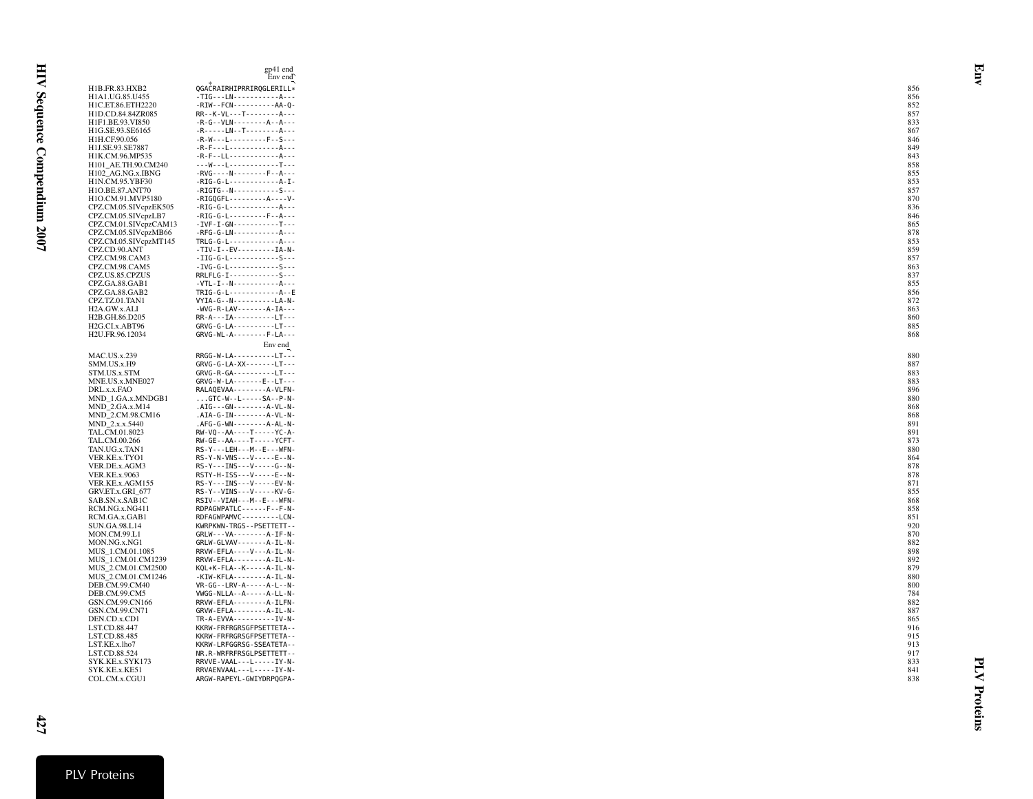|                                            | Env end                                              |            |
|--------------------------------------------|------------------------------------------------------|------------|
| H1B.FR.83.HXB2                             | QGACRAIRHIPRRIRQGLERILL*                             | 856        |
| H1A1.UG.85.U455                            | $-TIG--LN-----------A---$                            | 856        |
| H1C.ET.86.ETH2220                          | $-RIW - FCN - - - - - - - - - AA - 0 -$              | 852        |
| H1D.CD.84.84ZR085                          | RR--K-VL---T--------A---                             | 857        |
| H1F1.BE.93.VI850                           | $-R-G - VLN - - - - - - A - - A - - -$               | 833        |
| H1G.SE.93.SE6165                           | $-R - - - - LN - - T - - - - - - - - A - - -$        | 867        |
| H1H.CF.90.056                              | $-R-W--L--------F--S---$                             | 846        |
| H1J.SE.93.SE7887                           | $-R-F--L---$                                         | 849        |
| H1K.CM.96.MP535                            |                                                      | 843        |
| H101 AE.TH.90.CM240                        | --- W---L------------T---                            | 858        |
| H102_AG.NG.x.IBNG                          | $-RVG - -N - - - - - - - F - - A - - -$              | 855        |
| H1N.CM.95.YBF30                            | $-RIG-G-L$ -------------A-I-                         | 853        |
| H1O.BE.87.ANT70                            | $-RIGTG - N - - - - - - - - - S - - -$               | 857        |
| H1O.CM.91.MVP5180<br>CPZ.CM.05.SIVcpzEK505 | $-RIG-G-L$ -------------A---                         | 870<br>836 |
| CPZ.CM.05.SIVcpzLB7                        | $-RIG-G-L$ ---------F--A---                          | 846        |
| CPZ.CM.01.SIVcpzCAM13                      | $-IVF - I - GN - - - - - - - - - - T - - -$          | 865        |
| CPZ.CM.05.SIVcpzMB66                       | $-$ RFG-G-LN------------A---                         | 878        |
| CPZ.CM.05.SIVcpzMT145                      | TRLG-G-L-------------A---                            | 853        |
| CPZ.CD.90.ANT                              | $-TIV - I - EV - - - - - - - IA - N -$               | 859        |
| CPZ.CM.98.CAM3                             | $-IIIG-G-L$ -------------S---                        | 857        |
| CPZ.CM.98.CAM5                             | $-IVG-G-L$ -------------S---                         | 863        |
| CPZ.US.85.CPZUS                            | RRLFLG-I------------S---                             | 837        |
| CPZ.GA.88.GAB1                             |                                                      | 855        |
| CPZ.GA.88.GAB2                             | $TRIG-G-L$ -------------A--E                         | 856        |
| CPZ.TZ.01.TAN1                             | $VYIA-G--N-$ ---------LA-N-                          | 872        |
| H2A.GW.x.ALI                               | -WVG - R - LAV - - - - - - - A - IA - - -            | 863        |
| H2B.GH.86.D205                             | RR-A---IA----------LT---                             | 860        |
| H2G.CI.x.ABT96                             | $GRVG-G-LA$ ----------LT---                          | 885        |
| H2U.FR.96.12034                            | GRVG-WL-A--------F-LA---                             | 868        |
|                                            | Env end                                              |            |
| <b>MAC.US.x.239</b>                        | RRGG-W-LA----------LT---                             | 880        |
| SMM.US.x.H9                                | GRVG-G-LA-XX-------LT---                             | 887        |
| STM.US.x.STM                               | GRVG-R-GA----------LT---                             | 883        |
| MNE.US.x.MNE027                            | GRVG-W-LA-------E--LT---                             | 883        |
| DRL.x.x.FAO                                | RALAQEVAA - - - - - - - - A - VLFN -                 | 896        |
| MND_1.GA.x.MNDGB1                          | $\ldots$ GTC - W - - L - - - - - SA - - P - N -      | 880        |
| $MND_2.GA.x.M14$                           | $.AIG--GN---A-VL-N-$                                 | 868        |
| MND_2.CM.98.CM16                           | $.AIA-G-IN-----A-VL-N-$                              | 868        |
| MND 2.x.x.5440                             | .AFG-G-WN--------A-AL-N-                             | 891        |
| TAL.CM.01.8023                             | RW-VQ--AA----T-----YC-A-                             | 891        |
| TAL.CM.00.266                              | RW-GE--AA----T-----YCFT-<br>RS-Y---LEH---M--E---WFN- | 873<br>880 |
| TAN.UG.x.TAN1<br>VER.KE.x.TYO1             | RS-Y-N-VNS---V-----E--N-                             | 864        |
| VER.DE.x.AGM3                              | $RS - Y - - INS - - -V - - - - -G - -N -$            | 878        |
| <b>VER.KE.x.9063</b>                       | RSTY-H-ISS---V-----E--N-                             | 878        |
| VER.KE.x.AGM155                            | RS-Y---INS---V-----EV-N-                             | 871        |
| GRV.ET.x.GRI_677                           | RS-Y--VINS---V-----KV-G-                             | 855        |
| SAB.SN.x.SAB1C                             | RSIV--VIAH---M--E---WFN-                             | 868        |
| RCM.NG.x.NG411                             | RDPAGWPATLC------F--F-N-                             | 858        |
| RCM.GA.x.GAB1                              | RDFAGWPAMVC---------LCN-                             | 851        |
| SUN.GA.98.L14                              | KWRPKWN-TRGS--PSETTETT--                             | 920        |
| MON.CM.99.L1                               | $GRLW - - VA - - - - - - - A - IF - N -$             | 870        |
| MON.NG.x.NG1                               | GRLW-GLVAV-------A-IL-N-                             | 882        |
| MUS_1.CM.01.1085                           | RRVW-EFLA----V---A-IL-N-                             | 898        |
| MUS 1.CM.01.CM1239                         | RRVW-EFLA--------A-IL-N-                             | 892        |
| MUS 2.CM.01.CM2500                         | KQL*K-FLA--K-----A-IL-N-                             | 879        |
| MUS_2.CM.01.CM1246                         | -KIW-KFLA--------A-IL-N-                             | 880        |
| DEB.CM.99.CM40                             | VR-GG--LRV-A-----A-L--N-                             | 800        |
| DEB.CM.99.CM5                              | VWGG-NLLA--A-----A-LL-N-                             | 784        |
| GSN.CM.99.CN166                            | RRVW-EFLA--------A-ILFN-                             | 882        |
| GSN.CM.99.CN71                             | GRVW-EFLA--------A-IL-N-<br>TR-A-EVVA----------IV-N- | 887<br>865 |
| DEN.CD.x.CD1<br>LST.CD.88.447              | KKRW-FRFRGRSGFPSETTETA--                             | 916        |
| LST.CD.88.485                              | KKRW-FRFRGRSGFPSETTETA--                             | 915        |
| LST.KE.x.lho7                              | KKRW-LRFGGRSG-SSEATETA--                             | 913        |
| LST.CD.88.524                              | NR.R-WRFRFRSGLPSETTETT--                             | 917        |
| SYK.KE.x.SYK173                            | RRVVE-VAAL---L-----IY-N-                             | 833        |
| SYK.KE.x.KE51                              | RRVAENVAAL - - - L - - - - - IY - N -                | 841        |
| COL.CM.x.CGU1                              | ARGW-RAPEYL-GWIYDRPOGPA-                             | 838        |

Env end gp41 end Env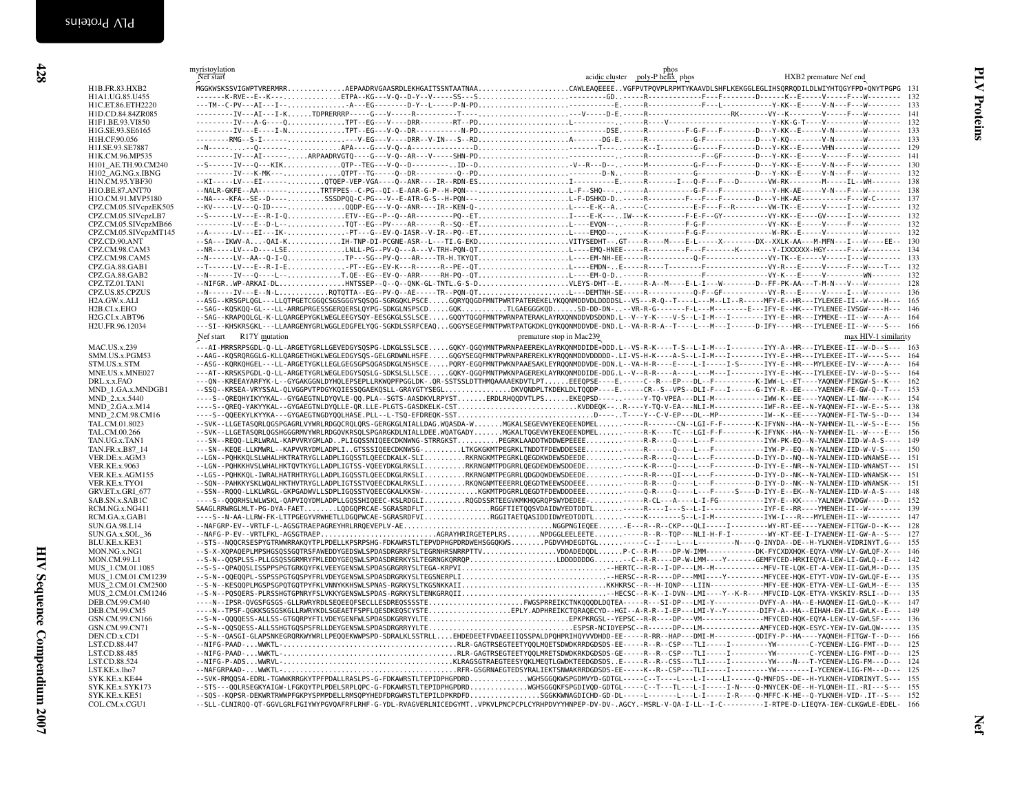<span id="page-33-0"></span>

| H1B.FR.83.HXB2<br>H1A1.UG.85.U455<br>H1C.ET.86.ETH2220<br>H1D.CD.84.84ZR085<br>H1F1.BE.93.VI850 | Nef start<br>MGGKWSKSSVIGWPTVRERMRRAEPAADRVGAASRDLEKHGAITSSNTAATNAACAWLEAQEEEEVGFPVTPQVPLRPMTYKAAVDLSHFLKEKGGLEGLIHSQRRQDILDLWIYHTQGYFPD*QNYTPGPG 131                                                                                                                                                                               | phos<br>acidic cluster poly-P helix phos | HXB2 premature Nef end |
|-------------------------------------------------------------------------------------------------|-------------------------------------------------------------------------------------------------------------------------------------------------------------------------------------------------------------------------------------------------------------------------------------------------------------------------------------|------------------------------------------|------------------------|
|                                                                                                 |                                                                                                                                                                                                                                                                                                                                     |                                          |                        |
|                                                                                                 |                                                                                                                                                                                                                                                                                                                                     |                                          |                        |
|                                                                                                 |                                                                                                                                                                                                                                                                                                                                     |                                          |                        |
|                                                                                                 |                                                                                                                                                                                                                                                                                                                                     |                                          |                        |
|                                                                                                 |                                                                                                                                                                                                                                                                                                                                     |                                          |                        |
| H1G.SE.93.SE6165                                                                                |                                                                                                                                                                                                                                                                                                                                     |                                          |                        |
| H1H.CF.90.056                                                                                   |                                                                                                                                                                                                                                                                                                                                     |                                          |                        |
| H1J.SE.93.SE7887<br>H1K.CM.96.MP535                                                             |                                                                                                                                                                                                                                                                                                                                     |                                          |                        |
| H101_AE.TH.90.CM240                                                                             |                                                                                                                                                                                                                                                                                                                                     |                                          |                        |
| H102 AG.NG.x.IBNG                                                                               |                                                                                                                                                                                                                                                                                                                                     |                                          |                        |
| H1N.CM.95.YBF30                                                                                 |                                                                                                                                                                                                                                                                                                                                     |                                          |                        |
| H1O.BE.87.ANT70                                                                                 | --NALR-GKFE--AA-------TRTFPES--C-PG--QI--E-AAR-G-P--H-PQN---L-F--SHQ-------A-----------------------Y-HK-AE-----V-N---F---W-------- 138                                                                                                                                                                                              |                                          |                        |
| H1O.CM.91.MVP5180                                                                               |                                                                                                                                                                                                                                                                                                                                     |                                          |                        |
| CPZ.CM.05.SIVcpzEK505                                                                           | --KV-----LV---Q-ID----QQDP-EG---V-Q--ANR----IR--KEN-Q-L----E-K--A----C-----------E-F---F--R-----------VW-TK--E-----V-----I---W--------- 132                                                                                                                                                                                         |                                          |                        |
| CPZ.CM.05.SIVcpzLB7                                                                             |                                                                                                                                                                                                                                                                                                                                     |                                          |                        |
| CPZ.CM.05.SIVcpzMB66                                                                            |                                                                                                                                                                                                                                                                                                                                     |                                          |                        |
| CPZ.CM.05.SIVcpzMT145                                                                           |                                                                                                                                                                                                                                                                                                                                     |                                          |                        |
| CPZ.CD.90.ANT                                                                                   | --SA---IKWV-A-QAI-KIH-TNP-DI-PCGNE-ASR--L---TI.G-EKDVITYSEDHT--.GT----R----H----E-L----X----------DX--XXLK-AA---M-MFN---I---W----EE-- 130                                                                                                                                                                                           |                                          |                        |
| CPZ.CM.98.CAM3                                                                                  |                                                                                                                                                                                                                                                                                                                                     |                                          |                        |
| CPZ.CM.98.CAM5<br>CPZ.GA.88.GAB1                                                                |                                                                                                                                                                                                                                                                                                                                     |                                          |                        |
| CPZ.GA.88.GAB2                                                                                  |                                                                                                                                                                                                                                                                                                                                     |                                          |                        |
| CPZ.TZ.01.TAN1                                                                                  | --NIFGRWP-ARKAI-DLHNTSSEP--Q--Q-NK-GL-TNTL.G-S-DVLEYS-DHT--E.-----R-A--M----E-L-I---W-------D--FF-PK-AA---T-M-N---V---W-------- 128                                                                                                                                                                                                 |                                          |                        |
| CPZ.US.85.CPZUS                                                                                 |                                                                                                                                                                                                                                                                                                                                     |                                          |                        |
| H2A.GW.x.ALI                                                                                    | --ASG--KRSGPLQGL---LLQTPGETCGGQCSGSGGGYSQSQG-SGRGQKLPSCEGQRYQQGDFMNTPWRTPATEREKELYKQQNMDDVDLDDDDSL--VS---R-Q--T----L---M--LI--R-----MFY-E--HR---IYLEKEE-II--W----H--- 165                                                                                                                                                           |                                          |                        |
| H2B.CI.x.EHO                                                                                    | --SAG--KQSKQQ-GL---LL-ARRGPRGESSGERQERSLQYPG-SDKGLNSPSCDGQKTLGAEGGGKQDSD-DD-DN---VR-R-G------F-L---M-------E---IFY-E--HK---TYLENEE-IVSGW----H--- 146                                                                                                                                                                                |                                          |                        |
| H2G.CI.x.ABT96                                                                                  | --SAG--KRAPQQLGL-K-LLQARGEPYGKLWEGLEEGYSQY-EESGKGLSSLSCEGQQYTQGQFMNTPWRNPATERAKLAYRXQNNDDVDSDDND.L--V--Y-K----V-S--L-I-M---I------IYYY-E--HR---IYMEKE--II--W----A--- 164                                                                                                                                                            |                                          |                        |
| H2U.FR.96.12034                                                                                 | ---SI--KHSKRSGKL---LLAARGENYGRLWGGLEDGFELYQG-SGKDLSSRFCEAQGQGYSEGEFMNTPWRTPATGKDKLQYKQQNMDDVDE-DND.L--VA-R-R-A--T----L---M---I-----D-IFY----HR---IYLENEE-II--W----S--- 166                                                                                                                                                          |                                          |                        |
|                                                                                                 | Nef start R17Y mutation                                                                                                                                                                                                                                                                                                             | premature stop in Mac239                 | max HIV-1 similarity   |
| MAC.US.x.239                                                                                    | ---AI-MRRSRPSGDL-Q-LL-ARGETYGRLLGEVEDGYSQSPG-LDKGLSSLSCEGQKY-QGQYMNTPWRNPAEEREKLAYRKQNMDDIDE*DDD.L--VS-R-K----T-S--L-I-M---I--------IYY-A--HR---IYLEKEE-II--W-D--S--- 163                                                                                                                                                           |                                          |                        |
| SMM.US.x.PGM53                                                                                  | --AAG--KQSRQRGGLG-KLLQARGETHGKLWEGLEDGYSQS-GELGRDWNLHSFEGQGYSEGQFMNTPWRNPAREREKLKYRQQNMDDVDDDDD-.LI-VS-H-K---A-S--L-I-M---I-------IYY-E--HR---IYLEKEE-IT--W----S--- 164                                                                                                                                                             |                                          |                        |
| STM.US.x.STM                                                                                    | --ASG--KQRKQHGEL---LL-ARGETYGKLLEGLGEGSGPSQGASDKGLNSHSCEPQRY-EGQFMNTPWKNPAAESAKLEYRQQNMDDVDE-DDN.L--VA-H-R---E----L-I-----I-S-----IYY-E--HR---MYLEKEE-IV--W----A--- 164                                                                                                                                                             |                                          |                        |
| MNE.US.x.MNE027                                                                                 | ---AT--KRSKSPGDL-Q-LL-ARGETYGRLWEGLEDGYSQSLG-SDKSLSLLSCEGQKY-QGQFMNTPWKNPAGEREKLAYRKQNMDDIDE-DDG.L--V--R-R----A----L---M---I--------IYY-E--HK---IYLEKEE-IV--W-D--S--- 164                                                                                                                                                           |                                          |                        |
| DRL.x.x.FAO                                                                                     | ---QN--KREEAYARFYK-L--GYGAKGGNLDYHQLEPSEPLLRKWQPFPGGLDK-.QR-SSTSSLDTTHMQAAAAEKDVTLPTEEEQPSE----E.----C--R---EP---DL--F--------K-IWW-L--ET----YAQNEW-FIKGW-S--K--- 162                                                                                                                                                               |                                          |                        |
| MND 1.GA.x.MNDGB1                                                                               | --SSQ--KRSEA-VRYSSAL-QLVGGPVTPDGYKQIESSQGAEKQSLL-GRAYGTYSEGLDKVQNDPLTKDEKLDLTQQDP----E.----CR--S--VPS--DLI-F---I------G-IYY-R--EE----YAENEW-FE-GW-Q--T--- 153                                                                                                                                                                       |                                          |                        |
| MND 2.x.x.5440                                                                                  | ----S--QREQHYIKYYKAL--GYGAEGTNLDYQVLE-QQ.PLA--SGTS-AASDKVLRPYSTERDLRHQQDVTLPSEKEQPSD--------Y-TQ-VPEA---DLI-M------------IWW-K--EE----YAQNEW-LI-NW----K--- 154                                                                                                                                                                      |                                          |                        |
| MND_2.GA.x.M14                                                                                  |                                                                                                                                                                                                                                                                                                                                     |                                          |                        |
| MND 2.CM.98.CM16                                                                                | ----S--QQEEKYLKYYKA---GYGAEGTNGDYQQLHASE.PLL--L-TSQ-EFDREQK-SSTD----T---Y--C-V-EP---DL--MP------------------------YAQNEW-FI-TW-S--D--- 134                                                                                                                                                                                          |                                          |                        |
| TAL.CM.01.8023                                                                                  | --SVK--LLGETASQRLQGSPGAGRLVYWRLRDGQCRQLQRS-GERGKGLNIALLDAG.WQASDA-WMGKALSEGEVWYEKEQEENDMEL-----R-----CN--LGI-F-F-------K-IFYNN--HA--N-YAHNEW-IL--W-S--E--- 156<br>--SVK--LLGETASQRLQGSHGGGRMVYWRLRDGQVKRSQLSPGARGKDLNIALLDEE.WQATGADYMGKALTQGEVWYEKEQEENDMEL-----R-K----TC---LGI-F-F--------K-IFYNK--HA--N-YAHNEW-IL--W----E--- 156 |                                          |                        |
| TAL.CM.00.266<br>TAN.UG.x.TAN1                                                                  | ---SN--REOO-LLRLWRAL-KAPVVRYGMLADPLIGOSSNIOEECDKNWNG-STRRGKSTPEGRKLAADDTWDDWEPEEEE----R-R---0---L---F-----------------IYW-PK-EO--N-YALNEW-IID-W-A-S---- 149                                                                                                                                                                         |                                          |                        |
| TAN.FR.x.B87_14                                                                                 | ---SN--KEQE-LLKMWRL--KAPVVRYDMLADPLIGTSSSIQEECDKNWSG-LTKGKGKMTPEGRKLTNDDTFDEWDDESEE-----R-----Q----L--F--------------IYW-P--EQ--N-YALNEW-IID-W-V-S---- 150                                                                                                                                                                          |                                          |                        |
| VER.DE.x.AGM3                                                                                   | --LGN--PQHKKQLSLWHALHKTRATRYGLLADPLIGQSSTLQEECDKALK-SLIRKRNGKMTPEGRKLQEGDKWDEWSDEEDE-----R-R---Q---L---F---------D-IYY-D--NQ--N-YALNEW-IID-WNAWSE--- 151                                                                                                                                                                            |                                          |                        |
| <b>VER.KE.x.9063</b>                                                                            | --LGN--PQHKKHVSLWHALHKTQVTKYGLLADPLIGTSS-VQEEYDKGLRKSLIRKRNGNMTPDGRRLQEGDEWDEWSDDEDE----K-R---Q----L---F---------D-IYY-E--NR--N-YALNEW-IID-WNAWST--- 151                                                                                                                                                                            |                                          |                        |
| VER.KE.x.AGM155                                                                                 | --LGS--PQHKKQL-IWRALHATRHTRYGLLADPLIGQSSTLQEECDKGLRKSLIRKRNGNMTPEGRRLQDGDQWDEWSDEEDE-----R-R----QI---L---F---------D-IYY-D--NK--N-YALNEW-IID-WNAWSK--- 151                                                                                                                                                                          |                                          |                        |
| VER.KE.x.TYO1                                                                                   | --SON--PAHKKYSKLWOALHKTHVTRYGLLADPLIGTSSTVQEECDKALRKSLIRKONGNMTEEERRLQEGDTWEEWSDDEEE----R-R---Q----L---F---------D-IYY-D--NK--N-YALNEW-IID-WNAWSK--- 151                                                                                                                                                                            |                                          |                        |
| GRV.ET.x.GRI 677                                                                                | --SSN--ROQQ-LLKLWRGL-GKPGADWVLLSDPLIGQSSTVQEECGKALKKSW-KGKMTPDGRRLQEGDTFDEWDDDEEE----Q-R---Q----L---F----S----D-IYY-E--EK--N-YALNEW-IID-W-A-S---- 148                                                                                                                                                                               |                                          |                        |
| SAB.SN.x.SAB1C                                                                                  | ----S--QQQRHSLWLWSKL-QAPVIQYDMLADPLLGQSSHIQEEC-KSLRDGLIRQGDSSRTEEGVKMKHQGRQPSWYDEDEE-----R-CL---A---L-I-FG-------------IYY-E--KK----YALNEW-IVDGW----D--- 152                                                                                                                                                                        |                                          |                        |
| RCM.NG.x.NG411                                                                                  |                                                                                                                                                                                                                                                                                                                                     |                                          |                        |
| RCM.GA.x.GAB1                                                                                   | ----S--N-AA-LLRW-FK-LTTPGEGYVRWHETLLDGQPWCAE-SGRASRDFVIRGGITAETQASIDDIDWYEDTDDTL-----K--------S--L-I-M----------------YVW-I---R---MYLENEH-II--W-------- 147                                                                                                                                                                         |                                          |                        |
| SUN.GA.98.L14                                                                                   |                                                                                                                                                                                                                                                                                                                                     |                                          |                        |
| SUN.GA.x.SOL 36                                                                                 |                                                                                                                                                                                                                                                                                                                                     |                                          |                        |
| BLU.KE.x.KE31                                                                                   | --STS--NQQCRSESPYGTRWWRRAKQYTPLPDELLKPSRPSHG-FDKAWRSTLTEPVDPHGPDRDWEHSGGQKWSPGDVVHDEGDTGL----C--I----L---L---L------N----Q-INYDA--DE--H-YLKNEH-VIDRINYT.G--- 155<br>--S-X-XQPAQEPLMPSHGSQSSGQTRSFAWEDDYGEDSWLSPDASDRGRRFSLTEGRNHRSNRRPTTVVDDADEDQDLP-C--R-M----DP-W-IMM-----------DK-FYCXDXHQK-EQYA-VMW-LV-GWLQF-X--- 146           |                                          |                        |
| MON.NG.x.NG1<br>MON.CM.99.L1                                                                    | --S-N--QQSPLSS-PLLGSQSSGRMRYFMLEDDYGEQSWLSPDASDRERKYSLTEGRNGKQRRQPLDDDDDDDG-C--R-R----DP-W-LMM----Y-------GEMFYCED-HRKIEQYA-LEW-LI-GWLQ--E--- 142                                                                                                                                                                                   |                                          |                        |
| MUS 1.CM.01.1085                                                                                | --S-S--QPAQQSLISSPPSPGTGRKQYFKLVEEYGENSWLSPDASGRGRRYSLTEGA-KRPVIHERTC--R-R--I-DP---LM--M------------MFV-TE-LQK-ET-A-VEW-II-GWLM--D--- 135                                                                                                                                                                                           |                                          |                        |
| MUS 1.CM.01.CM1239                                                                              | --S-N--QQEQQPL-SSPSSPGTGQSPYFRLVDEYGENSWLSPDASDRGRKYSLTEGSNERPLIHERSC--R-R----DP---MMI----Y---------MFYCEE-HQK-ETYT-VDW-IV-GWLQF-E--- 135                                                                                                                                                                                           |                                          |                        |
| MUS 2.CM.01.CM2500                                                                              |                                                                                                                                                                                                                                                                                                                                     |                                          |                        |
| MUS 2.CM.01.CM1246                                                                              | --S-N--PQSQERS-PLRSSHGTGPNRYFSLVKKYGENSWLSPDAS-RGRKYSLTENKGRRQIIFIECSC--R-K--I-DVN--LMI----Y--K-R----MFVCID-LQK-ETYA-VKSKIV-RSLI--D--- 135                                                                                                                                                                                          |                                          |                        |
| DEB.CM.99.CM40                                                                                  | ----N--IPSR-QVGSFGSGS-GLLRWRYRDLSEQEEQFSECLLESDREQSSSSTEFWGSPRREIKCTNKQQQDLDQTEA-----R---SI-DP---LMI-Y----------DVFY-A--HA--E-HAQNEW-II-GWLQ--K--- 147                                                                                                                                                                              |                                          |                        |
| DEB.CM.99.CM5                                                                                   | ----N--TPSF-QGKKSGSGSKGLLRWRYKDLSGEAETFSPFLQESDKEQSCYSTEEPLY.ADPHREIKCTQRAQECYD--HGI--A-R-R--I-EP---LMI-Y--Y--------DIFY-A--HA--EIHAH-EW-II-GWLK--E--- 149                                                                                                                                                                          |                                          |                        |
| GSN.CM.99.CN166                                                                                 |                                                                                                                                                                                                                                                                                                                                     |                                          |                        |
| GSN.CM.99.CN71                                                                                  |                                                                                                                                                                                                                                                                                                                                     |                                          |                        |
| DEN.CD.x.CD1                                                                                    | --S-N--QASGI-GLAPSNKEGRQRKWYWRLLPEQQEKWWPSPD-SDRALKLSSTRLLEHDEDEETFVDAEEIIQSSPALDPQHPRIHQYVVDHDD-EE-----R-RR--HAP---DMI-M-----------QDIFY-P--HA----YAQNEH-FITGW-T--D--- 166                                                                                                                                                         |                                          |                        |
| LST.CD.88.447                                                                                   |                                                                                                                                                                                                                                                                                                                                     |                                          |                        |
| LST.CD.88.485                                                                                   | --NIFG-PAAD-WWKTL-RLR-GAGTRSEGTEETYQQLMRETSDWDKRKDGDSDS-GE-----R--R--CSP---TLI-----I--------------------C-YCENEW-LIG-FMT--D--- 125                                                                                                                                                                                                  |                                          |                        |
| LST.CD.88.524                                                                                   | --NAFGRPAAD-WWKTL-RFR-GSGRNAEGTEDSYRALIEKTSNWAKRRDGDSDS-EE-----K--R--CSP---TLI-----I--------YW--------I-YCENEW-LIG-FM---D--- 125                                                                                                                                                                                                    |                                          |                        |
| LST.KE.x.lho7                                                                                   | --SVK-RMQQSA-EDRL-TGWWKRRGKYTPFPDALLRASLPS-G-FDKAWRSTLTEPIDPHGPDRDWGHSGGQKWSPGDMVYD-GDTGL-----C--T----L--L-I----LI----L-J-MFDS--DE--H-YLKNEH-VIDRINYT.S--- 155                                                                                                                                                                      |                                          |                        |
| SYK.KE.x.KE44<br>SYK.KE.x.SYK173                                                                | --STS---QQLRSEGKYAIGW-LFGKQYTPLPDELSRPLQPC-G-FDKAWRSTLTEPIDPHGPDRDWGHSGGQKFSPGDIVQD-GDTGL-----C--T---TL---L-I----I-N----Q-MNYCEK-DE--H-YLQNEH-II.-RI---S--- 155                                                                                                                                                                     |                                          |                        |
| SYK.KE.x.KE51                                                                                   | --SQS--KQPSR-DEKWRTRWWPFGKPYSPMPDELLRMSQPYHEDFDRGWRSTLTEPILDPKRDFDSGGKKWAAGDICHD-GD-DL-----L----L---L--1----1-R---Q-MFFC-K-HE--Q-YLKNEH-VID-.IT--S--- 152                                                                                                                                                                           |                                          |                        |
| COL.CM.x.CGU1                                                                                   | --SLL-CLNIRQQ-QT-GGVLGRLFGIYWYPGVQAFRFLRHF-G-YDL-RVAGVERLNICEDGYMTVPKVLPNCPCPLCYRHPDVYYHNPEP-DV-DV-.AGCY.-MSRL-V-QA-I-LL--I-C----------I-RTPE-D-LIEQYA-IEW-CLKGWLE-EDEL- 166                                                                                                                                                        |                                          |                        |